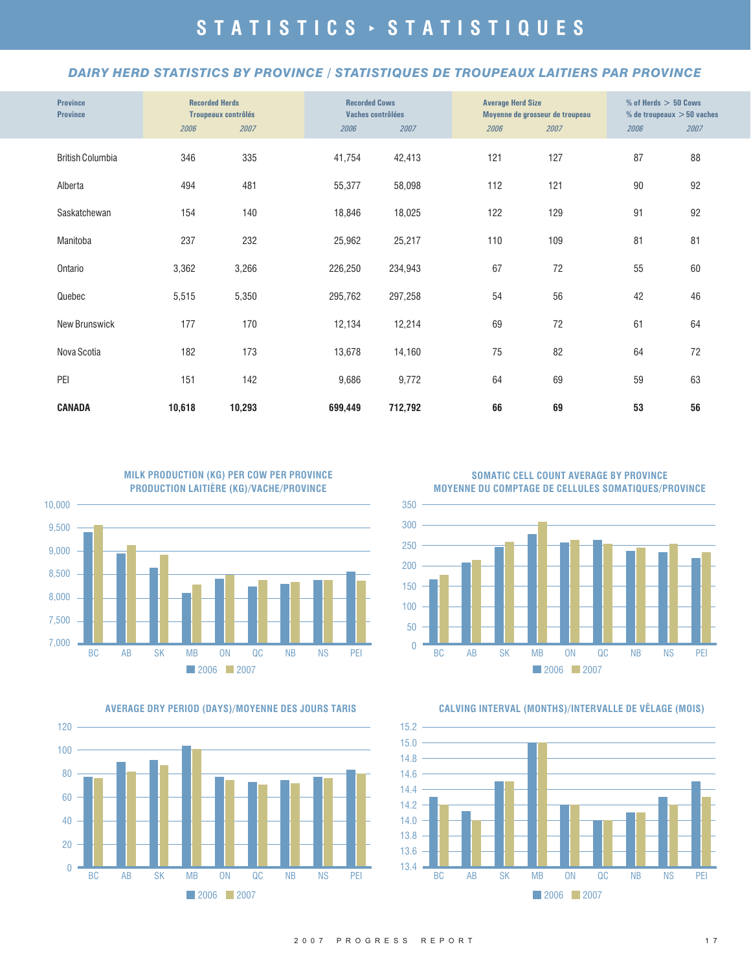#### *DAIRY HERD STATISTICS BY PROVINCE / STATISTIQUES DE TROUPEAUX LAITIERS PAR PROVINCE*

| <b>Province</b><br><b>Province</b> | <b>Recorded Herds</b><br><b>Troupeaux contrôlés</b> |        | <b>Recorded Cows</b><br>Vaches contrôlées |         | <b>Average Herd Size</b> | Moyenne de grosseur de troupeau | $%$ of Herds $> 50$ Cows<br>% de troupeaux $> 50$ vaches |      |
|------------------------------------|-----------------------------------------------------|--------|-------------------------------------------|---------|--------------------------|---------------------------------|----------------------------------------------------------|------|
|                                    | 2006                                                | 2007   | 2006                                      | 2007    | 2006                     | 2007                            | 2006                                                     | 2007 |
| <b>British Columbia</b>            | 346                                                 | 335    | 41,754                                    | 42,413  | 121                      | 127                             | 87                                                       | 88   |
| Alberta                            | 494                                                 | 481    | 55,377                                    | 58,098  | 112                      | 121                             | 90                                                       | 92   |
| Saskatchewan                       | 154                                                 | 140    | 18,846                                    | 18,025  | 122                      | 129                             | 91                                                       | 92   |
| Manitoba                           | 237                                                 | 232    | 25,962                                    | 25,217  | 110                      | 109                             | 81                                                       | 81   |
| Ontario                            | 3,362                                               | 3,266  | 226,250                                   | 234,943 | 67                       | 72                              | 55                                                       | 60   |
| Quebec                             | 5,515                                               | 5,350  | 295,762                                   | 297,258 | 54                       | 56                              | 42                                                       | 46   |
| New Brunswick                      | 177                                                 | 170    | 12,134                                    | 12,214  | 69                       | 72                              | 61                                                       | 64   |
| Nova Scotia                        | 182                                                 | 173    | 13,678                                    | 14,160  | 75                       | 82                              | 64                                                       | 72   |
| PEI                                | 151                                                 | 142    | 9,686                                     | 9,772   | 64                       | 69                              | 59                                                       | 63   |
| CANADA                             | 10,618                                              | 10,293 | 699,449                                   | 712,792 | 66                       | 69                              | 53                                                       | 56   |





**SOMATIC CELL COUNT AVERAGE BY PROVINCE MOYENNE DU COMPTAGE DE CELLULES SOMATIQUES/PROVINCE**



**AVERAGE DRY PERIOD (DAYS)/MOYENNE DES JOURS TARIS CALVING INTERVAL (MONTHS)/INTERVALLE DE VÊLAGE (MOIS)**

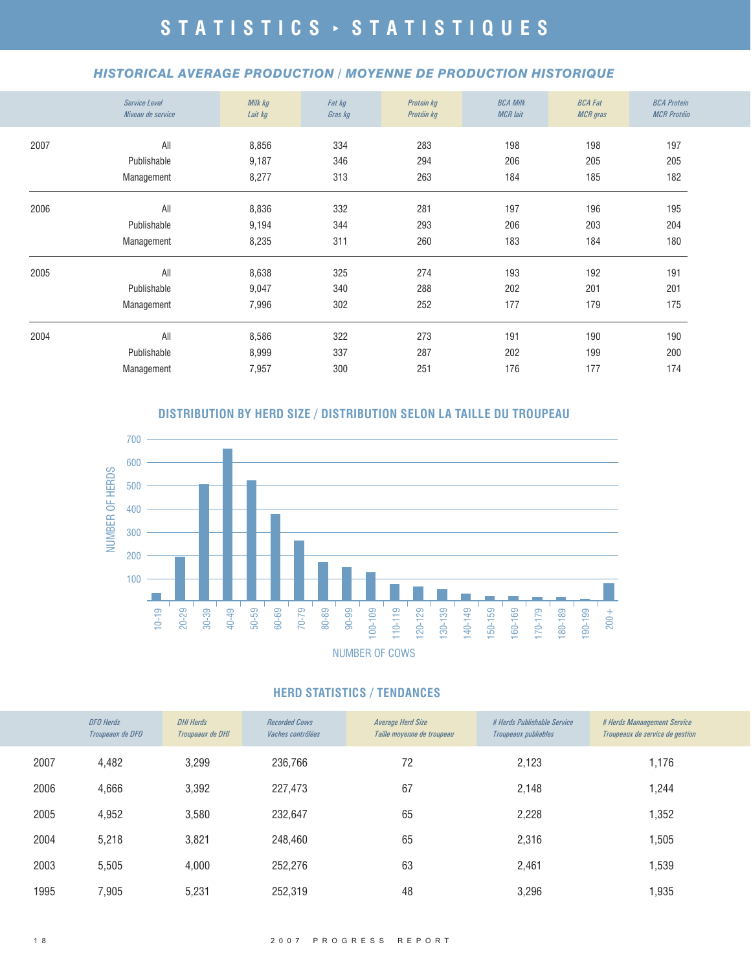#### *HISTORICAL AVERAGE PRODUCTION / MOYENNE DE PRODUCTION HISTORIQUE*

|      | <b>Service Level</b><br>Niveau de service | Milk kg<br>Lait kg | Fat kg<br>Gras kg | Protein kg<br>Protéin kg | <b>BCA Milk</b><br><b>MCR</b> lait | <b>BCA Fat</b><br><b>MCR</b> gras | <b>BCA Protein</b><br><b>MCR Protéin</b> |
|------|-------------------------------------------|--------------------|-------------------|--------------------------|------------------------------------|-----------------------------------|------------------------------------------|
| 2007 | All                                       | 8,856              | 334               | 283                      | 198                                | 198                               | 197                                      |
|      | Publishable                               | 9,187              | 346               | 294                      | 206                                | 205                               | 205                                      |
|      | Management                                | 8,277              | 313               | 263                      | 184                                | 185                               | 182                                      |
| 2006 | All                                       | 8,836              | 332               | 281                      | 197                                | 196                               | 195                                      |
|      | Publishable                               | 9,194              | 344               | 293                      | 206                                | 203                               | 204                                      |
|      | Management                                | 8,235              | 311               | 260                      | 183                                | 184                               | 180                                      |
| 2005 | All                                       | 8,638              | 325               | 274                      | 193                                | 192                               | 191                                      |
|      | Publishable                               | 9,047              | 340               | 288                      | 202                                | 201                               | 201                                      |
|      | Management                                | 7,996              | 302               | 252                      | 177                                | 179                               | 175                                      |
| 2004 | All                                       | 8,586              | 322               | 273                      | 191                                | 190                               | 190                                      |
|      | Publishable                               | 8,999              | 337               | 287                      | 202                                | 199                               | 200                                      |
|      | Management                                | 7,957              | 300               | 251                      | 176                                | 177                               | 174                                      |

#### **DISTRIBUTION BY HERD SIZE / DISTRIBUTION SELON LA TAILLE DU TROUPEAU**



#### **HERD STATISTICS / TENDANCES**

|      | <b>DFO</b> Herds<br>Troupeaux de DFO | <b>DHI Herds</b><br>Troupeaux de DHI | <b>Recorded Cows</b><br><i>Vaches contrôlées</i> | Average Herd Size<br>Taille moyenne de troupeau | # Herds Publishable Service<br>Troupeaux publiables | # Herds Manaagement Service<br>Troupeaux de service de gestion |
|------|--------------------------------------|--------------------------------------|--------------------------------------------------|-------------------------------------------------|-----------------------------------------------------|----------------------------------------------------------------|
| 2007 | 4,482                                | 3,299                                | 236,766                                          | 72                                              | 2,123                                               | 1,176                                                          |
| 2006 | 4,666                                | 3,392                                | 227,473                                          | 67                                              | 2,148                                               | 1,244                                                          |
| 2005 | 4,952                                | 3,580                                | 232,647                                          | 65                                              | 2,228                                               | 1,352                                                          |
| 2004 | 5,218                                | 3,821                                | 248,460                                          | 65                                              | 2,316                                               | 1,505                                                          |
| 2003 | 5,505                                | 4,000                                | 252,276                                          | 63                                              | 2,461                                               | 1,539                                                          |
| 1995 | 7,905                                | 5,231                                | 252,319                                          | 48                                              | 3,296                                               | 1,935                                                          |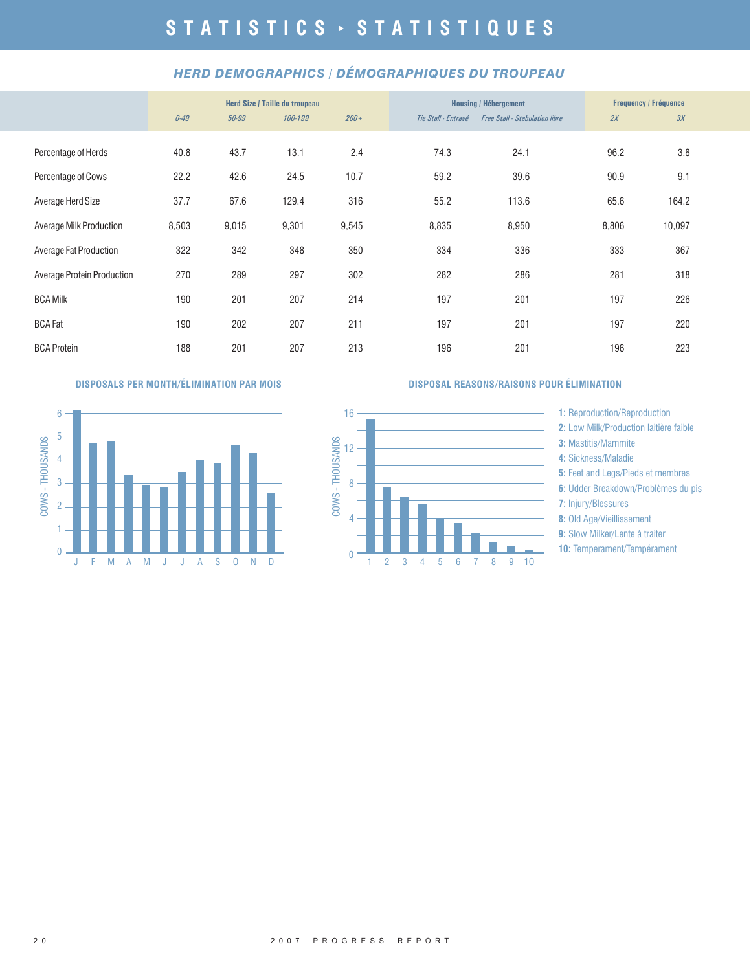#### *HERD DEMOGRAPHICS / DÉMOGRAPHIQUES DU TROUPEAU*

|                                   | Herd Size / Taille du troupeau |       |         |         | <b>Housing / Hébergement</b> | <b>Frequency / Fréquence</b>          |       |        |  |
|-----------------------------------|--------------------------------|-------|---------|---------|------------------------------|---------------------------------------|-------|--------|--|
|                                   | 0.49                           | 50-99 | 100-199 | $200 +$ | Tie Stall - Entravé          | <b>Free Stall - Stabulation libre</b> | 2X    | 3X     |  |
| Percentage of Herds               | 40.8                           | 43.7  | 13.1    | 2.4     | 74.3                         | 24.1                                  | 96.2  | 3.8    |  |
| Percentage of Cows                | 22.2                           | 42.6  | 24.5    | 10.7    | 59.2                         | 39.6                                  | 90.9  | 9.1    |  |
| Average Herd Size                 | 37.7                           | 67.6  | 129.4   | 316     | 55.2                         | 113.6                                 | 65.6  | 164.2  |  |
| Average Milk Production           | 8,503                          | 9,015 | 9,301   | 9,545   | 8,835                        | 8,950                                 | 8,806 | 10,097 |  |
| Average Fat Production            | 322                            | 342   | 348     | 350     | 334                          | 336                                   | 333   | 367    |  |
| <b>Average Protein Production</b> | 270                            | 289   | 297     | 302     | 282                          | 286                                   | 281   | 318    |  |
| <b>BCA Milk</b>                   | 190                            | 201   | 207     | 214     | 197                          | 201                                   | 197   | 226    |  |
| <b>BCA Fat</b>                    | 190                            | 202   | 207     | 211     | 197                          | 201                                   | 197   | 220    |  |
| <b>BCA Protein</b>                | 188                            | 201   | 207     | 213     | 196                          | 201                                   | 196   | 223    |  |



#### **DISPOSALS PER MONTH/ÉLIMINATION PAR MOIS DISPOSAL REASONS/RAISONS POUR ÉLIMINATION**



**1:** Reproduction/Reproduction

- 2: Low Milk/Production laitière faible
- **3:** Mastitis/Mammite
- **4:** Sickness/Maladie
- **5:** Feet and Legs/Pieds et membres
- **6:** Udder Breakdown/Problèmes du pis
- **7:** Injury/Blessures
- **8:** Old Age/Vieillissement
- **9:** Slow Milker/Lente à traiter
- **10: Temperament/Tempérament**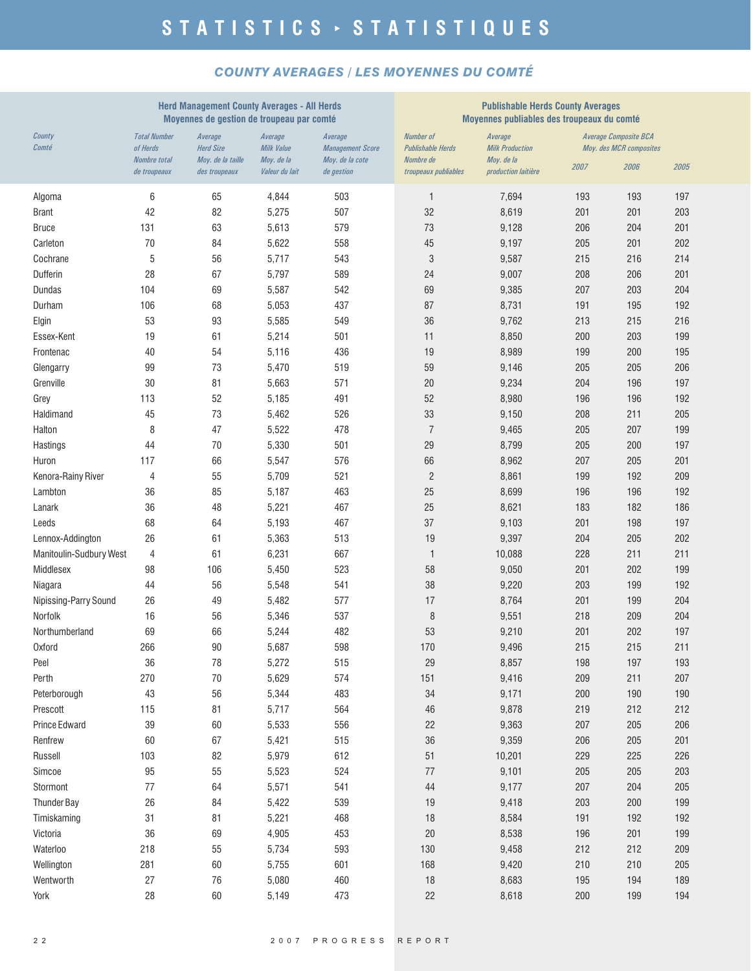#### *COUNTY AVERAGES / LES MOYENNES DU COMTÉ*

| County<br><b>Total Number</b><br><b>Number of</b><br><b>Average Composite BCA</b><br>Average<br>Average<br>Average<br>Average<br>Comté<br>of Herds<br><b>Herd Size</b><br>Milk Value<br><b>Management Score</b><br><b>Publishable Herds</b><br><b>Milk Production</b><br>Moy. des MCR composites<br><b>Nombre</b> total<br>Moy. de la taille<br>Moy. de la<br>Moy. de la cote<br>Nombre de<br>Moy. de la<br>2007<br>2006<br>2005<br>Valeur du lait<br>de gestion<br>production laitière<br>de troupeaux<br>des troupeaux<br>troupeaux publiables<br>6<br>65<br>4,844<br>503<br>7,694<br>193<br>193<br>197<br>Algoma<br>1<br>42<br>82<br>5,275<br>507<br>32<br>8,619<br>201<br>201<br>203<br><b>Brant</b><br>579<br>131<br>63<br>5,613<br>73<br>9,128<br>206<br>204<br>201<br><b>Bruce</b><br>70<br>Carleton<br>84<br>5,622<br>558<br>45<br>9,197<br>205<br>201<br>202<br>5<br>56<br>3<br>Cochrane<br>5,717<br>543<br>9,587<br>215<br>216<br>214<br>28<br>67<br>Dufferin<br>5,797<br>589<br>24<br>9,007<br>208<br>206<br>201<br><b>Dundas</b><br>104<br>69<br>5,587<br>542<br>69<br>9,385<br>207<br>203<br>204<br>8,731<br>Durham<br>106<br>68<br>5,053<br>437<br>87<br>191<br>195<br>192<br>53<br>5,585<br>36<br>9,762<br>213<br>215<br>216<br>Elgin<br>93<br>549<br>Essex-Kent<br>19<br>61<br>5,214<br>501<br>11<br>8,850<br>200<br>203<br>199<br>40<br>54<br>19<br>8,989<br>200<br>5,116<br>436<br>199<br>195<br>Frontenac<br>99<br>9,146<br>205<br>206<br>73<br>5,470<br>519<br>59<br>205<br>Glengarry<br>Grenville<br>30<br>81<br>571<br>20<br>204<br>5,663<br>9,234<br>196<br>197<br>113<br>52<br>52<br>5,185<br>491<br>8,980<br>196<br>196<br>192<br>Grey<br>45<br>73<br>33<br>211<br>Haldimand<br>5,462<br>526<br>9,150<br>208<br>205<br>$\overline{7}$<br>8<br>Halton<br>47<br>5,522<br>478<br>9,465<br>205<br>207<br>199<br>29<br>Hastings<br>44<br>70<br>5,330<br>501<br>8,799<br>205<br>200<br>197<br>66<br>66<br>8,962<br>207<br>205<br>201<br>117<br>5,547<br>576<br>Huron<br>55<br>$\overline{c}$<br>8,861<br>Kenora-Rainy River<br>4<br>5,709<br>521<br>199<br>192<br>209<br>25<br>8,699<br>Lambton<br>36<br>85<br>5,187<br>463<br>196<br>196<br>192<br>36<br>Lanark<br>48<br>5,221<br>467<br>25<br>8,621<br>183<br>182<br>186<br>68<br>37<br>201<br>Leeds<br>64<br>5,193<br>467<br>9,103<br>198<br>197<br>26<br>61<br>5,363<br>513<br>19<br>9,397<br>204<br>205<br>202<br>Lennox-Addington<br>Manitoulin-Sudbury West<br>4<br>61<br>6,231<br>667<br>$\mathbf{1}$<br>10,088<br>228<br>211<br>211<br>Middlesex<br>98<br>106<br>5,450<br>523<br>58<br>9,050<br>201<br>202<br>199<br>44<br>56<br>5,548<br>541<br>38<br>9,220<br>203<br>199<br>192<br>Niagara<br>26<br>201<br>49<br>5,482<br>577<br>17<br>8,764<br>199<br>204<br>Nipissing-Parry Sound<br>$\, 8$<br>Norfolk<br>16<br>56<br>5,346<br>537<br>9,551<br>218<br>209<br>204<br>Northumberland<br>69<br>66<br>482<br>53<br>9,210<br>201<br>202<br>197<br>5,244<br>266<br>598<br>211<br>90<br>5,687<br>170<br>9,496<br>215<br>215<br><b>Oxford</b><br>36<br>515<br>78<br>5,272<br>29<br>8,857<br>198<br>197<br>193<br>Peel<br>Perth<br>270<br>70<br>5,629<br>574<br>9,416<br>209<br>151<br>211<br>207<br>43<br>56<br>5,344<br>34<br>200<br>Peterborough<br>483<br>9,171<br>190<br>190<br>5,717<br>564<br>Prescott<br>115<br>81<br>46<br>9,878<br>219<br>212<br>212<br>39<br>22<br>Prince Edward<br>60<br>5,533<br>556<br>9,363<br>207<br>205<br>206<br>60<br>67<br>5,421<br>515<br>36<br>9,359<br>206<br>205<br>Renfrew<br>201<br>5,979<br>612<br>51<br>229<br>Russell<br>103<br>82<br>10,201<br>225<br>226<br>95<br>55<br>5,523<br>524<br>9,101<br>205<br>Simcoe<br>$77\,$<br>205<br>203<br>77<br>64<br>5,571<br>541<br>$44\,$<br>9,177<br>Stormont<br>207<br>204<br>205<br><b>Thunder Bay</b><br>26<br>539<br>19<br>9,418<br>203<br>84<br>5,422<br>200<br>199<br>31<br>81<br>5,221<br>468<br>18<br>8,584<br>191<br>Timiskaming<br>192<br>192<br>36<br>69<br>4,905<br>453<br>$20\,$<br>8,538<br>196<br>Victoria<br>201<br>199<br>218<br>55<br>5,734<br>593<br>9,458<br>212<br>212<br>Waterloo<br>130<br>209 |            | <b>Herd Management County Averages - All Herds</b><br>Moyennes de gestion de troupeau par comté |    |       |     |     | <b>Publishable Herds County Averages</b><br>Moyennes publiables des troupeaux du comté |     |     |     |
|---------------------------------------------------------------------------------------------------------------------------------------------------------------------------------------------------------------------------------------------------------------------------------------------------------------------------------------------------------------------------------------------------------------------------------------------------------------------------------------------------------------------------------------------------------------------------------------------------------------------------------------------------------------------------------------------------------------------------------------------------------------------------------------------------------------------------------------------------------------------------------------------------------------------------------------------------------------------------------------------------------------------------------------------------------------------------------------------------------------------------------------------------------------------------------------------------------------------------------------------------------------------------------------------------------------------------------------------------------------------------------------------------------------------------------------------------------------------------------------------------------------------------------------------------------------------------------------------------------------------------------------------------------------------------------------------------------------------------------------------------------------------------------------------------------------------------------------------------------------------------------------------------------------------------------------------------------------------------------------------------------------------------------------------------------------------------------------------------------------------------------------------------------------------------------------------------------------------------------------------------------------------------------------------------------------------------------------------------------------------------------------------------------------------------------------------------------------------------------------------------------------------------------------------------------------------------------------------------------------------------------------------------------------------------------------------------------------------------------------------------------------------------------------------------------------------------------------------------------------------------------------------------------------------------------------------------------------------------------------------------------------------------------------------------------------------------------------------------------------------------------------------------------------------------------------------------------------------------------------------------------------------------------------------------------------------------------------------------------------------------------------------------------------------------------------------------------------------------------------------------------------------------------------------------------------------------------------------------------------------------------------------------------------------------------------------------------------------------------------------------------------------------------------------------------------------------------------------------------------------------------------------------------------------------------------------------------------------------------------------------------------------------------------------------------------------------------|------------|-------------------------------------------------------------------------------------------------|----|-------|-----|-----|----------------------------------------------------------------------------------------|-----|-----|-----|
|                                                                                                                                                                                                                                                                                                                                                                                                                                                                                                                                                                                                                                                                                                                                                                                                                                                                                                                                                                                                                                                                                                                                                                                                                                                                                                                                                                                                                                                                                                                                                                                                                                                                                                                                                                                                                                                                                                                                                                                                                                                                                                                                                                                                                                                                                                                                                                                                                                                                                                                                                                                                                                                                                                                                                                                                                                                                                                                                                                                                                                                                                                                                                                                                                                                                                                                                                                                                                                                                                                                                                                                                                                                                                                                                                                                                                                                                                                                                                                                                                                                                                 |            |                                                                                                 |    |       |     |     |                                                                                        |     |     |     |
|                                                                                                                                                                                                                                                                                                                                                                                                                                                                                                                                                                                                                                                                                                                                                                                                                                                                                                                                                                                                                                                                                                                                                                                                                                                                                                                                                                                                                                                                                                                                                                                                                                                                                                                                                                                                                                                                                                                                                                                                                                                                                                                                                                                                                                                                                                                                                                                                                                                                                                                                                                                                                                                                                                                                                                                                                                                                                                                                                                                                                                                                                                                                                                                                                                                                                                                                                                                                                                                                                                                                                                                                                                                                                                                                                                                                                                                                                                                                                                                                                                                                                 |            |                                                                                                 |    |       |     |     |                                                                                        |     |     |     |
|                                                                                                                                                                                                                                                                                                                                                                                                                                                                                                                                                                                                                                                                                                                                                                                                                                                                                                                                                                                                                                                                                                                                                                                                                                                                                                                                                                                                                                                                                                                                                                                                                                                                                                                                                                                                                                                                                                                                                                                                                                                                                                                                                                                                                                                                                                                                                                                                                                                                                                                                                                                                                                                                                                                                                                                                                                                                                                                                                                                                                                                                                                                                                                                                                                                                                                                                                                                                                                                                                                                                                                                                                                                                                                                                                                                                                                                                                                                                                                                                                                                                                 |            |                                                                                                 |    |       |     |     |                                                                                        |     |     |     |
|                                                                                                                                                                                                                                                                                                                                                                                                                                                                                                                                                                                                                                                                                                                                                                                                                                                                                                                                                                                                                                                                                                                                                                                                                                                                                                                                                                                                                                                                                                                                                                                                                                                                                                                                                                                                                                                                                                                                                                                                                                                                                                                                                                                                                                                                                                                                                                                                                                                                                                                                                                                                                                                                                                                                                                                                                                                                                                                                                                                                                                                                                                                                                                                                                                                                                                                                                                                                                                                                                                                                                                                                                                                                                                                                                                                                                                                                                                                                                                                                                                                                                 |            |                                                                                                 |    |       |     |     |                                                                                        |     |     |     |
|                                                                                                                                                                                                                                                                                                                                                                                                                                                                                                                                                                                                                                                                                                                                                                                                                                                                                                                                                                                                                                                                                                                                                                                                                                                                                                                                                                                                                                                                                                                                                                                                                                                                                                                                                                                                                                                                                                                                                                                                                                                                                                                                                                                                                                                                                                                                                                                                                                                                                                                                                                                                                                                                                                                                                                                                                                                                                                                                                                                                                                                                                                                                                                                                                                                                                                                                                                                                                                                                                                                                                                                                                                                                                                                                                                                                                                                                                                                                                                                                                                                                                 |            |                                                                                                 |    |       |     |     |                                                                                        |     |     |     |
|                                                                                                                                                                                                                                                                                                                                                                                                                                                                                                                                                                                                                                                                                                                                                                                                                                                                                                                                                                                                                                                                                                                                                                                                                                                                                                                                                                                                                                                                                                                                                                                                                                                                                                                                                                                                                                                                                                                                                                                                                                                                                                                                                                                                                                                                                                                                                                                                                                                                                                                                                                                                                                                                                                                                                                                                                                                                                                                                                                                                                                                                                                                                                                                                                                                                                                                                                                                                                                                                                                                                                                                                                                                                                                                                                                                                                                                                                                                                                                                                                                                                                 |            |                                                                                                 |    |       |     |     |                                                                                        |     |     |     |
|                                                                                                                                                                                                                                                                                                                                                                                                                                                                                                                                                                                                                                                                                                                                                                                                                                                                                                                                                                                                                                                                                                                                                                                                                                                                                                                                                                                                                                                                                                                                                                                                                                                                                                                                                                                                                                                                                                                                                                                                                                                                                                                                                                                                                                                                                                                                                                                                                                                                                                                                                                                                                                                                                                                                                                                                                                                                                                                                                                                                                                                                                                                                                                                                                                                                                                                                                                                                                                                                                                                                                                                                                                                                                                                                                                                                                                                                                                                                                                                                                                                                                 |            |                                                                                                 |    |       |     |     |                                                                                        |     |     |     |
|                                                                                                                                                                                                                                                                                                                                                                                                                                                                                                                                                                                                                                                                                                                                                                                                                                                                                                                                                                                                                                                                                                                                                                                                                                                                                                                                                                                                                                                                                                                                                                                                                                                                                                                                                                                                                                                                                                                                                                                                                                                                                                                                                                                                                                                                                                                                                                                                                                                                                                                                                                                                                                                                                                                                                                                                                                                                                                                                                                                                                                                                                                                                                                                                                                                                                                                                                                                                                                                                                                                                                                                                                                                                                                                                                                                                                                                                                                                                                                                                                                                                                 |            |                                                                                                 |    |       |     |     |                                                                                        |     |     |     |
|                                                                                                                                                                                                                                                                                                                                                                                                                                                                                                                                                                                                                                                                                                                                                                                                                                                                                                                                                                                                                                                                                                                                                                                                                                                                                                                                                                                                                                                                                                                                                                                                                                                                                                                                                                                                                                                                                                                                                                                                                                                                                                                                                                                                                                                                                                                                                                                                                                                                                                                                                                                                                                                                                                                                                                                                                                                                                                                                                                                                                                                                                                                                                                                                                                                                                                                                                                                                                                                                                                                                                                                                                                                                                                                                                                                                                                                                                                                                                                                                                                                                                 |            |                                                                                                 |    |       |     |     |                                                                                        |     |     |     |
|                                                                                                                                                                                                                                                                                                                                                                                                                                                                                                                                                                                                                                                                                                                                                                                                                                                                                                                                                                                                                                                                                                                                                                                                                                                                                                                                                                                                                                                                                                                                                                                                                                                                                                                                                                                                                                                                                                                                                                                                                                                                                                                                                                                                                                                                                                                                                                                                                                                                                                                                                                                                                                                                                                                                                                                                                                                                                                                                                                                                                                                                                                                                                                                                                                                                                                                                                                                                                                                                                                                                                                                                                                                                                                                                                                                                                                                                                                                                                                                                                                                                                 |            |                                                                                                 |    |       |     |     |                                                                                        |     |     |     |
|                                                                                                                                                                                                                                                                                                                                                                                                                                                                                                                                                                                                                                                                                                                                                                                                                                                                                                                                                                                                                                                                                                                                                                                                                                                                                                                                                                                                                                                                                                                                                                                                                                                                                                                                                                                                                                                                                                                                                                                                                                                                                                                                                                                                                                                                                                                                                                                                                                                                                                                                                                                                                                                                                                                                                                                                                                                                                                                                                                                                                                                                                                                                                                                                                                                                                                                                                                                                                                                                                                                                                                                                                                                                                                                                                                                                                                                                                                                                                                                                                                                                                 |            |                                                                                                 |    |       |     |     |                                                                                        |     |     |     |
|                                                                                                                                                                                                                                                                                                                                                                                                                                                                                                                                                                                                                                                                                                                                                                                                                                                                                                                                                                                                                                                                                                                                                                                                                                                                                                                                                                                                                                                                                                                                                                                                                                                                                                                                                                                                                                                                                                                                                                                                                                                                                                                                                                                                                                                                                                                                                                                                                                                                                                                                                                                                                                                                                                                                                                                                                                                                                                                                                                                                                                                                                                                                                                                                                                                                                                                                                                                                                                                                                                                                                                                                                                                                                                                                                                                                                                                                                                                                                                                                                                                                                 |            |                                                                                                 |    |       |     |     |                                                                                        |     |     |     |
|                                                                                                                                                                                                                                                                                                                                                                                                                                                                                                                                                                                                                                                                                                                                                                                                                                                                                                                                                                                                                                                                                                                                                                                                                                                                                                                                                                                                                                                                                                                                                                                                                                                                                                                                                                                                                                                                                                                                                                                                                                                                                                                                                                                                                                                                                                                                                                                                                                                                                                                                                                                                                                                                                                                                                                                                                                                                                                                                                                                                                                                                                                                                                                                                                                                                                                                                                                                                                                                                                                                                                                                                                                                                                                                                                                                                                                                                                                                                                                                                                                                                                 |            |                                                                                                 |    |       |     |     |                                                                                        |     |     |     |
|                                                                                                                                                                                                                                                                                                                                                                                                                                                                                                                                                                                                                                                                                                                                                                                                                                                                                                                                                                                                                                                                                                                                                                                                                                                                                                                                                                                                                                                                                                                                                                                                                                                                                                                                                                                                                                                                                                                                                                                                                                                                                                                                                                                                                                                                                                                                                                                                                                                                                                                                                                                                                                                                                                                                                                                                                                                                                                                                                                                                                                                                                                                                                                                                                                                                                                                                                                                                                                                                                                                                                                                                                                                                                                                                                                                                                                                                                                                                                                                                                                                                                 |            |                                                                                                 |    |       |     |     |                                                                                        |     |     |     |
|                                                                                                                                                                                                                                                                                                                                                                                                                                                                                                                                                                                                                                                                                                                                                                                                                                                                                                                                                                                                                                                                                                                                                                                                                                                                                                                                                                                                                                                                                                                                                                                                                                                                                                                                                                                                                                                                                                                                                                                                                                                                                                                                                                                                                                                                                                                                                                                                                                                                                                                                                                                                                                                                                                                                                                                                                                                                                                                                                                                                                                                                                                                                                                                                                                                                                                                                                                                                                                                                                                                                                                                                                                                                                                                                                                                                                                                                                                                                                                                                                                                                                 |            |                                                                                                 |    |       |     |     |                                                                                        |     |     |     |
|                                                                                                                                                                                                                                                                                                                                                                                                                                                                                                                                                                                                                                                                                                                                                                                                                                                                                                                                                                                                                                                                                                                                                                                                                                                                                                                                                                                                                                                                                                                                                                                                                                                                                                                                                                                                                                                                                                                                                                                                                                                                                                                                                                                                                                                                                                                                                                                                                                                                                                                                                                                                                                                                                                                                                                                                                                                                                                                                                                                                                                                                                                                                                                                                                                                                                                                                                                                                                                                                                                                                                                                                                                                                                                                                                                                                                                                                                                                                                                                                                                                                                 |            |                                                                                                 |    |       |     |     |                                                                                        |     |     |     |
|                                                                                                                                                                                                                                                                                                                                                                                                                                                                                                                                                                                                                                                                                                                                                                                                                                                                                                                                                                                                                                                                                                                                                                                                                                                                                                                                                                                                                                                                                                                                                                                                                                                                                                                                                                                                                                                                                                                                                                                                                                                                                                                                                                                                                                                                                                                                                                                                                                                                                                                                                                                                                                                                                                                                                                                                                                                                                                                                                                                                                                                                                                                                                                                                                                                                                                                                                                                                                                                                                                                                                                                                                                                                                                                                                                                                                                                                                                                                                                                                                                                                                 |            |                                                                                                 |    |       |     |     |                                                                                        |     |     |     |
|                                                                                                                                                                                                                                                                                                                                                                                                                                                                                                                                                                                                                                                                                                                                                                                                                                                                                                                                                                                                                                                                                                                                                                                                                                                                                                                                                                                                                                                                                                                                                                                                                                                                                                                                                                                                                                                                                                                                                                                                                                                                                                                                                                                                                                                                                                                                                                                                                                                                                                                                                                                                                                                                                                                                                                                                                                                                                                                                                                                                                                                                                                                                                                                                                                                                                                                                                                                                                                                                                                                                                                                                                                                                                                                                                                                                                                                                                                                                                                                                                                                                                 |            |                                                                                                 |    |       |     |     |                                                                                        |     |     |     |
|                                                                                                                                                                                                                                                                                                                                                                                                                                                                                                                                                                                                                                                                                                                                                                                                                                                                                                                                                                                                                                                                                                                                                                                                                                                                                                                                                                                                                                                                                                                                                                                                                                                                                                                                                                                                                                                                                                                                                                                                                                                                                                                                                                                                                                                                                                                                                                                                                                                                                                                                                                                                                                                                                                                                                                                                                                                                                                                                                                                                                                                                                                                                                                                                                                                                                                                                                                                                                                                                                                                                                                                                                                                                                                                                                                                                                                                                                                                                                                                                                                                                                 |            |                                                                                                 |    |       |     |     |                                                                                        |     |     |     |
|                                                                                                                                                                                                                                                                                                                                                                                                                                                                                                                                                                                                                                                                                                                                                                                                                                                                                                                                                                                                                                                                                                                                                                                                                                                                                                                                                                                                                                                                                                                                                                                                                                                                                                                                                                                                                                                                                                                                                                                                                                                                                                                                                                                                                                                                                                                                                                                                                                                                                                                                                                                                                                                                                                                                                                                                                                                                                                                                                                                                                                                                                                                                                                                                                                                                                                                                                                                                                                                                                                                                                                                                                                                                                                                                                                                                                                                                                                                                                                                                                                                                                 |            |                                                                                                 |    |       |     |     |                                                                                        |     |     |     |
|                                                                                                                                                                                                                                                                                                                                                                                                                                                                                                                                                                                                                                                                                                                                                                                                                                                                                                                                                                                                                                                                                                                                                                                                                                                                                                                                                                                                                                                                                                                                                                                                                                                                                                                                                                                                                                                                                                                                                                                                                                                                                                                                                                                                                                                                                                                                                                                                                                                                                                                                                                                                                                                                                                                                                                                                                                                                                                                                                                                                                                                                                                                                                                                                                                                                                                                                                                                                                                                                                                                                                                                                                                                                                                                                                                                                                                                                                                                                                                                                                                                                                 |            |                                                                                                 |    |       |     |     |                                                                                        |     |     |     |
|                                                                                                                                                                                                                                                                                                                                                                                                                                                                                                                                                                                                                                                                                                                                                                                                                                                                                                                                                                                                                                                                                                                                                                                                                                                                                                                                                                                                                                                                                                                                                                                                                                                                                                                                                                                                                                                                                                                                                                                                                                                                                                                                                                                                                                                                                                                                                                                                                                                                                                                                                                                                                                                                                                                                                                                                                                                                                                                                                                                                                                                                                                                                                                                                                                                                                                                                                                                                                                                                                                                                                                                                                                                                                                                                                                                                                                                                                                                                                                                                                                                                                 |            |                                                                                                 |    |       |     |     |                                                                                        |     |     |     |
|                                                                                                                                                                                                                                                                                                                                                                                                                                                                                                                                                                                                                                                                                                                                                                                                                                                                                                                                                                                                                                                                                                                                                                                                                                                                                                                                                                                                                                                                                                                                                                                                                                                                                                                                                                                                                                                                                                                                                                                                                                                                                                                                                                                                                                                                                                                                                                                                                                                                                                                                                                                                                                                                                                                                                                                                                                                                                                                                                                                                                                                                                                                                                                                                                                                                                                                                                                                                                                                                                                                                                                                                                                                                                                                                                                                                                                                                                                                                                                                                                                                                                 |            |                                                                                                 |    |       |     |     |                                                                                        |     |     |     |
|                                                                                                                                                                                                                                                                                                                                                                                                                                                                                                                                                                                                                                                                                                                                                                                                                                                                                                                                                                                                                                                                                                                                                                                                                                                                                                                                                                                                                                                                                                                                                                                                                                                                                                                                                                                                                                                                                                                                                                                                                                                                                                                                                                                                                                                                                                                                                                                                                                                                                                                                                                                                                                                                                                                                                                                                                                                                                                                                                                                                                                                                                                                                                                                                                                                                                                                                                                                                                                                                                                                                                                                                                                                                                                                                                                                                                                                                                                                                                                                                                                                                                 |            |                                                                                                 |    |       |     |     |                                                                                        |     |     |     |
|                                                                                                                                                                                                                                                                                                                                                                                                                                                                                                                                                                                                                                                                                                                                                                                                                                                                                                                                                                                                                                                                                                                                                                                                                                                                                                                                                                                                                                                                                                                                                                                                                                                                                                                                                                                                                                                                                                                                                                                                                                                                                                                                                                                                                                                                                                                                                                                                                                                                                                                                                                                                                                                                                                                                                                                                                                                                                                                                                                                                                                                                                                                                                                                                                                                                                                                                                                                                                                                                                                                                                                                                                                                                                                                                                                                                                                                                                                                                                                                                                                                                                 |            |                                                                                                 |    |       |     |     |                                                                                        |     |     |     |
|                                                                                                                                                                                                                                                                                                                                                                                                                                                                                                                                                                                                                                                                                                                                                                                                                                                                                                                                                                                                                                                                                                                                                                                                                                                                                                                                                                                                                                                                                                                                                                                                                                                                                                                                                                                                                                                                                                                                                                                                                                                                                                                                                                                                                                                                                                                                                                                                                                                                                                                                                                                                                                                                                                                                                                                                                                                                                                                                                                                                                                                                                                                                                                                                                                                                                                                                                                                                                                                                                                                                                                                                                                                                                                                                                                                                                                                                                                                                                                                                                                                                                 |            |                                                                                                 |    |       |     |     |                                                                                        |     |     |     |
|                                                                                                                                                                                                                                                                                                                                                                                                                                                                                                                                                                                                                                                                                                                                                                                                                                                                                                                                                                                                                                                                                                                                                                                                                                                                                                                                                                                                                                                                                                                                                                                                                                                                                                                                                                                                                                                                                                                                                                                                                                                                                                                                                                                                                                                                                                                                                                                                                                                                                                                                                                                                                                                                                                                                                                                                                                                                                                                                                                                                                                                                                                                                                                                                                                                                                                                                                                                                                                                                                                                                                                                                                                                                                                                                                                                                                                                                                                                                                                                                                                                                                 |            |                                                                                                 |    |       |     |     |                                                                                        |     |     |     |
|                                                                                                                                                                                                                                                                                                                                                                                                                                                                                                                                                                                                                                                                                                                                                                                                                                                                                                                                                                                                                                                                                                                                                                                                                                                                                                                                                                                                                                                                                                                                                                                                                                                                                                                                                                                                                                                                                                                                                                                                                                                                                                                                                                                                                                                                                                                                                                                                                                                                                                                                                                                                                                                                                                                                                                                                                                                                                                                                                                                                                                                                                                                                                                                                                                                                                                                                                                                                                                                                                                                                                                                                                                                                                                                                                                                                                                                                                                                                                                                                                                                                                 |            |                                                                                                 |    |       |     |     |                                                                                        |     |     |     |
|                                                                                                                                                                                                                                                                                                                                                                                                                                                                                                                                                                                                                                                                                                                                                                                                                                                                                                                                                                                                                                                                                                                                                                                                                                                                                                                                                                                                                                                                                                                                                                                                                                                                                                                                                                                                                                                                                                                                                                                                                                                                                                                                                                                                                                                                                                                                                                                                                                                                                                                                                                                                                                                                                                                                                                                                                                                                                                                                                                                                                                                                                                                                                                                                                                                                                                                                                                                                                                                                                                                                                                                                                                                                                                                                                                                                                                                                                                                                                                                                                                                                                 |            |                                                                                                 |    |       |     |     |                                                                                        |     |     |     |
|                                                                                                                                                                                                                                                                                                                                                                                                                                                                                                                                                                                                                                                                                                                                                                                                                                                                                                                                                                                                                                                                                                                                                                                                                                                                                                                                                                                                                                                                                                                                                                                                                                                                                                                                                                                                                                                                                                                                                                                                                                                                                                                                                                                                                                                                                                                                                                                                                                                                                                                                                                                                                                                                                                                                                                                                                                                                                                                                                                                                                                                                                                                                                                                                                                                                                                                                                                                                                                                                                                                                                                                                                                                                                                                                                                                                                                                                                                                                                                                                                                                                                 |            |                                                                                                 |    |       |     |     |                                                                                        |     |     |     |
|                                                                                                                                                                                                                                                                                                                                                                                                                                                                                                                                                                                                                                                                                                                                                                                                                                                                                                                                                                                                                                                                                                                                                                                                                                                                                                                                                                                                                                                                                                                                                                                                                                                                                                                                                                                                                                                                                                                                                                                                                                                                                                                                                                                                                                                                                                                                                                                                                                                                                                                                                                                                                                                                                                                                                                                                                                                                                                                                                                                                                                                                                                                                                                                                                                                                                                                                                                                                                                                                                                                                                                                                                                                                                                                                                                                                                                                                                                                                                                                                                                                                                 |            |                                                                                                 |    |       |     |     |                                                                                        |     |     |     |
|                                                                                                                                                                                                                                                                                                                                                                                                                                                                                                                                                                                                                                                                                                                                                                                                                                                                                                                                                                                                                                                                                                                                                                                                                                                                                                                                                                                                                                                                                                                                                                                                                                                                                                                                                                                                                                                                                                                                                                                                                                                                                                                                                                                                                                                                                                                                                                                                                                                                                                                                                                                                                                                                                                                                                                                                                                                                                                                                                                                                                                                                                                                                                                                                                                                                                                                                                                                                                                                                                                                                                                                                                                                                                                                                                                                                                                                                                                                                                                                                                                                                                 |            |                                                                                                 |    |       |     |     |                                                                                        |     |     |     |
|                                                                                                                                                                                                                                                                                                                                                                                                                                                                                                                                                                                                                                                                                                                                                                                                                                                                                                                                                                                                                                                                                                                                                                                                                                                                                                                                                                                                                                                                                                                                                                                                                                                                                                                                                                                                                                                                                                                                                                                                                                                                                                                                                                                                                                                                                                                                                                                                                                                                                                                                                                                                                                                                                                                                                                                                                                                                                                                                                                                                                                                                                                                                                                                                                                                                                                                                                                                                                                                                                                                                                                                                                                                                                                                                                                                                                                                                                                                                                                                                                                                                                 |            |                                                                                                 |    |       |     |     |                                                                                        |     |     |     |
|                                                                                                                                                                                                                                                                                                                                                                                                                                                                                                                                                                                                                                                                                                                                                                                                                                                                                                                                                                                                                                                                                                                                                                                                                                                                                                                                                                                                                                                                                                                                                                                                                                                                                                                                                                                                                                                                                                                                                                                                                                                                                                                                                                                                                                                                                                                                                                                                                                                                                                                                                                                                                                                                                                                                                                                                                                                                                                                                                                                                                                                                                                                                                                                                                                                                                                                                                                                                                                                                                                                                                                                                                                                                                                                                                                                                                                                                                                                                                                                                                                                                                 |            |                                                                                                 |    |       |     |     |                                                                                        |     |     |     |
|                                                                                                                                                                                                                                                                                                                                                                                                                                                                                                                                                                                                                                                                                                                                                                                                                                                                                                                                                                                                                                                                                                                                                                                                                                                                                                                                                                                                                                                                                                                                                                                                                                                                                                                                                                                                                                                                                                                                                                                                                                                                                                                                                                                                                                                                                                                                                                                                                                                                                                                                                                                                                                                                                                                                                                                                                                                                                                                                                                                                                                                                                                                                                                                                                                                                                                                                                                                                                                                                                                                                                                                                                                                                                                                                                                                                                                                                                                                                                                                                                                                                                 |            |                                                                                                 |    |       |     |     |                                                                                        |     |     |     |
|                                                                                                                                                                                                                                                                                                                                                                                                                                                                                                                                                                                                                                                                                                                                                                                                                                                                                                                                                                                                                                                                                                                                                                                                                                                                                                                                                                                                                                                                                                                                                                                                                                                                                                                                                                                                                                                                                                                                                                                                                                                                                                                                                                                                                                                                                                                                                                                                                                                                                                                                                                                                                                                                                                                                                                                                                                                                                                                                                                                                                                                                                                                                                                                                                                                                                                                                                                                                                                                                                                                                                                                                                                                                                                                                                                                                                                                                                                                                                                                                                                                                                 |            |                                                                                                 |    |       |     |     |                                                                                        |     |     |     |
|                                                                                                                                                                                                                                                                                                                                                                                                                                                                                                                                                                                                                                                                                                                                                                                                                                                                                                                                                                                                                                                                                                                                                                                                                                                                                                                                                                                                                                                                                                                                                                                                                                                                                                                                                                                                                                                                                                                                                                                                                                                                                                                                                                                                                                                                                                                                                                                                                                                                                                                                                                                                                                                                                                                                                                                                                                                                                                                                                                                                                                                                                                                                                                                                                                                                                                                                                                                                                                                                                                                                                                                                                                                                                                                                                                                                                                                                                                                                                                                                                                                                                 |            |                                                                                                 |    |       |     |     |                                                                                        |     |     |     |
|                                                                                                                                                                                                                                                                                                                                                                                                                                                                                                                                                                                                                                                                                                                                                                                                                                                                                                                                                                                                                                                                                                                                                                                                                                                                                                                                                                                                                                                                                                                                                                                                                                                                                                                                                                                                                                                                                                                                                                                                                                                                                                                                                                                                                                                                                                                                                                                                                                                                                                                                                                                                                                                                                                                                                                                                                                                                                                                                                                                                                                                                                                                                                                                                                                                                                                                                                                                                                                                                                                                                                                                                                                                                                                                                                                                                                                                                                                                                                                                                                                                                                 |            |                                                                                                 |    |       |     |     |                                                                                        |     |     |     |
|                                                                                                                                                                                                                                                                                                                                                                                                                                                                                                                                                                                                                                                                                                                                                                                                                                                                                                                                                                                                                                                                                                                                                                                                                                                                                                                                                                                                                                                                                                                                                                                                                                                                                                                                                                                                                                                                                                                                                                                                                                                                                                                                                                                                                                                                                                                                                                                                                                                                                                                                                                                                                                                                                                                                                                                                                                                                                                                                                                                                                                                                                                                                                                                                                                                                                                                                                                                                                                                                                                                                                                                                                                                                                                                                                                                                                                                                                                                                                                                                                                                                                 |            |                                                                                                 |    |       |     |     |                                                                                        |     |     |     |
|                                                                                                                                                                                                                                                                                                                                                                                                                                                                                                                                                                                                                                                                                                                                                                                                                                                                                                                                                                                                                                                                                                                                                                                                                                                                                                                                                                                                                                                                                                                                                                                                                                                                                                                                                                                                                                                                                                                                                                                                                                                                                                                                                                                                                                                                                                                                                                                                                                                                                                                                                                                                                                                                                                                                                                                                                                                                                                                                                                                                                                                                                                                                                                                                                                                                                                                                                                                                                                                                                                                                                                                                                                                                                                                                                                                                                                                                                                                                                                                                                                                                                 |            |                                                                                                 |    |       |     |     |                                                                                        |     |     |     |
|                                                                                                                                                                                                                                                                                                                                                                                                                                                                                                                                                                                                                                                                                                                                                                                                                                                                                                                                                                                                                                                                                                                                                                                                                                                                                                                                                                                                                                                                                                                                                                                                                                                                                                                                                                                                                                                                                                                                                                                                                                                                                                                                                                                                                                                                                                                                                                                                                                                                                                                                                                                                                                                                                                                                                                                                                                                                                                                                                                                                                                                                                                                                                                                                                                                                                                                                                                                                                                                                                                                                                                                                                                                                                                                                                                                                                                                                                                                                                                                                                                                                                 |            |                                                                                                 |    |       |     |     |                                                                                        |     |     |     |
|                                                                                                                                                                                                                                                                                                                                                                                                                                                                                                                                                                                                                                                                                                                                                                                                                                                                                                                                                                                                                                                                                                                                                                                                                                                                                                                                                                                                                                                                                                                                                                                                                                                                                                                                                                                                                                                                                                                                                                                                                                                                                                                                                                                                                                                                                                                                                                                                                                                                                                                                                                                                                                                                                                                                                                                                                                                                                                                                                                                                                                                                                                                                                                                                                                                                                                                                                                                                                                                                                                                                                                                                                                                                                                                                                                                                                                                                                                                                                                                                                                                                                 |            |                                                                                                 |    |       |     |     |                                                                                        |     |     |     |
|                                                                                                                                                                                                                                                                                                                                                                                                                                                                                                                                                                                                                                                                                                                                                                                                                                                                                                                                                                                                                                                                                                                                                                                                                                                                                                                                                                                                                                                                                                                                                                                                                                                                                                                                                                                                                                                                                                                                                                                                                                                                                                                                                                                                                                                                                                                                                                                                                                                                                                                                                                                                                                                                                                                                                                                                                                                                                                                                                                                                                                                                                                                                                                                                                                                                                                                                                                                                                                                                                                                                                                                                                                                                                                                                                                                                                                                                                                                                                                                                                                                                                 |            |                                                                                                 |    |       |     |     |                                                                                        |     |     |     |
|                                                                                                                                                                                                                                                                                                                                                                                                                                                                                                                                                                                                                                                                                                                                                                                                                                                                                                                                                                                                                                                                                                                                                                                                                                                                                                                                                                                                                                                                                                                                                                                                                                                                                                                                                                                                                                                                                                                                                                                                                                                                                                                                                                                                                                                                                                                                                                                                                                                                                                                                                                                                                                                                                                                                                                                                                                                                                                                                                                                                                                                                                                                                                                                                                                                                                                                                                                                                                                                                                                                                                                                                                                                                                                                                                                                                                                                                                                                                                                                                                                                                                 |            |                                                                                                 |    |       |     |     |                                                                                        |     |     |     |
|                                                                                                                                                                                                                                                                                                                                                                                                                                                                                                                                                                                                                                                                                                                                                                                                                                                                                                                                                                                                                                                                                                                                                                                                                                                                                                                                                                                                                                                                                                                                                                                                                                                                                                                                                                                                                                                                                                                                                                                                                                                                                                                                                                                                                                                                                                                                                                                                                                                                                                                                                                                                                                                                                                                                                                                                                                                                                                                                                                                                                                                                                                                                                                                                                                                                                                                                                                                                                                                                                                                                                                                                                                                                                                                                                                                                                                                                                                                                                                                                                                                                                 | Wellington | 281                                                                                             | 60 | 5,755 | 601 | 168 | 9,420                                                                                  | 210 | 210 | 205 |
| 27<br>76<br>5,080<br>460<br>18<br>8,683<br>Wentworth<br>195<br>194<br>189                                                                                                                                                                                                                                                                                                                                                                                                                                                                                                                                                                                                                                                                                                                                                                                                                                                                                                                                                                                                                                                                                                                                                                                                                                                                                                                                                                                                                                                                                                                                                                                                                                                                                                                                                                                                                                                                                                                                                                                                                                                                                                                                                                                                                                                                                                                                                                                                                                                                                                                                                                                                                                                                                                                                                                                                                                                                                                                                                                                                                                                                                                                                                                                                                                                                                                                                                                                                                                                                                                                                                                                                                                                                                                                                                                                                                                                                                                                                                                                                       |            |                                                                                                 |    |       |     |     |                                                                                        |     |     |     |
| 28<br>22<br>8,618<br>200<br>York<br>60<br>5,149<br>473<br>199<br>194                                                                                                                                                                                                                                                                                                                                                                                                                                                                                                                                                                                                                                                                                                                                                                                                                                                                                                                                                                                                                                                                                                                                                                                                                                                                                                                                                                                                                                                                                                                                                                                                                                                                                                                                                                                                                                                                                                                                                                                                                                                                                                                                                                                                                                                                                                                                                                                                                                                                                                                                                                                                                                                                                                                                                                                                                                                                                                                                                                                                                                                                                                                                                                                                                                                                                                                                                                                                                                                                                                                                                                                                                                                                                                                                                                                                                                                                                                                                                                                                            |            |                                                                                                 |    |       |     |     |                                                                                        |     |     |     |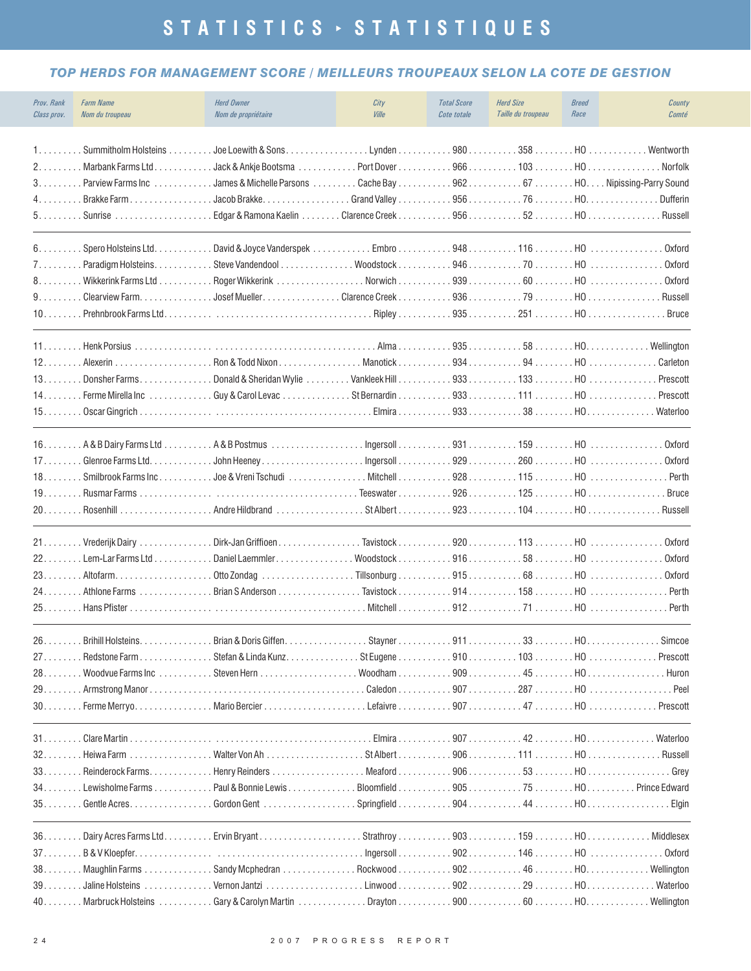#### *TOP HERDS FOR MANAGEMENT SCORE / MEILLEURS TROUPEAUX SELON LA COTE DE GESTION*

| Prov. Rank<br>Class prov.                                      | <b>Farm Name</b><br>Nom du troupeau                                                                       | <b>Herd Owner</b><br>Nom de propriétaire                                                                                                                                                                                       | City<br>Ville                                   | <b>Total Score</b><br>Cote totale | <b>Herd Size</b><br>Taille du troupeau | <b>Breed</b><br>Race | County<br>Comté                                               |
|----------------------------------------------------------------|-----------------------------------------------------------------------------------------------------------|--------------------------------------------------------------------------------------------------------------------------------------------------------------------------------------------------------------------------------|-------------------------------------------------|-----------------------------------|----------------------------------------|----------------------|---------------------------------------------------------------|
| 1.<br>2.<br>3.0000<br>4.                                       | . Summitholm Holsteins<br>Marbank Farms Ltd.<br>Parview Farms Inc<br>Brakke Farm<br>5. Sunrise            | Jack & Ankje Bootsma<br>James & Michelle Parsons<br>Jacob Brakke.<br>.                                                                                                                                                         |                                                 |                                   |                                        |                      | . Norfolk<br>Dufferin<br>. Russell                            |
| 6.<br>7.<br>8.00000<br>9.0000<br>10                            | . Spero Holsteins Ltd.<br>Paradigm Holsteins.<br>. Wikkerink Farms Ltd<br>Clearview Farm.                 | Roger Wikkerink<br>$\ldots \ldots \ldots \ldots$ Josef Mueller. $\ldots \ldots \ldots \ldots$ Clarence Creek . $\ldots \ldots \ldots 936 \ldots \ldots \ldots \ldots 79 \ldots \ldots \ldots$ HO $\ldots \ldots \ldots \ldots$ |                                                 |                                   | $935$ 251HO                            |                      | Oxford<br>Oxford<br>Oxford<br>Russell<br><b>Bruce</b>         |
| 11.<br>$12. \ldots$ .<br>13.000<br>$14. \ldots$<br>15.         | . Henk Porsius<br>. Alexerin<br>Donsher Farms.<br>. Ferme Mirella Inc                                     | $\ldots \ldots \ldots \ldots$ Ron & Todd Nixon $\ldots \ldots \ldots \ldots$ Manotick $\ldots \ldots \ldots 934 \ldots \ldots \ldots 94 \ldots \ldots \ldots$ HO $\ldots \ldots \ldots \ldots \ldots$                          |                                                 |                                   |                                        |                      | Carleton<br>Prescott<br>Prescott<br>Waterloo                  |
| $16.$ .<br>17<br>$18.$ .<br>$19. \ldots$                       | Glenroe Farms Ltd.<br>Rusmar Farms                                                                        |                                                                                                                                                                                                                                |                                                 |                                   |                                        |                      | Oxford<br><b>Oxford</b><br>Perth<br><b>Bruce</b>              |
| $21 \ldots$<br>22<br>23.000<br>$24. \ldots$ .<br>25            | Vrederijk Dairy<br>. Lem-Lar Farms Ltd $\ldots$<br>Athlone Farms<br>Hans Pfister.                         | Dirk-Jan Griffioen<br>Daniel Laemmler.<br>Otto Zondag<br>.                                                                                                                                                                     | Woodstock91658HO                                |                                   |                                        |                      | <b>Oxford</b><br>Oxford<br>Oxford<br>Perth<br>Perth           |
| 26<br>27.<br>28<br>29.<br>$30. \ldots$                         | <b>Brihill Holsteins</b><br>. Redstone Farm<br>Woodvue Farms Inc                                          | Brian & Doris Giffen.<br>Stefan & Linda Kunz.                                                                                                                                                                                  | Stayner<br>Caledon                              | 911<br>907                        | 33<br>$909$ 45HO<br>287H0              | HO.                  | Simcoe<br>Prescott<br>Huron<br>Peel                           |
| $32. \ldots$<br>$33. \ldots$<br>$34. \ldots$ .<br>$35. \ldots$ | Heiwa Farm $\ldots \ldots \ldots \ldots \ldots$<br>Reinderock Farms.<br>Lewisholme Farms<br>Gentle Acres. | Henry Reinders<br>Paul & Bonnie Lewis<br>Gordon Gent                                                                                                                                                                           | . Meaford $\ldots$<br>Bloomfield<br>Springfield |                                   | $906$ 53HO<br>$905$ 75HO               |                      | Waterloo<br>Russell<br>Grey<br>Prince Edward<br>Elgin         |
| $36. \ldots$<br>$37.$ .<br>38.<br>$39. \ldots \ldots$          | Maughlin Farms                                                                                            | Sandy Mcphedran                                                                                                                                                                                                                | . Ingersoll $\ldots$                            |                                   | $902$ 146HO                            |                      | Middlesex<br>Oxford<br>Wellington<br>Waterloo<br>. Wellington |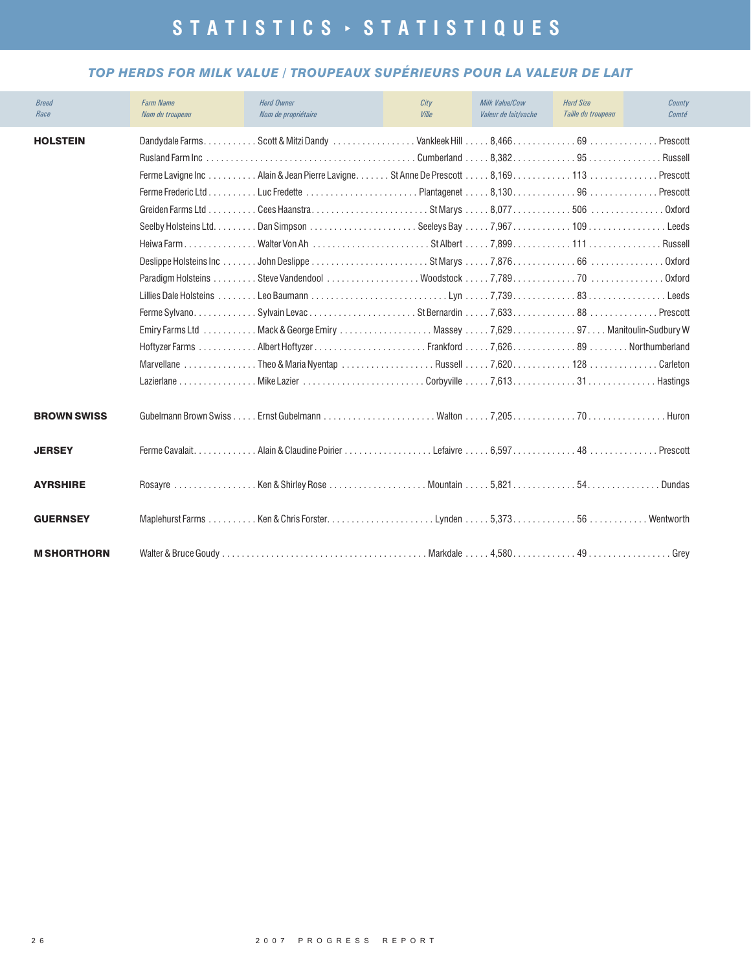#### *TOP HERDS FOR MILK VALUE / TROUPEAUX SUPÉRIEURS POUR LA VALEUR DE LAIT*

| <b>Breed</b><br>Race | <b>Farm Name</b><br>Nom du troupeau | <b>Herd Owner</b><br>Nom de propriétaire                                                                                                                                                                                                                                                                                             | City<br><b>Ville</b> | <b>Milk Value/Cow</b><br>Valeur de lait/vache | <b>Herd Size</b><br>Taille du troupeau | County<br>Comté                                                                                |
|----------------------|-------------------------------------|--------------------------------------------------------------------------------------------------------------------------------------------------------------------------------------------------------------------------------------------------------------------------------------------------------------------------------------|----------------------|-----------------------------------------------|----------------------------------------|------------------------------------------------------------------------------------------------|
| <b>HOLSTEIN</b>      | <b>Rusland Farm Inc.</b>            | Ferme Lavigne Inc  Alain & Jean Pierre Lavigne St Anne De Prescott  8, 169 113  Prescott<br>Heiwa FarmWalter Von Ah St Albert 7,899111<br>Paradigm Holsteins Steve Vandendool Woodstock 7,789<br>Emiry Farms Ltd Mack & George Emiry Massey 7,629. Manitoulin-Sudbury W<br>Marvellane Theo & Maria Nyentap Russell 7,620128 Carleton |                      | Cumberland  8,382 95                          |                                        | Prescott<br>. Russell<br>Prescott<br>Oxford<br>Leeds<br>. Russell<br>Oxford<br>Oxford<br>Leeds |
| <b>BROWN SWISS</b>   |                                     |                                                                                                                                                                                                                                                                                                                                      |                      |                                               |                                        |                                                                                                |
| <b>JERSEY</b>        |                                     |                                                                                                                                                                                                                                                                                                                                      |                      |                                               |                                        | Prescott                                                                                       |
| <b>AYRSHIRE</b>      |                                     | Rosayre Ken & Shirley Rose Mountain 5,82154                                                                                                                                                                                                                                                                                          |                      |                                               |                                        | . Dundas                                                                                       |
| <b>GUERNSEY</b>      |                                     |                                                                                                                                                                                                                                                                                                                                      |                      |                                               |                                        |                                                                                                |
| <b>M SHORTHORN</b>   |                                     |                                                                                                                                                                                                                                                                                                                                      |                      |                                               |                                        | . Grev                                                                                         |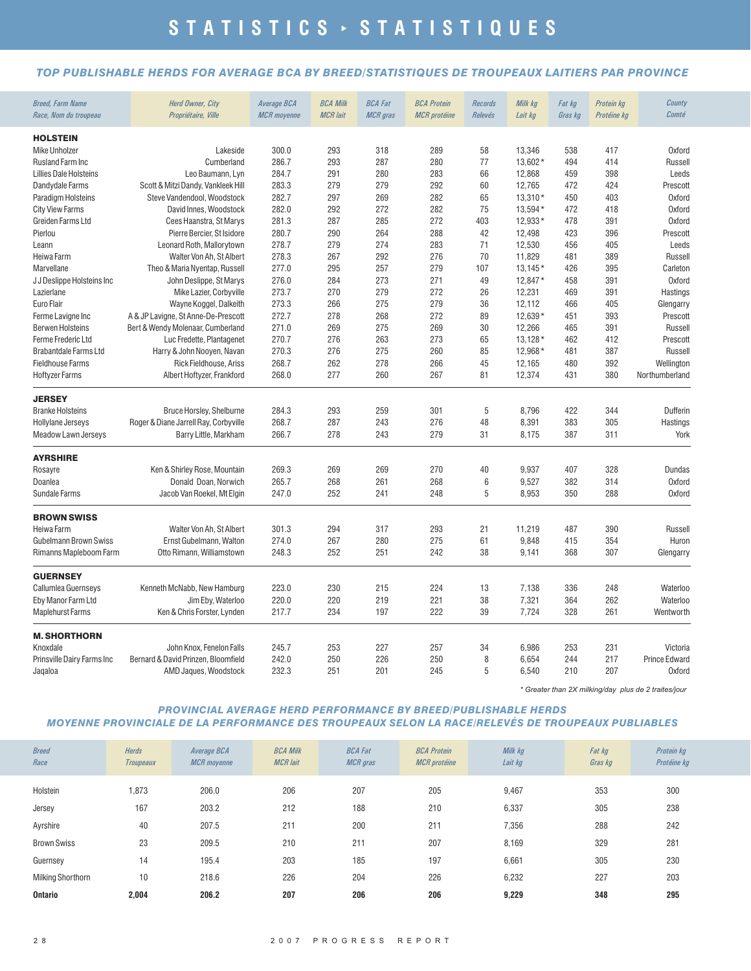#### *TOP PUBLISHABLE HERDS FOR AVERAGE BCA BY BREED/STATISTIQUES DE TROUPEAUX LAITIERS PAR PROVINCE*

| <b>Breed, Farm Name</b><br>Race, Nom du troupeau | <b>Herd Owner, City</b><br>Propriétaire, Ville | Average BCA<br><b>MCR</b> moyenne | <b>BCA Milk</b><br><b>MCR</b> lait | <b>BCA Fat</b><br><b>MCR</b> gras | <b>BCA Protein</b><br><b>MCR</b> protéine | Records<br>Relevés | Milk kg<br>Lait kg | Fat kg<br>Gras kg | Protein kg<br>Protéine kg | County<br>Comté |
|--------------------------------------------------|------------------------------------------------|-----------------------------------|------------------------------------|-----------------------------------|-------------------------------------------|--------------------|--------------------|-------------------|---------------------------|-----------------|
| <b>HOLSTEIN</b>                                  |                                                |                                   |                                    |                                   |                                           |                    |                    |                   |                           |                 |
| <b>Mike Unholzer</b>                             | Lakeside                                       | 300.0                             | 293                                | 318                               | 289                                       | 58                 | 13.346             | 538               | 417                       | Oxford          |
| <b>Rusland Farm Inc</b>                          | Cumberland                                     | 286.7                             | 293                                | 287                               | 280                                       | 77                 | 13,602*            | 494               | 414                       | Russell         |
| <b>Lillies Dale Holsteins</b>                    | Leo Baumann, Lyn                               | 284.7                             | 291                                | 280                               | 283                                       | 66                 | 12,868             | 459               | 398                       | Leeds           |
| Dandydale Farms                                  | Scott & Mitzi Dandy, Vankleek Hill             | 283.3                             | 279                                | 279                               | 292                                       | 60                 | 12,765             | 472               | 424                       | Prescott        |
| Paradigm Holsteins                               | Steve Vandendool, Woodstock                    | 282.7                             | 297                                | 269                               | 282                                       | 65                 | 13.310*            | 450               | 403                       | <b>Oxford</b>   |
| <b>City View Farms</b>                           | David Innes, Woodstock                         | 282.0                             | 292                                | 272                               | 282                                       | 75                 | 13,594*            | 472               | 418                       | <b>Oxford</b>   |
| Greiden Farms Ltd                                | Cees Haanstra, St Marys                        | 281.3                             | 287                                | 285                               | 272                                       | 403                | 12,933*            | 478               | 391                       | <b>Oxford</b>   |
| Pierlou                                          | Pierre Bercier, St Isidore                     | 280.7                             | 290                                | 264                               | 288                                       | 42                 | 12,498             | 423               | 396                       | Prescott        |
| Leann                                            | Leonard Roth, Mallorytown                      | 278.7                             | 279                                | 274                               | 283                                       | 71                 | 12,530             | 456               | 405                       | Leeds           |
| Heiwa Farm                                       | Walter Von Ah, St Albert                       | 278.3                             | 267                                | 292                               | 276                                       | 70                 | 11,829             | 481               | 389                       | Russell         |
| Marvellane                                       | Theo & Maria Nyentap, Russell                  | 277.0                             | 295                                | 257                               | 279                                       | 107                | $13.145*$          | 426               | 395                       | Carleton        |
| JJ Deslippe Holsteins Inc                        | John Deslippe, St Marys                        | 276.0                             | 284                                | 273                               | 271                                       | 49                 | 12,847*            | 458               | 391                       | <b>Oxford</b>   |
| Lazierlane                                       | Mike Lazier, Corbyville                        | 273.7                             | 270                                | 279                               | 272                                       | 26                 | 12,231             | 469               | 391                       | Hastings        |
| Euro Flair                                       | Wayne Koggel, Dalkeith                         | 273.3                             | 266                                | 275                               | 279                                       | 36                 | 12,112             | 466               | 405                       | Glengarry       |
| Ferme Lavigne Inc                                | A & JP Lavigne, St Anne-De-Prescott            | 272.7                             | 278                                | 268                               | 272                                       | 89                 | 12,639*            | 451               | 393                       | Prescott        |
| <b>Berwen Holsteins</b>                          | Bert & Wendy Molenaar, Cumberland              | 271.0                             | 269                                | 275                               | 269                                       | 30                 | 12,266             | 465               | 391                       | Russell         |
| <b>Ferme Frederic Ltd</b>                        | Luc Fredette, Plantagenet                      | 270.7                             | 276                                | 263                               | 273                                       | 65                 | $13,128*$          | 462               | 412                       | Prescott        |
| <b>Brabantdale Farms Ltd</b>                     | Harry & John Nooyen, Navan                     | 270.3                             | 276                                | 275                               | 260                                       | 85                 | 12.968*            | 481               | 387                       | Russell         |
| <b>Fieldhouse Farms</b>                          | Rick Fieldhouse, Ariss                         | 268.7                             | 262                                | 278                               | 266                                       | 45                 | 12,165             | 480               | 392                       | Wellington      |
| <b>Hoftyzer Farms</b>                            | Albert Hoftyzer, Frankford                     | 268.0                             | 277                                | 260                               | 267                                       | 81                 | 12,374             | 431               | 380                       | Northumberland  |
| <b>JERSEY</b>                                    |                                                |                                   |                                    |                                   |                                           |                    |                    |                   |                           |                 |
| <b>Branke Holsteins</b>                          | Bruce Horsley, Shelburne                       | 284.3                             | 293                                | 259                               | 301                                       | 5                  | 8,796              | 422               | 344                       | Dufferin        |
| <b>Hollylane Jerseys</b>                         | Roger & Diane Jarrell Ray, Corbyville          | 268.7                             | 287                                | 243                               | 276                                       | 48                 | 8,391              | 383               | 305                       | Hastings        |
| Meadow Lawn Jerseys                              | Barry Little, Markham                          | 266.7                             | 278                                | 243                               | 279                                       | 31                 | 8,175              | 387               | 311                       | York            |
| <b>AYRSHIRE</b>                                  |                                                |                                   |                                    |                                   |                                           |                    |                    |                   |                           |                 |
| Rosayre                                          | Ken & Shirley Rose, Mountain                   | 269.3                             | 269                                | 269                               | 270                                       | 40                 | 9,937              | 407               | 328                       | Dundas          |
| Doanlea                                          | Donald Doan, Norwich                           | 265.7                             | 268                                | 261                               | 268                                       | 6                  | 9,527              | 382               | 314                       | Oxford          |
| Sundale Farms                                    | Jacob Van Roekel, Mt Elgin                     | 247.0                             | 252                                | 241                               | 248                                       | 5                  | 8,953              | 350               | 288                       | <b>Oxford</b>   |
| <b>BROWN SWISS</b>                               |                                                |                                   |                                    |                                   |                                           |                    |                    |                   |                           |                 |
| Heiwa Farm                                       | Walter Von Ah, St Albert                       | 301.3                             | 294                                | 317                               | 293                                       | 21                 | 11,219             | 487               | 390                       | Russell         |
| Gubelmann Brown Swiss                            | Ernst Gubelmann, Walton                        | 274.0                             | 267                                | 280                               | 275                                       | 61                 | 9,848              | 415               | 354                       | Huron           |
| Rimanns Mapleboom Farm                           | Otto Rimann, Williamstown                      | 248.3                             | 252                                | 251                               | 242                                       | 38                 | 9,141              | 368               | 307                       | Glengarry       |
| <b>GUERNSEY</b>                                  |                                                |                                   |                                    |                                   |                                           |                    |                    |                   |                           |                 |
| Callumlea Guernseys                              | Kenneth McNabb, New Hamburg                    | 223.0                             | 230                                | 215                               | 224                                       | 13                 | 7,138              | 336               | 248                       | Waterloo        |
| Eby Manor Farm Ltd                               | Jim Eby, Waterloo                              | 220.0                             | 220                                | 219                               | 221                                       | 38                 | 7,321              | 364               | 262                       | Waterloo        |
| <b>Maplehurst Farms</b>                          | Ken & Chris Forster, Lynden                    | 217.7                             | 234                                | 197                               | 222                                       | 39                 | 7,724              | 328               | 261                       | Wentworth       |
| <b>M. SHORTHORN</b>                              |                                                |                                   |                                    |                                   |                                           |                    |                    |                   |                           |                 |
| Knoxdale                                         | John Knox, Fenelon Falls                       | 245.7                             | 253                                | 227                               | 257                                       | 34                 | 6,986              | 253               | 231                       | Victoria        |
| Prinsville Dairy Farms Inc                       | Bernard & David Prinzen, Bloomfield            | 242.0                             | 250                                | 226                               | 250                                       | 8                  | 6,654              | 244               | 217                       | Prince Edward   |
| Jaqaloa                                          | AMD Jaques, Woodstock                          | 232.3                             | 251                                | 201                               | 245                                       | 5                  | 6,540              | 210               | 207                       | <b>Oxford</b>   |

*\* Greater than 2X milking/day plus de 2 traites/jour*

#### *PROVINCIAL AVERAGE HERD PERFORMANCE BY BREED/PUBLISHABLE HERDS MOYENNE PROVINCIALE DE LA PERFORMANCE DES TROUPEAUX SELON LA RACE/RELEVÉS DE TROUPEAUX PUBLIABLES*

| <b>Breed</b><br>Race     | <b>Herds</b><br><b>Troupeaux</b> | Average BCA<br><b>MCR</b> moyenne | <b>BCA Milk</b><br><b>MCR</b> lait | <b>BCA Fat</b><br><b>MCR</b> gras | <b>BCA Protein</b><br><b>MCR</b> protéine | Milk kg<br>Lait kg | Fat kg<br>Gras kg | Protein kg<br>Protéine kg |
|--------------------------|----------------------------------|-----------------------------------|------------------------------------|-----------------------------------|-------------------------------------------|--------------------|-------------------|---------------------------|
| Holstein                 | 1,873                            | 206.0                             | 206                                | 207                               | 205                                       | 9,467              | 353               | 300                       |
| Jersey                   | 167                              | 203.2                             | 212                                | 188                               | 210                                       | 6,337              | 305               | 238                       |
| Ayrshire                 | 40                               | 207.5                             | 211                                | 200                               | 211                                       | 7,356              | 288               | 242                       |
| <b>Brown Swiss</b>       | 23                               | 209.5                             | 210                                | 211                               | 207                                       | 8,169              | 329               | 281                       |
| Guernsey                 | 14                               | 195.4                             | 203                                | 185                               | 197                                       | 6,661              | 305               | 230                       |
| <b>Milking Shorthorn</b> | 10                               | 218.6                             | 226                                | 204                               | 226                                       | 6,232              | 227               | 203                       |
| <b>Ontario</b>           | 2,004                            | 206.2                             | 207                                | 206                               | 206                                       | 9,229              | 348               | 295                       |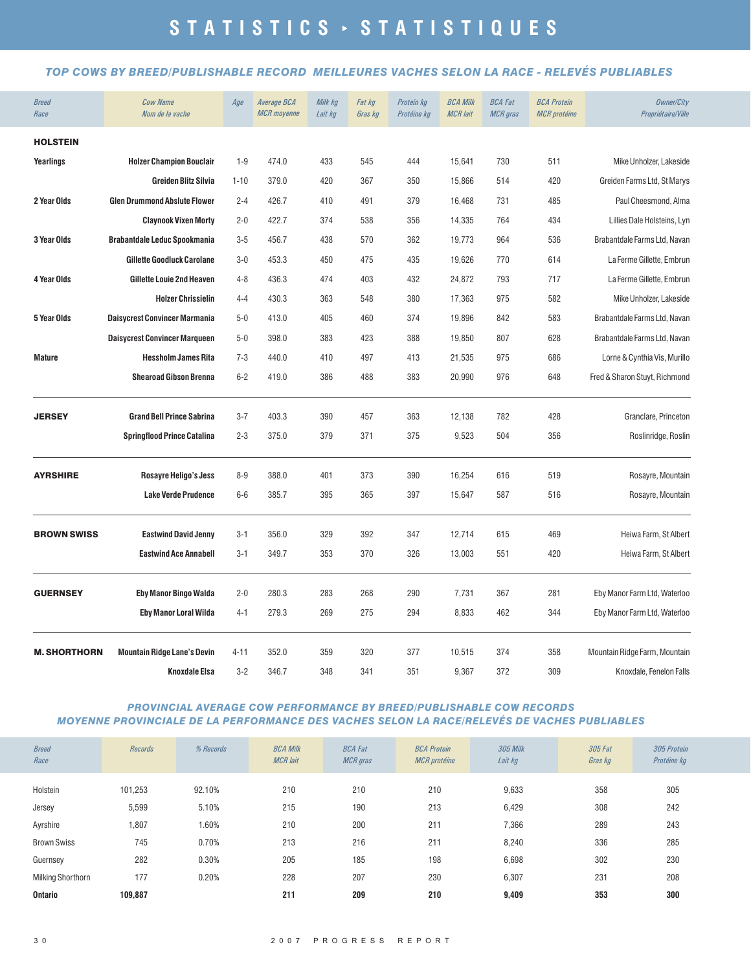#### *TOP COWS BY BREED/PUBLISHABLE RECORD MEILLEURES VACHES SELON LA RACE - RELEVÉS PUBLIABLES*

| <b>Breed</b><br>Race | <b>Cow Name</b><br>Nom de la vache   | Age      | Average BCA<br><b>MCR</b> moyenne | Milk kg<br>Lait kg | Fat kg<br>Gras kg | Protein kg<br>Protéine kg | <b>BCA Milk</b><br><b>MCR</b> lait | <b>BCA Fat</b><br><b>MCR</b> gras | <b>BCA Protein</b><br><b>MCR</b> protéine | <b>Owner/City</b><br>Propriétaire/Ville |
|----------------------|--------------------------------------|----------|-----------------------------------|--------------------|-------------------|---------------------------|------------------------------------|-----------------------------------|-------------------------------------------|-----------------------------------------|
| <b>HOLSTEIN</b>      |                                      |          |                                   |                    |                   |                           |                                    |                                   |                                           |                                         |
| Yearlings            | <b>Holzer Champion Bouclair</b>      | $1 - 9$  | 474.0                             | 433                | 545               | 444                       | 15,641                             | 730                               | 511                                       | Mike Unholzer, Lakeside                 |
|                      | <b>Greiden Blitz Silvia</b>          | $1 - 10$ | 379.0                             | 420                | 367               | 350                       | 15,866                             | 514                               | 420                                       | Greiden Farms Ltd, St Marys             |
| 2 Year Olds          | <b>Glen Drummond Abslute Flower</b>  | $2 - 4$  | 426.7                             | 410                | 491               | 379                       | 16,468                             | 731                               | 485                                       | Paul Cheesmond, Alma                    |
|                      | <b>Claynook Vixen Morty</b>          | $2 - 0$  | 422.7                             | 374                | 538               | 356                       | 14,335                             | 764                               | 434                                       | Lillies Dale Holsteins, Lyn             |
| 3 Year Olds          | <b>Brabantdale Leduc Spookmania</b>  | $3 - 5$  | 456.7                             | 438                | 570               | 362                       | 19,773                             | 964                               | 536                                       | Brabantdale Farms Ltd, Navan            |
|                      | <b>Gillette Goodluck Carolane</b>    | $3 - 0$  | 453.3                             | 450                | 475               | 435                       | 19,626                             | 770                               | 614                                       | La Ferme Gillette, Embrun               |
| 4 Year Olds          | <b>Gillette Louie 2nd Heaven</b>     | $4 - 8$  | 436.3                             | 474                | 403               | 432                       | 24,872                             | 793                               | 717                                       | La Ferme Gillette, Embrun               |
|                      | <b>Holzer Chrissielin</b>            | $4 - 4$  | 430.3                             | 363                | 548               | 380                       | 17,363                             | 975                               | 582                                       | Mike Unholzer, Lakeside                 |
| 5 Year Olds          | <b>Daisycrest Convincer Marmania</b> | $5 - 0$  | 413.0                             | 405                | 460               | 374                       | 19,896                             | 842                               | 583                                       | Brabantdale Farms Ltd, Navan            |
|                      | <b>Daisycrest Convincer Marqueen</b> | $5 - 0$  | 398.0                             | 383                | 423               | 388                       | 19,850                             | 807                               | 628                                       | Brabantdale Farms Ltd, Navan            |
| <b>Mature</b>        | <b>Hessholm James Rita</b>           | $7 - 3$  | 440.0                             | 410                | 497               | 413                       | 21,535                             | 975                               | 686                                       | Lorne & Cynthia Vis, Murillo            |
|                      | <b>Shearoad Gibson Brenna</b>        | $6 - 2$  | 419.0                             | 386                | 488               | 383                       | 20,990                             | 976                               | 648                                       | Fred & Sharon Stuyt, Richmond           |
| <b>JERSEY</b>        | <b>Grand Bell Prince Sabrina</b>     | $3 - 7$  | 403.3                             | 390                | 457               | 363                       | 12,138                             | 782                               | 428                                       | Granclare, Princeton                    |
|                      | <b>Springflood Prince Catalina</b>   | $2 - 3$  | 375.0                             | 379                | 371               | 375                       | 9,523                              | 504                               | 356                                       | Roslinridge, Roslin                     |
| <b>AYRSHIRE</b>      | <b>Rosayre Heligo's Jess</b>         | $8 - 9$  | 388.0                             | 401                | 373               | 390                       | 16,254                             | 616                               | 519                                       | Rosayre, Mountain                       |
|                      | <b>Lake Verde Prudence</b>           | $6-6$    | 385.7                             | 395                | 365               | 397                       | 15,647                             | 587                               | 516                                       | Rosayre, Mountain                       |
| <b>BROWN SWISS</b>   | <b>Eastwind David Jenny</b>          | $3 - 1$  | 356.0                             | 329                | 392               | 347                       | 12,714                             | 615                               | 469                                       | Heiwa Farm, St Albert                   |
|                      | <b>Eastwind Ace Annabell</b>         | $3 - 1$  | 349.7                             | 353                | 370               | 326                       | 13,003                             | 551                               | 420                                       | Heiwa Farm, St Albert                   |
| <b>GUERNSEY</b>      | <b>Eby Manor Bingo Walda</b>         | $2 - 0$  | 280.3                             | 283                | 268               | 290                       | 7,731                              | 367                               | 281                                       | Eby Manor Farm Ltd, Waterloo            |
|                      | <b>Eby Manor Loral Wilda</b>         | $4 - 1$  | 279.3                             | 269                | 275               | 294                       | 8,833                              | 462                               | 344                                       | Eby Manor Farm Ltd, Waterloo            |
| <b>M. SHORTHORN</b>  | <b>Mountain Ridge Lane's Devin</b>   | $4 - 11$ | 352.0                             | 359                | 320               | 377                       | 10,515                             | 374                               | 358                                       | Mountain Ridge Farm, Mountain           |
|                      | <b>Knoxdale Elsa</b>                 | $3 - 2$  | 346.7                             | 348                | 341               | 351                       | 9,367                              | 372                               | 309                                       | Knoxdale, Fenelon Falls                 |

#### *PROVINCIAL AVERAGE COW PERFORMANCE BY BREED/PUBLISHABLE COW RECORDS MOYENNE PROVINCIALE DE LA PERFORMANCE DES VACHES SELON LA RACE/RELEVÉS DE VACHES PUBLIABLES*

| <b>Breed</b><br>Race | <b>Records</b> | % Records | <b>BCA Milk</b><br><b>MCR</b> lait | <b>BCA Fat</b><br><b>MCR</b> gras | <b>BCA Protein</b><br><b>MCR</b> protéine | <b>305 Milk</b><br>Lait kg | 305 Fat<br>Gras kg | 305 Protein<br>Protéine kg |
|----------------------|----------------|-----------|------------------------------------|-----------------------------------|-------------------------------------------|----------------------------|--------------------|----------------------------|
| Holstein             | 101,253        | 92.10%    | 210                                | 210                               | 210                                       | 9,633                      | 358                | 305                        |
| Jersey               | 5,599          | 5.10%     | 215                                | 190                               | 213                                       | 6,429                      | 308                | 242                        |
| Ayrshire             | 1,807          | 1.60%     | 210                                | 200                               | 211                                       | 7,366                      | 289                | 243                        |
| <b>Brown Swiss</b>   | 745            | 0.70%     | 213                                | 216                               | 211                                       | 8,240                      | 336                | 285                        |
| Guernsey             | 282            | 0.30%     | 205                                | 185                               | 198                                       | 6,698                      | 302                | 230                        |
| Milking Shorthorn    | 177            | 0.20%     | 228                                | 207                               | 230                                       | 6,307                      | 231                | 208                        |
| <b>Ontario</b>       | 109.887        |           | 211                                | 209                               | 210                                       | 9,409                      | 353                | 300                        |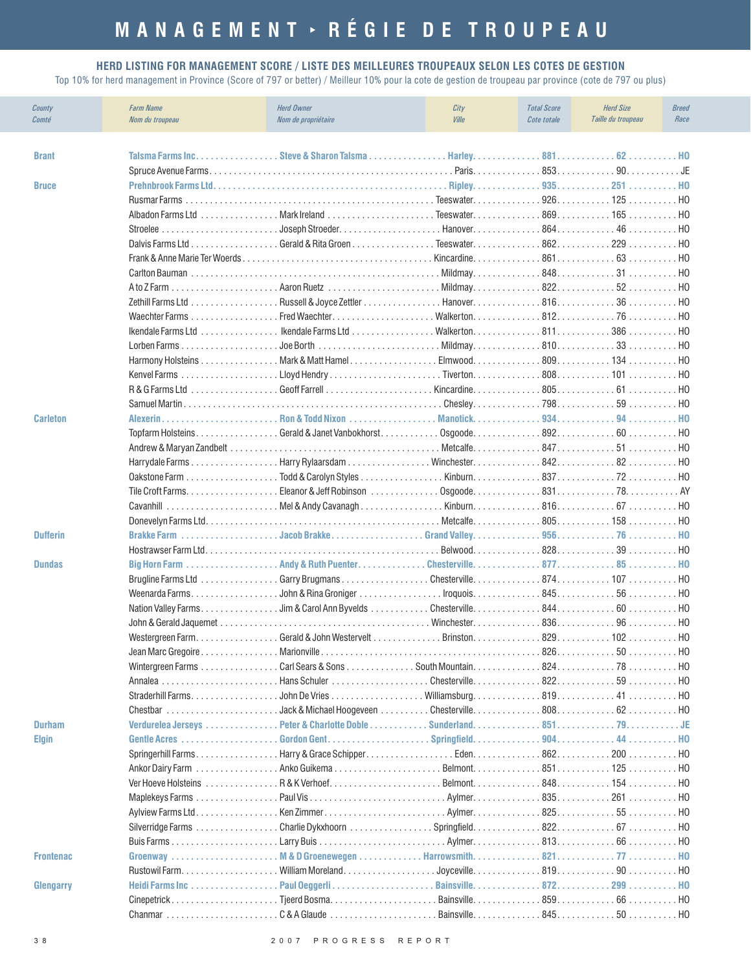# **MANAGEMENT RÉGIE DE TROUPEAU**

#### **HERD LISTING FOR MANAGEMENT SCORE / LISTE DES MEILLEURES TROUPEAUX SELON LES COTES DE GESTION**

| County<br>Comté  | <b>Farm Name</b><br>Nom du troupeau | <b>Herd Owner</b><br>Nom de propriétaire                                                                          | City<br>Ville | <b>Total Score</b><br>Cote totale | <b>Herd Size</b><br>Taille du troupeau | <b>Breed</b><br>Race |
|------------------|-------------------------------------|-------------------------------------------------------------------------------------------------------------------|---------------|-----------------------------------|----------------------------------------|----------------------|
| <b>Brant</b>     |                                     | Talsma Farms Inc. Steve & Sharon Talsma                                                                           |               |                                   |                                        | . HO                 |
|                  |                                     |                                                                                                                   |               |                                   |                                        |                      |
| <b>Bruce</b>     |                                     |                                                                                                                   |               | $935$                             | 251                                    | . но                 |
|                  | <b>Rusmar Farms</b>                 |                                                                                                                   |               |                                   |                                        | . HO                 |
|                  | Albadon Farms Ltd                   |                                                                                                                   |               |                                   |                                        | . HO                 |
|                  |                                     |                                                                                                                   |               |                                   |                                        | H <sub>0</sub>       |
|                  |                                     |                                                                                                                   |               |                                   | $229$                                  | H <sub>0</sub>       |
|                  |                                     |                                                                                                                   |               |                                   |                                        | . HO                 |
|                  | Carlton Bauman                      |                                                                                                                   |               |                                   |                                        | . HO                 |
|                  | A to Z Farm                         |                                                                                                                   |               | 822.                              | 52                                     | . HO                 |
|                  |                                     |                                                                                                                   |               |                                   |                                        | . HO                 |
|                  |                                     |                                                                                                                   |               |                                   |                                        | . НО                 |
|                  |                                     |                                                                                                                   |               |                                   |                                        | . HO                 |
|                  |                                     |                                                                                                                   |               |                                   |                                        | . HO                 |
|                  | Harmony Holsteins                   | . Mark & Matt Hamel                                                                                               |               |                                   | . Elmwood. 809. 134.                   | . HO                 |
|                  |                                     |                                                                                                                   |               |                                   |                                        | . HO                 |
|                  |                                     | R&GFarmsLtd Geoff Farrell Kincardine80561                                                                         |               |                                   |                                        | . НО                 |
|                  |                                     |                                                                                                                   |               |                                   |                                        | . HO                 |
| <b>Carleton</b>  |                                     |                                                                                                                   |               |                                   |                                        | . но                 |
|                  |                                     |                                                                                                                   |               |                                   |                                        |                      |
|                  |                                     |                                                                                                                   |               |                                   |                                        | . НО                 |
|                  |                                     |                                                                                                                   |               |                                   |                                        | . HO                 |
|                  |                                     |                                                                                                                   |               |                                   |                                        | . HO                 |
|                  |                                     |                                                                                                                   |               |                                   |                                        | . AY                 |
|                  |                                     | Cavanhill Mel & Andy CavanaghKinburn816 67                                                                        |               |                                   |                                        | . HO                 |
|                  |                                     |                                                                                                                   |               |                                   |                                        | . HO                 |
| <b>Dufferin</b>  | <b>Brakke Farm</b>                  | Jacob BrakkeGrand Valley                                                                                          |               |                                   |                                        | HO                   |
|                  |                                     | Hostrawser Farm Ltd. $\dots\dots\dots\dots\dots\dots\dots\dots\dots\dots\dots\dots\dots\dots\dots\dots\dots\dots$ |               |                                   |                                        | . НО                 |
| <b>Dundas</b>    |                                     |                                                                                                                   |               |                                   |                                        | HO.                  |
|                  |                                     |                                                                                                                   |               |                                   |                                        | H <sub>0</sub>       |
|                  |                                     |                                                                                                                   |               |                                   | 56                                     | . НО                 |
|                  |                                     | Nation Valley FarmsJim & Carol Ann Byvelds Chesterville84460                                                      |               |                                   |                                        | H <sub>0</sub>       |
|                  |                                     |                                                                                                                   |               |                                   | $96$                                   | . НО                 |
|                  |                                     |                                                                                                                   |               |                                   |                                        |                      |
|                  | Wintergreen Farms                   | Carl Sears & Sons South Mountain.                                                                                 |               |                                   | $824$ 78HO                             |                      |
|                  |                                     |                                                                                                                   |               |                                   |                                        | . HO                 |
|                  |                                     |                                                                                                                   |               |                                   |                                        |                      |
|                  |                                     | Chestbar Jack & Michael Hoogeveen Chesterville808 62                                                              |               |                                   |                                        | . HO                 |
| <b>Durham</b>    |                                     | Verdurelea Jerseys Peter & Charlotte Doble                                                                        |               |                                   |                                        | . JE                 |
| <b>Elgin</b>     |                                     |                                                                                                                   |               |                                   |                                        |                      |
|                  |                                     |                                                                                                                   |               |                                   |                                        |                      |
|                  |                                     |                                                                                                                   |               |                                   |                                        |                      |
|                  |                                     |                                                                                                                   |               |                                   |                                        | . HO                 |
|                  |                                     |                                                                                                                   |               |                                   |                                        |                      |
|                  |                                     |                                                                                                                   |               |                                   |                                        |                      |
|                  |                                     |                                                                                                                   |               |                                   |                                        |                      |
|                  |                                     |                                                                                                                   |               |                                   |                                        |                      |
| <b>Frontenac</b> |                                     |                                                                                                                   |               |                                   |                                        |                      |
|                  |                                     |                                                                                                                   |               |                                   |                                        |                      |
| <b>Glengarry</b> |                                     |                                                                                                                   |               |                                   |                                        |                      |
|                  |                                     |                                                                                                                   |               |                                   |                                        |                      |
|                  |                                     | Chanmar C&AGlaude Bainsville84550 HO                                                                              |               |                                   |                                        |                      |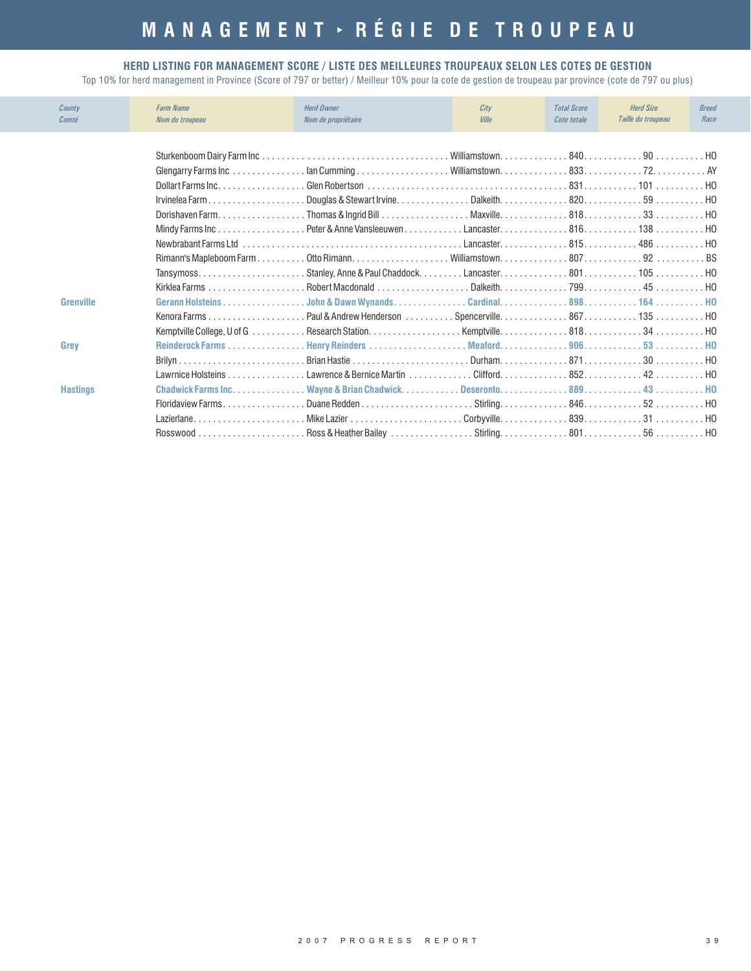# **MANAGEMENT RÉGIE DE TROUPEAU**

#### **HERD LISTING FOR MANAGEMENT SCORE / LISTE DES MEILLEURES TROUPEAUX SELON LES COTES DE GESTION**

| County<br>Comté  | <b>Farm Name</b><br>Nom du troupeau | <b>Herd Owner</b><br>Nom de propriétaire | City<br>Ville | <b>Total Score</b><br>Cote totale | <b>Herd Size</b><br>Taille du troupeau | <b>Breed</b><br>Race |
|------------------|-------------------------------------|------------------------------------------|---------------|-----------------------------------|----------------------------------------|----------------------|
|                  |                                     |                                          |               |                                   |                                        |                      |
|                  |                                     |                                          |               |                                   |                                        |                      |
|                  |                                     |                                          |               |                                   |                                        |                      |
|                  |                                     |                                          |               |                                   |                                        |                      |
|                  |                                     |                                          |               |                                   |                                        |                      |
|                  |                                     |                                          |               |                                   |                                        |                      |
|                  |                                     |                                          |               |                                   |                                        |                      |
|                  |                                     |                                          |               |                                   |                                        |                      |
|                  |                                     |                                          |               |                                   |                                        |                      |
|                  |                                     |                                          |               |                                   |                                        |                      |
|                  |                                     |                                          |               |                                   |                                        |                      |
| <b>Grenville</b> |                                     |                                          |               |                                   |                                        |                      |
|                  |                                     |                                          |               |                                   |                                        |                      |
|                  |                                     |                                          |               |                                   |                                        |                      |
| Grey             |                                     |                                          |               |                                   |                                        |                      |
|                  |                                     |                                          |               |                                   |                                        |                      |
|                  |                                     |                                          |               |                                   |                                        |                      |
| <b>Hastings</b>  |                                     |                                          |               |                                   |                                        |                      |
|                  |                                     |                                          |               |                                   |                                        |                      |
|                  |                                     | LazierlaneNike Lazier Corbyville83931    |               |                                   |                                        |                      |
|                  |                                     |                                          |               |                                   |                                        |                      |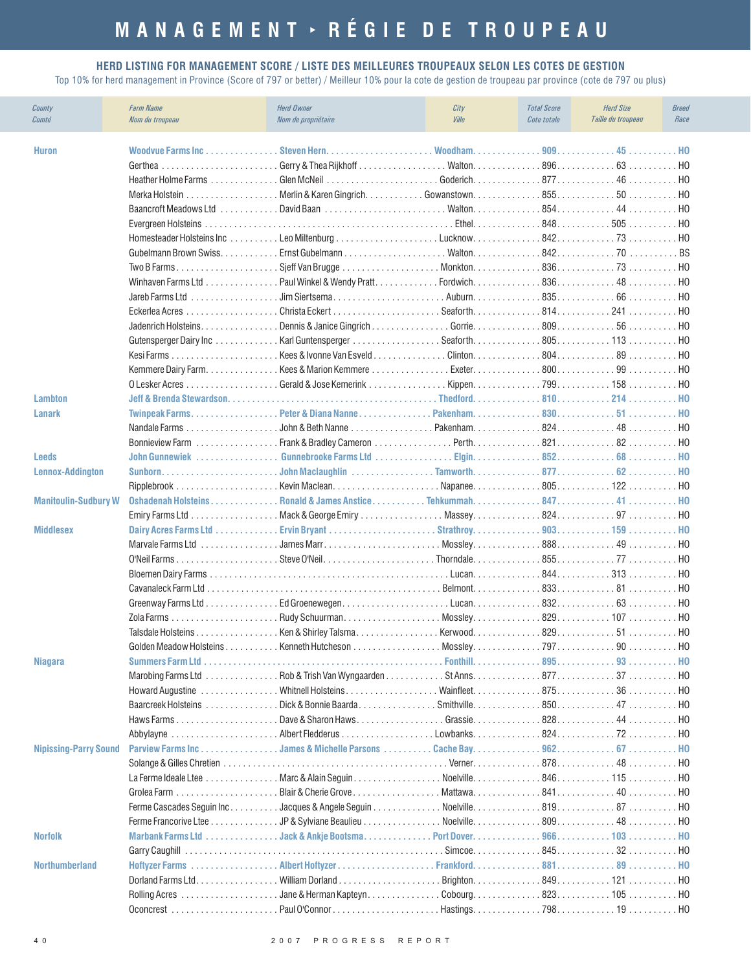#### **HERD LISTING FOR MANAGEMENT SCORE / LISTE DES MEILLEURES TROUPEAUX SELON LES COTES DE GESTION**

| County<br>Comté              | <b>Farm Name</b><br>Nom du troupeau | <b>Herd Owner</b><br>Nom de propriétaire                                                                                                                                                             | City<br>Ville | <b>Total Score</b><br>Cote totale | <b>Herd Size</b><br>Taille du troupeau | <b>Breed</b><br>Race |
|------------------------------|-------------------------------------|------------------------------------------------------------------------------------------------------------------------------------------------------------------------------------------------------|---------------|-----------------------------------|----------------------------------------|----------------------|
| <b>Huron</b>                 | Woodvue Farms Inc                   |                                                                                                                                                                                                      |               |                                   |                                        |                      |
|                              |                                     |                                                                                                                                                                                                      |               |                                   |                                        |                      |
|                              |                                     |                                                                                                                                                                                                      |               |                                   |                                        | . HO                 |
|                              |                                     |                                                                                                                                                                                                      |               |                                   |                                        |                      |
|                              |                                     |                                                                                                                                                                                                      |               |                                   |                                        | . HO                 |
|                              |                                     |                                                                                                                                                                                                      |               |                                   |                                        | . HO                 |
|                              |                                     |                                                                                                                                                                                                      |               |                                   |                                        |                      |
|                              |                                     |                                                                                                                                                                                                      |               |                                   |                                        |                      |
|                              |                                     |                                                                                                                                                                                                      |               |                                   |                                        |                      |
|                              |                                     |                                                                                                                                                                                                      |               |                                   |                                        |                      |
|                              |                                     |                                                                                                                                                                                                      |               |                                   |                                        | . HO                 |
|                              |                                     |                                                                                                                                                                                                      |               |                                   |                                        | . HO                 |
|                              |                                     |                                                                                                                                                                                                      |               |                                   |                                        | . HO                 |
|                              |                                     |                                                                                                                                                                                                      |               |                                   |                                        | . HO                 |
|                              |                                     |                                                                                                                                                                                                      |               |                                   |                                        | . HO                 |
|                              |                                     |                                                                                                                                                                                                      |               |                                   |                                        | . HO                 |
|                              | O Lesker Acres                      | $\ldots \ldots \ldots \ldots$ . Gerald & Jose Kemerink $\ldots \ldots \ldots \ldots$ . Kippen. $\ldots \ldots \ldots \ldots$ 799. 158 $\ldots \ldots \ldots$                                         |               |                                   |                                        | . HO                 |
| <b>Lambton</b>               |                                     |                                                                                                                                                                                                      |               |                                   |                                        | . H <sub>0</sub>     |
| <b>Lanark</b>                |                                     | Twinpeak FarmsPeter & Diana NannePakenham83051HO                                                                                                                                                     |               |                                   |                                        |                      |
|                              |                                     |                                                                                                                                                                                                      |               |                                   |                                        |                      |
| <b>Leeds</b>                 |                                     |                                                                                                                                                                                                      |               |                                   |                                        |                      |
| <b>Lennox-Addington</b>      |                                     |                                                                                                                                                                                                      |               |                                   |                                        |                      |
|                              |                                     |                                                                                                                                                                                                      |               |                                   |                                        |                      |
| <b>Manitoulin-Sudbury W</b>  |                                     | Oshadenah HolsteinsRonald & James AnsticeTehkummah84741HO                                                                                                                                            |               |                                   |                                        |                      |
|                              |                                     |                                                                                                                                                                                                      |               |                                   |                                        |                      |
| <b>Middlesex</b>             |                                     |                                                                                                                                                                                                      |               |                                   |                                        |                      |
|                              | Marvale Farms Ltd                   | $\ldots \ldots \ldots \ldots$ James Marr $\ldots \ldots \ldots \ldots \ldots \ldots$ Mossley. $\ldots \ldots \ldots \ldots 888 \ldots \ldots \ldots \ldots 49 \ldots \ldots \ldots \ldots \text{HO}$ |               |                                   |                                        |                      |
|                              |                                     |                                                                                                                                                                                                      |               |                                   |                                        | . HO                 |
|                              |                                     |                                                                                                                                                                                                      |               |                                   |                                        | . HO                 |
|                              |                                     |                                                                                                                                                                                                      |               |                                   |                                        | . HO                 |
|                              |                                     |                                                                                                                                                                                                      |               |                                   |                                        | . HO                 |
|                              |                                     |                                                                                                                                                                                                      |               |                                   |                                        |                      |
|                              |                                     |                                                                                                                                                                                                      |               |                                   |                                        |                      |
|                              | Golden Meadow Holsteins             | Kenneth Hutcheson                                                                                                                                                                                    | . Mosslev.    | 797.                              | 90                                     | HO.                  |
| Niagara                      |                                     |                                                                                                                                                                                                      |               |                                   |                                        |                      |
|                              |                                     |                                                                                                                                                                                                      |               |                                   |                                        |                      |
|                              |                                     |                                                                                                                                                                                                      |               |                                   |                                        |                      |
|                              |                                     |                                                                                                                                                                                                      |               |                                   |                                        | . HO                 |
|                              |                                     |                                                                                                                                                                                                      |               |                                   |                                        | . HO                 |
|                              |                                     |                                                                                                                                                                                                      |               |                                   |                                        | . HO                 |
| <b>Nipissing-Parry Sound</b> |                                     | Parview Farms IncJames & Michelle Parsons                                                                                                                                                            |               |                                   |                                        | HO.                  |
|                              |                                     |                                                                                                                                                                                                      |               |                                   |                                        | . HO                 |
|                              |                                     | La Ferme Ideale Ltee Marc & Alain Seguin                                                                                                                                                             |               |                                   |                                        | . HO                 |
|                              |                                     | Blair & Cherie Grove                                                                                                                                                                                 |               |                                   |                                        | . HO                 |
|                              |                                     |                                                                                                                                                                                                      |               |                                   |                                        |                      |
|                              |                                     |                                                                                                                                                                                                      |               |                                   |                                        | . НО                 |
| <b>Norfolk</b>               |                                     | Marbank Farms Ltd Jack & Ankje Bootsma.                                                                                                                                                              |               |                                   |                                        | . HO                 |
|                              |                                     |                                                                                                                                                                                                      |               |                                   |                                        |                      |
| <b>Northumberland</b>        |                                     |                                                                                                                                                                                                      |               |                                   |                                        |                      |
|                              |                                     |                                                                                                                                                                                                      |               |                                   |                                        |                      |
|                              |                                     |                                                                                                                                                                                                      |               |                                   |                                        |                      |
|                              |                                     |                                                                                                                                                                                                      |               |                                   |                                        |                      |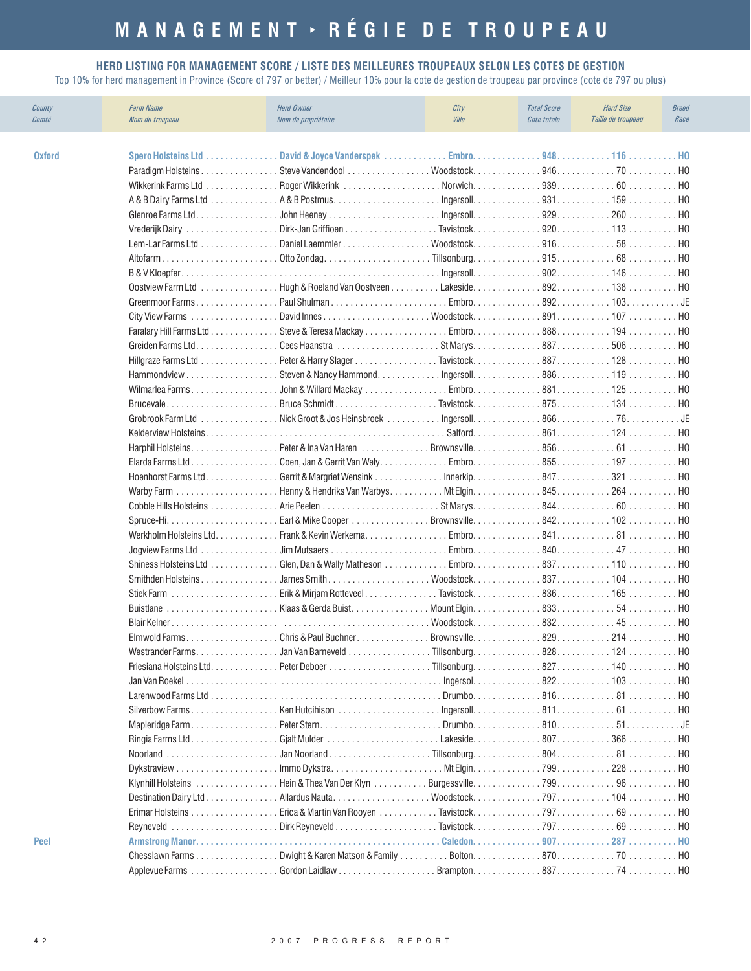# **MANAGEMENT RÉGIE DE TROUPEAU**

#### **HERD LISTING FOR MANAGEMENT SCORE / LISTE DES MEILLEURES TROUPEAUX SELON LES COTES DE GESTION**

| County<br>Comté | <b>Farm Name</b><br>Nom du troupeau                    | <b>Herd Owner</b><br>Nom de propriétaire           | City<br><b>Ville</b>  | <b>Total Score</b><br>Cote totale | <b>Herd Size</b><br>Taille du troupeau | <b>Breed</b><br>Race |
|-----------------|--------------------------------------------------------|----------------------------------------------------|-----------------------|-----------------------------------|----------------------------------------|----------------------|
| <b>Oxford</b>   | Spero Holsteins Ltd                                    | . David & Joyce Vanderspek                         |                       |                                   |                                        |                      |
|                 | Paradigm Holsteins                                     |                                                    |                       |                                   |                                        |                      |
|                 |                                                        |                                                    |                       |                                   |                                        |                      |
|                 |                                                        |                                                    |                       |                                   |                                        | . HO                 |
|                 | Glenroe Farms Ltd.<br>.                                |                                                    |                       |                                   | 260                                    | . HO                 |
|                 |                                                        | Vrederijk Dairy Dirk-Jan Griffioen Tavistock920113 |                       |                                   |                                        | . HO                 |
|                 |                                                        |                                                    |                       |                                   |                                        | . HO                 |
|                 |                                                        |                                                    |                       |                                   |                                        | . HO                 |
|                 |                                                        |                                                    |                       |                                   |                                        | . HO                 |
|                 |                                                        |                                                    |                       |                                   |                                        | . HO                 |
|                 |                                                        |                                                    |                       |                                   | Embro. 892. 103.                       | . JE                 |
|                 | <b>City View Farms</b>                                 |                                                    |                       |                                   |                                        | H <sub>0</sub>       |
|                 |                                                        |                                                    |                       |                                   |                                        | . HO                 |
|                 |                                                        |                                                    |                       |                                   |                                        |                      |
|                 | Hillgraze Farms Ltd                                    |                                                    |                       |                                   |                                        | . HO                 |
|                 |                                                        |                                                    |                       |                                   |                                        | . HO                 |
|                 | Wilmarlea Farms                                        |                                                    |                       |                                   |                                        | . HO                 |
|                 |                                                        |                                                    |                       |                                   |                                        | . HO                 |
|                 | Grobrook Farm Ltd                                      |                                                    |                       |                                   |                                        | . JE                 |
|                 |                                                        |                                                    |                       |                                   |                                        | . HO                 |
|                 |                                                        |                                                    |                       |                                   |                                        | . HO                 |
|                 | Elarda Farms Ltd                                       |                                                    |                       |                                   |                                        | . HO                 |
|                 |                                                        |                                                    |                       |                                   |                                        |                      |
|                 |                                                        |                                                    |                       |                                   |                                        |                      |
|                 |                                                        |                                                    |                       |                                   |                                        |                      |
|                 |                                                        |                                                    |                       |                                   |                                        | . HO                 |
|                 |                                                        |                                                    |                       |                                   |                                        | . HO                 |
|                 | Jogview Farms Ltd                                      |                                                    |                       |                                   |                                        | . HO                 |
|                 | Shiness Holsteins Ltd                                  | . Glen, Dan & Wally Matheson                       |                       |                                   | Embro. 837. 110                        | H0                   |
|                 | Smithden Holsteins                                     |                                                    |                       |                                   |                                        | H0                   |
|                 | Stiek Farm $\ldots \ldots \ldots \ldots \ldots \ldots$ | . Erik & Mirjam Rotteveel. Tavistock. 836. 165     |                       |                                   |                                        | . HO                 |
|                 | <b>Buistlane</b>                                       | Klaas & Gerda Buist                                |                       |                                   |                                        | . НО                 |
|                 |                                                        |                                                    | $W$ oodstock $\ldots$ |                                   | 832<br>45                              | H <sub>0</sub>       |
|                 |                                                        |                                                    |                       |                                   |                                        |                      |
|                 | Westrander Farms.                                      |                                                    |                       |                                   |                                        |                      |
|                 | Friesiana Holsteins Ltd.                               |                                                    |                       |                                   | 827. 140 HO                            |                      |
|                 |                                                        |                                                    |                       |                                   |                                        |                      |
|                 |                                                        |                                                    |                       |                                   |                                        |                      |
|                 |                                                        |                                                    |                       |                                   |                                        |                      |
|                 |                                                        |                                                    |                       |                                   |                                        |                      |
|                 |                                                        |                                                    |                       |                                   |                                        |                      |
|                 |                                                        |                                                    |                       |                                   |                                        |                      |
|                 |                                                        |                                                    |                       |                                   |                                        |                      |
|                 |                                                        |                                                    |                       |                                   |                                        | . HO                 |
|                 |                                                        |                                                    |                       |                                   |                                        | . HO                 |
|                 |                                                        |                                                    |                       |                                   |                                        |                      |
| <b>Peel</b>     |                                                        |                                                    |                       |                                   |                                        |                      |
|                 |                                                        |                                                    |                       |                                   |                                        |                      |
|                 |                                                        |                                                    |                       |                                   |                                        |                      |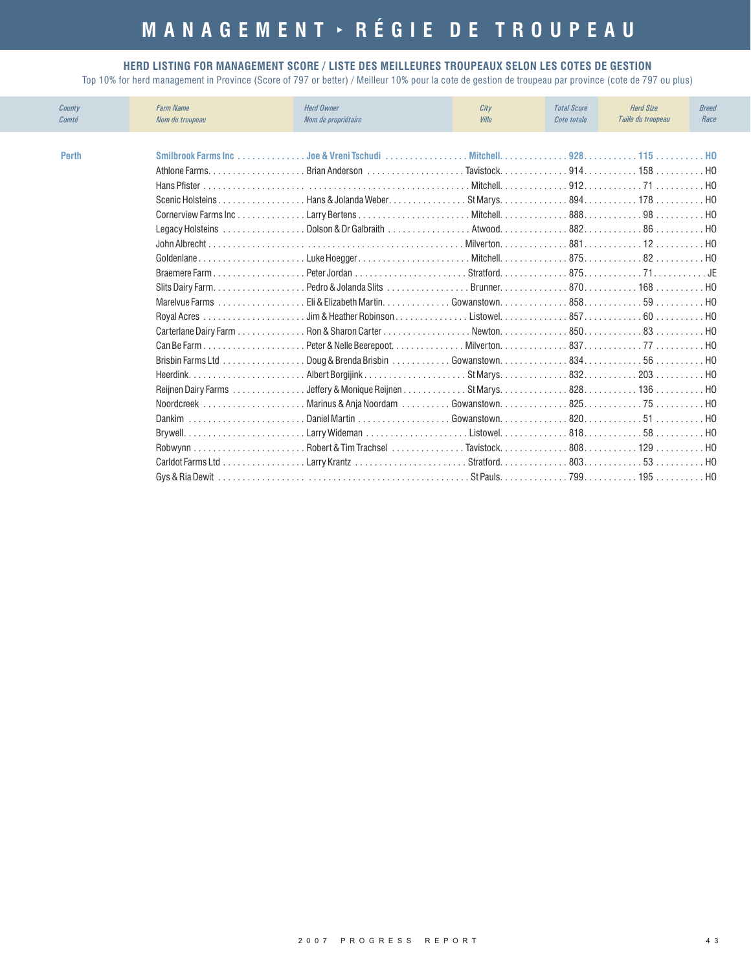#### **HERD LISTING FOR MANAGEMENT SCORE / LISTE DES MEILLEURES TROUPEAUX SELON LES COTES DE GESTION**

| County<br>Comté | <b>Farm Name</b><br>Nom du troupeau | <b>Herd Owner</b><br>Nom de propriétaire                                                           | City<br>Ville | <b>Total Score</b><br>Cote totale | <b>Herd Size</b><br>Taille du troupeau | <b>Breed</b><br>Race |
|-----------------|-------------------------------------|----------------------------------------------------------------------------------------------------|---------------|-----------------------------------|----------------------------------------|----------------------|
|                 |                                     |                                                                                                    |               |                                   |                                        |                      |
| <b>Perth</b>    |                                     |                                                                                                    |               |                                   |                                        | . H <sub>0</sub>     |
|                 |                                     |                                                                                                    |               |                                   |                                        |                      |
|                 |                                     |                                                                                                    |               |                                   |                                        | H <sub>0</sub>       |
|                 | Scenic Holsteins                    |                                                                                                    |               |                                   |                                        |                      |
|                 |                                     |                                                                                                    |               |                                   |                                        |                      |
|                 |                                     |                                                                                                    |               |                                   |                                        |                      |
|                 |                                     |                                                                                                    |               |                                   |                                        | . H <sub>0</sub>     |
|                 | Goldenlane                          |                                                                                                    |               |                                   |                                        |                      |
|                 |                                     |                                                                                                    |               |                                   |                                        |                      |
|                 |                                     |                                                                                                    |               |                                   |                                        |                      |
|                 | Marelyue Farms                      |                                                                                                    |               |                                   |                                        |                      |
|                 |                                     | . Jim & Heather Robinson Listowel. 857. 60 $\dots$                                                 |               |                                   |                                        | . H <sub>0</sub>     |
|                 | Carterlane Dairy Farm               |                                                                                                    |               |                                   |                                        | H <sub>0</sub>       |
|                 |                                     |                                                                                                    |               |                                   |                                        | . H <sub>0</sub>     |
|                 | Brisbin Farms Ltd                   | . Doug & Brenda Brisbin .............Gowanstown. ..............834............56.................. |               |                                   |                                        |                      |
|                 |                                     |                                                                                                    |               |                                   |                                        |                      |
|                 | Reijnen Dairy Farms                 |                                                                                                    |               |                                   |                                        |                      |
|                 |                                     |                                                                                                    |               |                                   |                                        |                      |
|                 |                                     | Dankim Daniel Martin Gowanstown82051 HO                                                            |               |                                   |                                        |                      |
|                 |                                     |                                                                                                    |               |                                   |                                        |                      |
|                 |                                     |                                                                                                    |               |                                   |                                        | . H <sub>0</sub>     |
|                 |                                     |                                                                                                    |               |                                   |                                        | . H <sub>0</sub>     |
|                 |                                     |                                                                                                    |               |                                   |                                        |                      |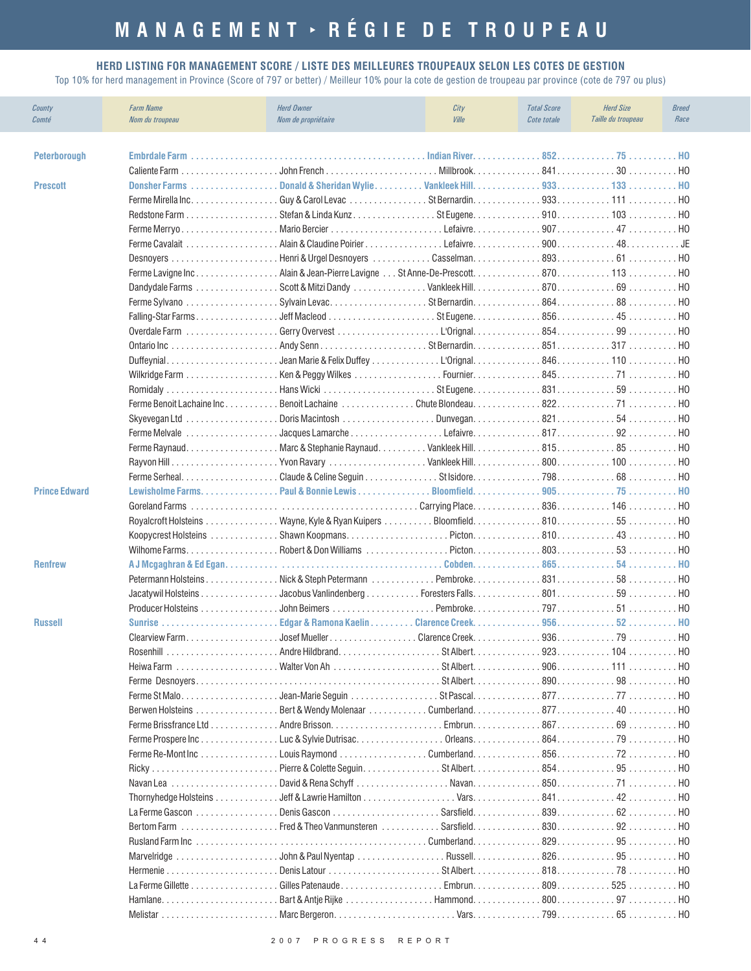# **MANAGEMENT RÉGIE DE TROUPEAU**

#### **HERD LISTING FOR MANAGEMENT SCORE / LISTE DES MEILLEURES TROUPEAUX SELON LES COTES DE GESTION**

| <b>Peterborough</b><br><b>Prescott</b><br>Donsher Farms<br>. но<br>. HO<br>Ferme Cavalait<br>Casselman893 61<br>. HO<br>Ferme Lavigne IncAlain & Jean-Pierre Lavigne  St Anne-De-Prescott 870 113<br>. HO<br>. HO<br>. HO<br>Falling-Star Farms<br>. HO<br>Overdale Farm<br>. HO<br>Ontario Inc<br>. HO<br>Duffeynial<br>H <sub>0</sub><br>H <sub>0</sub><br>. HO<br>H <sub>0</sub><br>Skyevegan Ltd<br>H <sub>0</sub><br>.<br>Ferme Melvale<br>. HO<br>Ferme Raynaud.<br>. HO<br>H <sub>0</sub><br>. HO<br>Lewisholme Farms. Paul & Bonnie Lewis<br><b>Prince Edward</b><br>. HO<br>$\ldots \ldots \ldots \ldots \ldots \ldots \ldots \ldots \ldots \ldots \ldots \ldots$ Carrying Place. $\ldots \ldots \ldots \ldots \ldots \ldots \ldots \ldots \ldots$ 146 $\ldots \ldots \ldots$<br>Goreland Farms<br>. HO<br>. HO<br>. HO<br>. HO<br><b>Renfrew</b><br>H <sub>0</sub><br>. HO<br>. Jacobus Vanlindenberg Foresters Falls. 801. 59<br>Jacatywil Holsteins<br>. HO<br>Producer Holsteins<br>. HO<br><b>Sunrise</b><br><b>Russell</b><br>HO.<br>$.906$ 111<br>. HO<br>. HO<br>. HO<br>. HO<br>. HO<br>Ferme Prospere Inc Luc & Sylvie Dutrisac.<br>. HO<br>. HO<br>. HO<br>. HO<br>. HO<br>Marvelridge John & Paul Nyentap Russell82695<br>. HO<br>. HO | County<br>Comté | <b>Farm Name</b><br>Nom du troupeau | <b>Herd Owner</b><br>Nom de propriétaire | City<br><b>Ville</b> | <b>Total Score</b><br>Cote totale | <b>Herd Size</b><br>Taille du troupeau | <b>Breed</b><br>Race |
|-------------------------------------------------------------------------------------------------------------------------------------------------------------------------------------------------------------------------------------------------------------------------------------------------------------------------------------------------------------------------------------------------------------------------------------------------------------------------------------------------------------------------------------------------------------------------------------------------------------------------------------------------------------------------------------------------------------------------------------------------------------------------------------------------------------------------------------------------------------------------------------------------------------------------------------------------------------------------------------------------------------------------------------------------------------------------------------------------------------------------------------------------------------------------------------------------------------------------------------------------------------|-----------------|-------------------------------------|------------------------------------------|----------------------|-----------------------------------|----------------------------------------|----------------------|
|                                                                                                                                                                                                                                                                                                                                                                                                                                                                                                                                                                                                                                                                                                                                                                                                                                                                                                                                                                                                                                                                                                                                                                                                                                                             |                 |                                     |                                          |                      |                                   |                                        |                      |
|                                                                                                                                                                                                                                                                                                                                                                                                                                                                                                                                                                                                                                                                                                                                                                                                                                                                                                                                                                                                                                                                                                                                                                                                                                                             |                 |                                     |                                          |                      |                                   |                                        |                      |
|                                                                                                                                                                                                                                                                                                                                                                                                                                                                                                                                                                                                                                                                                                                                                                                                                                                                                                                                                                                                                                                                                                                                                                                                                                                             |                 |                                     |                                          |                      |                                   |                                        |                      |
|                                                                                                                                                                                                                                                                                                                                                                                                                                                                                                                                                                                                                                                                                                                                                                                                                                                                                                                                                                                                                                                                                                                                                                                                                                                             |                 |                                     |                                          |                      |                                   |                                        |                      |
|                                                                                                                                                                                                                                                                                                                                                                                                                                                                                                                                                                                                                                                                                                                                                                                                                                                                                                                                                                                                                                                                                                                                                                                                                                                             |                 |                                     |                                          |                      |                                   |                                        |                      |
|                                                                                                                                                                                                                                                                                                                                                                                                                                                                                                                                                                                                                                                                                                                                                                                                                                                                                                                                                                                                                                                                                                                                                                                                                                                             |                 |                                     |                                          |                      |                                   |                                        |                      |
|                                                                                                                                                                                                                                                                                                                                                                                                                                                                                                                                                                                                                                                                                                                                                                                                                                                                                                                                                                                                                                                                                                                                                                                                                                                             |                 |                                     |                                          |                      |                                   |                                        |                      |
|                                                                                                                                                                                                                                                                                                                                                                                                                                                                                                                                                                                                                                                                                                                                                                                                                                                                                                                                                                                                                                                                                                                                                                                                                                                             |                 |                                     |                                          |                      |                                   |                                        |                      |
|                                                                                                                                                                                                                                                                                                                                                                                                                                                                                                                                                                                                                                                                                                                                                                                                                                                                                                                                                                                                                                                                                                                                                                                                                                                             |                 |                                     |                                          |                      |                                   |                                        |                      |
|                                                                                                                                                                                                                                                                                                                                                                                                                                                                                                                                                                                                                                                                                                                                                                                                                                                                                                                                                                                                                                                                                                                                                                                                                                                             |                 |                                     |                                          |                      |                                   |                                        |                      |
|                                                                                                                                                                                                                                                                                                                                                                                                                                                                                                                                                                                                                                                                                                                                                                                                                                                                                                                                                                                                                                                                                                                                                                                                                                                             |                 |                                     |                                          |                      |                                   |                                        |                      |
|                                                                                                                                                                                                                                                                                                                                                                                                                                                                                                                                                                                                                                                                                                                                                                                                                                                                                                                                                                                                                                                                                                                                                                                                                                                             |                 |                                     |                                          |                      |                                   |                                        |                      |
|                                                                                                                                                                                                                                                                                                                                                                                                                                                                                                                                                                                                                                                                                                                                                                                                                                                                                                                                                                                                                                                                                                                                                                                                                                                             |                 |                                     |                                          |                      |                                   |                                        |                      |
|                                                                                                                                                                                                                                                                                                                                                                                                                                                                                                                                                                                                                                                                                                                                                                                                                                                                                                                                                                                                                                                                                                                                                                                                                                                             |                 |                                     |                                          |                      |                                   |                                        |                      |
|                                                                                                                                                                                                                                                                                                                                                                                                                                                                                                                                                                                                                                                                                                                                                                                                                                                                                                                                                                                                                                                                                                                                                                                                                                                             |                 |                                     |                                          |                      |                                   |                                        |                      |
|                                                                                                                                                                                                                                                                                                                                                                                                                                                                                                                                                                                                                                                                                                                                                                                                                                                                                                                                                                                                                                                                                                                                                                                                                                                             |                 |                                     |                                          |                      |                                   |                                        |                      |
|                                                                                                                                                                                                                                                                                                                                                                                                                                                                                                                                                                                                                                                                                                                                                                                                                                                                                                                                                                                                                                                                                                                                                                                                                                                             |                 |                                     |                                          |                      |                                   |                                        |                      |
|                                                                                                                                                                                                                                                                                                                                                                                                                                                                                                                                                                                                                                                                                                                                                                                                                                                                                                                                                                                                                                                                                                                                                                                                                                                             |                 |                                     |                                          |                      |                                   |                                        |                      |
|                                                                                                                                                                                                                                                                                                                                                                                                                                                                                                                                                                                                                                                                                                                                                                                                                                                                                                                                                                                                                                                                                                                                                                                                                                                             |                 |                                     |                                          |                      |                                   |                                        |                      |
|                                                                                                                                                                                                                                                                                                                                                                                                                                                                                                                                                                                                                                                                                                                                                                                                                                                                                                                                                                                                                                                                                                                                                                                                                                                             |                 |                                     |                                          |                      |                                   |                                        |                      |
|                                                                                                                                                                                                                                                                                                                                                                                                                                                                                                                                                                                                                                                                                                                                                                                                                                                                                                                                                                                                                                                                                                                                                                                                                                                             |                 |                                     |                                          |                      |                                   |                                        |                      |
|                                                                                                                                                                                                                                                                                                                                                                                                                                                                                                                                                                                                                                                                                                                                                                                                                                                                                                                                                                                                                                                                                                                                                                                                                                                             |                 |                                     |                                          |                      |                                   |                                        |                      |
|                                                                                                                                                                                                                                                                                                                                                                                                                                                                                                                                                                                                                                                                                                                                                                                                                                                                                                                                                                                                                                                                                                                                                                                                                                                             |                 |                                     |                                          |                      |                                   |                                        |                      |
|                                                                                                                                                                                                                                                                                                                                                                                                                                                                                                                                                                                                                                                                                                                                                                                                                                                                                                                                                                                                                                                                                                                                                                                                                                                             |                 |                                     |                                          |                      |                                   |                                        |                      |
|                                                                                                                                                                                                                                                                                                                                                                                                                                                                                                                                                                                                                                                                                                                                                                                                                                                                                                                                                                                                                                                                                                                                                                                                                                                             |                 |                                     |                                          |                      |                                   |                                        |                      |
|                                                                                                                                                                                                                                                                                                                                                                                                                                                                                                                                                                                                                                                                                                                                                                                                                                                                                                                                                                                                                                                                                                                                                                                                                                                             |                 |                                     |                                          |                      |                                   |                                        |                      |
|                                                                                                                                                                                                                                                                                                                                                                                                                                                                                                                                                                                                                                                                                                                                                                                                                                                                                                                                                                                                                                                                                                                                                                                                                                                             |                 |                                     |                                          |                      |                                   |                                        |                      |
|                                                                                                                                                                                                                                                                                                                                                                                                                                                                                                                                                                                                                                                                                                                                                                                                                                                                                                                                                                                                                                                                                                                                                                                                                                                             |                 |                                     |                                          |                      |                                   |                                        |                      |
|                                                                                                                                                                                                                                                                                                                                                                                                                                                                                                                                                                                                                                                                                                                                                                                                                                                                                                                                                                                                                                                                                                                                                                                                                                                             |                 |                                     |                                          |                      |                                   |                                        |                      |
|                                                                                                                                                                                                                                                                                                                                                                                                                                                                                                                                                                                                                                                                                                                                                                                                                                                                                                                                                                                                                                                                                                                                                                                                                                                             |                 |                                     |                                          |                      |                                   |                                        |                      |
|                                                                                                                                                                                                                                                                                                                                                                                                                                                                                                                                                                                                                                                                                                                                                                                                                                                                                                                                                                                                                                                                                                                                                                                                                                                             |                 |                                     |                                          |                      |                                   |                                        |                      |
|                                                                                                                                                                                                                                                                                                                                                                                                                                                                                                                                                                                                                                                                                                                                                                                                                                                                                                                                                                                                                                                                                                                                                                                                                                                             |                 |                                     |                                          |                      |                                   |                                        |                      |
|                                                                                                                                                                                                                                                                                                                                                                                                                                                                                                                                                                                                                                                                                                                                                                                                                                                                                                                                                                                                                                                                                                                                                                                                                                                             |                 |                                     |                                          |                      |                                   |                                        |                      |
|                                                                                                                                                                                                                                                                                                                                                                                                                                                                                                                                                                                                                                                                                                                                                                                                                                                                                                                                                                                                                                                                                                                                                                                                                                                             |                 |                                     |                                          |                      |                                   |                                        |                      |
|                                                                                                                                                                                                                                                                                                                                                                                                                                                                                                                                                                                                                                                                                                                                                                                                                                                                                                                                                                                                                                                                                                                                                                                                                                                             |                 |                                     |                                          |                      |                                   |                                        |                      |
|                                                                                                                                                                                                                                                                                                                                                                                                                                                                                                                                                                                                                                                                                                                                                                                                                                                                                                                                                                                                                                                                                                                                                                                                                                                             |                 |                                     |                                          |                      |                                   |                                        |                      |
|                                                                                                                                                                                                                                                                                                                                                                                                                                                                                                                                                                                                                                                                                                                                                                                                                                                                                                                                                                                                                                                                                                                                                                                                                                                             |                 |                                     |                                          |                      |                                   |                                        |                      |
|                                                                                                                                                                                                                                                                                                                                                                                                                                                                                                                                                                                                                                                                                                                                                                                                                                                                                                                                                                                                                                                                                                                                                                                                                                                             |                 |                                     |                                          |                      |                                   |                                        |                      |
|                                                                                                                                                                                                                                                                                                                                                                                                                                                                                                                                                                                                                                                                                                                                                                                                                                                                                                                                                                                                                                                                                                                                                                                                                                                             |                 |                                     |                                          |                      |                                   |                                        |                      |
|                                                                                                                                                                                                                                                                                                                                                                                                                                                                                                                                                                                                                                                                                                                                                                                                                                                                                                                                                                                                                                                                                                                                                                                                                                                             |                 |                                     |                                          |                      |                                   |                                        |                      |
|                                                                                                                                                                                                                                                                                                                                                                                                                                                                                                                                                                                                                                                                                                                                                                                                                                                                                                                                                                                                                                                                                                                                                                                                                                                             |                 |                                     |                                          |                      |                                   |                                        |                      |
|                                                                                                                                                                                                                                                                                                                                                                                                                                                                                                                                                                                                                                                                                                                                                                                                                                                                                                                                                                                                                                                                                                                                                                                                                                                             |                 |                                     |                                          |                      |                                   |                                        |                      |
|                                                                                                                                                                                                                                                                                                                                                                                                                                                                                                                                                                                                                                                                                                                                                                                                                                                                                                                                                                                                                                                                                                                                                                                                                                                             |                 |                                     |                                          |                      |                                   |                                        |                      |
|                                                                                                                                                                                                                                                                                                                                                                                                                                                                                                                                                                                                                                                                                                                                                                                                                                                                                                                                                                                                                                                                                                                                                                                                                                                             |                 |                                     |                                          |                      |                                   |                                        |                      |
|                                                                                                                                                                                                                                                                                                                                                                                                                                                                                                                                                                                                                                                                                                                                                                                                                                                                                                                                                                                                                                                                                                                                                                                                                                                             |                 |                                     |                                          |                      |                                   |                                        |                      |
|                                                                                                                                                                                                                                                                                                                                                                                                                                                                                                                                                                                                                                                                                                                                                                                                                                                                                                                                                                                                                                                                                                                                                                                                                                                             |                 |                                     |                                          |                      |                                   |                                        |                      |
|                                                                                                                                                                                                                                                                                                                                                                                                                                                                                                                                                                                                                                                                                                                                                                                                                                                                                                                                                                                                                                                                                                                                                                                                                                                             |                 |                                     |                                          |                      |                                   |                                        |                      |
|                                                                                                                                                                                                                                                                                                                                                                                                                                                                                                                                                                                                                                                                                                                                                                                                                                                                                                                                                                                                                                                                                                                                                                                                                                                             |                 |                                     |                                          |                      |                                   |                                        |                      |
|                                                                                                                                                                                                                                                                                                                                                                                                                                                                                                                                                                                                                                                                                                                                                                                                                                                                                                                                                                                                                                                                                                                                                                                                                                                             |                 |                                     |                                          |                      |                                   |                                        |                      |
|                                                                                                                                                                                                                                                                                                                                                                                                                                                                                                                                                                                                                                                                                                                                                                                                                                                                                                                                                                                                                                                                                                                                                                                                                                                             |                 |                                     |                                          |                      |                                   |                                        |                      |
|                                                                                                                                                                                                                                                                                                                                                                                                                                                                                                                                                                                                                                                                                                                                                                                                                                                                                                                                                                                                                                                                                                                                                                                                                                                             |                 |                                     |                                          |                      |                                   |                                        |                      |
|                                                                                                                                                                                                                                                                                                                                                                                                                                                                                                                                                                                                                                                                                                                                                                                                                                                                                                                                                                                                                                                                                                                                                                                                                                                             |                 |                                     |                                          |                      |                                   |                                        |                      |
|                                                                                                                                                                                                                                                                                                                                                                                                                                                                                                                                                                                                                                                                                                                                                                                                                                                                                                                                                                                                                                                                                                                                                                                                                                                             |                 |                                     |                                          |                      |                                   |                                        |                      |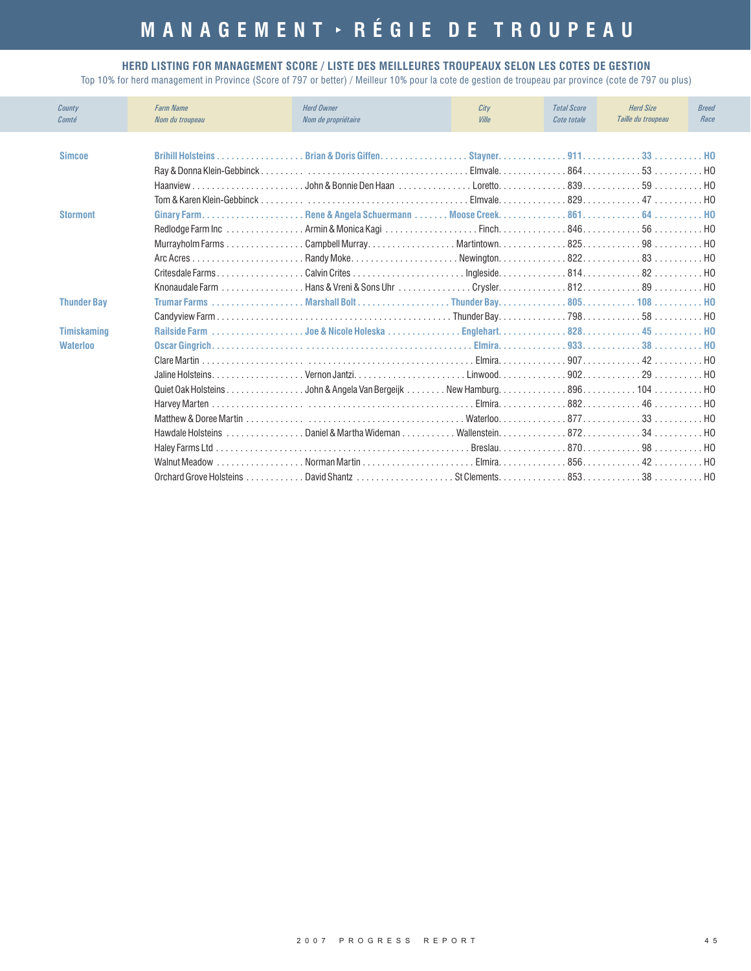#### **HERD LISTING FOR MANAGEMENT SCORE / LISTE DES MEILLEURES TROUPEAUX SELON LES COTES DE GESTION**

| County<br>Comté    | <b>Farm Name</b><br>Nom du troupeau | <b>Herd Owner</b><br>Nom de propriétaire                                | City<br>Ville | <b>Total Score</b><br>Cote totale | <b>Herd Size</b><br>Taille du troupeau | <b>Breed</b><br>Race |
|--------------------|-------------------------------------|-------------------------------------------------------------------------|---------------|-----------------------------------|----------------------------------------|----------------------|
| <b>Simcoe</b>      | <b>Brihill Holsteins</b>            |                                                                         |               |                                   |                                        |                      |
|                    |                                     |                                                                         |               |                                   |                                        |                      |
|                    |                                     |                                                                         |               |                                   |                                        |                      |
|                    |                                     |                                                                         |               |                                   |                                        |                      |
| <b>Stormont</b>    |                                     |                                                                         |               |                                   |                                        | . HO                 |
|                    |                                     |                                                                         |               |                                   |                                        |                      |
|                    |                                     |                                                                         |               |                                   |                                        |                      |
|                    |                                     |                                                                         |               |                                   |                                        |                      |
|                    |                                     |                                                                         |               |                                   |                                        |                      |
|                    |                                     |                                                                         |               |                                   |                                        |                      |
| <b>Thunder Bay</b> |                                     |                                                                         |               |                                   |                                        |                      |
|                    |                                     |                                                                         |               |                                   |                                        |                      |
| <b>Timiskaming</b> |                                     |                                                                         |               |                                   |                                        |                      |
| <b>Waterloo</b>    |                                     |                                                                         |               |                                   |                                        |                      |
|                    |                                     |                                                                         |               |                                   |                                        |                      |
|                    |                                     |                                                                         |               |                                   |                                        |                      |
|                    |                                     | Quiet Oak Holsteins John & Angela Van Bergeijk New Hamburg. 896. 104 HO |               |                                   |                                        |                      |
|                    |                                     |                                                                         |               |                                   |                                        |                      |
|                    |                                     |                                                                         |               |                                   |                                        | . H <sub>0</sub>     |
|                    |                                     |                                                                         |               |                                   |                                        | . HO                 |
|                    |                                     |                                                                         |               |                                   |                                        |                      |
|                    |                                     |                                                                         |               |                                   |                                        |                      |
|                    |                                     |                                                                         |               |                                   |                                        |                      |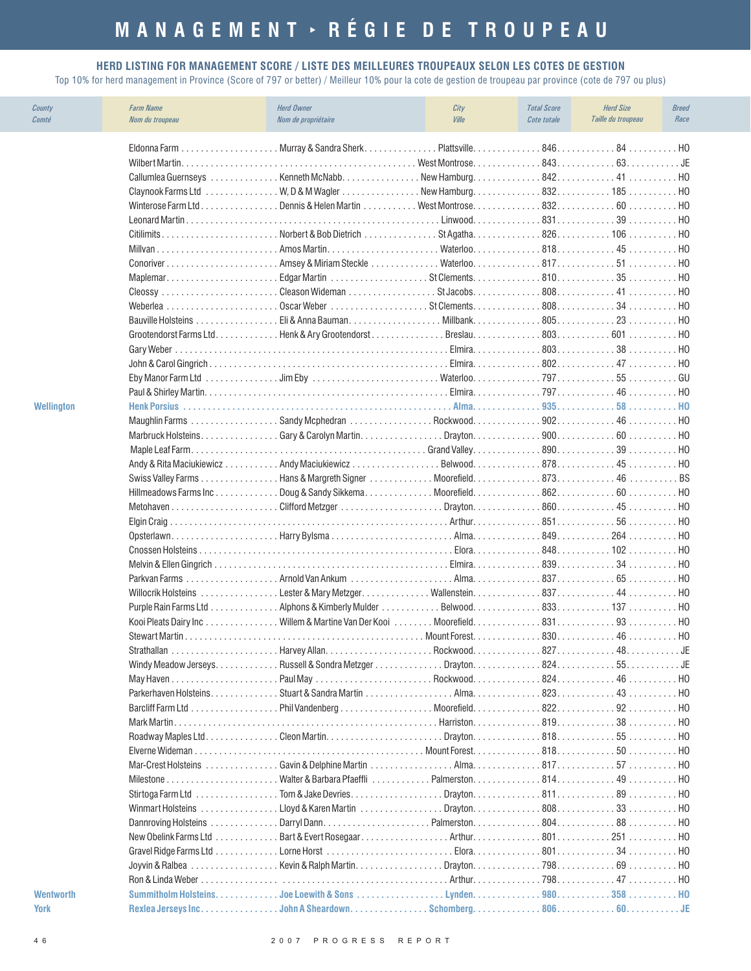#### **HERD LISTING FOR MANAGEMENT SCORE / LISTE DES MEILLEURES TROUPEAUX SELON LES COTES DE GESTION**

| County<br>Comté  | <b>Farm Name</b><br>Nom du troupeau | <b>Herd Owner</b><br>Nom de propriétaire                                                                                                                                                              | City<br><b>Ville</b> | <b>Total Score</b><br>Cote totale | <b>Herd Size</b><br>Taille du troupeau | <b>Breed</b><br>Race |
|------------------|-------------------------------------|-------------------------------------------------------------------------------------------------------------------------------------------------------------------------------------------------------|----------------------|-----------------------------------|----------------------------------------|----------------------|
|                  |                                     |                                                                                                                                                                                                       |                      |                                   |                                        | H <sub>0</sub>       |
|                  |                                     |                                                                                                                                                                                                       |                      |                                   |                                        | . JF                 |
|                  |                                     | Callumlea Guernseys Kenneth McNabbNew Hamburg84241                                                                                                                                                    |                      |                                   |                                        | . HO                 |
|                  | Claynook Farms Ltd                  | $\ldots \ldots \ldots \ldots$ W, D & M Wagler $\ldots \ldots \ldots \ldots$ New Hamburg. $\ldots \ldots \ldots \ldots$ 832. $\ldots \ldots \ldots \ldots$ 185 $\ldots \ldots \ldots \ldots$ HO        |                      |                                   |                                        |                      |
|                  |                                     | Winterose Farm LtdDennis & Helen Martin  West Montrose 83260                                                                                                                                          |                      |                                   |                                        |                      |
|                  |                                     |                                                                                                                                                                                                       |                      |                                   |                                        | H <sub>0</sub>       |
|                  |                                     | CitilimitsNorbert & Bob Dietrich St Agatha826106                                                                                                                                                      |                      |                                   |                                        | . HO                 |
|                  |                                     |                                                                                                                                                                                                       |                      |                                   |                                        | . HO                 |
|                  |                                     | Conoriver Amsey & Miriam Steckle Waterloo51                                                                                                                                                           |                      |                                   |                                        | . HO                 |
|                  |                                     | MaplemarEdgar Martin St Clements35                                                                                                                                                                    |                      |                                   |                                        | . HO                 |
|                  | Cleossy                             | $\ldots \ldots \ldots \ldots \ldots$ . Cleason Wideman $\ldots \ldots \ldots \ldots$ St Jacobs. $\ldots \ldots \ldots \ldots$ 808. $\ldots \ldots \ldots \ldots \ldots \cdot 41 \ldots \ldots \ldots$ |                      |                                   |                                        | HO.                  |
|                  |                                     |                                                                                                                                                                                                       |                      |                                   |                                        | HO.                  |
|                  |                                     |                                                                                                                                                                                                       |                      |                                   |                                        | H <sub>0</sub>       |
|                  |                                     | Grootendorst Farms Ltd. Henk & Ary Grootendorst Breslau. 803. 601                                                                                                                                     |                      |                                   |                                        | HO.                  |
|                  |                                     |                                                                                                                                                                                                       |                      |                                   |                                        | HO.                  |
|                  |                                     |                                                                                                                                                                                                       |                      |                                   |                                        | H <sub>0</sub>       |
|                  |                                     |                                                                                                                                                                                                       |                      |                                   |                                        | GU                   |
|                  |                                     |                                                                                                                                                                                                       |                      |                                   |                                        | H <sub>0</sub>       |
| Wellington       |                                     |                                                                                                                                                                                                       |                      |                                   |                                        | HO.                  |
|                  |                                     |                                                                                                                                                                                                       |                      |                                   |                                        | . HO                 |
|                  |                                     |                                                                                                                                                                                                       |                      |                                   |                                        | . HO                 |
|                  |                                     |                                                                                                                                                                                                       |                      |                                   |                                        | . HO                 |
|                  |                                     |                                                                                                                                                                                                       |                      |                                   |                                        | H <sub>0</sub>       |
|                  |                                     |                                                                                                                                                                                                       |                      |                                   |                                        |                      |
|                  |                                     | Hillmeadows Farms IncDoug & Sandy SikkemaMoorefield86260                                                                                                                                              |                      |                                   |                                        | H <sub>0</sub>       |
|                  |                                     |                                                                                                                                                                                                       |                      |                                   |                                        | . HO                 |
|                  |                                     |                                                                                                                                                                                                       |                      |                                   |                                        | H <sub>0</sub>       |
|                  |                                     |                                                                                                                                                                                                       |                      |                                   |                                        | H <sub>0</sub>       |
|                  |                                     |                                                                                                                                                                                                       |                      |                                   |                                        | . HO                 |
|                  |                                     |                                                                                                                                                                                                       |                      |                                   |                                        | . HO                 |
|                  |                                     |                                                                                                                                                                                                       |                      |                                   |                                        | HO                   |
|                  |                                     |                                                                                                                                                                                                       |                      |                                   |                                        | HO.                  |
|                  |                                     |                                                                                                                                                                                                       |                      |                                   |                                        | H <sub>0</sub>       |
|                  |                                     | Kooi Pleats Dairy IncWillem & Martine Van Der Kooi  Moorefield 831 93                                                                                                                                 |                      |                                   |                                        | HO.                  |
|                  |                                     |                                                                                                                                                                                                       |                      |                                   |                                        |                      |
|                  |                                     |                                                                                                                                                                                                       |                      |                                   |                                        |                      |
|                  |                                     |                                                                                                                                                                                                       |                      |                                   |                                        |                      |
|                  |                                     |                                                                                                                                                                                                       |                      |                                   |                                        |                      |
|                  |                                     |                                                                                                                                                                                                       |                      |                                   |                                        |                      |
|                  |                                     |                                                                                                                                                                                                       |                      |                                   |                                        |                      |
|                  |                                     |                                                                                                                                                                                                       |                      |                                   |                                        |                      |
|                  |                                     |                                                                                                                                                                                                       |                      |                                   |                                        |                      |
|                  |                                     |                                                                                                                                                                                                       |                      |                                   | $50$ HO                                |                      |
|                  |                                     |                                                                                                                                                                                                       |                      |                                   |                                        |                      |
|                  |                                     |                                                                                                                                                                                                       |                      |                                   |                                        |                      |
|                  |                                     |                                                                                                                                                                                                       |                      |                                   |                                        |                      |
|                  |                                     |                                                                                                                                                                                                       |                      |                                   |                                        |                      |
|                  |                                     |                                                                                                                                                                                                       |                      |                                   |                                        |                      |
|                  |                                     |                                                                                                                                                                                                       |                      |                                   |                                        |                      |
|                  |                                     |                                                                                                                                                                                                       |                      |                                   |                                        | . HO                 |
|                  |                                     |                                                                                                                                                                                                       |                      |                                   |                                        | . HO                 |
|                  |                                     |                                                                                                                                                                                                       |                      |                                   |                                        |                      |
| <b>Wentworth</b> | Summitholm Holsteins.               | Joe Loewith & Sons                                                                                                                                                                                    | Lynden.              |                                   | 980. 358 HO                            |                      |
| <b>York</b>      |                                     |                                                                                                                                                                                                       |                      |                                   |                                        |                      |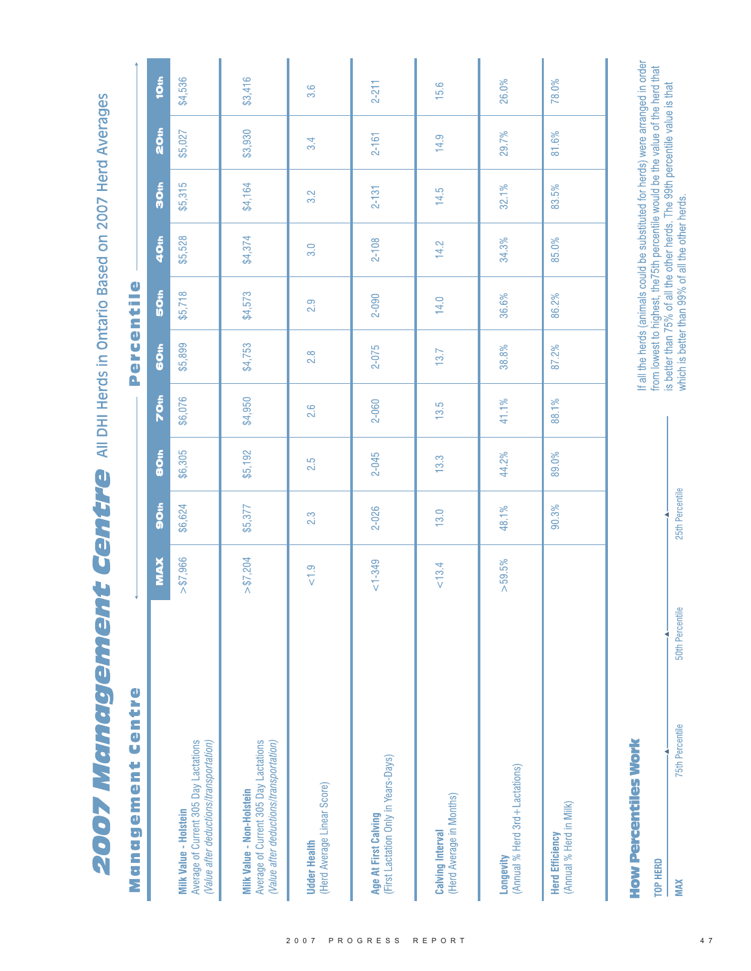**2007 Management Centre** All DHI Herds in Ontario Based on 2007 Herd Averages

| centre<br>Management                                                                                                 |             |                  |         |         | Perce       | $\bullet$<br>ntil |           |                  |           |                  |
|----------------------------------------------------------------------------------------------------------------------|-------------|------------------|---------|---------|-------------|-------------------|-----------|------------------|-----------|------------------|
|                                                                                                                      | <b>NAX</b>  | So <sub>th</sub> | 80th    | 70th    | <b>GOth</b> | 50th              | 40th      | SO <sub>th</sub> | 20th      | 10th             |
| Average of Current 305 Day Lactations<br>(Value after deductions/transportation)<br>Milk Value - Holstein            | > \$7,966   | \$6,624          | \$6,305 | \$6,076 | \$5,899     | \$5,718           | \$5,528   | \$5,315          | \$5,027   | \$4,536          |
| Average of Current 305 Day Lactations<br>(Value after deductions/transportation)<br><b>Milk Value - Non-Holstein</b> | $>$ \$7,204 | \$5,377          | \$5,192 | \$4,950 | \$4,753     | \$4,573           | \$4,374   | \$4,164          | \$3,930   | \$3,416          |
| (Herd Average Linear Score)<br><b>Udder Health</b>                                                                   | < 1.9       | 2.3              | 2.5     | 2.6     | 2.8         | 2.9               | 3.0       | 3.2              | 3.4       | $3.\overline{6}$ |
| (First Lactation Only in Years-Days)<br>Age At First Calving                                                         | $1 - 349$   | 2-026            | 2-045   | 2-060   | 2-075       | $2 - 090$         | $2 - 108$ | $2 - 131$        | $2 - 161$ | $2 - 211$        |
| (Herd Average in Months)<br><b>Calving Interval</b>                                                                  | 13.4        | 13.0             | 13.3    | 13.5    | 13.7        | 14.0              | 14.2      | 14.5             | 14.9      | 15.6             |
| (Annual % Herd 3rd + Lactations)<br>Longevity                                                                        | >59.5%      | 48.1%            | 44.2%   | 41.1%   | 38.8%       | 36.6%             | 34.3%     | 32.1%            | 29.7%     | 26.0%            |
| (Annual % Herd in Milk)<br><b>Herd Efficiency</b>                                                                    |             | 90.3%            | 89.0%   | 88.1%   | 87.2%       | 86.2%             | 85.0%     | 83.5%            | 81.6%     | 78.0%            |

**How Percentiles Work** 

4 **TOP HERD** 

If all the herds (animals could be substituted for herds) were arranged in order from lowest to highest, the75th percentile would be the value of the herd that<br>is better than 75% of all the other herds. The 99th percentile value is that<br>which is better than 99% of all the other herds.

25th Percentile

50th Percentile

**75th Percentile** 

**MAX**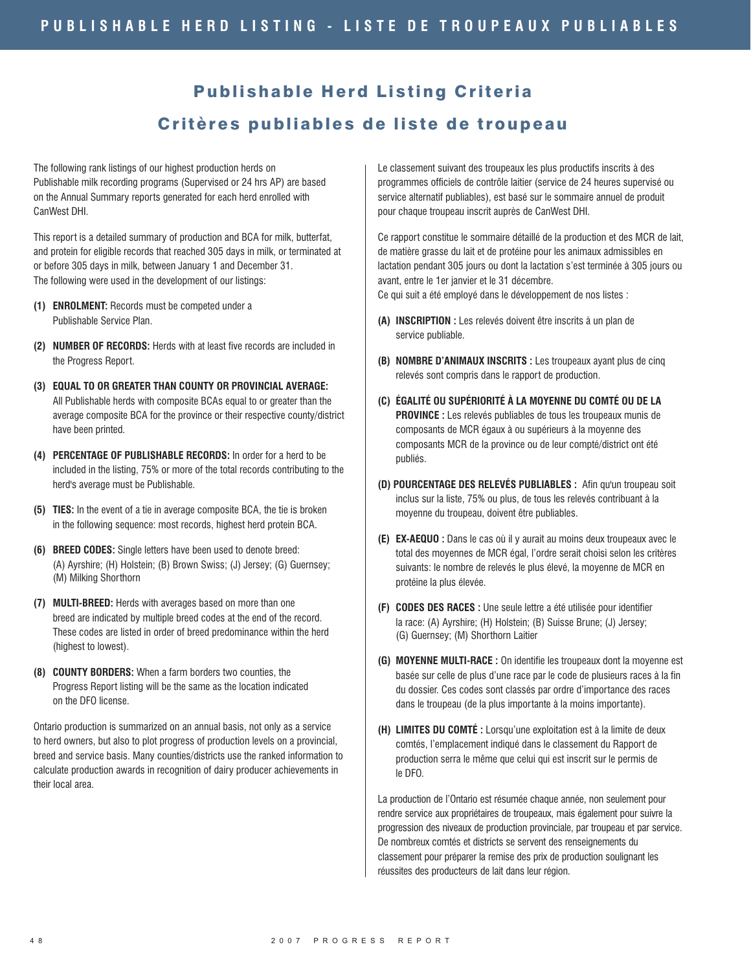## Publishable Herd Listing Criteria Critères publiables de liste de troupeau

The following rank listings of our highest production herds on Publishable milk recording programs (Supervised or 24 hrs AP) are based on the Annual Summary reports generated for each herd enrolled with CanWest DHI.

This report is a detailed summary of production and BCA for milk, butterfat, and protein for eligible records that reached 305 days in milk, or terminated at or before 305 days in milk, between January 1 and December 31. The following were used in the development of our listings:

- **(1) ENROLMENT:** Records must be competed under a Publishable Service Plan.
- (2) NUMBER OF RECORDS: Herds with at least five records are included in the Progress Report.
- All Publishable herds with composite BCAs equal to or greater than the average composite BCA for the province or their respective county/district have been printed. **(3) EQUAL TO OR GREATER THAN COUNTY OR PROVINCIAL AVERAGE:**
- (4) PERCENTAGE OF PUBLISHABLE RECORDS: In order for a herd to be included in the listing, 75% or more of the total records contributing to the herd's average must be Publishable.
- **(5) TIES:** In the event of a tie in average composite BCA, the tie is broken in the following sequence: most records, highest herd protein BCA.
- **(6) BREED CODES:** Single letters have been used to denote breed: (A) Ayrshire; (H) Holstein; (B) Brown Swiss; (J) Jersey; (G) Guernsey; (M) Milking Shorthorn
- **(7) MULTI-BREED:** Herds with averages based on more than one breed are indicated by multiple breed codes at the end of the record. These codes are listed in order of breed predominance within the herd (highest to lowest).
- **(8) COUNTY BORDERS:** When a farm borders two counties, the Progress Report listing will be the same as the location indicated on the DFO license.

Ontario production is summarized on an annual basis, not only as a service to herd owners, but also to plot progress of production levels on a provincial, breed and service basis. Many counties/districts use the ranked information to calculate production awards in recognition of dairy producer achievements in their local area.

Le classement suivant des troupeaux les plus productifs inscrits à des programmes officiels de contrôle laitier (service de 24 heures supervisé ou service alternatif publiables), est basé sur le sommaire annuel de produit pour chaque troupeau inscrit auprès de CanWest DHI.

Ce rapport constitue le sommaire détaillé de la production et des MCR de lait, de matière grasse du lait et de protéine pour les animaux admissibles en lactation pendant 305 jours ou dont la lactation s'est terminée à 305 jours ou avant, entre le 1er janvier et le 31 décembre.

Ce qui suit a été employé dans le développement de nos listes :

- **(A) INSCRIPTION :** Les relevés doivent être inscrits à un plan de service publiable.
- **(B) NOMBRE D'ANIMAUX INSCRITS :** Les troupeaux ayant plus de cinq relevés sont compris dans le rapport de production.
- **PROVINCE** : Les relevés publiables de tous les troupeaux munis de composants de MCR égaux à ou supérieurs à la moyenne des composants MCR de la province ou de leur compté/district ont été publiés. **(C) ÉGALITÉ OU SUPÉRIORITÉ À LA MOYENNE DU COMTÉ OU DE LA**
- **(D) POURCENTAGE DES RELEVÉS PUBLIABLES :** Afin qu'un troupeau soit inclus sur la liste, 75% ou plus, de tous les relevés contribuant à la moyenne du troupeau, doivent être publiables.
- **(E) EX-AEQUO** : Dans le cas où il y aurait au moins deux troupeaux avec le total des moyennes de MCR égal, l'ordre serait choisi selon les critères suivants: le nombre de relevés le plus élevé, la moyenne de MCR en protéine la plus élevée.
- **(F) CODES DES RACES :** Une seule lettre a été utilisée pour identifier la race: (A) Ayrshire; (H) Holstein; (B) Suisse Brune; (J) Jersey; (G) Guernsey; (M) Shorthorn Laitier
- **(G) MOYENNE MULTI-RACE :** On identifie les troupeaux dont la moyenne est basée sur celle de plus d'une race par le code de plusieurs races à la fin du dossier. Ces codes sont classés par ordre d'importance des races dans le troupeau (de la plus importante à la moins importante).
- **(H) LIMITES DU COMTÉ :** Lorsqu'une exploitation est à la limite de deux comtés, l'emplacement indiqué dans le classement du Rapport de production serra le même que celui qui est inscrit sur le permis de le DFO.

La production de l'Ontario est résumée chaque année, non seulement pour rendre service aux propriétaires de troupeaux, mais également pour suivre la progression des niveaux de production provinciale, par troupeau et par service. De nombreux comtés et districts se servent des renseignements du classement pour préparer la remise des prix de production soulignant les réussites des producteurs de lait dans leur région.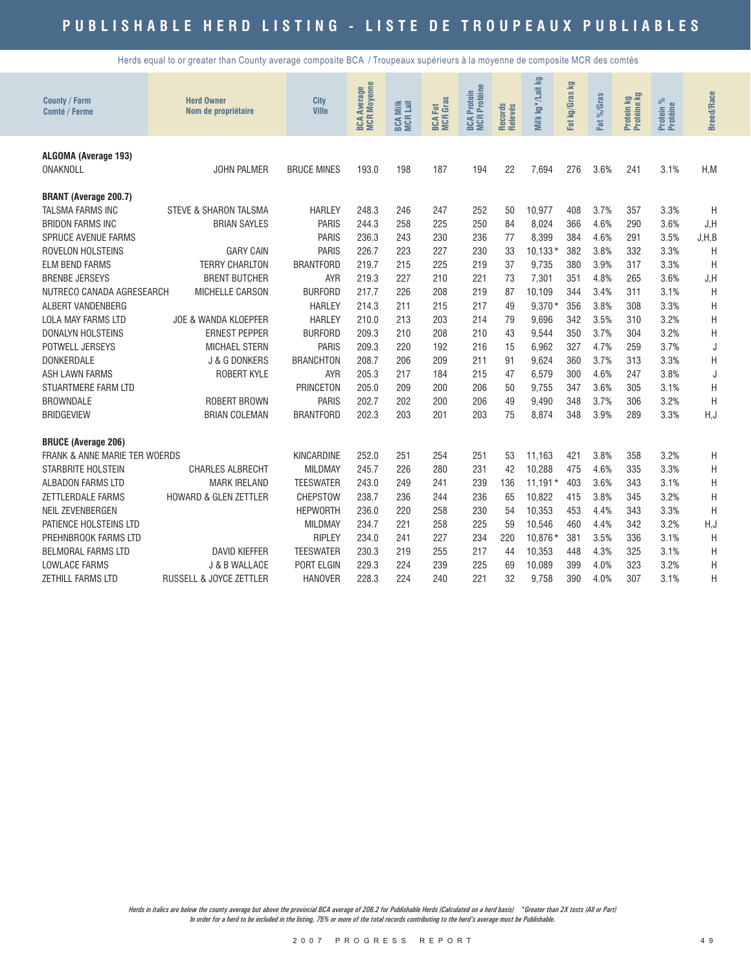Herds equal to or greater than County average composite BCA / Troupeaux supérieurs à la moyenne de composite MCR des comtés

| County / Farm<br>Comté / Ferme                                                                                                                                                                                                                                                                                                                                                                                                      | <b>Herd Owner</b><br>Nom de propriétaire                                                                                                                                                                                                                                                                          | <b>City</b><br><b>Ville</b>                                                                                                                                                                                                                                                     | <b>MCR Moyenne</b><br><b>BCA Average</b>                                                                                                     | <b>BCA Milk</b><br>MCR Lait                                                                                  | <b>BCA Fat</b><br>MCR Gras                                                                                   | <b>BCA Protein<br/>MCR Protéine</b>                                                                          | Records<br>Relevés                                                                           | Milk kg*/Lait kg                                                                                                                                      | Fat kg/Gras kg                                                                                               | $%$ Caras<br>Fat                                                                                                             | Protein kg<br>Protéine kg                                                                                    | ಸಿ<br>Protein %<br>Protéine                                                                                                  | <b>Breed/Race</b>                                                                           |
|-------------------------------------------------------------------------------------------------------------------------------------------------------------------------------------------------------------------------------------------------------------------------------------------------------------------------------------------------------------------------------------------------------------------------------------|-------------------------------------------------------------------------------------------------------------------------------------------------------------------------------------------------------------------------------------------------------------------------------------------------------------------|---------------------------------------------------------------------------------------------------------------------------------------------------------------------------------------------------------------------------------------------------------------------------------|----------------------------------------------------------------------------------------------------------------------------------------------|--------------------------------------------------------------------------------------------------------------|--------------------------------------------------------------------------------------------------------------|--------------------------------------------------------------------------------------------------------------|----------------------------------------------------------------------------------------------|-------------------------------------------------------------------------------------------------------------------------------------------------------|--------------------------------------------------------------------------------------------------------------|------------------------------------------------------------------------------------------------------------------------------|--------------------------------------------------------------------------------------------------------------|------------------------------------------------------------------------------------------------------------------------------|---------------------------------------------------------------------------------------------|
| ALGOMA (Average 193)<br>ONAKNOLL                                                                                                                                                                                                                                                                                                                                                                                                    | <b>JOHN PALMER</b>                                                                                                                                                                                                                                                                                                | <b>BRUCE MINES</b>                                                                                                                                                                                                                                                              | 193.0                                                                                                                                        | 198                                                                                                          | 187                                                                                                          | 194                                                                                                          | 22                                                                                           | 7.694                                                                                                                                                 | 276                                                                                                          | 3.6%                                                                                                                         | 241                                                                                                          | 3.1%                                                                                                                         | H.M                                                                                         |
| <b>BRANT (Average 200.7)</b><br><b>TALSMA FARMS INC</b><br><b>BRIDON FARMS INC</b><br>SPRUCE AVENUE FARMS<br>ROVELON HOLSTEINS<br><b>ELM BEND FARMS</b><br><b>BRENBE JERSEYS</b><br>NUTRECO CANADA AGRESEARCH<br>ALBERT VANDENBERG<br><b>LOLA MAY FARMS LTD</b><br><b>DONALYN HOLSTEINS</b><br>POTWELL JERSEYS<br><b>DONKERDALE</b><br><b>ASH LAWN FARMS</b><br><b>STUARTMERE FARM LTD</b><br><b>BROWNDALE</b><br><b>BRIDGEVIEW</b> | <b>STEVE &amp; SHARON TALSMA</b><br><b>BRIAN SAYLES</b><br><b>GARY CAIN</b><br><b>TERRY CHARLTON</b><br><b>BRENT BUTCHER</b><br>MICHELLE CARSON<br><b>JOE &amp; WANDA KLOEPFER</b><br><b>ERNEST PEPPER</b><br><b>MICHAEL STERN</b><br>J & G DONKERS<br>ROBERT KYLE<br><b>ROBERT BROWN</b><br><b>BRIAN COLEMAN</b> | <b>HARLEY</b><br><b>PARIS</b><br><b>PARIS</b><br><b>PARIS</b><br><b>BRANTFORD</b><br><b>AYR</b><br><b>BURFORD</b><br><b>HARLEY</b><br><b>HARLEY</b><br><b>BURFORD</b><br><b>PARIS</b><br><b>BRANCHTON</b><br><b>AYR</b><br><b>PRINCETON</b><br><b>PARIS</b><br><b>BRANTFORD</b> | 248.3<br>244.3<br>236.3<br>226.7<br>219.7<br>219.3<br>217.7<br>214.3<br>210.0<br>209.3<br>209.3<br>208.7<br>205.3<br>205.0<br>202.7<br>202.3 | 246<br>258<br>243<br>223<br>215<br>227<br>226<br>211<br>213<br>210<br>220<br>206<br>217<br>209<br>202<br>203 | 247<br>225<br>230<br>227<br>225<br>210<br>208<br>215<br>203<br>208<br>192<br>209<br>184<br>200<br>200<br>201 | 252<br>250<br>236<br>230<br>219<br>221<br>219<br>217<br>214<br>210<br>216<br>211<br>215<br>206<br>206<br>203 | 50<br>84<br>77<br>33<br>37<br>73<br>87<br>49<br>79<br>43<br>15<br>91<br>47<br>50<br>49<br>75 | 10,977<br>8,024<br>8,399<br>$10.133*$<br>9,735<br>7,301<br>10.109<br>$9,370*$<br>9,696<br>9.544<br>6,962<br>9,624<br>6,579<br>9.755<br>9,490<br>8.874 | 408<br>366<br>384<br>382<br>380<br>351<br>344<br>356<br>342<br>350<br>327<br>360<br>300<br>347<br>348<br>348 | 3.7%<br>4.6%<br>4.6%<br>3.8%<br>3.9%<br>4.8%<br>3.4%<br>3.8%<br>3.5%<br>3.7%<br>4.7%<br>3.7%<br>4.6%<br>3.6%<br>3.7%<br>3.9% | 357<br>290<br>291<br>332<br>317<br>265<br>311<br>308<br>310<br>304<br>259<br>313<br>247<br>305<br>306<br>289 | 3.3%<br>3.6%<br>3.5%<br>3.3%<br>3.3%<br>3.6%<br>3.1%<br>3.3%<br>3.2%<br>3.2%<br>3.7%<br>3.3%<br>3.8%<br>3.1%<br>3.2%<br>3.3% | H<br>J, H<br>J, H, B<br>H<br>H<br>J, H<br>H<br>Η<br>Η<br>H<br>J<br>Η<br>J<br>Η<br>H<br>H, J |
| <b>BRUCE (Average 206)</b><br><b>FRANK &amp; ANNE MARIE TER WOERDS</b><br><b>STARBRITE HOLSTEIN</b><br><b>ALBADON FARMS LTD</b><br>ZETTLERDALE FARMS<br><b>NEIL ZEVENBERGEN</b><br>PATIENCE HOLSTEINS LTD<br>PREHNBROOK FARMS LTD<br><b>BELMORAL FARMS LTD</b><br><b>LOWLACE FARMS</b><br><b>ZETHILL FARMS LTD</b>                                                                                                                  | <b>CHARLES ALBRECHT</b><br><b>MARK IRELAND</b><br><b>HOWARD &amp; GLEN ZETTLER</b><br><b>DAVID KIEFFER</b><br>J & B WALLACE<br><b>RUSSELL &amp; JOYCE ZETTLER</b>                                                                                                                                                 | <b>KINCARDINE</b><br><b>MILDMAY</b><br><b>TEESWATER</b><br><b>CHEPSTOW</b><br><b>HEPWORTH</b><br><b>MILDMAY</b><br><b>RIPLEY</b><br><b>TEESWATER</b><br>PORT ELGIN<br><b>HANOVER</b>                                                                                            | 252.0<br>245.7<br>243.0<br>238.7<br>236.0<br>234.7<br>234.0<br>230.3<br>229.3<br>228.3                                                       | 251<br>226<br>249<br>236<br>220<br>221<br>241<br>219<br>224<br>224                                           | 254<br>280<br>241<br>244<br>258<br>258<br>227<br>255<br>239<br>240                                           | 251<br>231<br>239<br>236<br>230<br>225<br>234<br>217<br>225<br>221                                           | 53<br>42<br>136<br>65<br>54<br>59<br>220<br>44<br>69<br>32                                   | 11.163<br>10.288<br>$11,191*$<br>10,822<br>10,353<br>10.546<br>10.876 *<br>10.353<br>10.089<br>9.758                                                  | 421<br>475<br>403<br>415<br>453<br>460<br>381<br>448<br>399<br>390                                           | 3.8%<br>4.6%<br>3.6%<br>3.8%<br>4.4%<br>4.4%<br>3.5%<br>4.3%<br>4.0%<br>4.0%                                                 | 358<br>335<br>343<br>345<br>343<br>342<br>336<br>325<br>323<br>307                                           | 3.2%<br>3.3%<br>3.1%<br>3.2%<br>3.3%<br>3.2%<br>3.1%<br>3.1%<br>3.2%<br>3.1%                                                 | Η<br>H<br>Η<br>Η<br>Η<br>H, J<br>H<br>Η<br>Η<br>Н                                           |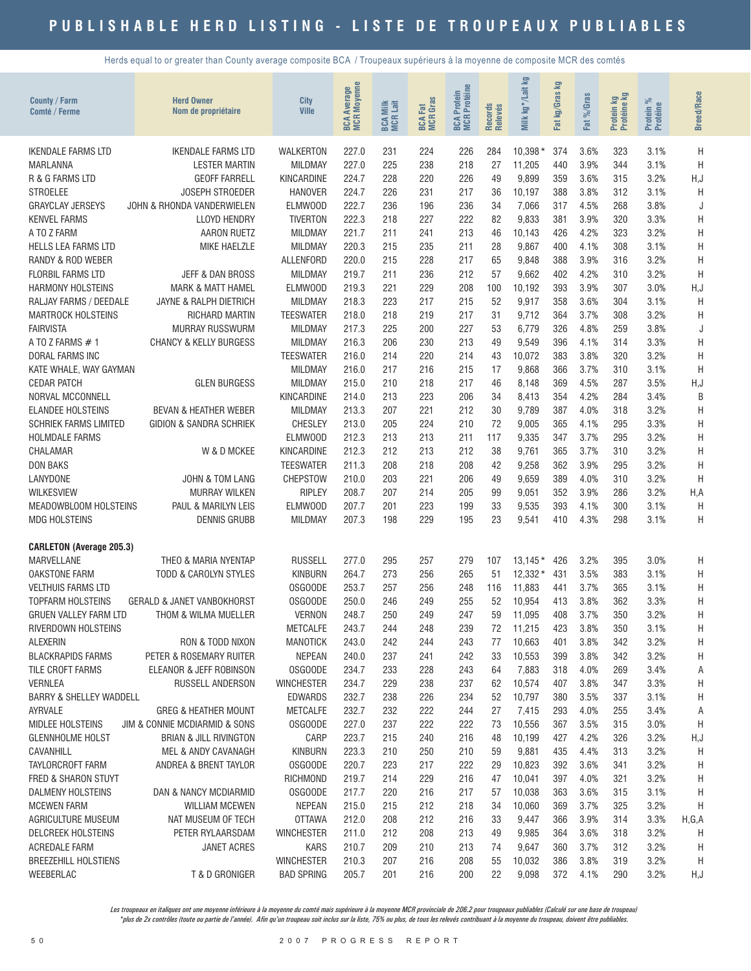Herds equal to or greater than County average composite BCA / Troupeaux supérieurs à la moyenne de composite MCR des comtés

| County / Farm<br>Comté / Ferme     | <b>Herd Owner</b><br>Nom de propriétaire    | City<br><b>Ville</b>              | <b>BCA Average</b><br>MCR Moyenne | <b>BCA Milk</b><br>MCR Lait | <b>MCR</b> Gras<br><b>BCA Fat</b> | <b>BCA Protein<br/>MCR Protéine</b> | Records<br>Relevés | Milk kg*/Lait kg | 空<br>Fat kg/Gras | Fat %/Gras   | Protein kg<br>Protéine kg | Protein %<br>Protéine | <b>Breed/Race</b> |
|------------------------------------|---------------------------------------------|-----------------------------------|-----------------------------------|-----------------------------|-----------------------------------|-------------------------------------|--------------------|------------------|------------------|--------------|---------------------------|-----------------------|-------------------|
| <b>IKENDALE FARMS LTD</b>          | <b>IKENDALE FARMS LTD</b>                   | WALKERTON                         | 227.0                             | 231                         | 224                               | 226                                 | 284                | $10,398*$        | 374              | 3.6%         | 323                       | 3.1%                  | H                 |
| MARLANNA                           | <b>LESTER MARTIN</b>                        | <b>MILDMAY</b>                    | 227.0                             | 225                         | 238                               | 218                                 | 27                 | 11,205           | 440              | 3.9%         | 344                       | 3.1%                  | H                 |
| R & G FARMS LTD                    | <b>GEOFF FARRELL</b>                        | KINCARDINE                        | 224.7                             | 228                         | 220                               | 226                                 | 49                 | 9,899            | 359              | 3.6%         | 315                       | 3.2%                  | H, J              |
| <b>STROELEE</b>                    | JOSEPH STROEDER                             | <b>HANOVER</b>                    | 224.7                             | 226                         | 231                               | 217                                 | 36                 | 10,197           | 388              | 3.8%         | 312                       | 3.1%                  | H                 |
| <b>GRAYCLAY JERSEYS</b>            | JOHN & RHONDA VANDERWIELEN                  | ELMW00D                           | 222.7                             | 236                         | 196                               | 236                                 | 34                 | 7,066            | 317              | 4.5%         | 268                       | 3.8%                  | J                 |
| <b>KENVEL FARMS</b>                | <b>LLOYD HENDRY</b>                         | <b>TIVERTON</b>                   | 222.3                             | 218                         | 227                               | 222                                 | 82                 | 9,833            | 381              | 3.9%         | 320                       | 3.3%                  | H                 |
| A TO Z FARM                        | <b>AARON RUETZ</b>                          | <b>MILDMAY</b>                    | 221.7                             | 211                         | 241                               | 213                                 | 46                 | 10,143           | 426              | 4.2%         | 323                       | 3.2%                  | H                 |
| <b>HELLS LEA FARMS LTD</b>         | MIKE HAELZLE                                | <b>MILDMAY</b>                    | 220.3                             | 215                         | 235                               | 211                                 | 28                 | 9,867            | 400              | 4.1%         | 308                       | 3.1%                  | H                 |
| RANDY & ROD WEBER                  |                                             | <b>ALLENFORD</b>                  | 220.0                             | 215                         | 228                               | 217                                 | 65                 | 9,848            | 388              | 3.9%         | 316                       | 3.2%                  | H                 |
| <b>FLORBIL FARMS LTD</b>           | JEFF & DAN BROSS                            | <b>MILDMAY</b>                    | 219.7                             | 211                         | 236                               | 212                                 | 57                 | 9,662            | 402              | 4.2%         | 310                       | 3.2%                  | H                 |
| <b>HARMONY HOLSTEINS</b>           | <b>MARK &amp; MATT HAMEL</b>                | ELMWOOD                           | 219.3                             | 221                         | 229                               | 208                                 | 100                | 10,192           | 393              | 3.9%         | 307                       | 3.0%                  | H,J               |
| RALJAY FARMS / DEEDALE             | JAYNE & RALPH DIETRICH                      | <b>MILDMAY</b>                    | 218.3                             | 223                         | 217                               | 215                                 | 52                 | 9,917            | 358              | 3.6%         | 304                       | 3.1%                  | H                 |
| <b>MARTROCK HOLSTEINS</b>          | RICHARD MARTIN                              | <b>TEESWATER</b>                  | 218.0                             | 218                         | 219                               | 217                                 | 31                 | 9,712            | 364              | 3.7%         | 308                       | 3.2%                  | H                 |
| <b>FAIRVISTA</b>                   | <b>MURRAY RUSSWURM</b>                      | <b>MILDMAY</b>                    | 217.3                             | 225                         | 200                               | 227                                 | 53                 | 6,779            | 326              | 4.8%         | 259                       | 3.8%                  | J                 |
| A TO Z FARMS #1                    | <b>CHANCY &amp; KELLY BURGESS</b>           | <b>MILDMAY</b>                    | 216.3                             | 206                         | 230                               | 213                                 | 49                 | 9,549            | 396              | 4.1%         | 314                       | 3.3%                  | H                 |
| DORAL FARMS INC                    |                                             | <b>TEESWATER</b>                  | 216.0                             | 214                         | 220                               | 214                                 | 43                 | 10,072           | 383              | 3.8%         | 320                       | 3.2%                  | H                 |
| KATE WHALE, WAY GAYMAN             |                                             | <b>MILDMAY</b>                    | 216.0                             | 217                         | 216                               | 215                                 | 17                 | 9,868            | 366              | 3.7%         | 310                       | 3.1%                  | H                 |
| <b>CEDAR PATCH</b>                 | <b>GLEN BURGESS</b>                         | <b>MILDMAY</b>                    | 215.0                             | 210                         | 218                               | 217                                 | 46                 | 8,148            | 369              | 4.5%         | 287                       | 3.5%                  | H,J               |
| NORVAL MCCONNELL                   |                                             | KINCARDINE                        | 214.0                             | 213                         | 223                               | 206                                 | 34                 | 8,413            | 354              | 4.2%         | 284                       | 3.4%                  | B                 |
| <b>ELANDEE HOLSTEINS</b>           | <b>BEVAN &amp; HEATHER WEBER</b>            | <b>MILDMAY</b>                    | 213.3                             | 207                         | 221                               | 212                                 | 30                 | 9,789            | 387              | 4.0%         | 318                       | 3.2%                  | H                 |
| <b>SCHRIEK FARMS LIMITED</b>       | <b>GIDION &amp; SANDRA SCHRIEK</b>          | <b>CHESLEY</b>                    | 213.0                             | 205                         | 224                               | 210                                 | 72                 | 9,005            | 365              | 4.1%         | 295                       | 3.3%                  | H                 |
| <b>HOLMDALE FARMS</b>              |                                             | <b>ELMWOOD</b>                    | 212.3                             | 213                         | 213                               | 211                                 | 117                | 9,335            | 347              | 3.7%         | 295                       | 3.2%                  | H                 |
| CHALAMAR                           | W & D MCKEE                                 | KINCARDINE                        | 212.3                             | 212                         | 213                               | 212                                 | 38                 | 9,761            | 365              | 3.7%         | 310                       | 3.2%                  | H                 |
| <b>DON BAKS</b>                    |                                             | <b>TEESWATER</b>                  | 211.3                             | 208                         | 218                               | 208                                 | 42                 | 9,258            | 362              | 3.9%         | 295                       | 3.2%                  | H                 |
| LANYDONE                           | <b>JOHN &amp; TOM LANG</b>                  | CHEPSTOW                          | 210.0                             | 203                         | 221                               | 206                                 | 49                 | 9,659            | 389              | 4.0%         | 310                       | 3.2%                  | H                 |
| <b>WILKESVIEW</b>                  | <b>MURRAY WILKEN</b>                        | <b>RIPLEY</b>                     | 208.7                             | 207                         | 214                               | 205                                 | 99                 | 9,051            | 352              | 3.9%         | 286                       | 3.2%                  | H, A              |
| MEADOWBLOOM HOLSTEINS              | PAUL & MARILYN LEIS                         | ELMW00D                           | 207.7                             | 201                         | 223                               | 199                                 | 33                 | 9,535            | 393              | 4.1%         | 300                       | 3.1%                  | H                 |
| <b>MDG HOLSTEINS</b>               | <b>DENNIS GRUBB</b>                         | <b>MILDMAY</b>                    | 207.3                             | 198                         | 229                               | 195                                 | 23                 | 9,541            | 410              | 4.3%         | 298                       | 3.1%                  | H                 |
| <b>CARLETON (Average 205.3)</b>    |                                             |                                   |                                   |                             |                                   |                                     |                    |                  |                  |              |                           |                       |                   |
| MARVELLANE                         | THEO & MARIA NYENTAP                        | <b>RUSSELL</b>                    | 277.0                             | 295                         | 257                               | 279                                 | 107                | $13,145*$        | 426              | 3.2%         | 395                       | 3.0%                  | Η                 |
| <b>OAKSTONE FARM</b>               | <b>TODD &amp; CAROLYN STYLES</b>            | <b>KINBURN</b>                    | 264.7                             | 273                         | 256                               | 265                                 | 51                 | $12,332*$        | 431              | 3.5%         | 383                       | 3.1%                  | Η                 |
| <b>VELTHUIS FARMS LTD</b>          |                                             | OSGOODE                           | 253.7                             | 257                         | 256                               | 248                                 | 116                | 11,883           | 441              | 3.7%         | 365                       | 3.1%                  | H                 |
| <b>TOPFARM HOLSTEINS</b>           | <b>GERALD &amp; JANET VANBOKHORST</b>       | 0SG00DE                           | 250.0                             | 246                         | 249                               | 255                                 | 52                 | 10,954           | 413              | 3.8%         | 362                       | 3.3%                  | H                 |
| <b>GRUEN VALLEY FARM LTD</b>       | THOM & WILMA MUELLER                        | <b>VERNON</b>                     | 248.7                             | 250                         | 249                               | 247                                 | 59                 | 11,095           | 408              | 3.7%         | 350                       | 3.2%                  | H                 |
| <b>RIVERDOWN HOLSTEINS</b>         |                                             | <b>METCALFE</b>                   | 243.7                             | 244                         | 248                               | 239                                 | 72                 | 11,215           | 423              | 3.8%         | 350                       | 3.1%                  | Η                 |
| <b>ALEXERIN</b>                    | RON & TODD NIXON                            | <b>MANOTICK</b>                   | 243.0                             | 242                         | 244                               | 243                                 | 77                 | 10,663           | 401              | 3.8%         | 342                       | 3.2%                  | H                 |
| <b>BLACKRAPIDS FARMS</b>           | PETER & ROSEMARY RUITER                     | <b>NEPEAN</b>                     | 240.0                             | 237                         | 241                               | 242                                 | 33                 | 10,553           | 399              | 3.8%         | 342                       | 3.2%                  | Н                 |
| TILE CROFT FARMS<br><b>VERNLEA</b> | ELEANOR & JEFF ROBINSON<br>RUSSELL ANDERSON | 0SG00DE                           | 234.7                             | 233<br>229                  | 228                               | 243<br>237                          | 64<br>62           | 7,883            | 318<br>407       | 4.0%<br>3.8% | 269<br>347                | 3.4%                  | Α                 |
| <b>BARRY &amp; SHELLEY WADDELL</b> |                                             | <b>WINCHESTER</b>                 | 234.7<br>232.7                    |                             | 238<br>226                        | 234                                 | 52                 | 10,574           |                  |              | 337                       | 3.3%                  | Η                 |
| AYRVALE                            | <b>GREG &amp; HEATHER MOUNT</b>             | <b>EDWARDS</b><br><b>METCALFE</b> | 232.7                             | 238<br>232                  | 222                               | 244                                 | 27                 | 10,797<br>7,415  | 380<br>293       | 3.5%<br>4.0% | 255                       | 3.1%<br>3.4%          | Η<br>Α            |
| <b>MIDLEE HOLSTEINS</b>            | JIM & CONNIE MCDIARMID & SONS               | OSGOODE                           | 227.0                             | 237                         | 222                               | 222                                 | 73                 | 10,556           | 367              | 3.5%         | 315                       | 3.0%                  | Η                 |
| <b>GLENNHOLME HOLST</b>            | <b>BRIAN &amp; JILL RIVINGTON</b>           | CARP                              | 223.7                             | 215                         | 240                               | 216                                 | 48                 | 10,199           | 427              | 4.2%         | 326                       | 3.2%                  | H,J               |
| CAVANHILL                          | MEL & ANDY CAVANAGH                         | <b>KINBURN</b>                    | 223.3                             | 210                         | 250                               | 210                                 | 59                 | 9,881            | 435              | 4.4%         | 313                       | 3.2%                  | Η                 |
| TAYLORCROFT FARM                   | ANDREA & BRENT TAYLOR                       | <b>OSGOODE</b>                    | 220.7                             | 223                         | 217                               | 222                                 | 29                 | 10,823           | 392              | 3.6%         | 341                       | 3.2%                  | Η                 |
| FRED & SHARON STUYT                |                                             | RICHMOND                          | 219.7                             | 214                         | 229                               | 216                                 | 47                 | 10,041           | 397              | 4.0%         | 321                       | 3.2%                  | Η                 |
| DALMENY HOLSTEINS                  | DAN & NANCY MCDIARMID                       | OSGOODE                           | 217.7                             | 220                         | 216                               | 217                                 | 57                 | 10,038           | 363              | 3.6%         | 315                       | 3.1%                  | Η                 |
| <b>MCEWEN FARM</b>                 | <b>WILLIAM MCEWEN</b>                       | <b>NEPEAN</b>                     | 215.0                             | 215                         | 212                               | 218                                 | 34                 | 10,060           | 369              | 3.7%         | 325                       | 3.2%                  | Η                 |
| AGRICULTURE MUSEUM                 | NAT MUSEUM OF TECH                          | <b>OTTAWA</b>                     | 212.0                             | 208                         | 212                               | 216                                 | 33                 | 9,447            | 366              | 3.9%         | 314                       | 3.3%                  | H,G,A             |
| DELCREEK HOLSTEINS                 | PETER RYLAARSDAM                            | <b>WINCHESTER</b>                 | 211.0                             | 212                         | 208                               | 213                                 | 49                 | 9,985            | 364              | 3.6%         | 318                       | 3.2%                  | Η                 |
| ACREDALE FARM                      | <b>JANET ACRES</b>                          | <b>KARS</b>                       | 210.7                             | 209                         | 210                               | 213                                 | 74                 | 9,647            | 360              | 3.7%         | 312                       | 3.2%                  | Η                 |
| <b>BREEZEHILL HOLSTIENS</b>        |                                             | <b>WINCHESTER</b>                 | 210.3                             | 207                         | 216                               | 208                                 | 55                 | 10,032           | 386              | 3.8%         | 319                       | 3.2%                  | Η                 |
| WEEBERLAC                          | T & D GRONIGER                              | <b>BAD SPRING</b>                 | 205.7                             | 201                         | 216                               | 200                                 | 22                 | 9,098            | 372              | 4.1%         | 290                       | 3.2%                  | H,J               |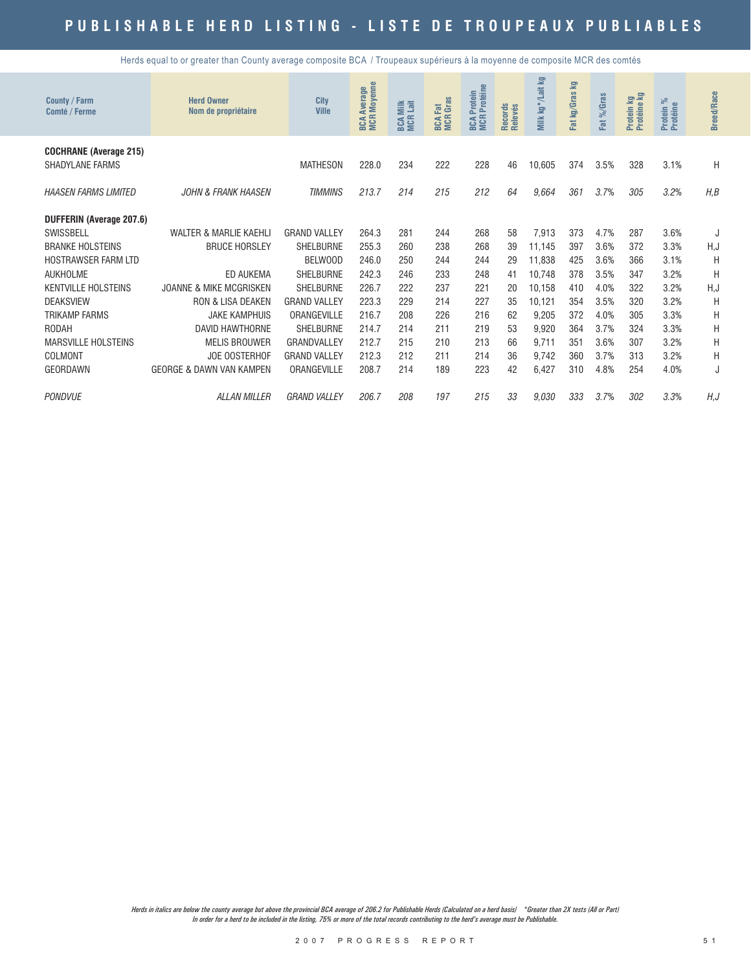Herds equal to or greater than County average composite BCA / Troupeaux supérieurs à la moyenne de composite MCR des comtés

| County / Farm<br>Comté / Ferme | <b>Herd Owner</b><br>Nom de propriétaire | City<br><b>Ville</b> | <b>MCR Moyenne</b><br><b>Average</b><br>BCA | Milk<br>Lait<br>BCA I | <b>BCA Fat</b><br>MCR Gras | Protéine<br>Protein<br><b>MCR</b><br>BCA | Records<br>Relevés | Milk kg*/Lait kg | Fat kg/Gras kg | Fat %/Gras | Protein kg<br>Protéine kg | ಸ<br>Protein %<br>Protéine | <b>Breed/Race</b> |
|--------------------------------|------------------------------------------|----------------------|---------------------------------------------|-----------------------|----------------------------|------------------------------------------|--------------------|------------------|----------------|------------|---------------------------|----------------------------|-------------------|
| <b>COCHRANE (Average 215)</b>  |                                          |                      |                                             |                       |                            |                                          |                    |                  |                |            |                           |                            |                   |
| <b>SHADYLANE FARMS</b>         |                                          | <b>MATHESON</b>      | 228.0                                       | 234                   | 222                        | 228                                      | 46                 | 10,605           | 374            | 3.5%       | 328                       | 3.1%                       | H                 |
| <b>HAASEN FARMS LIMITED</b>    | <b>JOHN &amp; FRANK HAASEN</b>           | <b>TIMMINS</b>       | 213.7                                       | 214                   | 215                        | 212                                      | 64                 | 9.664            | 361            | 3.7%       | 305                       | 3.2%                       | H, B              |
| DUFFERIN (Average 207.6)       |                                          |                      |                                             |                       |                            |                                          |                    |                  |                |            |                           |                            |                   |
| SWISSBELL                      | <b>WALTER &amp; MARLIE KAEHLI</b>        | <b>GRAND VALLEY</b>  | 264.3                                       | 281                   | 244                        | 268                                      | 58                 | 7,913            | 373            | 4.7%       | 287                       | 3.6%                       |                   |
| <b>BRANKE HOLSTEINS</b>        | <b>BRUCE HORSLEY</b>                     | <b>SHELBURNE</b>     | 255.3                                       | 260                   | 238                        | 268                                      | 39                 | 11.145           | 397            | 3.6%       | 372                       | 3.3%                       | H,J               |
| <b>HOSTRAWSER FARM LTD</b>     |                                          | BELWOOD              | 246.0                                       | 250                   | 244                        | 244                                      | 29                 | 11.838           | 425            | 3.6%       | 366                       | 3.1%                       | H                 |
| <b>AUKHOLME</b>                | ED AUKEMA                                | <b>SHELBURNE</b>     | 242.3                                       | 246                   | 233                        | 248                                      | 41                 | 10,748           | 378            | 3.5%       | 347                       | 3.2%                       | H                 |
| <b>KENTVILLE HOLSTEINS</b>     | <b>JOANNE &amp; MIKE MCGRISKEN</b>       | <b>SHELBURNE</b>     | 226.7                                       | 222                   | 237                        | 221                                      | 20                 | 10,158           | 410            | 4.0%       | 322                       | 3.2%                       | H,J               |
| <b>DEAKSVIEW</b>               | <b>RON &amp; LISA DEAKEN</b>             | <b>GRAND VALLEY</b>  | 223.3                                       | 229                   | 214                        | 227                                      | 35                 | 10,121           | 354            | 3.5%       | 320                       | 3.2%                       | H                 |
| <b>TRIKAMP FARMS</b>           | <b>JAKE KAMPHUIS</b>                     | ORANGEVILLE          | 216.7                                       | 208                   | 226                        | 216                                      | 62                 | 9.205            | 372            | 4.0%       | 305                       | 3.3%                       | H                 |
| <b>RODAH</b>                   | <b>DAVID HAWTHORNE</b>                   | <b>SHELBURNE</b>     | 214.7                                       | 214                   | 211                        | 219                                      | 53                 | 9,920            | 364            | 3.7%       | 324                       | 3.3%                       | Η                 |
| <b>MARSVILLE HOLSTEINS</b>     | <b>MELIS BROUWER</b>                     | GRANDVALLEY          | 212.7                                       | 215                   | 210                        | 213                                      | 66                 | 9.711            | 351            | 3.6%       | 307                       | 3.2%                       | H                 |
| COLMONT                        | <b>JOE OOSTERHOF</b>                     | <b>GRAND VALLEY</b>  | 212.3                                       | 212                   | 211                        | 214                                      | 36                 | 9,742            | 360            | 3.7%       | 313                       | 3.2%                       | H                 |
| <b>GEORDAWN</b>                | <b>GEORGE &amp; DAWN VAN KAMPEN</b>      | ORANGEVILLE          | 208.7                                       | 214                   | 189                        | 223                                      | 42                 | 6,427            | 310            | 4.8%       | 254                       | 4.0%                       | J                 |
| <b>PONDVUE</b>                 | <b>ALLAN MILLER</b>                      | <b>GRAND VALLEY</b>  | 206.7                                       | 208                   | 197                        | 215                                      | 33                 | 9.030            | 333            | 3.7%       | 302                       | 3.3%                       | H, J              |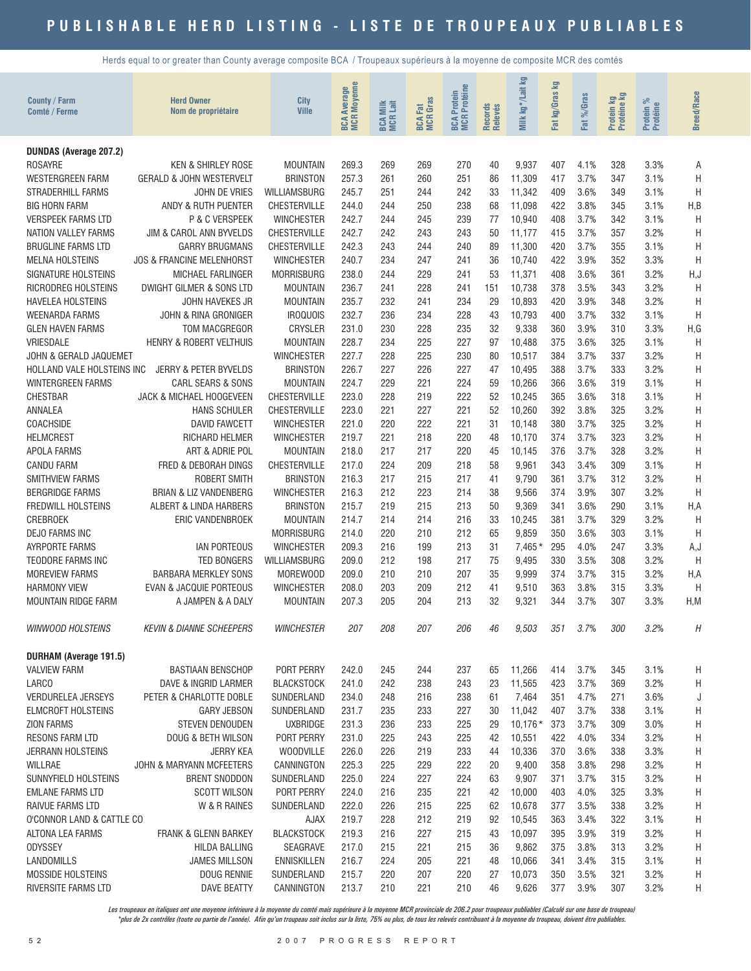Herds equal to or greater than County average composite BCA / Troupeaux supérieurs à la moyenne de composite MCR des comtés

| County / Farm<br>Comté / Ferme                      | <b>Herd Owner</b><br>Nom de propriétaire                      | City<br><b>Ville</b>                     | <b>BCA Average</b><br>MCR Moyenne | <b>BCA Milk</b><br>MCR Lait | <b>BCA Fat</b><br>MCR Gras | <b>BCA Protein<br/>MCR Protéine</b> | Records<br>Relevés | Σg<br>kg*/Lait<br>Milk | Fat kg/Gras kg | %Gras        | Protein kg<br>Protéine kg | Protein %<br>Protéine | <b>Breed/Race</b> |
|-----------------------------------------------------|---------------------------------------------------------------|------------------------------------------|-----------------------------------|-----------------------------|----------------------------|-------------------------------------|--------------------|------------------------|----------------|--------------|---------------------------|-----------------------|-------------------|
|                                                     |                                                               |                                          |                                   |                             |                            |                                     |                    |                        |                | Fat          |                           |                       |                   |
| <b>DUNDAS (Average 207.2)</b>                       |                                                               |                                          |                                   |                             |                            |                                     |                    |                        |                |              |                           |                       |                   |
| ROSAYRE                                             | <b>KEN &amp; SHIRLEY ROSE</b>                                 | <b>MOUNTAIN</b>                          | 269.3                             | 269                         | 269                        | 270                                 | 40                 | 9,937                  | 407            | 4.1%         | 328                       | 3.3%                  | Α                 |
| <b>WESTERGREEN FARM</b>                             | <b>GERALD &amp; JOHN WESTERVELT</b>                           | <b>BRINSTON</b>                          | 257.3                             | 261                         | 260                        | 251                                 | 86                 | 11,309                 | 417            | 3.7%         | 347                       | 3.1%                  | H                 |
| <b>STRADERHILL FARMS</b>                            | <b>JOHN DE VRIES</b>                                          | <b>WILLIAMSBURG</b>                      | 245.7                             | 251                         | 244                        | 242                                 | 33                 | 11,342                 | 409            | 3.6%         | 349                       | 3.1%                  | H                 |
| <b>BIG HORN FARM</b>                                | ANDY & RUTH PUENTER                                           | <b>CHESTERVILLE</b>                      | 244.0                             | 244                         | 250                        | 238                                 | 68                 | 11,098                 | 422            | 3.8%         | 345                       | 3.1%                  | H,B               |
| <b>VERSPEEK FARMS LTD</b>                           | P & C VERSPEEK                                                | <b>WINCHESTER</b>                        | 242.7                             | 244                         | 245                        | 239                                 | 77                 | 10,940                 | 408            | 3.7%         | 342                       | 3.1%                  | H                 |
| <b>NATION VALLEY FARMS</b>                          | JIM & CAROL ANN BYVELDS                                       | <b>CHESTERVILLE</b>                      | 242.7                             | 242                         | 243                        | 243                                 | 50                 | 11,177                 | 415            | 3.7%         | 357                       | 3.2%                  | H                 |
| <b>BRUGLINE FARMS LTD</b><br><b>MELNA HOLSTEINS</b> | <b>GARRY BRUGMANS</b><br><b>JOS &amp; FRANCINE MELENHORST</b> | <b>CHESTERVILLE</b><br><b>WINCHESTER</b> | 242.3<br>240.7                    | 243<br>234                  | 244<br>247                 | 240<br>241                          | 89<br>36           | 11,300<br>10,740       | 420<br>422     | 3.7%<br>3.9% | 355<br>352                | 3.1%<br>3.3%          | H<br>H            |
| SIGNATURE HOLSTEINS                                 | MICHAEL FARLINGER                                             | <b>MORRISBURG</b>                        | 238.0                             | 244                         | 229                        | 241                                 | 53                 | 11,371                 | 408            | 3.6%         | 361                       | 3.2%                  | H,J               |
| RICRODREG HOLSTEINS                                 | DWIGHT GILMER & SONS LTD                                      | <b>MOUNTAIN</b>                          | 236.7                             | 241                         | 228                        | 241                                 | 151                | 10,738                 | 378            | 3.5%         | 343                       | 3.2%                  | H                 |
| HAVELEA HOLSTEINS                                   | JOHN HAVEKES JR                                               | <b>MOUNTAIN</b>                          | 235.7                             | 232                         | 241                        | 234                                 | 29                 | 10,893                 | 420            | 3.9%         | 348                       | 3.2%                  | H                 |
| <b>WEENARDA FARMS</b>                               | JOHN & RINA GRONIGER                                          | <b>IROQUOIS</b>                          | 232.7                             | 236                         | 234                        | 228                                 | 43                 | 10,793                 | 400            | 3.7%         | 332                       | 3.1%                  | Η                 |
| <b>GLEN HAVEN FARMS</b>                             | TOM MACGREGOR                                                 | <b>CRYSLER</b>                           | 231.0                             | 230                         | 228                        | 235                                 | 32                 | 9,338                  | 360            | 3.9%         | 310                       | 3.3%                  | H,G               |
| VRIESDALE                                           | HENRY & ROBERT VELTHUIS                                       | <b>MOUNTAIN</b>                          | 228.7                             | 234                         | 225                        | 227                                 | 97                 | 10,488                 | 375            | 3.6%         | 325                       | 3.1%                  | H                 |
| JOHN & GERALD JAQUEMET                              |                                                               | <b>WINCHESTER</b>                        | 227.7                             | 228                         | 225                        | 230                                 | 80                 | 10,517                 | 384            | 3.7%         | 337                       | 3.2%                  | Η                 |
| HOLLAND VALE HOLSTEINS INC                          | <b>JERRY &amp; PETER BYVELDS</b>                              | <b>BRINSTON</b>                          | 226.7                             | 227                         | 226                        | 227                                 | 47                 | 10,495                 | 388            | 3.7%         | 333                       | 3.2%                  | Η                 |
| <b>WINTERGREEN FARMS</b>                            | CARL SEARS & SONS                                             | <b>MOUNTAIN</b>                          | 224.7                             | 229                         | 221                        | 224                                 | 59                 | 10,266                 | 366            | 3.6%         | 319                       | 3.1%                  | H                 |
| <b>CHESTBAR</b>                                     | JACK & MICHAEL HOOGEVEEN                                      | <b>CHESTERVILLE</b>                      | 223.0                             | 228                         | 219                        | 222                                 | 52                 | 10,245                 | 365            | 3.6%         | 318                       | 3.1%                  | H                 |
| ANNALEA                                             | <b>HANS SCHULER</b>                                           | <b>CHESTERVILLE</b>                      | 223.0                             | 221                         | 227                        | 221                                 | 52                 | 10,260                 | 392            | 3.8%         | 325                       | 3.2%                  | H                 |
| <b>COACHSIDE</b>                                    | <b>DAVID FAWCETT</b>                                          | <b>WINCHESTER</b>                        | 221.0                             | 220                         | 222                        | 221                                 | 31                 | 10,148                 | 380            | 3.7%         | 325                       | 3.2%                  | H                 |
| <b>HELMCREST</b>                                    | RICHARD HELMER                                                | <b>WINCHESTER</b>                        | 219.7                             | 221                         | 218                        | 220                                 | 48                 | 10,170                 | 374            | 3.7%         | 323                       | 3.2%                  | H                 |
| APOLA FARMS                                         | ART & ADRIE POL                                               | <b>MOUNTAIN</b>                          | 218.0                             | 217                         | 217                        | 220                                 | 45                 | 10,145                 | 376            | 3.7%         | 328                       | 3.2%                  | H                 |
| <b>CANDU FARM</b>                                   | FRED & DEBORAH DINGS                                          | <b>CHESTERVILLE</b>                      | 217.0                             | 224                         | 209                        | 218                                 | 58                 | 9,961                  | 343            | 3.4%         | 309                       | 3.1%                  | H                 |
| SMITHVIEW FARMS                                     | <b>ROBERT SMITH</b>                                           | <b>BRINSTON</b>                          | 216.3                             | 217                         | 215                        | 217                                 | 41                 | 9,790                  | 361            | 3.7%         | 312                       | 3.2%                  | H                 |
| <b>BERGRIDGE FARMS</b>                              | <b>BRIAN &amp; LIZ VANDENBERG</b>                             | <b>WINCHESTER</b>                        | 216.3                             | 212                         | 223                        | 214                                 | 38                 | 9,566                  | 374            | 3.9%         | 307                       | 3.2%                  | H                 |
| FREDWILL HOLSTEINS                                  | ALBERT & LINDA HARBERS                                        | <b>BRINSTON</b>                          | 215.7                             | 219                         | 215                        | 213                                 | 50                 | 9,369                  | 341            | 3.6%         | 290                       | 3.1%                  | H, A              |
| <b>CREBROEK</b>                                     | ERIC VANDENBROEK                                              | <b>MOUNTAIN</b>                          | 214.7                             | 214                         | 214                        | 216                                 | 33                 | 10,245                 | 381            | 3.7%         | 329                       | 3.2%                  | H                 |
| <b>DEJO FARMS INC</b><br><b>AYRPORTE FARMS</b>      | <b>IAN PORTEOUS</b>                                           | <b>MORRISBURG</b><br><b>WINCHESTER</b>   | 214.0<br>209.3                    | 220<br>216                  | 210<br>199                 | 212<br>213                          | 65<br>31           | 9,859<br>$7,465*$      | 350<br>295     | 3.6%<br>4.0% | 303<br>247                | 3.1%<br>3.3%          | H<br>A,J          |
| <b>TEODORE FARMS INC</b>                            | <b>TED BONGERS</b>                                            | WILLIAMSBURG                             | 209.0                             | 212                         | 198                        | 217                                 | 75                 | 9,495                  | 330            | 3.5%         | 308                       | 3.2%                  | H                 |
| <b>MOREVIEW FARMS</b>                               | <b>BARBARA MERKLEY SONS</b>                                   | MOREWOOD                                 | 209.0                             | 210                         | 210                        | 207                                 | 35                 | 9,999                  | 374            | 3.7%         | 315                       | 3.2%                  | H, A              |
| <b>HARMONY VIEW</b>                                 | <b>EVAN &amp; JACQUIE PORTEOUS</b>                            | <b>WINCHESTER</b>                        | 208.0                             | 203                         | 209                        | 212                                 | 41                 | 9,510                  | 363            | 3.8%         | 315                       | 3.3%                  | H                 |
| <b>MOUNTAIN RIDGE FARM</b>                          | A JAMPEN & A DALY                                             | <b>MOUNTAIN</b>                          | 207.3                             | 205                         | 204                        | 213                                 | 32                 | 9,321                  | 344            | 3.7%         | 307                       | 3.3%                  | H, M              |
|                                                     |                                                               |                                          |                                   |                             |                            |                                     |                    |                        |                |              |                           |                       |                   |
| <b>WINWOOD HOLSTEINS</b>                            | <b>KEVIN &amp; DIANNE SCHEEPERS</b>                           | <b>WINCHESTER</b>                        | 207                               | 208                         | 207                        | 206                                 | 46                 | 9,503                  | 351            | 3.7%         | 300                       | 3.2%                  | Η                 |
| <b>DURHAM (Average 191.5)</b>                       |                                                               |                                          |                                   |                             |                            |                                     |                    |                        |                |              |                           |                       |                   |
| <b>VALVIEW FARM</b>                                 | <b>BASTIAAN BENSCHOP</b>                                      | PORT PERRY                               | 242.0                             | 245                         | 244                        | 237                                 | 65                 | 11,266                 | 414            | 3.7%         | 345                       | 3.1%                  | Н                 |
| LARCO                                               | DAVE & INGRID LARMER                                          | <b>BLACKSTOCK</b>                        | 241.0                             | 242                         | 238                        | 243                                 | 23                 | 11,565                 | 423            | 3.7%         | 369                       | 3.2%                  | H                 |
| <b>VERDURELEA JERSEYS</b>                           | PETER & CHARLOTTE DOBLE                                       | SUNDERLAND                               | 234.0                             | 248                         | 216                        | 238                                 | 61                 | 7,464                  | 351            | 4.7%         | 271                       | 3.6%                  | J                 |
| <b>ELMCROFT HOLSTEINS</b>                           | <b>GARY JEBSON</b>                                            | SUNDERLAND                               | 231.7                             | 235                         | 233                        | 227                                 | 30                 | 11,042                 | 407            | 3.7%         | 338                       | 3.1%                  | Н                 |
| <b>ZION FARMS</b>                                   | STEVEN DENOUDEN                                               | <b>UXBRIDGE</b>                          | 231.3                             | 236                         | 233                        | 225                                 | 29                 | $10,176*$              | 373            | 3.7%         | 309                       | 3.0%                  | Η                 |
| <b>RESONS FARM LTD</b>                              | DOUG & BETH WILSON                                            | PORT PERRY                               | 231.0                             | 225                         | 243                        | 225                                 | 42                 | 10,551                 | 422            | 4.0%         | 334                       | 3.2%                  | Η                 |
| <b>JERRANN HOLSTEINS</b>                            | <b>JERRY KEA</b>                                              | <b>WOODVILLE</b>                         | 226.0                             | 226                         | 219                        | 233                                 | 44                 | 10,336                 | 370            | 3.6%         | 338                       | 3.3%                  | Η                 |
| <b>WILLRAE</b>                                      | JOHN & MARYANN MCFEETERS                                      | CANNINGTON                               | 225.3                             | 225                         | 229                        | 222                                 | 20                 | 9,400                  | 358            | 3.8%         | 298                       | 3.2%                  | Н                 |
| SUNNYFIELD HOLSTEINS                                | <b>BRENT SNODDON</b>                                          | SUNDERLAND                               | 225.0                             | 224                         | 227                        | 224                                 | 63                 | 9,907                  | 371            | 3.7%         | 315                       | 3.2%                  | H                 |
| <b>EMLANE FARMS LTD</b>                             | <b>SCOTT WILSON</b>                                           | PORT PERRY                               | 224.0                             | 216                         | 235                        | 221                                 | 42                 | 10,000                 | 403            | 4.0%         | 325                       | 3.3%                  | Н                 |
| RAIVUE FARMS LTD                                    | W & R RAINES                                                  | SUNDERLAND                               | 222.0                             | 226                         | 215                        | 225                                 | 62                 | 10,678                 | 377            | 3.5%         | 338                       | 3.2%                  | Н                 |
| O'CONNOR LAND & CATTLE CO                           |                                                               | <b>AJAX</b>                              | 219.7                             | 228                         | 212                        | 219                                 | 92                 | 10,545                 | 363            | 3.4%         | 322                       | 3.1%                  | Η                 |
| ALTONA LEA FARMS                                    | <b>FRANK &amp; GLENN BARKEY</b>                               | <b>BLACKSTOCK</b>                        | 219.3                             | 216                         | 227                        | 215                                 | 43                 | 10,097                 | 395            | 3.9%         | 319                       | 3.2%                  | Η                 |
| <b>ODYSSEY</b><br><b>LANDOMILLS</b>                 | <b>HILDA BALLING</b><br>JAMES MILLSON                         | SEAGRAVE                                 | 217.0                             | 215                         | 221                        | 215                                 | 36                 | 9,862                  | 375<br>341     | 3.8%<br>3.4% | 313<br>315                | 3.2%                  | Н                 |
| MOSSIDE HOLSTEINS                                   | DOUG RENNIE                                                   | <b>ENNISKILLEN</b><br>SUNDERLAND         | 216.7<br>215.7                    | 224<br>220                  | 205<br>207                 | 221<br>220                          | 48<br>27           | 10,066<br>10,073       | 350            | 3.5%         | 321                       | 3.1%<br>3.2%          | Η<br>Н            |
| RIVERSITE FARMS LTD                                 | DAVE BEATTY                                                   | CANNINGTON                               | 213.7                             | 210                         | 221                        | 210                                 | 46                 | 9,626                  | 377            | 3.9%         | 307                       | 3.2%                  | H                 |
|                                                     |                                                               |                                          |                                   |                             |                            |                                     |                    |                        |                |              |                           |                       |                   |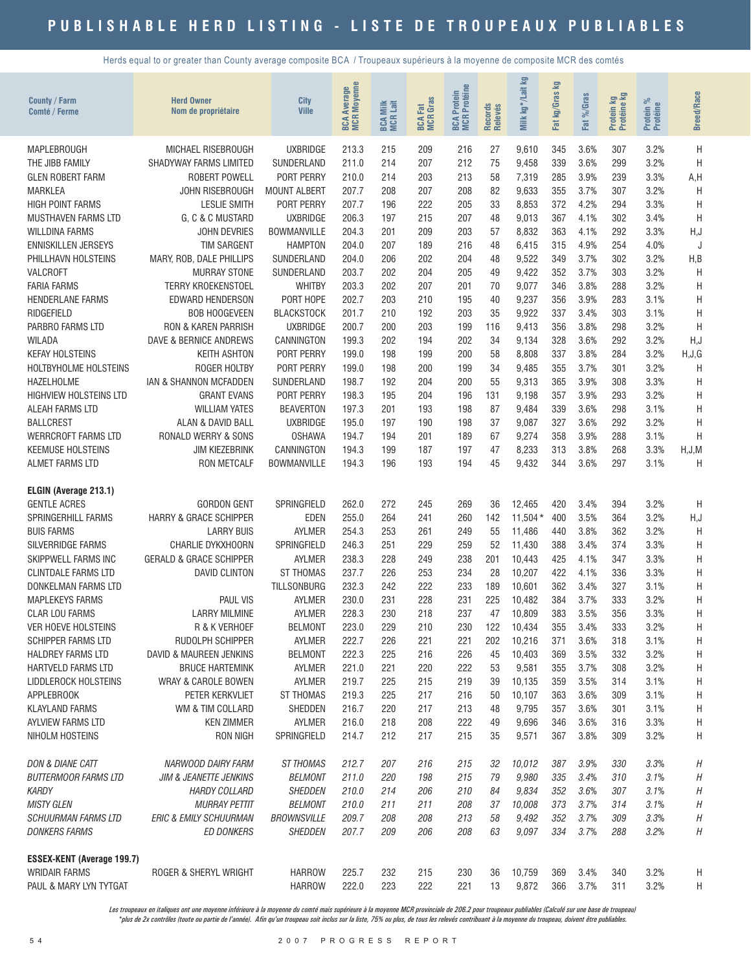Herds equal to or greater than County average composite BCA / Troupeaux supérieurs à la moyenne de composite MCR des comtés

| <b>County / Farm</b><br>Comté / Ferme             | <b>Herd Owner</b><br>Nom de propriétaire       | <b>City</b><br><b>Ville</b>            | <b>BCA Average</b><br>MCR Moyenne | <b>BCA Milk</b><br>MCR Lait | <b>MCR</b> Gras<br><b>Ed</b><br>BCA | <b>MCR Protéine</b><br>Protein<br><b>BCA</b> | Records<br>Relevés | Σg<br>kg*/Lait<br>Milk | Fat kg/Gras kg | %Gras<br><b>Fat</b> | Protein kg<br>Protéine kg | Protein %<br>Protéine | <b>Breed/Race</b> |
|---------------------------------------------------|------------------------------------------------|----------------------------------------|-----------------------------------|-----------------------------|-------------------------------------|----------------------------------------------|--------------------|------------------------|----------------|---------------------|---------------------------|-----------------------|-------------------|
| MAPLEBROUGH                                       | MICHAEL RISEBROUGH                             | <b>UXBRIDGE</b>                        | 213.3                             | 215                         | 209                                 | 216                                          | 27                 | 9,610                  | 345            | 3.6%                | 307                       | 3.2%                  | Η                 |
| THE JIBB FAMILY                                   | SHADYWAY FARMS LIMITED                         | SUNDERLAND                             | 211.0                             | 214                         | 207                                 | 212                                          | 75                 | 9,458                  | 339            | 3.6%                | 299                       | 3.2%                  | H                 |
| <b>GLEN ROBERT FARM</b>                           | <b>ROBERT POWELL</b>                           | PORT PERRY                             | 210.0                             | 214                         | 203                                 | 213                                          | 58                 | 7,319                  | 285            | 3.9%                | 239                       | 3.3%                  | A,H               |
| <b>MARKLEA</b>                                    | JOHN RISEBROUGH                                | <b>MOUNT ALBERT</b>                    | 207.7                             | 208                         | 207                                 | 208                                          | 82                 | 9,633                  | 355            | 3.7%                | 307                       | 3.2%                  | H                 |
| <b>HIGH POINT FARMS</b>                           | <b>LESLIE SMITH</b>                            | PORT PERRY                             | 207.7                             | 196                         | 222                                 | 205                                          | 33                 | 8,853                  | 372            | 4.2%                | 294                       | 3.3%                  | H                 |
| <b>MUSTHAVEN FARMS LTD</b>                        | G. C & C MUSTARD                               | <b>UXBRIDGE</b>                        | 206.3                             | 197                         | 215                                 | 207                                          | 48                 | 9,013                  | 367            | 4.1%                | 302                       | 3.4%                  | H                 |
| <b>WILLDINA FARMS</b>                             | <b>JOHN DEVRIES</b>                            | <b>BOWMANVILLE</b>                     | 204.3                             | 201                         | 209                                 | 203                                          | 57                 | 8,832                  | 363            | 4.1%                | 292                       | 3.3%                  | H,J               |
| <b>ENNISKILLEN JERSEYS</b><br>PHILLHAVN HOLSTEINS | <b>TIM SARGENT</b><br>MARY, ROB, DALE PHILLIPS | <b>HAMPTON</b><br>SUNDERLAND           | 204.0<br>204.0                    | 207<br>206                  | 189<br>202                          | 216<br>204                                   | 48<br>48           | 6,415<br>9,522         | 315<br>349     | 4.9%<br>3.7%        | 254<br>302                | 4.0%<br>3.2%          | H,B               |
| VALCROFT                                          | <b>MURRAY STONE</b>                            | SUNDERLAND                             | 203.7                             | 202                         | 204                                 | 205                                          | 49                 | 9,422                  | 352            | 3.7%                | 303                       | 3.2%                  | H                 |
| <b>FARIA FARMS</b>                                | <b>TERRY KROEKENSTOEL</b>                      | <b>WHITBY</b>                          | 203.3                             | 202                         | 207                                 | 201                                          | 70                 | 9,077                  | 346            | 3.8%                | 288                       | 3.2%                  | H                 |
| <b>HENDERLANE FARMS</b>                           | <b>EDWARD HENDERSON</b>                        | PORT HOPE                              | 202.7                             | 203                         | 210                                 | 195                                          | 40                 | 9,237                  | 356            | 3.9%                | 283                       | 3.1%                  | H                 |
| RIDGEFIELD                                        | <b>BOB HOOGEVEEN</b>                           | <b>BLACKSTOCK</b>                      | 201.7                             | 210                         | 192                                 | 203                                          | 35                 | 9,922                  | 337            | 3.4%                | 303                       | 3.1%                  | H                 |
| PARBRO FARMS LTD                                  | <b>RON &amp; KAREN PARRISH</b>                 | <b>UXBRIDGE</b>                        | 200.7                             | 200                         | 203                                 | 199                                          | 116                | 9,413                  | 356            | 3.8%                | 298                       | 3.2%                  | H                 |
| <b>WILADA</b>                                     | DAVE & BERNICE ANDREWS                         | CANNINGTON                             | 199.3                             | 202                         | 194                                 | 202                                          | 34                 | 9,134                  | 328            | 3.6%                | 292                       | 3.2%                  | H,J               |
| <b>KEFAY HOLSTEINS</b>                            | <b>KEITH ASHTON</b>                            | PORT PERRY                             | 199.0                             | 198                         | 199                                 | 200                                          | 58                 | 8,808                  | 337            | 3.8%                | 284                       | 3.2%                  | H,J,G             |
| HOLTBYHOLME HOLSTEINS                             | ROGER HOLTBY                                   | PORT PERRY                             | 199.0                             | 198                         | 200                                 | 199                                          | 34                 | 9,485                  | 355            | 3.7%                | 301                       | 3.2%                  | H                 |
| HAZELHOLME                                        | <b>IAN &amp; SHANNON MCFADDEN</b>              | SUNDERLAND                             | 198.7                             | 192                         | 204                                 | 200                                          | 55                 | 9,313                  | 365            | 3.9%                | 308                       | 3.3%                  | Η                 |
| <b>HIGHVIEW HOLSTEINS LTD</b>                     | <b>GRANT EVANS</b>                             | PORT PERRY                             | 198.3                             | 195                         | 204                                 | 196                                          | 131                | 9,198                  | 357            | 3.9%                | 293                       | 3.2%                  | H                 |
| ALEAH FARMS LTD                                   | <b>WILLIAM YATES</b>                           | <b>BEAVERTON</b>                       | 197.3                             | 201                         | 193                                 | 198                                          | 87                 | 9,484                  | 339            | 3.6%                | 298                       | 3.1%                  | Η                 |
| <b>BALLCREST</b><br><b>WERRCROFT FARMS LTD</b>    | ALAN & DAVID BALL<br>RONALD WERRY & SONS       | <b>UXBRIDGE</b><br><b>OSHAWA</b>       | 195.0<br>194.7                    | 197<br>194                  | 190<br>201                          | 198<br>189                                   | 37<br>67           | 9,087<br>9,274         | 327<br>358     | 3.6%<br>3.9%        | 292<br>288                | 3.2%<br>3.1%          | H<br>H            |
| <b>KEEMUSE HOLSTEINS</b>                          | <b>JIM KIEZEBRINK</b>                          | CANNINGTON                             | 194.3                             | 199                         | 187                                 | 197                                          | 47                 | 8,233                  | 313            | 3.8%                | 268                       | 3.3%                  | H,J,M             |
| <b>ALMET FARMS LTD</b>                            | <b>RON METCALF</b>                             | BOWMANVILLE                            | 194.3                             | 196                         | 193                                 | 194                                          | 45                 | 9,432                  | 344            | 3.6%                | 297                       | 3.1%                  | H                 |
|                                                   |                                                |                                        |                                   |                             |                                     |                                              |                    |                        |                |                     |                           |                       |                   |
| ELGIN (Average 213.1)                             |                                                |                                        |                                   |                             |                                     |                                              |                    |                        |                |                     |                           |                       |                   |
| <b>GENTLE ACRES</b>                               | <b>GORDON GENT</b>                             | SPRINGFIELD                            | 262.0                             | 272                         | 245                                 | 269                                          | 36                 | 12,465                 | 420            | 3.4%                | 394                       | 3.2%                  | H                 |
| <b>SPRINGERHILL FARMS</b>                         | <b>HARRY &amp; GRACE SCHIPPER</b>              | <b>EDEN</b>                            | 255.0                             | 264                         | 241                                 | 260                                          | 142                | $11,504*$              | 400            | 3.5%                | 364                       | 3.2%                  | H, J              |
| <b>BUIS FARMS</b>                                 | <b>LARRY BUIS</b>                              | <b>AYLMER</b>                          | 254.3                             | 253                         | 261                                 | 249                                          | 55                 | 11,486                 | 440            | 3.8%                | 362                       | 3.2%                  | H                 |
| SILVERRIDGE FARMS                                 | CHARLIE DYKXHOORN                              | SPRINGFIELD                            | 246.3                             | 251                         | 229                                 | 259                                          | 52                 | 11,430                 | 388            | 3.4%                | 374                       | 3.3%                  | Η                 |
| SKIPPWELL FARMS INC                               | <b>GERALD &amp; GRACE SCHIPPER</b>             | <b>AYLMER</b>                          | 238.3                             | 228                         | 249                                 | 238                                          | 201                | 10,443                 | 425            | 4.1%                | 347                       | 3.3%                  | H                 |
| <b>CLINTDALE FARMS LTD</b><br>DONKELMAN FARMS LTD | <b>DAVID CLINTON</b>                           | <b>ST THOMAS</b><br><b>TILLSONBURG</b> | 237.7<br>232.3                    | 226                         | 253<br>222                          | 234<br>233                                   | 28<br>189          | 10,207                 | 422<br>362     | 4.1%<br>3.4%        | 336<br>327                | 3.3%<br>3.1%          | H<br>H            |
| <b>MAPLEKEYS FARMS</b>                            | <b>PAUL VIS</b>                                | <b>AYLMER</b>                          | 230.0                             | 242<br>231                  | 228                                 | 231                                          | 225                | 10,601<br>10,482       | 384            | 3.7%                | 333                       | 3.2%                  | Η                 |
| <b>CLAR LOU FARMS</b>                             | <b>LARRY MILMINE</b>                           | <b>AYLMER</b>                          | 228.3                             | 230                         | 218                                 | 237                                          | 47                 | 10,809                 | 383            | 3.5%                | 356                       | 3.3%                  | Η                 |
| VER HOEVE HOLSTEINS                               | R & K VERHOEF                                  | <b>BELMONT</b>                         | 223.0                             | 229                         | 210                                 | 230                                          | 122                | 10,434                 | 355            | 3.4%                | 333                       | 3.2%                  | H                 |
| <b>SCHIPPER FARMS LTD</b>                         | RUDOLPH SCHIPPER                               | <b>AYLMER</b>                          | 222.7                             | 226                         | 221                                 | 221                                          | 202                | 10,216                 | 371            | 3.6%                | 318                       | 3.1%                  | Н                 |
| <b>HALDREY FARMS LTD</b>                          | DAVID & MAUREEN JENKINS                        | <b>BELMONT</b>                         | 222.3                             | 225                         | 216                                 | 226                                          | 45                 | 10,403                 | 369            | 3.5%                | 332                       | 3.2%                  | Η                 |
| <b>HARTVELD FARMS LTD</b>                         | <b>BRUCE HARTEMINK</b>                         | AYLMER                                 | 221.0                             | 221                         | 220                                 | 222                                          | 53                 | 9,581                  | 355            | 3.7%                | 308                       | 3.2%                  | Η                 |
| LIDDLEROCK HOLSTEINS                              | WRAY & CAROLE BOWEN                            | AYLMER                                 | 219.7                             | 225                         | 215                                 | 219                                          | 39                 | 10,135                 | 359            | 3.5%                | 314                       | 3.1%                  | Н                 |
| APPLEBROOK                                        | PETER KERKVLIET                                | <b>ST THOMAS</b>                       | 219.3                             | 225                         | 217                                 | 216                                          | 50                 | 10,107                 | 363            | 3.6%                | 309                       | 3.1%                  | Н                 |
| <b>KLAYLAND FARMS</b>                             | WM & TIM COLLARD                               | SHEDDEN                                | 216.7                             | 220                         | 217                                 | 213                                          | 48                 | 9,795                  | 357            | 3.6%                | 301                       | 3.1%                  | H                 |
| AYLVIEW FARMS LTD                                 | <b>KEN ZIMMER</b>                              | AYLMER                                 | 216.0                             | 218                         | 208                                 | 222                                          | 49                 | 9,696                  | 346            | 3.6%                | 316                       | 3.3%                  | H                 |
| NIHOLM HOSTEINS                                   | RON NIGH                                       | SPRINGFIELD                            | 214.7                             | 212                         | 217                                 | 215                                          | 35                 | 9,571                  | 367            | 3.8%                | 309                       | 3.2%                  | H                 |
| <b>DON &amp; DIANE CATT</b>                       | NARWOOD DAIRY FARM                             | <b>ST THOMAS</b>                       | 212.7                             | 207                         | 216                                 | 215                                          | 32                 | 10,012                 | 387            | 3.9%                | 330                       | 3.3%                  | Η                 |
| <b>BUTTERMOOR FARMS LTD</b>                       | <b>JIM &amp; JEANETTE JENKINS</b>              | <b>BELMONT</b>                         | 211.0                             | 220                         | 198                                 | 215                                          | 79                 | 9,980                  | 335            | 3.4%                | 310                       | 3.1%                  | Н                 |
| <b>KARDY</b>                                      | <b>HARDY COLLARD</b>                           | SHEDDEN                                | 210.0                             | 214                         | 206                                 | 210                                          | 84                 | 9,834                  | 352            | 3.6%                | 307                       | 3.1%                  | Н                 |
| <b>MISTY GLEN</b>                                 | <b>MURRAY PETTIT</b>                           | <b>BELMONT</b>                         | 210.0                             | 211                         | 211                                 | 208                                          | 37                 | 10,008                 | 373            | 3.7%                | 314                       | 3.1%                  | Н                 |
| <b>SCHUURMAN FARMS LTD</b>                        | <b>ERIC &amp; EMILY SCHUURMAN</b>              | <b>BROWNSVILLE</b>                     | 209.7                             | 208                         | 208                                 | 213                                          | 58                 | 9,492                  | 352            | 3.7%                | 309                       | 3.3%                  | Η                 |
| <b>DONKERS FARMS</b>                              | <b>ED DONKERS</b>                              | SHEDDEN                                | 207.7                             | 209                         | 206                                 | 208                                          | 63                 | 9,097                  | 334            | 3.7%                | 288                       | 3.2%                  | Η                 |
|                                                   |                                                |                                        |                                   |                             |                                     |                                              |                    |                        |                |                     |                           |                       |                   |
| <b>ESSEX-KENT (Average 199.7)</b>                 |                                                |                                        |                                   |                             |                                     |                                              |                    |                        |                |                     |                           |                       |                   |
| <b>WRIDAIR FARMS</b>                              | ROGER & SHERYL WRIGHT                          | <b>HARROW</b>                          | 225.7                             | 232                         | 215                                 | 230                                          | 36                 | 10,759                 | 369            | 3.4%                | 340                       | 3.2%                  | Н                 |
| PAUL & MARY LYN TYTGAT                            |                                                | <b>HARROW</b>                          | 222.0                             | 223                         | 222                                 | 221                                          | 13                 | 9,872                  | 366            | 3.7%                | 311                       | 3.2%                  | H                 |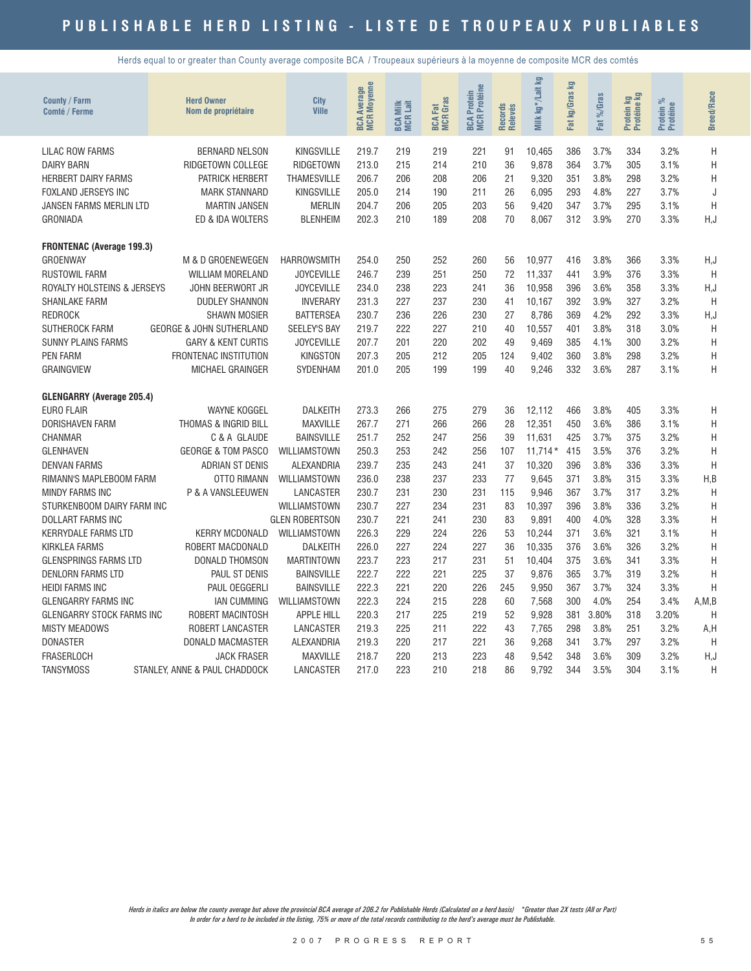Herds equal to or greater than County average composite BCA / Troupeaux supérieurs à la moyenne de composite MCR des comtés

| County / Farm<br>Comté / Ferme   | <b>Herd Owner</b><br>Nom de propriétaire | City<br><b>Ville</b>  | <b>Moyenne</b><br><b>BCA Average</b><br>MCR Moyenne | Milk<br>Lait<br>BCA I | <b>BCA Fat</b><br>MCR Gras | <b>BCA Protein<br/>MCR Protéine</b> | Records<br>Relevés | Milk kg*/Lait kg | g<br>kg/Gras<br>Fat | %Gras<br>Fat | <b>By</b><br>Protein ko | ಸ<br>Protein %<br>Protéine | <b>Breed/Race</b> |
|----------------------------------|------------------------------------------|-----------------------|-----------------------------------------------------|-----------------------|----------------------------|-------------------------------------|--------------------|------------------|---------------------|--------------|-------------------------|----------------------------|-------------------|
| <b>LILAC ROW FARMS</b>           | <b>BERNARD NELSON</b>                    | <b>KINGSVILLE</b>     | 219.7                                               | 219                   | 219                        | 221                                 | 91                 | 10,465           | 386                 | 3.7%         | 334                     | 3.2%                       | Η                 |
| <b>DAIRY BARN</b>                | RIDGETOWN COLLEGE                        | RIDGETOWN             | 213.0                                               | 215                   | 214                        | 210                                 | 36                 | 9,878            | 364                 | 3.7%         | 305                     | 3.1%                       | Н                 |
| <b>HERBERT DAIRY FARMS</b>       | PATRICK HERBERT                          | <b>THAMESVILLE</b>    | 206.7                                               | 206                   | 208                        | 206                                 | 21                 | 9,320            | 351                 | 3.8%         | 298                     | 3.2%                       | H                 |
| <b>FOXLAND JERSEYS INC</b>       | <b>MARK STANNARD</b>                     | <b>KINGSVILLE</b>     | 205.0                                               | 214                   | 190                        | 211                                 | 26                 | 6,095            | 293                 | 4.8%         | 227                     | 3.7%                       | J                 |
| JANSEN FARMS MERLIN LTD          | <b>MARTIN JANSEN</b>                     | <b>MERLIN</b>         | 204.7                                               | 206                   | 205                        | 203                                 | 56                 | 9,420            | 347                 | 3.7%         | 295                     | 3.1%                       | H                 |
| <b>GRONIADA</b>                  | ED & IDA WOLTERS                         | <b>BLENHEIM</b>       | 202.3                                               | 210                   | 189                        | 208                                 | 70                 | 8,067            | 312                 | 3.9%         | 270                     | 3.3%                       | H, J              |
| <b>FRONTENAC (Average 199.3)</b> |                                          |                       |                                                     |                       |                            |                                     |                    |                  |                     |              |                         |                            |                   |
| GROENWAY                         | M & D GROENEWEGEN                        | <b>HARROWSMITH</b>    | 254.0                                               | 250                   | 252                        | 260                                 | 56                 | 10.977           | 416                 | 3.8%         | 366                     | 3.3%                       | H,J               |
| <b>RUSTOWIL FARM</b>             | WILLIAM MORELAND                         | <b>JOYCEVILLE</b>     | 246.7                                               | 239                   | 251                        | 250                                 | 72                 | 11,337           | 441                 | 3.9%         | 376                     | 3.3%                       | H                 |
| ROYALTY HOLSTEINS & JERSEYS      | JOHN BEERWORT JR                         | <b>JOYCEVILLE</b>     | 234.0                                               | 238                   | 223                        | 241                                 | 36                 | 10,958           | 396                 | 3.6%         | 358                     | 3.3%                       | H, J              |
| SHANLAKE FARM                    | <b>DUDLEY SHANNON</b>                    | <b>INVERARY</b>       | 231.3                                               | 227                   | 237                        | 230                                 | 41                 | 10,167           | 392                 | 3.9%         | 327                     | 3.2%                       | H                 |
| <b>REDROCK</b>                   | <b>SHAWN MOSIER</b>                      | <b>BATTERSEA</b>      | 230.7                                               | 236                   | 226                        | 230                                 | 27                 | 8.786            | 369                 | 4.2%         | 292                     | 3.3%                       | H, J              |
| SUTHEROCK FARM                   | <b>GEORGE &amp; JOHN SUTHERLAND</b>      | <b>SEELEY'S BAY</b>   | 219.7                                               | 222                   | 227                        | 210                                 | 40                 | 10,557           | 401                 | 3.8%         | 318                     | 3.0%                       | H                 |
| <b>SUNNY PLAINS FARMS</b>        | <b>GARY &amp; KENT CURTIS</b>            | <b>JOYCEVILLE</b>     | 207.7                                               | 201                   | 220                        | 202                                 | 49                 | 9,469            | 385                 | 4.1%         | 300                     | 3.2%                       | Η                 |
| <b>PEN FARM</b>                  | FRONTENAC INSTITUTION                    | KINGSTON              | 207.3                                               | 205                   | 212                        | 205                                 | 124                | 9,402            | 360                 | 3.8%         | 298                     | 3.2%                       | Η                 |
| <b>GRAINGVIEW</b>                | MICHAEL GRAINGER                         | SYDENHAM              | 201.0                                               | 205                   | 199                        | 199                                 | 40                 | 9,246            | 332                 | 3.6%         | 287                     | 3.1%                       | Η                 |
| <b>GLENGARRY (Average 205.4)</b> |                                          |                       |                                                     |                       |                            |                                     |                    |                  |                     |              |                         |                            |                   |
| <b>EURO FLAIR</b>                | <b>WAYNE KOGGEL</b>                      | <b>DALKEITH</b>       | 273.3                                               | 266                   | 275                        | 279                                 | 36                 | 12.112           | 466                 | 3.8%         | 405                     | 3.3%                       | Η                 |
| <b>DORISHAVEN FARM</b>           | THOMAS & INGRID BILL                     | <b>MAXVILLE</b>       | 267.7                                               | 271                   | 266                        | 266                                 | 28                 | 12,351           | 450                 | 3.6%         | 386                     | 3.1%                       | H                 |
| <b>CHANMAR</b>                   | C & A GLAUDE                             | <b>BAINSVILLE</b>     | 251.7                                               | 252                   | 247                        | 256                                 | 39                 | 11,631           | 425                 | 3.7%         | 375                     | 3.2%                       | H                 |
| <b>GLENHAVEN</b>                 | <b>GEORGE &amp; TOM PASCO</b>            | WILLIAMSTOWN          | 250.3                                               | 253                   | 242                        | 256                                 | 107                | $11.714*$        | 415                 | 3.5%         | 376                     | 3.2%                       | H                 |
| <b>DENVAN FARMS</b>              | <b>ADRIAN ST DENIS</b>                   | ALEXANDRIA            | 239.7                                               | 235                   | 243                        | 241                                 | 37                 | 10,320           | 396                 | 3.8%         | 336                     | 3.3%                       | H                 |
| RIMANN'S MAPLEBOOM FARM          | OTTO RIMANN                              | WILLIAMSTOWN          | 236.0                                               | 238                   | 237                        | 233                                 | 77                 | 9,645            | 371                 | 3.8%         | 315                     | 3.3%                       | H, B              |
| <b>MINDY FARMS INC</b>           | P & A VANSLEEUWEN                        | LANCASTER             | 230.7                                               | 231                   | 230                        | 231                                 | 115                | 9,946            | 367                 | 3.7%         | 317                     | 3.2%                       | H                 |
| STURKENBOOM DAIRY FARM INC       |                                          | WILLIAMSTOWN          | 230.7                                               | 227                   | 234                        | 231                                 | 83                 | 10,397           | 396                 | 3.8%         | 336                     | 3.2%                       | Η                 |
| <b>DOLLART FARMS INC</b>         |                                          | <b>GLEN ROBERTSON</b> | 230.7                                               | 221                   | 241                        | 230                                 | 83                 | 9,891            | 400                 | 4.0%         | 328                     | 3.3%                       | Η                 |
| <b>KERRYDALE FARMS LTD</b>       | <b>KERRY MCDONALD</b>                    | WILLIAMSTOWN          | 226.3                                               | 229                   | 224                        | 226                                 | 53                 | 10,244           | 371                 | 3.6%         | 321                     | 3.1%                       | H                 |
| <b>KIRKLEA FARMS</b>             | ROBERT MACDONALD                         | <b>DALKEITH</b>       | 226.0                                               | 227                   | 224                        | 227                                 | 36                 | 10,335           | 376                 | 3.6%         | 326                     | 3.2%                       | H                 |
| <b>GLENSPRINGS FARMS LTD</b>     | DONALD THOMSON                           | <b>MARTINTOWN</b>     | 223.7                                               | 223                   | 217                        | 231                                 | 51                 | 10,404           | 375                 | 3.6%         | 341                     | 3.3%                       | H                 |
| <b>DENLORN FARMS LTD</b>         | PAUL ST DENIS                            | <b>BAINSVILLE</b>     | 222.7                                               | 222                   | 221                        | 225                                 | 37                 | 9,876            | 365                 | 3.7%         | 319                     | 3.2%                       | H                 |
| <b>HEIDI FARMS INC</b>           | PAUL OEGGERLI                            | <b>BAINSVILLE</b>     | 222.3                                               | 221                   | 220                        | 226                                 | 245                | 9,950            | 367                 | 3.7%         | 324                     | 3.3%                       | H                 |
| <b>GLENGARRY FARMS INC</b>       | <b>IAN CUMMING</b>                       | WILLIAMSTOWN          | 222.3                                               | 224                   | 215                        | 228                                 | 60                 | 7,568            | 300                 | 4.0%         | 254                     | 3.4%                       | A, M, B           |
| GLENGARRY STOCK FARMS INC        | ROBERT MACINTOSH                         | <b>APPLE HILL</b>     | 220.3                                               | 217                   | 225                        | 219                                 | 52                 | 9,928            | 381                 | 3.80%        | 318                     | 3.20%                      | Η                 |
| <b>MISTY MEADOWS</b>             | <b>ROBERT LANCASTER</b>                  | LANCASTER             | 219.3                                               | 225                   | 211                        | 222                                 | 43                 | 7.765            | 298                 | 3.8%         | 251                     | 3.2%                       | A,H               |
| <b>DONASTER</b>                  | DONALD MACMASTER                         | ALEXANDRIA            | 219.3                                               | 220                   | 217                        | 221                                 | 36                 | 9,268            | 341                 | 3.7%         | 297                     | 3.2%                       | H                 |
| <b>FRASERLOCH</b>                | <b>JACK FRASER</b>                       | <b>MAXVILLE</b>       | 218.7                                               | 220                   | 213                        | 223                                 | 48                 | 9.542            | 348                 | 3.6%         | 309                     | 3.2%                       | H,J               |
| <b>TANSYMOSS</b>                 | STANLEY, ANNE & PAUL CHADDOCK            | LANCASTER             | 217.0                                               | 223                   | 210                        | 218                                 | 86                 | 9.792            | 344                 | 3.5%         | 304                     | 3.1%                       | H                 |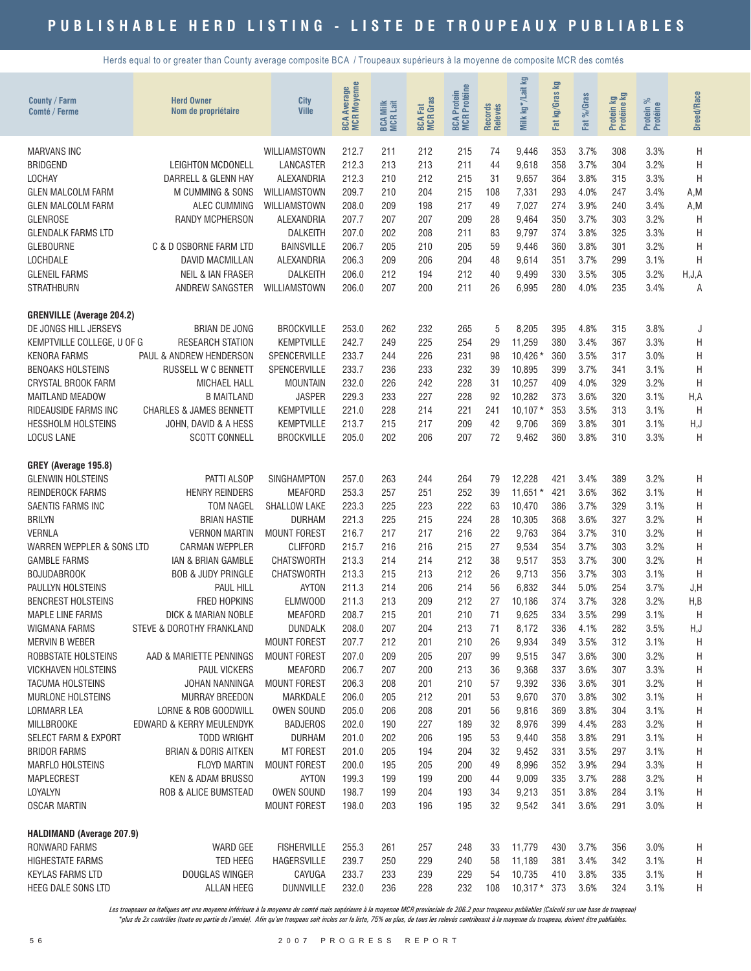Herds equal to or greater than County average composite BCA / Troupeaux supérieurs à la moyenne de composite MCR des comtés

| <b>County / Farm</b><br>Comté / Ferme           | <b>Herd Owner</b><br>Nom de propriétaire   | City<br><b>Ville</b>      | <b>BCA Average</b><br>MCR Moyenne<br>Average | <b>BCA Milk</b><br>MCR Lait | <b>BCA Fat</b><br>MCR Gras | <b>BCA Protein<br/>MCR Protéine</b> | Records<br>Relevés | Milk kg*/Lait kg | Σã<br>Fat kg/Gras | Fat %/Gras   | Protein kg<br>Protéine kg | ಸಿ<br>Protein %<br>Protéine | <b>Breed/Race</b> |
|-------------------------------------------------|--------------------------------------------|---------------------------|----------------------------------------------|-----------------------------|----------------------------|-------------------------------------|--------------------|------------------|-------------------|--------------|---------------------------|-----------------------------|-------------------|
| <b>MARVANS INC</b>                              |                                            | WILLIAMSTOWN              | 212.7                                        | 211                         | 212                        | 215                                 | 74                 | 9,446            | 353               | 3.7%         | 308                       | 3.3%                        | Η                 |
| <b>BRIDGEND</b>                                 | LEIGHTON MCDONELL                          | LANCASTER                 | 212.3                                        | 213                         | 213                        | 211                                 | 44                 | 9,618            | 358               | 3.7%         | 304                       | 3.2%                        | Н                 |
| <b>LOCHAY</b>                                   | DARRELL & GLENN HAY                        | ALEXANDRIA                | 212.3                                        | 210                         | 212                        | 215                                 | 31                 | 9,657            | 364               | 3.8%         | 315                       | 3.3%                        | H                 |
| <b>GLEN MALCOLM FARM</b>                        | M CUMMING & SONS                           | WILLIAMSTOWN              | 209.7                                        | 210                         | 204                        | 215                                 | 108                | 7,331            | 293               | 4.0%         | 247                       | 3.4%                        | A, M              |
| <b>GLEN MALCOLM FARM</b>                        | ALEC CUMMING                               | WILLIAMSTOWN              | 208.0                                        | 209                         | 198                        | 217                                 | 49                 | 7,027            | 274               | 3.9%         | 240                       | 3.4%                        | A, M              |
| <b>GLENROSE</b>                                 | <b>RANDY MCPHERSON</b>                     | ALEXANDRIA                | 207.7                                        | 207                         | 207                        | 209                                 | 28                 | 9,464            | 350               | 3.7%         | 303                       | 3.2%                        | H                 |
| <b>GLENDALK FARMS LTD</b>                       |                                            | <b>DALKEITH</b>           | 207.0                                        | 202                         | 208                        | 211                                 | 83                 | 9,797            | 374               | 3.8%         | 325                       | 3.3%                        | H                 |
| <b>GLEBOURNE</b>                                | C & D OSBORNE FARM LTD                     | <b>BAINSVILLE</b>         | 206.7                                        | 205                         | 210                        | 205                                 | 59                 | 9,446            | 360               | 3.8%         | 301                       | 3.2%                        | H                 |
| <b>LOCHDALE</b>                                 | <b>DAVID MACMILLAN</b>                     | ALEXANDRIA                | 206.3                                        | 209                         | 206                        | 204                                 | 48                 | 9,614            | 351               | 3.7%         | 299                       | 3.1%                        | H                 |
| <b>GLENEIL FARMS</b>                            | <b>NEIL &amp; IAN FRASER</b>               | <b>DALKEITH</b>           | 206.0                                        | 212                         | 194                        | 212                                 | 40                 | 9,499            | 330               | 3.5%         | 305                       | 3.2%                        | H, J, A           |
| <b>STRATHBURN</b>                               | ANDREW SANGSTER                            | WILLIAMSTOWN              | 206.0                                        | 207                         | 200                        | 211                                 | 26                 | 6,995            | 280               | 4.0%         | 235                       | 3.4%                        | Α                 |
| <b>GRENVILLE (Average 204.2)</b>                |                                            |                           |                                              |                             |                            |                                     |                    |                  |                   |              |                           |                             |                   |
| DE JONGS HILL JERSEYS                           | <b>BRIAN DE JONG</b>                       | <b>BROCKVILLE</b>         | 253.0                                        | 262                         | 232                        | 265                                 | 5                  | 8,205            | 395               | 4.8%         | 315                       | 3.8%                        | J                 |
| KEMPTVILLE COLLEGE, U OF G                      | <b>RESEARCH STATION</b>                    | <b>KEMPTVILLE</b>         | 242.7                                        | 249                         | 225                        | 254                                 | 29                 | 11,259           | 380               | 3.4%         | 367                       | 3.3%                        | Η                 |
| <b>KENORA FARMS</b>                             | PAUL & ANDREW HENDERSON                    | SPENCERVILLE              | 233.7                                        | 244                         | 226                        | 231                                 | 98                 | $10,426*$        | 360               | 3.5%         | 317                       | 3.0%                        | Η                 |
| <b>BENOAKS HOLSTEINS</b>                        | RUSSELL W C BENNETT                        | SPENCERVILLE              | 233.7                                        | 236                         | 233                        | 232                                 | 39                 | 10,895           | 399               | 3.7%         | 341                       | 3.1%                        | H                 |
| CRYSTAL BROOK FARM                              | <b>MICHAEL HALL</b>                        | <b>MOUNTAIN</b>           | 232.0                                        | 226                         | 242                        | 228                                 | 31                 | 10,257           | 409               | 4.0%         | 329                       | 3.2%                        | H                 |
| <b>MAITLAND MEADOW</b>                          | <b>B MAITLAND</b>                          | <b>JASPER</b>             | 229.3                                        | 233                         | 227                        | 228                                 | 92                 | 10,282           | 373               | 3.6%         | 320                       | 3.1%                        | H, A              |
| RIDEAUSIDE FARMS INC                            | <b>CHARLES &amp; JAMES BENNETT</b>         | <b>KEMPTVILLE</b>         | 221.0                                        | 228                         | 214                        | 221                                 | 241                | $10,107*$        | 353               | 3.5%         | 313                       | 3.1%                        | H                 |
| HESSHOLM HOLSTEINS                              | JOHN, DAVID & A HESS                       | <b>KEMPTVILLE</b>         | 213.7                                        | 215                         | 217                        | 209                                 | 42                 | 9,706            | 369               | 3.8%         | 301                       | 3.1%                        | H, J              |
| <b>LOCUS LANE</b>                               | <b>SCOTT CONNELL</b>                       | <b>BROCKVILLE</b>         | 205.0                                        | 202                         | 206                        | 207                                 | 72                 | 9,462            | 360               | 3.8%         | 310                       | 3.3%                        | H                 |
| GREY (Average 195.8)                            |                                            |                           |                                              |                             |                            |                                     |                    |                  |                   |              |                           |                             |                   |
| <b>GLENWIN HOLSTEINS</b>                        | PATTI ALSOP                                | SINGHAMPTON               | 257.0                                        | 263                         | 244                        | 264                                 | 79                 | 12,228           | 421               | 3.4%         | 389                       | 3.2%                        | Η                 |
| <b>REINDEROCK FARMS</b>                         | <b>HENRY REINDERS</b>                      | <b>MEAFORD</b>            | 253.3                                        | 257                         | 251                        | 252                                 | 39                 | $11,651*$        | 421               | 3.6%         | 362                       | 3.1%                        | H                 |
| <b>SAENTIS FARMS INC</b>                        | <b>TOM NAGEL</b>                           | SHALLOW LAKE              | 223.3                                        | 225                         | 223                        | 222                                 | 63                 | 10,470           | 386               | 3.7%         | 329                       | 3.1%                        | H                 |
| <b>BRILYN</b>                                   | <b>BRIAN HASTIE</b>                        | <b>DURHAM</b>             | 221.3                                        | 225                         | 215                        | 224                                 | 28                 | 10,305           | 368               | 3.6%         | 327                       | 3.2%                        | H                 |
| <b>VERNLA</b>                                   | <b>VERNON MARTIN</b>                       | <b>MOUNT FOREST</b>       | 216.7                                        | 217                         | 217                        | 216                                 | 22                 | 9,763            | 364               | 3.7%         | 310                       | 3.2%                        | H                 |
| WARREN WEPPLER & SONS LTD                       | <b>CARMAN WEPPLER</b>                      | <b>CLIFFORD</b>           | 215.7                                        | 216                         | 216                        | 215                                 | 27                 | 9,534            | 354               | 3.7%         | 303                       | 3.2%                        | H                 |
| <b>GAMBLE FARMS</b>                             | IAN & BRIAN GAMBLE                         | <b>CHATSWORTH</b>         | 213.3                                        | 214                         | 214                        | 212                                 | 38                 | 9,517            | 353               | 3.7%         | 300                       | 3.2%                        | H                 |
| <b>BOJUDABROOK</b>                              | <b>BOB &amp; JUDY PRINGLE</b>              | <b>CHATSWORTH</b>         | 213.3                                        | 215                         | 213                        | 212                                 | 26                 | 9,713            | 356               | 3.7%         | 303                       | 3.1%                        | H                 |
| PAULLYN HOLSTEINS                               | <b>PAUL HILL</b>                           | <b>AYTON</b>              | 211.3                                        | 214                         | 206                        | 214                                 | 56                 | 6,832            | 344               | 5.0%         | 254                       | 3.7%                        | J, H              |
| <b>BENCREST HOLSTEINS</b>                       | <b>FRED HOPKINS</b><br>DICK & MARIAN NOBLE | ELMW00D<br><b>MEAFORD</b> | 211.3<br>208.7                               | 213<br>215                  | 209<br>201                 | 212<br>210                          | 27<br>71           | 10,186<br>9,625  | 374<br>334        | 3.7%<br>3.5% | 328<br>299                | 3.2%<br>3.1%                | H,B<br>H          |
| <b>MAPLE LINE FARMS</b><br><b>WIGMANA FARMS</b> | STEVE & DOROTHY FRANKLAND                  | <b>DUNDALK</b>            | 208.0                                        | 207                         | 204                        | 213                                 | 71                 | 8,172            | 336               | 4.1%         | 282                       | 3.5%                        |                   |
| <b>MERVIN B WEBER</b>                           |                                            | <b>MOUNT FOREST</b>       | 207.7                                        | 212                         | 201                        | 210                                 | 26                 | 9,934            | 349               | 3.5%         | 312                       | 3.1%                        | H,J<br>H          |
| ROBBSTATE HOLSTEINS                             | AAD & MARIETTE PENNINGS                    | <b>MOUNT FOREST</b>       | 207.0                                        | 209                         | 205                        | 207                                 | 99                 | 9,515            | 347               | 3.6%         | 300                       | 3.2%                        | Н                 |
| <b>VICKHAVEN HOLSTEINS</b>                      | PAUL VICKERS                               | <b>MEAFORD</b>            | 206.7                                        | 207                         | 200                        | 213                                 | 36                 | 9,368            | 337               | 3.6%         | 307                       | 3.3%                        | Н                 |
| <b>TACUMA HOLSTEINS</b>                         | JOHAN NANNINGA                             | <b>MOUNT FOREST</b>       | 206.3                                        | 208                         | 201                        | 210                                 | 57                 | 9,392            | 336               | 3.6%         | 301                       | 3.2%                        | Η                 |
| <b>MURLONE HOLSTEINS</b>                        | <b>MURRAY BREEDON</b>                      | MARKDALE                  | 206.0                                        | 205                         | 212                        | 201                                 | 53                 | 9,670            | 370               | 3.8%         | 302                       | 3.1%                        | Η                 |
| LORMARR LEA                                     | LORNE & ROB GOODWILL                       | <b>OWEN SOUND</b>         | 205.0                                        | 206                         | 208                        | 201                                 | 56                 | 9,816            | 369               | 3.8%         | 304                       | 3.1%                        | Н                 |
| <b>MILLBROOKE</b>                               | EDWARD & KERRY MEULENDYK                   | <b>BADJEROS</b>           | 202.0                                        | 190                         | 227                        | 189                                 | 32                 | 8,976            | 399               | 4.4%         | 283                       | 3.2%                        | Н                 |
| <b>SELECT FARM &amp; EXPORT</b>                 | <b>TODD WRIGHT</b>                         | <b>DURHAM</b>             | 201.0                                        | 202                         | 206                        | 195                                 | 53                 | 9,440            | 358               | 3.8%         | 291                       | 3.1%                        | Н                 |
| <b>BRIDOR FARMS</b>                             | <b>BRIAN &amp; DORIS AITKEN</b>            | <b>MT FOREST</b>          | 201.0                                        | 205                         | 194                        | 204                                 | 32                 | 9,452            | 331               | 3.5%         | 297                       | 3.1%                        | Н                 |
| <b>MARFLO HOLSTEINS</b>                         | <b>FLOYD MARTIN</b>                        | <b>MOUNT FOREST</b>       | 200.0                                        | 195                         | 205                        | 200                                 | 49                 | 8,996            | 352               | 3.9%         | 294                       | 3.3%                        | Н                 |
| <b>MAPLECREST</b>                               | <b>KEN &amp; ADAM BRUSSO</b>               | <b>AYTON</b>              | 199.3                                        | 199                         | 199                        | 200                                 | 44                 | 9,009            | 335               | 3.7%         | 288                       | 3.2%                        | Н                 |
| LOYALYN                                         | ROB & ALICE BUMSTEAD                       | <b>OWEN SOUND</b>         | 198.7                                        | 199                         | 204                        | 193                                 | 34                 | 9,213            | 351               | 3.8%         | 284                       | 3.1%                        | Н                 |
| <b>OSCAR MARTIN</b>                             |                                            | <b>MOUNT FOREST</b>       | 198.0                                        | 203                         | 196                        | 195                                 | 32                 | 9,542            | 341               | 3.6%         | 291                       | 3.0%                        | Н                 |
| <b>HALDIMAND (Average 207.9)</b>                |                                            |                           |                                              |                             |                            |                                     |                    |                  |                   |              |                           |                             |                   |
| RONWARD FARMS                                   | <b>WARD GEE</b>                            | <b>FISHERVILLE</b>        | 255.3                                        | 261                         | 257                        | 248                                 | 33                 | 11,779           | 430               | 3.7%         | 356                       | 3.0%                        | Н                 |
| <b>HIGHESTATE FARMS</b>                         | <b>TED HEEG</b>                            | <b>HAGERSVILLE</b>        | 239.7                                        | 250                         | 229                        | 240                                 | 58                 | 11,189           | 381               | 3.4%         | 342                       | 3.1%                        | Н                 |
| KEYLAS FARMS LTD                                | DOUGLAS WINGER                             | CAYUGA                    | 233.7                                        | 233                         | 239                        | 229                                 | 54                 | 10,735           | 410               | 3.8%         | 335                       | 3.1%                        | Η                 |
| HEEG DALE SONS LTD                              | ALLAN HEEG                                 | <b>DUNNVILLE</b>          | 232.0                                        | 236                         | 228                        | 232                                 | 108                | $10,317*$        | 373               | 3.6%         | 324                       | 3.1%                        | Н                 |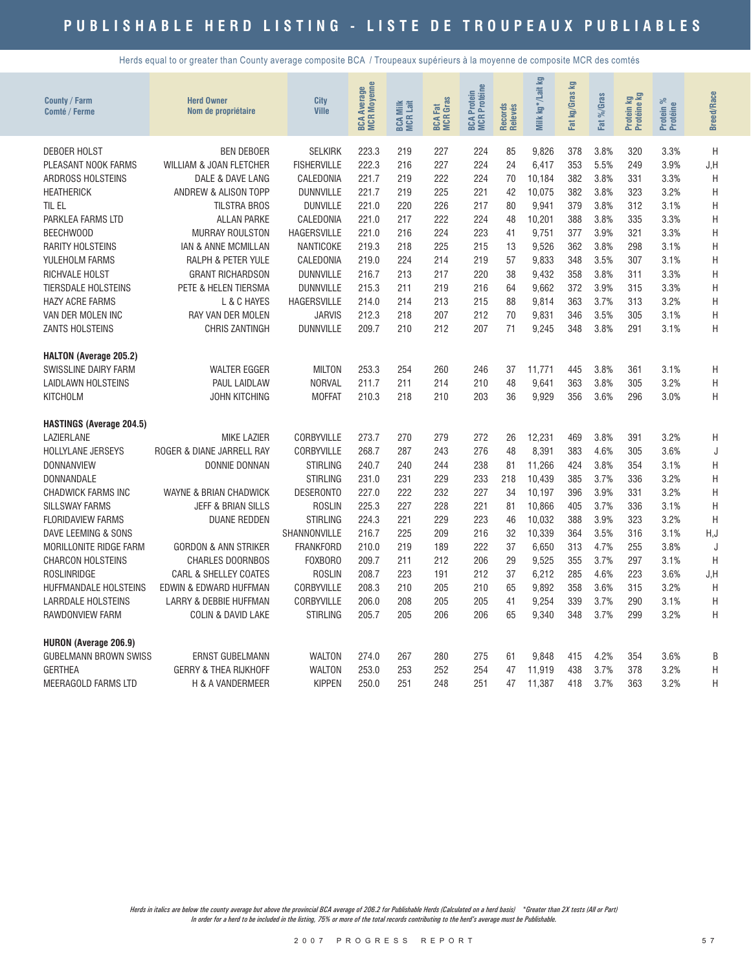Herds equal to or greater than County average composite BCA / Troupeaux supérieurs à la moyenne de composite MCR des comtés

| County / Farm<br>Comté / Ferme            | <b>Herd Owner</b><br>Nom de propriétaire             | City<br><b>Ville</b>               | <b>BCA Average</b><br>MCR Moyenne | <b>BCA Milk</b><br>MCR Lait | <b>BCA Fat</b><br>MCR Gras | <b>BCA Protein<br/>MCR Protéine</b> | Records<br>Relevés | kg*/Lait kg<br>Milk | g<br>kg/Gras<br>Fat | Fat %/Gras   | <b>By</b><br>Protein kg<br>Protéine l | $\%$<br>Protein %<br>Protéine | <b>Breed/Race</b> |
|-------------------------------------------|------------------------------------------------------|------------------------------------|-----------------------------------|-----------------------------|----------------------------|-------------------------------------|--------------------|---------------------|---------------------|--------------|---------------------------------------|-------------------------------|-------------------|
| <b>DEBOER HOLST</b>                       | <b>BEN DEBOER</b>                                    | <b>SELKIRK</b>                     | 223.3                             | 219                         | 227                        | 224                                 | 85                 | 9,826               | 378                 | 3.8%         | 320                                   | 3.3%                          | H                 |
| PLEASANT NOOK FARMS                       | <b>WILLIAM &amp; JOAN FLETCHER</b>                   | <b>FISHERVILLE</b>                 | 222.3                             | 216                         | 227                        | 224                                 | 24                 | 6,417               | 353                 | 5.5%         | 249                                   | 3.9%                          | J, H              |
| ARDROSS HOLSTEINS                         | DALE & DAVE LANG                                     | CALEDONIA                          | 221.7                             | 219                         | 222                        | 224                                 | 70                 | 10,184              | 382                 | 3.8%         | 331                                   | 3.3%                          | H                 |
| <b>HEATHERICK</b>                         | <b>ANDREW &amp; ALISON TOPP</b>                      | <b>DUNNVILLE</b>                   | 221.7                             | 219                         | 225                        | 221                                 | 42                 | 10,075              | 382                 | 3.8%         | 323                                   | 3.2%                          | H                 |
| TIL EL                                    | <b>TILSTRA BROS</b>                                  | <b>DUNVILLE</b>                    | 221.0                             | 220                         | 226                        | 217                                 | 80                 | 9,941               | 379                 | 3.8%         | 312                                   | 3.1%                          | H                 |
| PARKLEA FARMS LTD                         | <b>ALLAN PARKE</b>                                   | CALEDONIA                          | 221.0                             | 217                         | 222                        | 224                                 | 48                 | 10,201              | 388                 | 3.8%         | 335                                   | 3.3%                          | H                 |
| BEECHWOOD                                 | <b>MURRAY ROULSTON</b>                               | <b>HAGERSVILLE</b>                 | 221.0                             | 216                         | 224                        | 223                                 | 41                 | 9,751               | 377                 | 3.9%         | 321                                   | 3.3%                          | H                 |
| <b>RARITY HOLSTEINS</b><br>YULEHOLM FARMS | <b>IAN &amp; ANNE MCMILLAN</b><br>RALPH & PETER YULE | NANTICOKE<br>CALEDONIA             | 219.3<br>219.0                    | 218<br>224                  | 225<br>214                 | 215<br>219                          | 13<br>57           | 9,526<br>9,833      | 362<br>348          | 3.8%<br>3.5% | 298<br>307                            | 3.1%<br>3.1%                  | $\mathsf{H}$      |
| RICHVALE HOLST                            | <b>GRANT RICHARDSON</b>                              | <b>DUNNVILLE</b>                   | 216.7                             | 213                         | 217                        | 220                                 | 38                 | 9,432               | 358                 | 3.8%         | 311                                   | 3.3%                          | H<br>H            |
| <b>TIERSDALE HOLSTEINS</b>                | PETE & HELEN TIERSMA                                 | <b>DUNNVILLE</b>                   | 215.3                             | 211                         | 219                        | 216                                 | 64                 | 9,662               | 372                 | 3.9%         | 315                                   | 3.3%                          | H                 |
| <b>HAZY ACRE FARMS</b>                    | L & C HAYES                                          | <b>HAGERSVILLE</b>                 | 214.0                             | 214                         | 213                        | 215                                 | 88                 | 9,814               | 363                 | 3.7%         | 313                                   | 3.2%                          | Η                 |
| VAN DER MOLEN INC                         | RAY VAN DER MOLEN                                    | <b>JARVIS</b>                      | 212.3                             | 218                         | 207                        | 212                                 | 70                 | 9,831               | 346                 | 3.5%         | 305                                   | 3.1%                          | H                 |
| <b>ZANTS HOLSTEINS</b>                    | <b>CHRIS ZANTINGH</b>                                | <b>DUNNVILLE</b>                   | 209.7                             | 210                         | 212                        | 207                                 | 71                 | 9,245               | 348                 | 3.8%         | 291                                   | 3.1%                          | Η                 |
|                                           |                                                      |                                    |                                   |                             |                            |                                     |                    |                     |                     |              |                                       |                               |                   |
| <b>HALTON (Average 205.2)</b>             |                                                      |                                    |                                   |                             |                            |                                     |                    |                     |                     |              |                                       |                               |                   |
| <b>SWISSLINE DAIRY FARM</b>               | <b>WALTER EGGER</b>                                  | <b>MILTON</b>                      | 253.3                             | 254                         | 260                        | 246                                 | 37                 | 11,771              | 445                 | 3.8%         | 361                                   | 3.1%                          | Η                 |
| <b>LAIDLAWN HOLSTEINS</b>                 | PAUL LAIDLAW                                         | <b>NORVAL</b>                      | 211.7                             | 211                         | 214                        | 210                                 | 48                 | 9,641               | 363                 | 3.8%         | 305                                   | 3.2%                          | Η                 |
| <b>KITCHOLM</b>                           | JOHN KITCHING                                        | <b>MOFFAT</b>                      | 210.3                             | 218                         | 210                        | 203                                 | 36                 | 9,929               | 356                 | 3.6%         | 296                                   | 3.0%                          | Η                 |
|                                           |                                                      |                                    |                                   |                             |                            |                                     |                    |                     |                     |              |                                       |                               |                   |
| <b>HASTINGS (Average 204.5)</b>           |                                                      |                                    |                                   |                             |                            |                                     |                    |                     |                     |              |                                       |                               |                   |
| LAZIERLANE                                | <b>MIKE LAZIER</b>                                   | CORBYVILLE                         | 273.7                             | 270                         | 279                        | 272                                 | 26                 | 12,231              | 469                 | 3.8%         | 391                                   | 3.2%                          | Η                 |
| <b>HOLLYLANE JERSEYS</b>                  | ROGER & DIANE JARRELL RAY                            | CORBYVILLE                         | 268.7                             | 287                         | 243                        | 276                                 | 48<br>81           | 8,391               | 383                 | 4.6%         | 305                                   | 3.6%                          | J                 |
| <b>DONNANVIEW</b>                         | <b>DONNIE DONNAN</b>                                 | <b>STIRLING</b><br><b>STIRLING</b> | 240.7<br>231.0                    | 240                         | 244<br>229                 | 238<br>233                          | 218                | 11,266              | 424                 | 3.8%<br>3.7% | 354                                   | 3.1%<br>3.2%                  | H<br>H            |
| DONNANDALE<br><b>CHADWICK FARMS INC</b>   | WAYNE & BRIAN CHADWICK                               | <b>DESERONTO</b>                   | 227.0                             | 231<br>222                  | 232                        | 227                                 | 34                 | 10,439<br>10,197    | 385<br>396          | 3.9%         | 336<br>331                            | 3.2%                          | H                 |
| <b>SILLSWAY FARMS</b>                     | <b>JEFF &amp; BRIAN SILLS</b>                        | <b>ROSLIN</b>                      | 225.3                             | 227                         | 228                        | 221                                 | 81                 | 10,866              | 405                 | 3.7%         | 336                                   | 3.1%                          | H                 |
| <b>FLORIDAVIEW FARMS</b>                  | <b>DUANE REDDEN</b>                                  | <b>STIRLING</b>                    | 224.3                             | 221                         | 229                        | 223                                 | 46                 | 10,032              | 388                 | 3.9%         | 323                                   | 3.2%                          | H                 |
| DAVE LEEMING & SONS                       |                                                      | SHANNONVILLE                       | 216.7                             | 225                         | 209                        | 216                                 | 32                 | 10,339              | 364                 | 3.5%         | 316                                   | 3.1%                          | H, J              |
| MORILLONITE RIDGE FARM                    | <b>GORDON &amp; ANN STRIKER</b>                      | <b>FRANKFORD</b>                   | 210.0                             | 219                         | 189                        | 222                                 | 37                 | 6,650               | 313                 | 4.7%         | 255                                   | 3.8%                          | J                 |
| <b>CHARCON HOLSTEINS</b>                  | <b>CHARLES DOORNBOS</b>                              | <b>FOXBORO</b>                     | 209.7                             | 211                         | 212                        | 206                                 | 29                 | 9,525               | 355                 | 3.7%         | 297                                   | 3.1%                          | H                 |
| <b>ROSLINRIDGE</b>                        | <b>CARL &amp; SHELLEY COATES</b>                     | <b>ROSLIN</b>                      | 208.7                             | 223                         | 191                        | 212                                 | 37                 | 6,212               | 285                 | 4.6%         | 223                                   | 3.6%                          | J, H              |
| <b>HUFFMANDALE HOLSTEINS</b>              | EDWIN & EDWARD HUFFMAN                               | CORBYVILLE                         | 208.3                             | 210                         | 205                        | 210                                 | 65                 | 9,892               | 358                 | 3.6%         | 315                                   | 3.2%                          | H                 |
| <b>LARRDALE HOLSTEINS</b>                 | LARRY & DEBBIE HUFFMAN                               | CORBYVILLE                         | 206.0                             | 208                         | 205                        | 205                                 | 41                 | 9,254               | 339                 | 3.7%         | 290                                   | 3.1%                          | H                 |
| RAWDONVIEW FARM                           | <b>COLIN &amp; DAVID LAKE</b>                        | <b>STIRLING</b>                    | 205.7                             | 205                         | 206                        | 206                                 | 65                 | 9,340               | 348                 | 3.7%         | 299                                   | 3.2%                          | Η                 |
|                                           |                                                      |                                    |                                   |                             |                            |                                     |                    |                     |                     |              |                                       |                               |                   |
| <b>HURON (Average 206.9)</b>              |                                                      |                                    |                                   |                             |                            |                                     |                    |                     |                     |              |                                       |                               |                   |
| <b>GUBELMANN BROWN SWISS</b>              | <b>ERNST GUBELMANN</b>                               | <b>WALTON</b>                      | 274.0                             | 267                         | 280                        | 275                                 | 61                 | 9.848               | 415                 | 4.2%         | 354                                   | 3.6%                          | B                 |
| <b>GERTHEA</b>                            | <b>GERRY &amp; THEA RIJKHOFF</b>                     | <b>WALTON</b><br><b>KIPPEN</b>     | 253.0<br>250.0                    | 253<br>251                  | 252<br>248                 | 254<br>251                          | 47<br>47           | 11,919              | 438                 | 3.7%         | 378<br>363                            | 3.2%<br>3.2%                  | H                 |
| MEERAGOLD FARMS LTD                       | H & A VANDERMEER                                     |                                    |                                   |                             |                            |                                     |                    | 11,387              | 418                 | 3.7%         |                                       |                               | Η                 |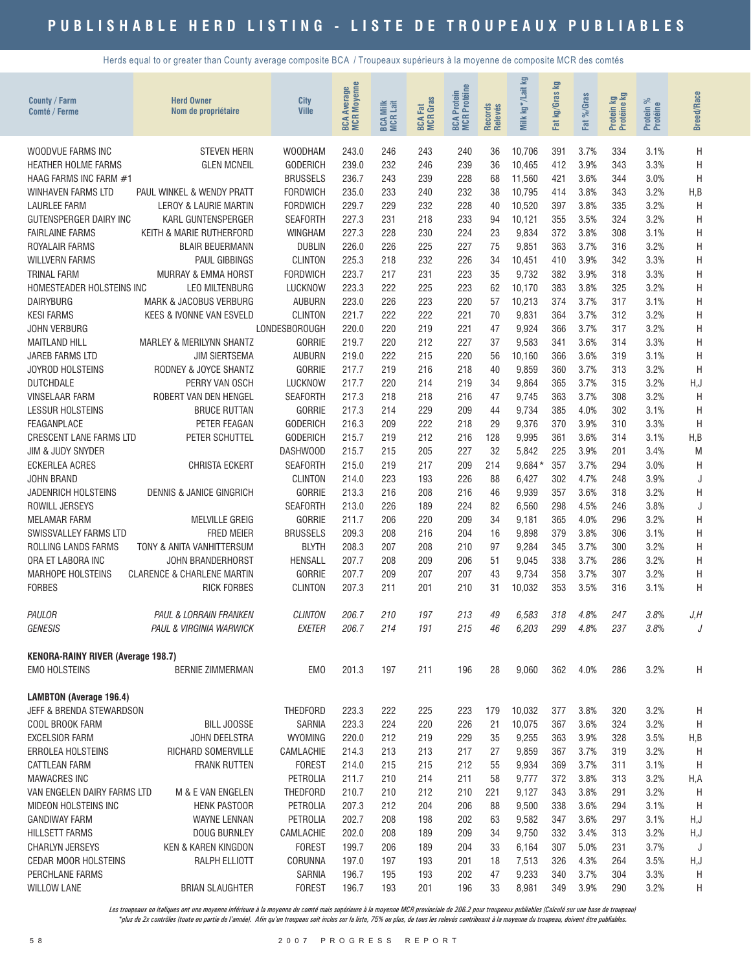Herds equal to or greater than County average composite BCA / Troupeaux supérieurs à la moyenne de composite MCR des comtés

| County / Farm<br><b>Comté / Ferme</b>                             | <b>Herd Owner</b><br>Nom de propriétaire        | City<br><b>Ville</b>      | <b>MCR Moyenne</b><br>Average<br>BCA | <b>BCA Milk</b><br>MCR Lait | <b>BCA Fat</b><br>MCR Gras | <b>MCR</b> Protéine<br>Protein<br><b>BCA</b> | Records<br>Relevés | 豆<br>kg*/Lait<br>Milk | 모<br>kg/Gras<br>Fat | %Gras<br>Fat | Protein kg<br>Protéine kg | ಸ<br>Protein %<br>Protéine | <b>Breed/Race</b> |
|-------------------------------------------------------------------|-------------------------------------------------|---------------------------|--------------------------------------|-----------------------------|----------------------------|----------------------------------------------|--------------------|-----------------------|---------------------|--------------|---------------------------|----------------------------|-------------------|
| WOODVUE FARMS INC                                                 | <b>STEVEN HERN</b>                              | <b>WOODHAM</b>            | 243.0                                | 246                         | 243                        | 240                                          | 36                 | 10,706                | 391                 | 3.7%         | 334                       | 3.1%                       | Η                 |
| <b>HEATHER HOLME FARMS</b>                                        | <b>GLEN MCNEIL</b>                              | <b>GODERICH</b>           | 239.0                                | 232                         | 246                        | 239                                          | 36                 | 10,465                | 412                 | 3.9%         | 343                       | 3.3%                       | H                 |
| HAAG FARMS INC FARM #1                                            |                                                 | <b>BRUSSELS</b>           | 236.7                                | 243                         | 239                        | 228                                          | 68                 | 11,560                | 421                 | 3.6%         | 344                       | 3.0%                       | H                 |
| <b>WINHAVEN FARMS LTD</b>                                         | PAUL WINKEL & WENDY PRATT                       | <b>FORDWICH</b>           | 235.0                                | 233                         | 240                        | 232                                          | 38                 | 10,795                | 414                 | 3.8%         | 343                       | 3.2%                       | H,B               |
| LAURLEE FARM                                                      | LEROY & LAURIE MARTIN                           | <b>FORDWICH</b>           | 229.7                                | 229                         | 232                        | 228                                          | 40                 | 10,520                | 397                 | 3.8%         | 335                       | 3.2%                       | H                 |
| GUTENSPERGER DAIRY INC                                            | KARL GUNTENSPERGER                              | <b>SEAFORTH</b>           | 227.3                                | 231                         | 218                        | 233                                          | 94                 | 10,121                | 355                 | 3.5%         | 324                       | 3.2%                       | H                 |
| <b>FAIRLAINE FARMS</b>                                            | KEITH & MARIE RUTHERFORD                        | <b>WINGHAM</b>            | 227.3                                | 228                         | 230                        | 224                                          | 23                 | 9,834                 | 372                 | 3.8%         | 308                       | 3.1%                       | H                 |
| ROYALAIR FARMS                                                    | <b>BLAIR BEUERMANN</b>                          | <b>DUBLIN</b>             | 226.0                                | 226                         | 225                        | 227                                          | 75                 | 9,851                 | 363                 | 3.7%         | 316                       | 3.2%                       | Η                 |
| <b>WILLVERN FARMS</b>                                             | <b>PAUL GIBBINGS</b>                            | <b>CLINTON</b>            | 225.3                                | 218                         | 232                        | 226                                          | 34                 | 10,451                | 410                 | 3.9%         | 342                       | 3.3%                       | Η                 |
| <b>TRINAL FARM</b>                                                | MURRAY & EMMA HORST                             | <b>FORDWICH</b>           | 223.7                                | 217                         | 231                        | 223                                          | 35                 | 9,732                 | 382                 | 3.9%         | 318                       | 3.3%                       | Η                 |
| HOMESTEADER HOLSTEINS INC<br><b>DAIRYBURG</b>                     | <b>LEO MILTENBURG</b><br>MARK & JACOBUS VERBURG | LUCKNOW<br><b>AUBURN</b>  | 223.3<br>223.0                       | 222<br>226                  | 225<br>223                 | 223<br>220                                   | 62<br>57           | 10,170<br>10,213      | 383<br>374          | 3.8%<br>3.7% | 325<br>317                | 3.2%<br>3.1%               | Η<br>Η            |
| <b>KESI FARMS</b>                                                 | <b>KEES &amp; IVONNE VAN ESVELD</b>             | <b>CLINTON</b>            | 221.7                                | 222                         | 222                        | 221                                          | 70                 | 9,831                 | 364                 | 3.7%         | 312                       | 3.2%                       | H                 |
| <b>JOHN VERBURG</b>                                               |                                                 | <b>LONDESBOROUGH</b>      | 220.0                                | 220                         | 219                        | 221                                          | 47                 | 9,924                 | 366                 | 3.7%         | 317                       | 3.2%                       | H                 |
| <b>MAITLAND HILL</b>                                              | MARLEY & MERILYNN SHANTZ                        | <b>GORRIE</b>             | 219.7                                | 220                         | 212                        | 227                                          | 37                 | 9,583                 | 341                 | 3.6%         | 314                       | 3.3%                       | Η                 |
| <b>JAREB FARMS LTD</b>                                            | <b>JIM SIERTSEMA</b>                            | <b>AUBURN</b>             | 219.0                                | 222                         | 215                        | 220                                          | 56                 | 10,160                | 366                 | 3.6%         | 319                       | 3.1%                       | H                 |
| <b>JOYROD HOLSTEINS</b>                                           | RODNEY & JOYCE SHANTZ                           | <b>GORRIE</b>             | 217.7                                | 219                         | 216                        | 218                                          | 40                 | 9,859                 | 360                 | 3.7%         | 313                       | 3.2%                       | H                 |
| <b>DUTCHDALE</b>                                                  | PERRY VAN OSCH                                  | LUCKNOW                   | 217.7                                | 220                         | 214                        | 219                                          | 34                 | 9,864                 | 365                 | 3.7%         | 315                       | 3.2%                       | H,J               |
| <b>VINSELAAR FARM</b>                                             | ROBERT VAN DEN HENGEL                           | <b>SEAFORTH</b>           | 217.3                                | 218                         | 218                        | 216                                          | 47                 | 9,745                 | 363                 | 3.7%         | 308                       | 3.2%                       | H                 |
| LESSUR HOLSTEINS                                                  | <b>BRUCE RUTTAN</b>                             | <b>GORRIE</b>             | 217.3                                | 214                         | 229                        | 209                                          | 44                 | 9,734                 | 385                 | 4.0%         | 302                       | 3.1%                       | H                 |
| FEAGANPLACE                                                       | PETER FEAGAN                                    | <b>GODERICH</b>           | 216.3                                | 209                         | 222                        | 218                                          | 29                 | 9,376                 | 370                 | 3.9%         | 310                       | 3.3%                       | H                 |
| <b>CRESCENT LANE FARMS LTD</b>                                    | PETER SCHUTTEL                                  | <b>GODERICH</b>           | 215.7                                | 219                         | 212                        | 216                                          | 128                | 9,995                 | 361                 | 3.6%         | 314                       | 3.1%                       | H,B               |
| <b>JIM &amp; JUDY SNYDER</b>                                      |                                                 | DASHWOOD                  | 215.7                                | 215                         | 205                        | 227                                          | 32                 | 5,842                 | 225                 | 3.9%         | 201                       | 3.4%                       | M                 |
| <b>ECKERLEA ACRES</b>                                             | <b>CHRISTA ECKERT</b>                           | <b>SEAFORTH</b>           | 215.0                                | 219                         | 217                        | 209                                          | 214                | $9,684*$              | 357                 | 3.7%         | 294                       | 3.0%                       | H                 |
| <b>JOHN BRAND</b>                                                 |                                                 | <b>CLINTON</b>            | 214.0                                | 223                         | 193                        | 226                                          | 88                 | 6,427                 | 302                 | 4.7%         | 248                       | 3.9%                       | J                 |
| <b>JADENRICH HOLSTEINS</b>                                        | <b>DENNIS &amp; JANICE GINGRICH</b>             | <b>GORRIE</b>             | 213.3                                | 216                         | 208                        | 216                                          | 46                 | 9,939                 | 357                 | 3.6%         | 318                       | 3.2%                       | Η                 |
| ROWILL JERSEYS                                                    |                                                 | <b>SEAFORTH</b><br>GORRIE | 213.0                                | 226                         | 189                        | 224                                          | 82                 | 6,560                 | 298                 | 4.5%         | 246                       | 3.8%                       | J                 |
| <b>MELAMAR FARM</b><br>SWISSVALLEY FARMS LTD                      | <b>MELVILLE GREIG</b><br><b>FRED MEIER</b>      | <b>BRUSSELS</b>           | 211.7<br>209.3                       | 206<br>208                  | 220<br>216                 | 209<br>204                                   | 34<br>16           | 9,181<br>9,898        | 365<br>379          | 4.0%<br>3.8% | 296<br>306                | 3.2%<br>3.1%               | H<br>Η            |
| ROLLING LANDS FARMS                                               | TONY & ANITA VANHITTERSUM                       | <b>BLYTH</b>              | 208.3                                | 207                         | 208                        | 210                                          | 97                 | 9,284                 | 345                 | 3.7%         | 300                       | 3.2%                       | H                 |
| ORA ET LABORA INC                                                 | <b>JOHN BRANDERHORST</b>                        | <b>HENSALL</b>            | 207.7                                | 208                         | 209                        | 206                                          | 51                 | 9,045                 | 338                 | 3.7%         | 286                       | 3.2%                       | Η                 |
| <b>MARHOPE HOLSTEINS</b>                                          | <b>CLARENCE &amp; CHARLENE MARTIN</b>           | <b>GORRIE</b>             | 207.7                                | 209                         | 207                        | 207                                          | 43                 | 9,734                 | 358                 | 3.7%         | 307                       | 3.2%                       | Η                 |
| <b>FORBES</b>                                                     | <b>RICK FORBES</b>                              | <b>CLINTON</b>            | 207.3                                | 211                         | 201                        | 210                                          | 31                 | 10,032                | 353                 | 3.5%         | 316                       | 3.1%                       | H                 |
|                                                                   |                                                 |                           |                                      |                             |                            |                                              |                    |                       |                     |              |                           |                            |                   |
| PAULOR                                                            | PAUL & LORRAIN FRANKEN                          | <b>CLINTON</b>            | 206.7                                | 210                         | 197                        | 213                                          | 49                 | 6,583                 | 318                 | 4.8%         | 247                       | 3.8%                       | J.H               |
| <b>GENESIS</b>                                                    | PAUL & VIRGINIA WARWICK                         | EXETER                    | 206.7                                | 214                         | 191                        | 215                                          | 46                 | 6,203                 | 299                 | 4.8%         | 237                       | 3.8%                       | J                 |
|                                                                   |                                                 |                           |                                      |                             |                            |                                              |                    |                       |                     |              |                           |                            |                   |
| <b>KENORA-RAINY RIVER (Average 198.7)</b><br><b>EMO HOLSTEINS</b> | <b>BERNIE ZIMMERMAN</b>                         | EM <sub>0</sub>           | 201.3                                | 197                         | 211                        | 196                                          | 28                 | 9,060                 | 362                 | 4.0%         | 286                       | 3.2%                       | Η                 |
| <b>LAMBTON (Average 196.4)</b>                                    |                                                 |                           |                                      |                             |                            |                                              |                    |                       |                     |              |                           |                            |                   |
| JEFF & BRENDA STEWARDSON                                          |                                                 | THEDFORD                  | 223.3                                | 222                         | 225                        | 223                                          | 179                | 10,032                | 377                 | 3.8%         | 320                       | 3.2%                       | H                 |
| COOL BROOK FARM                                                   | <b>BILL JOOSSE</b>                              | SARNIA                    | 223.3                                | 224                         | 220                        | 226                                          | 21                 | 10,075                | 367                 | 3.6%         | 324                       | 3.2%                       | H                 |
| <b>EXCELSIOR FARM</b>                                             | JOHN DEELSTRA                                   | <b>WYOMING</b>            | 220.0                                | 212                         | 219                        | 229                                          | 35                 | 9,255                 | 363                 | 3.9%         | 328                       | 3.5%                       | H,B               |
| ERROLEA HOLSTEINS                                                 | <b>RICHARD SOMERVILLE</b>                       | CAMLACHIE                 | 214.3                                | 213                         | 213                        | 217                                          | 27                 | 9,859                 | 367                 | 3.7%         | 319                       | 3.2%                       | H                 |
| <b>CATTLEAN FARM</b>                                              | <b>FRANK RUTTEN</b>                             | <b>FOREST</b>             | 214.0                                | 215                         | 215                        | 212                                          | 55                 | 9,934                 | 369                 | 3.7%         | 311                       | 3.1%                       | H                 |
| <b>MAWACRES INC</b>                                               |                                                 | PETROLIA                  | 211.7                                | 210                         | 214                        | 211                                          | 58                 | 9,777                 | 372                 | 3.8%         | 313                       | 3.2%                       | H,A               |
| VAN ENGELEN DAIRY FARMS LTD                                       | M & E VAN ENGELEN                               | THEDFORD                  | 210.7                                | 210                         | 212                        | 210                                          | 221                | 9,127                 | 343                 | 3.8%         | 291                       | 3.2%                       | H                 |
| MIDEON HOLSTEINS INC                                              | <b>HENK PASTOOR</b>                             | PETROLIA                  | 207.3                                | 212                         | 204                        | 206                                          | 88                 | 9,500                 | 338                 | 3.6%         | 294                       | 3.1%                       | H                 |
| <b>GANDIWAY FARM</b>                                              | WAYNE LENNAN                                    | PETROLIA                  | 202.7                                | 208                         | 198                        | 202                                          | 63                 | 9,582                 | 347                 | 3.6%         | 297                       | 3.1%                       | H,J               |
| <b>HILLSETT FARMS</b>                                             | DOUG BURNLEY                                    | CAMLACHIE                 | 202.0                                | 208                         | 189                        | 209                                          | 34                 | 9,750                 | 332                 | 3.4%         | 313                       | 3.2%                       | H,J               |
| <b>CHARLYN JERSEYS</b>                                            | KEN & KAREN KINGDON                             | <b>FOREST</b>             | 199.7                                | 206                         | 189                        | 204                                          | 33                 | 6,164                 | 307                 | 5.0%         | 231                       | 3.7%                       | J                 |
| CEDAR MOOR HOLSTEINS                                              | RALPH ELLIOTT                                   | CORUNNA                   | 197.0                                | 197                         | 193                        | 201                                          | 18                 | 7,513                 | 326                 | 4.3%         | 264                       | 3.5%                       | H,J               |
| PERCHLANE FARMS                                                   |                                                 | SARNIA                    | 196.7                                | 195                         | 193                        | 202                                          | 47                 | 9,233                 | 340                 | 3.7%         | 304                       | 3.3%                       | H                 |
| <b>WILLOW LANE</b>                                                | <b>BRIAN SLAUGHTER</b>                          | <b>FOREST</b>             | 196.7                                | 193                         | 201                        | 196                                          | 33                 | 8,981                 | 349                 | 3.9%         | 290                       | 3.2%                       | Н                 |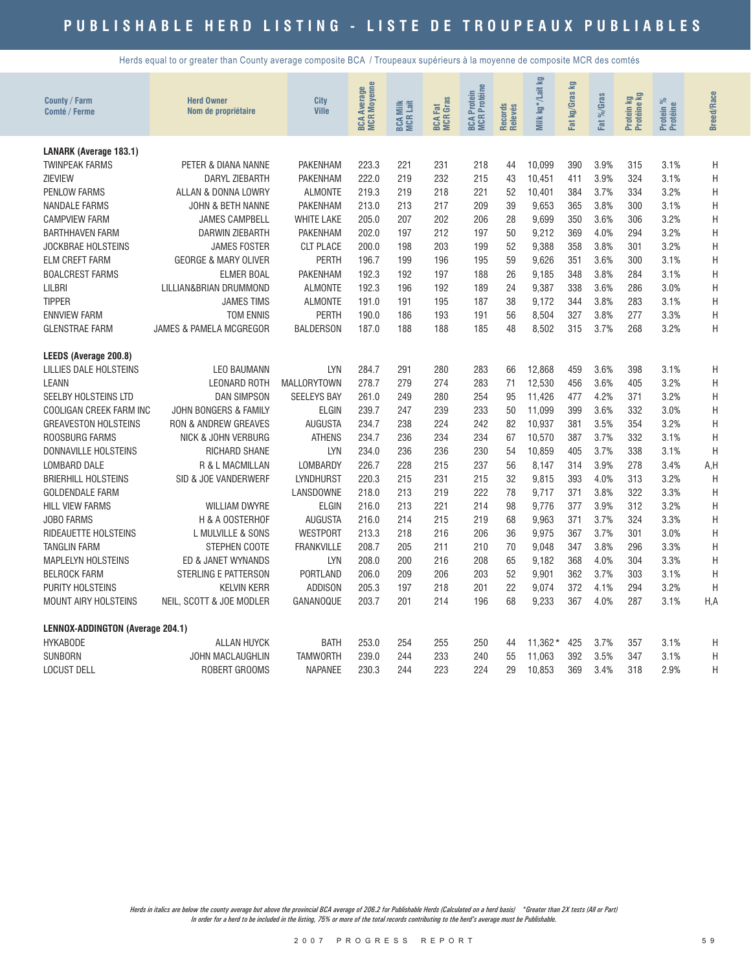Herds equal to or greater than County average composite BCA / Troupeaux supérieurs à la moyenne de composite MCR des comtés

| County / Farm<br><b>Comté / Ferme</b>   | <b>Herd Owner</b><br>Nom de propriétaire | <b>City</b><br><b>Ville</b> | <b>BCA Average</b><br>MCR Moyenne | <b>BCA Milk</b><br>MCR Lait | <b>BCA Fat</b><br>MCR Gras | <b>MCR Protéine</b><br><b>BCA Protein</b> | Records<br>Relevés | Milk kg*/Lait kg | 모<br>kg/Gras<br>Fat | %Gras<br><b>ZET</b> | Protein kg<br>Protéine kg | ಸ<br>Protein %<br>Protéine | <b>Breed/Race</b> |
|-----------------------------------------|------------------------------------------|-----------------------------|-----------------------------------|-----------------------------|----------------------------|-------------------------------------------|--------------------|------------------|---------------------|---------------------|---------------------------|----------------------------|-------------------|
| <b>LANARK (Average 183.1)</b>           |                                          |                             |                                   |                             |                            |                                           |                    |                  |                     |                     |                           |                            |                   |
| <b>TWINPEAK FARMS</b>                   | PETER & DIANA NANNE                      | <b>PAKENHAM</b>             | 223.3                             | 221                         | 231                        | 218                                       | 44                 | 10.099           | 390                 | 3.9%                | 315                       | 3.1%                       | H                 |
| <b>ZIEVIEW</b>                          | DARYL ZIEBARTH                           | PAKENHAM                    | 222.0                             | 219                         | 232                        | 215                                       | 43                 | 10,451           | 411                 | 3.9%                | 324                       | 3.1%                       | H                 |
| <b>PENLOW FARMS</b>                     | ALLAN & DONNA LOWRY                      | <b>ALMONTE</b>              | 219.3                             | 219                         | 218                        | 221                                       | 52                 | 10.401           | 384                 | 3.7%                | 334                       | 3.2%                       | H                 |
| <b>NANDALE FARMS</b>                    | JOHN & BETH NANNE                        | <b>PAKENHAM</b>             | 213.0                             | 213                         | 217                        | 209                                       | 39                 | 9,653            | 365                 | 3.8%                | 300                       | 3.1%                       | H                 |
| <b>CAMPVIEW FARM</b>                    | <b>JAMES CAMPBELL</b>                    | <b>WHITE LAKE</b>           | 205.0                             | 207                         | 202                        | 206                                       | 28                 | 9,699            | 350                 | 3.6%                | 306                       | 3.2%                       | H                 |
| <b>BARTHHAVEN FARM</b>                  | <b>DARWIN ZIEBARTH</b>                   | <b>PAKENHAM</b>             | 202.0                             | 197                         | 212                        | 197                                       | 50                 | 9,212            | 369                 | 4.0%                | 294                       | 3.2%                       | H                 |
| <b>JOCKBRAE HOLSTEINS</b>               | <b>JAMES FOSTER</b>                      | <b>CLT PLACE</b>            | 200.0                             | 198                         | 203                        | 199                                       | 52                 | 9,388            | 358                 | 3.8%                | 301                       | 3.2%                       | H                 |
| <b>ELM CREFT FARM</b>                   | <b>GEORGE &amp; MARY OLIVER</b>          | <b>PERTH</b>                | 196.7                             | 199                         | 196                        | 195                                       | 59                 | 9,626            | 351                 | 3.6%                | 300                       | 3.1%                       | H                 |
| <b>BOALCREST FARMS</b>                  | <b>ELMER BOAL</b>                        | <b>PAKENHAM</b>             | 192.3                             | 192                         | 197                        | 188                                       | 26                 | 9.185            | 348                 | 3.8%                | 284                       | 3.1%                       | H                 |
| <b>LILBRI</b>                           | LILLIAN&BRIAN DRUMMOND                   | <b>ALMONTE</b>              | 192.3                             | 196                         | 192                        | 189                                       | 24                 | 9,387            | 338                 | 3.6%                | 286                       | 3.0%                       | H                 |
| <b>TIPPER</b>                           | <b>JAMES TIMS</b>                        | <b>ALMONTE</b>              | 191.0                             | 191                         | 195                        | 187                                       | 38                 | 9.172            | 344                 | 3.8%                | 283                       | 3.1%                       | H                 |
| <b>ENNVIEW FARM</b>                     | <b>TOM ENNIS</b>                         | <b>PERTH</b>                | 190.0                             | 186                         | 193                        | 191                                       | 56                 | 8,504            | 327                 | 3.8%                | 277                       | 3.3%                       | $\sf H$           |
| <b>GLENSTRAE FARM</b>                   | JAMES & PAMELA MCGREGOR                  | <b>BALDERSON</b>            | 187.0                             | 188                         | 188                        | 185                                       | 48                 | 8,502            | 315                 | 3.7%                | 268                       | 3.2%                       | H                 |
| LEEDS (Average 200.8)                   |                                          |                             |                                   |                             |                            |                                           |                    |                  |                     |                     |                           |                            |                   |
| LILLIES DALE HOLSTEINS                  | <b>LEO BAUMANN</b>                       | LYN                         | 284.7                             | 291                         | 280                        | 283                                       | 66                 | 12.868           | 459                 | 3.6%                | 398                       | 3.1%                       | H                 |
| LEANN                                   | <b>LEONARD ROTH</b>                      | <b>MALLORYTOWN</b>          | 278.7                             | 279                         | 274                        | 283                                       | 71                 | 12,530           | 456                 | 3.6%                | 405                       | 3.2%                       | Η                 |
| SEELBY HOLSTEINS LTD                    | <b>DAN SIMPSON</b>                       | <b>SEELEYS BAY</b>          | 261.0                             | 249                         | 280                        | 254                                       | 95                 | 11,426           | 477                 | 4.2%                | 371                       | 3.2%                       | H                 |
| COOLIGAN CREEK FARM INC                 | JOHN BONGERS & FAMILY                    | <b>ELGIN</b>                | 239.7                             | 247                         | 239                        | 233                                       | 50                 | 11,099           | 399                 | 3.6%                | 332                       | 3.0%                       | H                 |
| <b>GREAVESTON HOLSTEINS</b>             | <b>RON &amp; ANDREW GREAVES</b>          | <b>AUGUSTA</b>              | 234.7                             | 238                         | 224                        | 242                                       | 82                 | 10,937           | 381                 | 3.5%                | 354                       | 3.2%                       | H                 |
| ROOSBURG FARMS                          | NICK & JOHN VERBURG                      | <b>ATHENS</b>               | 234.7                             | 236                         | 234                        | 234                                       | 67                 | 10,570           | 387                 | 3.7%                | 332                       | 3.1%                       | H                 |
| <b>DONNAVILLE HOLSTEINS</b>             | <b>RICHARD SHANE</b>                     | LYN                         | 234.0                             | 236                         | 236                        | 230                                       | 54                 | 10,859           | 405                 | 3.7%                | 338                       | 3.1%                       | H                 |
| LOMBARD DALE                            | R & L MACMILLAN                          | LOMBARDY                    | 226.7                             | 228                         | 215                        | 237                                       | 56                 | 8,147            | 314                 | 3.9%                | 278                       | 3.4%                       | A, H              |
| <b>BRIERHILL HOLSTEINS</b>              | SID & JOE VANDERWERF                     | LYNDHURST                   | 220.3                             | 215                         | 231                        | 215                                       | 32                 | 9,815            | 393                 | 4.0%                | 313                       | 3.2%                       | H                 |
| <b>GOLDENDALE FARM</b>                  |                                          | LANSDOWNE                   | 218.0                             | 213                         | 219                        | 222                                       | 78                 | 9.717            | 371                 | 3.8%                | 322                       | 3.3%                       | $\mathsf{H}$      |
| <b>HILL VIEW FARMS</b>                  | <b>WILLIAM DWYRE</b>                     | <b>ELGIN</b>                | 216.0                             | 213                         | 221                        | 214                                       | 98                 | 9,776            | 377                 | 3.9%                | 312                       | 3.2%                       | H                 |
| <b>JOBO FARMS</b>                       | H & A OOSTERHOF                          | <b>AUGUSTA</b>              | 216.0                             | 214                         | 215                        | 219                                       | 68                 | 9,963            | 371                 | 3.7%                | 324                       | 3.3%                       | Η                 |
| RIDEAUETTE HOLSTEINS                    | L MULVILLE & SONS                        | <b>WESTPORT</b>             | 213.3                             | 218                         | 216                        | 206                                       | 36                 | 9,975            | 367                 | 3.7%                | 301                       | 3.0%                       | H                 |
| <b>TANGLIN FARM</b>                     | STEPHEN COOTE                            | <b>FRANKVILLE</b>           | 208.7                             | 205                         | 211                        | 210                                       | 70                 | 9.048            | 347                 | 3.8%                | 296                       | 3.3%                       | H                 |
| <b>MAPLELYN HOLSTEINS</b>               | ED & JANET WYNANDS                       | LYN                         | 208.0                             | 200                         | 216                        | 208                                       | 65                 | 9,182            | 368                 | 4.0%                | 304                       | 3.3%                       | H                 |
| <b>BELROCK FARM</b>                     | STERLING E PATTERSON                     | PORTLAND                    | 206.0                             | 209                         | 206                        | 203                                       | 52                 | 9,901            | 362                 | 3.7%                | 303                       | 3.1%                       | H                 |
| <b>PURITY HOLSTEINS</b>                 | <b>KELVIN KERR</b>                       | <b>ADDISON</b>              | 205.3                             | 197                         | 218                        | 201                                       | 22                 | 9.074            | 372                 | 4.1%                | 294                       | 3.2%                       | H                 |
| <b>MOUNT AIRY HOLSTEINS</b>             | NEIL, SCOTT & JOE MODLER                 | GANANOQUE                   | 203.7                             | 201                         | 214                        | 196                                       | 68                 | 9,233            | 367                 | 4.0%                | 287                       | 3.1%                       | H.A               |
| <b>LENNOX-ADDINGTON (Average 204.1)</b> |                                          |                             |                                   |                             |                            |                                           |                    |                  |                     |                     |                           |                            |                   |
| <b>HYKABODE</b>                         | <b>ALLAN HUYCK</b>                       | <b>BATH</b>                 | 253.0                             | 254                         | 255                        | 250                                       | 44                 | $11,362*$        | 425                 | 3.7%                | 357                       | 3.1%                       | H                 |
| <b>SUNBORN</b>                          | <b>JOHN MACLAUGHLIN</b>                  | <b>TAMWORTH</b>             | 239.0                             | 244                         | 233                        | 240                                       | 55                 | 11.063           | 392                 | 3.5%                | 347                       | 3.1%                       | H                 |
| <b>LOCUST DELL</b>                      | ROBERT GROOMS                            | <b>NAPANEE</b>              | 230.3                             | 244                         | 223                        | 224                                       | 29                 | 10,853           | 369                 | 3.4%                | 318                       | 2.9%                       | H                 |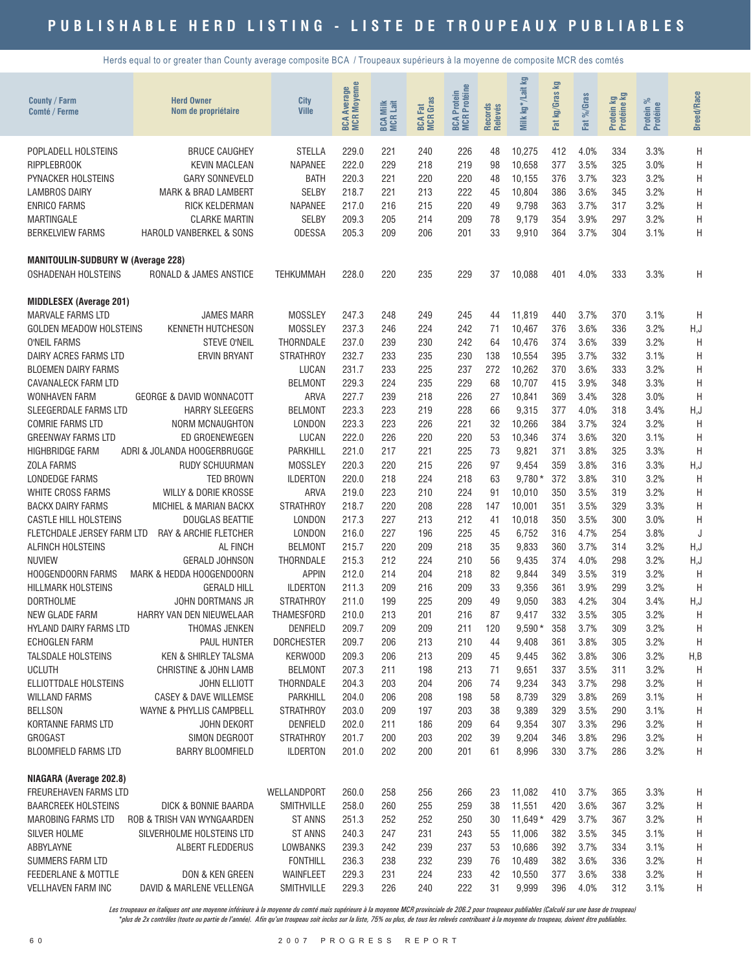Herds equal to or greater than County average composite BCA / Troupeaux supérieurs à la moyenne de composite MCR des comtés

| County / Farm<br><b>Comté / Ferme</b>           | <b>Herd Owner</b><br>Nom de propriétaire    | <b>City</b><br><b>Ville</b>   | <b>BCA Average</b><br>MCR Moyenne | <b>BCA Milk</b><br>MCR Lait | <b>BCA Fat</b><br>MCR Gras | <b>MCR</b> Protéine<br>Protein<br><b>BCA</b> | Records<br>Relevés | <b>S</b><br>kg*/Lait<br>Milk | Σ<br>kg/Gras<br>Fat | Fat %/Gras   | Protein kg<br>Protéine kg | ಸಿ<br>Protein %<br>Protéine | <b>Breed/Race</b> |
|-------------------------------------------------|---------------------------------------------|-------------------------------|-----------------------------------|-----------------------------|----------------------------|----------------------------------------------|--------------------|------------------------------|---------------------|--------------|---------------------------|-----------------------------|-------------------|
| POPLADELL HOLSTEINS                             | <b>BRUCE CAUGHEY</b>                        | <b>STELLA</b>                 | 229.0                             | 221                         | 240                        | 226                                          | 48                 | 10,275                       | 412                 | 4.0%         | 334                       | 3.3%                        | Η                 |
| <b>RIPPLEBROOK</b>                              | <b>KEVIN MACLEAN</b>                        | <b>NAPANEE</b>                | 222.0                             | 229                         | 218                        | 219                                          | 98                 | 10,658                       | 377                 | 3.5%         | 325                       | 3.0%                        | Н                 |
| <b>PYNACKER HOLSTEINS</b>                       | <b>GARY SONNEVELD</b>                       | <b>BATH</b>                   | 220.3                             | 221                         | 220                        | 220                                          | 48                 | 10,155                       | 376                 | 3.7%         | 323                       | 3.2%                        | Η                 |
| <b>LAMBROS DAIRY</b>                            | <b>MARK &amp; BRAD LAMBERT</b>              | <b>SELBY</b>                  | 218.7                             | 221                         | 213                        | 222                                          | 45                 | 10,804                       | 386                 | 3.6%         | 345                       | 3.2%                        | Η                 |
| <b>ENRICO FARMS</b>                             | RICK KELDERMAN                              | <b>NAPANEE</b>                | 217.0                             | 216                         | 215                        | 220                                          | 49                 | 9,798                        | 363                 | 3.7%         | 317                       | 3.2%                        | H                 |
| <b>MARTINGALE</b>                               | <b>CLARKE MARTIN</b>                        | <b>SELBY</b>                  | 209.3                             | 205                         | 214                        | 209                                          | 78                 | 9,179                        | 354                 | 3.9%         | 297                       | 3.2%                        | H                 |
| <b>BERKELVIEW FARMS</b>                         | HAROLD VANBERKEL & SONS                     | <b>ODESSA</b>                 | 205.3                             | 209                         | 206                        | 201                                          | 33                 | 9,910                        | 364                 | 3.7%         | 304                       | 3.1%                        | Η                 |
| <b>MANITOULIN-SUDBURY W (Average 228)</b>       |                                             |                               |                                   |                             |                            |                                              |                    |                              |                     |              |                           |                             |                   |
| <b>OSHADENAH HOLSTEINS</b>                      | RONALD & JAMES ANSTICE                      | TEHKUMMAH                     | 228.0                             | 220                         | 235                        | 229                                          | 37                 | 10,088                       | 401                 | 4.0%         | 333                       | 3.3%                        | Η                 |
| <b>MIDDLESEX (Average 201)</b>                  |                                             |                               |                                   |                             |                            |                                              |                    |                              |                     |              |                           |                             |                   |
| <b>MARVALE FARMS LTD</b>                        | <b>JAMES MARR</b>                           | <b>MOSSLEY</b>                | 247.3                             | 248                         | 249                        | 245                                          | 44                 | 11,819                       | 440                 | 3.7%         | 370                       | 3.1%                        | H                 |
| <b>GOLDEN MEADOW HOLSTEINS</b>                  | <b>KENNETH HUTCHESON</b>                    | <b>MOSSLEY</b>                | 237.3                             | 246                         | 224                        | 242                                          | 71                 | 10,467                       | 376                 | 3.6%         | 336                       | 3.2%                        | H, J              |
| <b>O'NEIL FARMS</b>                             | <b>STEVE O'NEIL</b>                         | <b>THORNDALE</b>              | 237.0                             | 239                         | 230                        | 242                                          | 64                 | 10,476                       | 374                 | 3.6%         | 339                       | 3.2%                        | H                 |
| DAIRY ACRES FARMS LTD                           | <b>ERVIN BRYANT</b>                         | <b>STRATHROY</b>              | 232.7                             | 233                         | 235                        | 230                                          | 138                | 10,554                       | 395                 | 3.7%         | 332                       | 3.1%                        | Н                 |
| <b>BLOEMEN DAIRY FARMS</b>                      |                                             | LUCAN                         | 231.7                             | 233                         | 225                        | 237                                          | 272                | 10,262                       | 370                 | 3.6%         | 333                       | 3.2%                        | Η                 |
| CAVANALECK FARM LTD<br><b>WONHAVEN FARM</b>     | <b>GEORGE &amp; DAVID WONNACOTT</b>         | <b>BELMONT</b>                | 229.3                             | 224                         | 235                        | 229                                          | 68                 | 10,707                       | 415                 | 3.9%         | 348                       | 3.3%                        | H                 |
| SLEEGERDALE FARMS LTD                           | <b>HARRY SLEEGERS</b>                       | <b>ARVA</b><br><b>BELMONT</b> | 227.7<br>223.3                    | 239<br>223                  | 218<br>219                 | 226<br>228                                   | 27<br>66           | 10,841<br>9,315              | 369<br>377          | 3.4%<br>4.0% | 328<br>318                | 3.0%<br>3.4%                | H                 |
| <b>COMRIE FARMS LTD</b>                         | NORM MCNAUGHTON                             | LONDON                        | 223.3                             | 223                         | 226                        | 221                                          | 32                 | 10,266                       | 384                 | 3.7%         | 324                       | 3.2%                        | H, J<br>H         |
| <b>GREENWAY FARMS LTD</b>                       | ED GROENEWEGEN                              | LUCAN                         | 222.0                             | 226                         | 220                        | 220                                          | 53                 | 10,346                       | 374                 | 3.6%         | 320                       | 3.1%                        | H                 |
| <b>HIGHBRIDGE FARM</b>                          | ADRI & JOLANDA HOOGERBRUGGE                 | PARKHILL                      | 221.0                             | 217                         | 221                        | 225                                          | 73                 | 9,821                        | 371                 | 3.8%         | 325                       | 3.3%                        | H                 |
| <b>ZOLA FARMS</b>                               | <b>RUDY SCHUURMAN</b>                       | <b>MOSSLEY</b>                | 220.3                             | 220                         | 215                        | 226                                          | 97                 | 9,454                        | 359                 | 3.8%         | 316                       | 3.3%                        | H, J              |
| LONDEDGE FARMS                                  | <b>TED BROWN</b>                            | <b>ILDERTON</b>               | 220.0                             | 218                         | 224                        | 218                                          | 63                 | $9,780*$                     | 372                 | 3.8%         | 310                       | 3.2%                        | H                 |
| WHITE CROSS FARMS                               | WILLY & DORIE KROSSE                        | <b>ARVA</b>                   | 219.0                             | 223                         | 210                        | 224                                          | 91                 | 10,010                       | 350                 | 3.5%         | 319                       | 3.2%                        | H                 |
| <b>BACKX DAIRY FARMS</b>                        | MICHIEL & MARIAN BACKX                      | <b>STRATHROY</b>              | 218.7                             | 220                         | 208                        | 228                                          | 147                | 10,001                       | 351                 | 3.5%         | 329                       | 3.3%                        | H                 |
| <b>CASTLE HILL HOLSTEINS</b>                    | <b>DOUGLAS BEATTIE</b>                      | LONDON                        | 217.3                             | 227                         | 213                        | 212                                          | 41                 | 10,018                       | 350                 | 3.5%         | 300                       | 3.0%                        | H                 |
| FLETCHDALE JERSEY FARM LTD                      | RAY & ARCHIE FLETCHER                       | LONDON                        | 216.0                             | 227                         | 196                        | 225                                          | 45                 | 6,752                        | 316                 | 4.7%         | 254                       | 3.8%                        | J                 |
| ALFINCH HOLSTEINS                               | AL FINCH                                    | <b>BELMONT</b>                | 215.7                             | 220                         | 209                        | 218                                          | 35                 | 9,833                        | 360                 | 3.7%         | 314                       | 3.2%                        | H, J              |
| <b>NUVIEW</b>                                   | <b>GERALD JOHNSON</b>                       | <b>THORNDALE</b>              | 215.3                             | 212                         | 224                        | 210                                          | 56                 | 9,435                        | 374                 | 4.0%         | 298                       | 3.2%                        | H, J              |
| HOOGENDOORN FARMS                               | MARK & HEDDA HOOGENDOORN                    | <b>APPIN</b>                  | 212.0                             | 214                         | 204                        | 218                                          | 82                 | 9,844                        | 349                 | 3.5%         | 319                       | 3.2%                        | H                 |
| <b>HILLMARK HOLSTEINS</b>                       | <b>GERALD HILL</b>                          | <b>ILDERTON</b>               | 211.3                             | 209                         | 216                        | 209                                          | 33                 | 9,356                        | 361                 | 3.9%         | 299                       | 3.2%                        | H                 |
| <b>DORTHOLME</b>                                | JOHN DORTMANS JR                            | <b>STRATHROY</b>              | 211.0                             | 199                         | 225                        | 209                                          | 49                 | 9,050                        | 383                 | 4.2%         | 304                       | 3.4%                        | H, J              |
| <b>NEW GLADE FARM</b><br>HYLAND DAIRY FARMS LTD | HARRY VAN DEN NIEUWELAAR                    | <b>THAMESFORD</b>             | 210.0                             | 213                         | 201                        | 216<br>211                                   | 87                 | 9,417                        | 332                 | 3.5%         | 305                       | 3.2%                        | H                 |
| <b>ECHOGLEN FARM</b>                            | THOMAS JENKEN<br>PAUL HUNTER                | DENFIELD<br><b>DORCHESTER</b> | 209.7<br>209.7                    | 209<br>206                  | 209<br>213                 | 210                                          | 120<br>44          | $9,590*$<br>9,408            | 358<br>361          | 3.7%<br>3.8% | 309<br>305                | 3.2%<br>3.2%                | Η<br>H            |
| <b>TALSDALE HOLSTEINS</b>                       | KEN & SHIRLEY TALSMA                        | KERWOOD                       | 209.3                             | 206                         | 213                        | 209                                          | 45                 | 9,445                        | 362                 | 3.8%         | 306                       | 3.2%                        | H,B               |
| <b>UCLUTH</b>                                   | <b>CHRISTINE &amp; JOHN LAMB</b>            | <b>BELMONT</b>                | 207.3                             | 211                         | 198                        | 213                                          | 71                 | 9,651                        | 337                 | 3.5%         | 311                       | 3.2%                        | Η                 |
| <b>ELLIOTTDALE HOLSTEINS</b>                    | JOHN ELLIOTT                                | THORNDALE                     | 204.3                             | 203                         | 204                        | 206                                          | 74                 | 9,234                        | 343                 | 3.7%         | 298                       | 3.2%                        | Н                 |
| <b>WILLAND FARMS</b>                            | CASEY & DAVE WILLEMSE                       | PARKHILL                      | 204.0                             | 206                         | 208                        | 198                                          | 58                 | 8,739                        | 329                 | 3.8%         | 269                       | 3.1%                        | Η                 |
| <b>BELLSON</b>                                  | WAYNE & PHYLLIS CAMPBELL                    | <b>STRATHROY</b>              | 203.0                             | 209                         | 197                        | 203                                          | 38                 | 9,389                        | 329                 | 3.5%         | 290                       | 3.1%                        | Н                 |
| KORTANNE FARMS LTD                              | JOHN DEKORT                                 | DENFIELD                      | 202.0                             | 211                         | 186                        | 209                                          | 64                 | 9,354                        | 307                 | 3.3%         | 296                       | 3.2%                        | Н                 |
| <b>GROGAST</b>                                  | SIMON DEGROOT                               | <b>STRATHROY</b>              | 201.7                             | 200                         | 203                        | 202                                          | 39                 | 9,204                        | 346                 | 3.8%         | 296                       | 3.2%                        | Н                 |
| <b>BLOOMFIELD FARMS LTD</b>                     | <b>BARRY BLOOMFIELD</b>                     | <b>ILDERTON</b>               | 201.0                             | 202                         | 200                        | 201                                          | 61                 | 8,996                        | 330                 | 3.7%         | 286                       | 3.2%                        | H                 |
| NIAGARA (Average 202.8)                         |                                             |                               |                                   |                             |                            |                                              |                    |                              |                     |              |                           |                             |                   |
| FREUREHAVEN FARMS LTD                           |                                             | WELLANDPORT                   | 260.0                             | 258                         | 256                        | 266                                          | 23                 | 11,082                       | 410                 | 3.7%         | 365                       | 3.3%                        | Н                 |
| <b>BAARCREEK HOLSTEINS</b>                      | DICK & BONNIE BAARDA                        | SMITHVILLE                    | 258.0                             | 260                         | 255                        | 259                                          | 38                 | 11,551                       | 420                 | 3.6%         | 367                       | 3.2%                        | H                 |
| <b>MAROBING FARMS LTD</b>                       | ROB & TRISH VAN WYNGAARDEN                  | <b>ST ANNS</b>                | 251.3                             | 252                         | 252                        | 250                                          | 30                 | $11,649*$                    | 429                 | 3.7%         | 367                       | 3.2%                        | Н                 |
| SILVER HOLME                                    | SILVERHOLME HOLSTEINS LTD                   | <b>ST ANNS</b>                | 240.3                             | 247                         | 231                        | 243                                          | 55                 | 11,006                       | 382                 | 3.5%         | 345                       | 3.1%                        | Н                 |
| ABBYLAYNE                                       | ALBERT FLEDDERUS                            | LOWBANKS                      | 239.3                             | 242                         | 239                        | 237                                          | 53                 | 10,686                       | 392                 | 3.7%         | 334                       | 3.1%                        | Н                 |
| SUMMERS FARM LTD                                |                                             | <b>FONTHILL</b>               | 236.3                             | 238                         | 232                        | 239                                          | 76                 | 10,489                       | 382                 | 3.6%         | 336                       | 3.2%                        | Н                 |
| FEEDERLANE & MOTTLE<br>VELLHAVEN FARM INC       | DON & KEN GREEN<br>DAVID & MARLENE VELLENGA | WAINFLEET<br>SMITHVILLE       | 229.3<br>229.3                    | 231<br>226                  | 224<br>240                 | 233<br>222                                   | 42<br>31           | 10,550<br>9,999              | 377<br>396          | 3.6%<br>4.0% | 338<br>312                | 3.2%<br>3.1%                | Н<br>H            |
|                                                 |                                             |                               |                                   |                             |                            |                                              |                    |                              |                     |              |                           |                             |                   |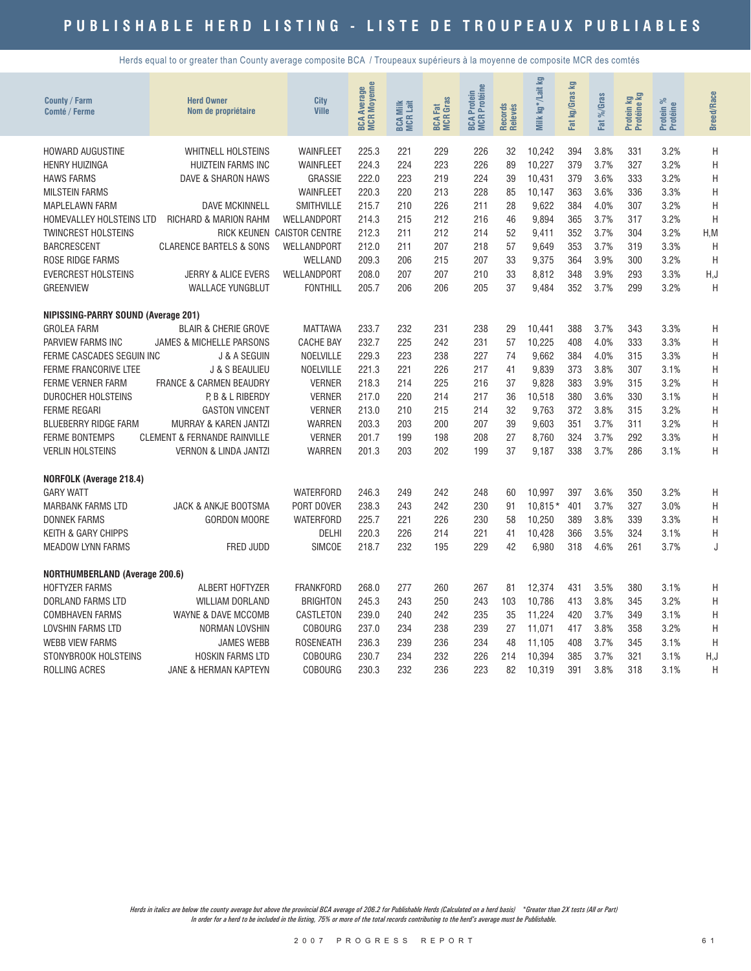Herds equal to or greater than County average composite BCA / Troupeaux supérieurs à la moyenne de composite MCR des comtés

| County / Farm<br>Comté / Ferme        | <b>Herd Owner</b><br>Nom de propriétaire | City<br><b>Ville</b>       | <b>Moyenne</b><br><b>BCA Average<br/>MCR Moyenne</b> | Milk<br>1 Lait<br>BCA N | <b>BCA Fat</b><br>MCR Gras | Protéine<br>Protein<br>BCA F<br>MCR I | Records<br>Relevés | Milk kg*/Lait kg | Fat kg/Gras kg | %Gras<br>Fat | Protein kg<br>Protéine kg | Protein %<br>Protéine | <b>Breed/Race</b> |
|---------------------------------------|------------------------------------------|----------------------------|------------------------------------------------------|-------------------------|----------------------------|---------------------------------------|--------------------|------------------|----------------|--------------|---------------------------|-----------------------|-------------------|
| HOWARD AUGUSTINE                      | <b>WHITNELL HOLSTEINS</b>                | WAINFLEET                  | 225.3                                                | 221                     | 229                        | 226                                   | 32                 | 10,242           | 394            | 3.8%         | 331                       | 3.2%                  | H                 |
| <b>HENRY HUIZINGA</b>                 | <b>HUIZTEIN FARMS INC</b>                | WAINFLEET                  | 224.3                                                | 224                     | 223                        | 226                                   | 89                 | 10,227           | 379            | 3.7%         | 327                       | 3.2%                  | Η                 |
| <b>HAWS FARMS</b>                     | DAVE & SHARON HAWS                       | GRASSIE                    | 222.0                                                | 223                     | 219                        | 224                                   | 39                 | 10,431           | 379            | 3.6%         | 333                       | 3.2%                  | H                 |
| <b>MILSTEIN FARMS</b>                 |                                          | <b>WAINFLEET</b>           | 220.3                                                | 220                     | 213                        | 228                                   | 85                 | 10.147           | 363            | 3.6%         | 336                       | 3.3%                  | H                 |
| <b>MAPLELAWN FARM</b>                 | <b>DAVE MCKINNELL</b>                    | SMITHVILLE                 | 215.7                                                | 210                     | 226                        | 211                                   | 28                 | 9,622            | 384            | 4.0%         | 307                       | 3.2%                  | H                 |
| HOMEVALLEY HOLSTEINS LTD              | RICHARD & MARION RAHM                    | WELLANDPORT                | 214.3                                                | 215                     | 212                        | 216                                   | 46                 | 9,894            | 365            | 3.7%         | 317                       | 3.2%                  | H                 |
| <b>TWINCREST HOLSTEINS</b>            |                                          | RICK KEUNEN CAISTOR CENTRE | 212.3                                                | 211                     | 212                        | 214                                   | 52                 | 9,411            | 352            | 3.7%         | 304                       | 3.2%                  | H, M              |
| <b>BARCRESCENT</b>                    | <b>CLARENCE BARTELS &amp; SONS</b>       | WELLANDPORT                | 212.0                                                | 211                     | 207                        | 218                                   | 57                 | 9.649            | 353            | 3.7%         | 319                       | 3.3%                  | H                 |
| ROSE RIDGE FARMS                      |                                          | WELLAND                    | 209.3                                                | 206                     | 215                        | 207                                   | 33                 | 9,375            | 364            | 3.9%         | 300                       | 3.2%                  | H                 |
| <b>EVERCREST HOLSTEINS</b>            | JERRY & ALICE EVERS                      | WELLANDPORT                | 208.0                                                | 207                     | 207                        | 210                                   | 33                 | 8,812            | 348            | 3.9%         | 293                       | 3.3%                  | H, J              |
| <b>GREENVIEW</b>                      | <b>WALLACE YUNGBLUT</b>                  | <b>FONTHILL</b>            | 205.7                                                | 206                     | 206                        | 205                                   | 37                 | 9,484            | 352            | 3.7%         | 299                       | 3.2%                  | H                 |
| NIPISSING-PARRY SOUND (Average 201)   |                                          |                            |                                                      |                         |                            |                                       |                    |                  |                |              |                           |                       |                   |
| <b>GROLEA FARM</b>                    | <b>BLAIR &amp; CHERIE GROVE</b>          | <b>MATTAWA</b>             | 233.7                                                | 232                     | 231                        | 238                                   | 29                 | 10.441           | 388            | 3.7%         | 343                       | 3.3%                  | Η                 |
| PARVIEW FARMS INC                     | JAMES & MICHELLE PARSONS                 | <b>CACHE BAY</b>           | 232.7                                                | 225                     | 242                        | 231                                   | 57                 | 10,225           | 408            | 4.0%         | 333                       | 3.3%                  | H                 |
| FERME CASCADES SEGUIN INC             | <b>J &amp; A SEGUIN</b>                  | NOELVILLE                  | 229.3                                                | 223                     | 238                        | 227                                   | 74                 | 9,662            | 384            | 4.0%         | 315                       | 3.3%                  | Η                 |
| <b>FERME FRANCORIVE LTEE</b>          | J & S BEAULIEU                           | NOELVILLE                  | 221.3                                                | 221                     | 226                        | 217                                   | 41                 | 9,839            | 373            | 3.8%         | 307                       | 3.1%                  | H                 |
| <b>FERME VERNER FARM</b>              | <b>FRANCE &amp; CARMEN BEAUDRY</b>       | <b>VERNER</b>              | 218.3                                                | 214                     | 225                        | 216                                   | 37                 | 9,828            | 383            | 3.9%         | 315                       | 3.2%                  | Η                 |
| DUROCHER HOLSTEINS                    | P, B & L RIBERDY                         | <b>VERNER</b>              | 217.0                                                | 220                     | 214                        | 217                                   | 36                 | 10,518           | 380            | 3.6%         | 330                       | 3.1%                  | Η                 |
| <b>FERME REGARI</b>                   | <b>GASTON VINCENT</b>                    | <b>VERNER</b>              | 213.0                                                | 210                     | 215                        | 214                                   | 32                 | 9.763            | 372            | 3.8%         | 315                       | 3.2%                  | H                 |
| <b>BLUEBERRY RIDGE FARM</b>           | MURRAY & KAREN JANTZI                    | <b>WARREN</b>              | 203.3                                                | 203                     | 200                        | 207                                   | 39                 | 9,603            | 351            | 3.7%         | 311                       | 3.2%                  | Η                 |
| <b>FERME BONTEMPS</b>                 | <b>CLEMENT &amp; FERNANDE RAINVILLE</b>  | <b>VERNER</b>              | 201.7                                                | 199                     | 198                        | 208                                   | 27                 | 8.760            | 324            | 3.7%         | 292                       | 3.3%                  | Η                 |
| <b>VERLIN HOLSTEINS</b>               | VERNON & LINDA JANTZI                    | <b>WARREN</b>              | 201.3                                                | 203                     | 202                        | 199                                   | 37                 | 9,187            | 338            | 3.7%         | 286                       | 3.1%                  | H                 |
| <b>NORFOLK (Average 218.4)</b>        |                                          |                            |                                                      |                         |                            |                                       |                    |                  |                |              |                           |                       |                   |
| <b>GARY WATT</b>                      |                                          | <b>WATERFORD</b>           | 246.3                                                | 249                     | 242                        | 248                                   | 60                 | 10,997           | 397            | 3.6%         | 350                       | 3.2%                  | Η                 |
| <b>MARBANK FARMS LTD</b>              | JACK & ANKJE BOOTSMA                     | PORT DOVER                 | 238.3                                                | 243                     | 242                        | 230                                   | 91                 | $10.815*$        | 401            | 3.7%         | 327                       | 3.0%                  | Η                 |
| <b>DONNEK FARMS</b>                   | <b>GORDON MOORE</b>                      | <b>WATERFORD</b>           | 225.7                                                | 221                     | 226                        | 230                                   | 58                 | 10,250           | 389            | 3.8%         | 339                       | 3.3%                  | Η                 |
| <b>KEITH &amp; GARY CHIPPS</b>        |                                          | DELHI                      | 220.3                                                | 226                     | 214                        | 221                                   | 41                 | 10,428           | 366            | 3.5%         | 324                       | 3.1%                  | Η                 |
| <b>MEADOW LYNN FARMS</b>              | FRED JUDD                                | <b>SIMCOE</b>              | 218.7                                                | 232                     | 195                        | 229                                   | 42                 | 6,980            | 318            | 4.6%         | 261                       | 3.7%                  | J                 |
| <b>NORTHUMBERLAND (Average 200.6)</b> |                                          |                            |                                                      |                         |                            |                                       |                    |                  |                |              |                           |                       |                   |
| <b>HOFTYZER FARMS</b>                 | ALBERT HOFTYZER                          | <b>FRANKFORD</b>           | 268.0                                                | 277                     | 260                        | 267                                   | 81                 | 12,374           | 431            | 3.5%         | 380                       | 3.1%                  | Η                 |
| DORLAND FARMS LTD                     | <b>WILLIAM DORLAND</b>                   | <b>BRIGHTON</b>            | 245.3                                                | 243                     | 250                        | 243                                   | 103                | 10,786           | 413            | 3.8%         | 345                       | 3.2%                  | Η                 |
| <b>COMBHAVEN FARMS</b>                | WAYNE & DAVE MCCOMB                      | CASTLETON                  | 239.0                                                | 240                     | 242                        | 235                                   | 35                 | 11,224           | 420            | 3.7%         | 349                       | 3.1%                  | Η                 |
| LOVSHIN FARMS LTD                     | NORMAN LOVSHIN                           | <b>COBOURG</b>             | 237.0                                                | 234                     | 238                        | 239                                   | 27                 | 11,071           | 417            | 3.8%         | 358                       | 3.2%                  | H                 |
| <b>WEBB VIEW FARMS</b>                | <b>JAMES WEBB</b>                        | <b>ROSENEATH</b>           | 236.3                                                | 239                     | 236                        | 234                                   | 48                 | 11,105           | 408            | 3.7%         | 345                       | 3.1%                  | Η                 |
| STONYBROOK HOLSTEINS                  | HOSKIN FARMS LTD                         | <b>COBOURG</b>             | 230.7                                                | 234                     | 232                        | 226                                   | 214                | 10,394           | 385            | 3.7%         | 321                       | 3.1%                  | H,J               |
| ROLLING ACRES                         | JANE & HERMAN KAPTEYN                    | <b>COBOURG</b>             | 230.3                                                | 232                     | 236                        | 223                                   | 82                 | 10,319           | 391            | 3.8%         | 318                       | 3.1%                  | H                 |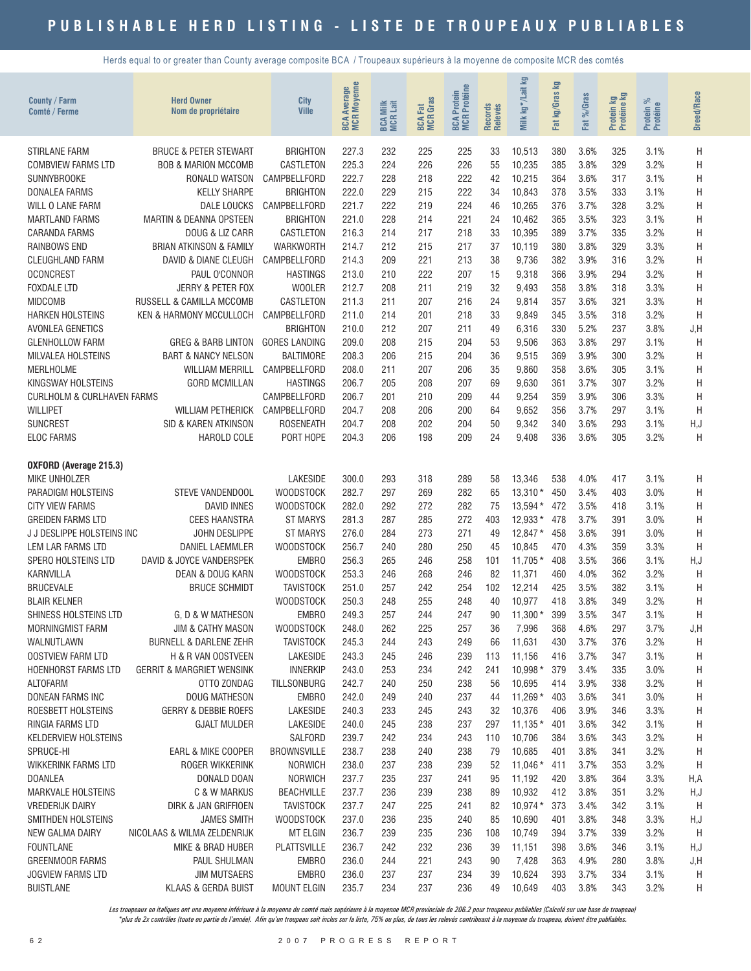Herds equal to or greater than County average composite BCA / Troupeaux supérieurs à la moyenne de composite MCR des comtés

| <b>County / Farm</b><br>Comté / Ferme              | <b>Herd Owner</b><br>Nom de propriétaire | City<br><b>Ville</b>          | <b>BCA Average</b><br>MCR Moyenne | <b>BCA Milk</b><br>MCR Lait | <b>BCA Fat</b><br>MCR Gras | <b>MCR</b> Protéine<br>Protein<br><b>BCA</b> | Records<br>Relevés | <b>S</b><br>kg*/Lait<br>Milk | 空<br>: kg/Gras<br>Fat | $%$ Caras<br><b>Fat</b> | Protein kg<br>Protéine kg | ಸಿ<br>Protein %<br>Protéine | <b>Breed/Race</b> |
|----------------------------------------------------|------------------------------------------|-------------------------------|-----------------------------------|-----------------------------|----------------------------|----------------------------------------------|--------------------|------------------------------|-----------------------|-------------------------|---------------------------|-----------------------------|-------------------|
| <b>STIRLANE FARM</b>                               | <b>BRUCE &amp; PETER STEWART</b>         | <b>BRIGHTON</b>               | 227.3                             | 232                         | 225                        | 225                                          | 33                 | 10,513                       | 380                   | 3.6%                    | 325                       | 3.1%                        | Η                 |
| <b>COMBVIEW FARMS LTD</b>                          | <b>BOB &amp; MARION MCCOMB</b>           | CASTLETON                     | 225.3                             | 224                         | 226                        | 226                                          | 55                 | 10,235                       | 385                   | 3.8%                    | 329                       | 3.2%                        | Η                 |
| <b>SUNNYBROOKE</b>                                 | RONALD WATSON                            | CAMPBELLFORD                  | 222.7                             | 228                         | 218                        | 222                                          | 42                 | 10,215                       | 364                   | 3.6%                    | 317                       | 3.1%                        | H                 |
| <b>DONALEA FARMS</b>                               | <b>KELLY SHARPE</b>                      | <b>BRIGHTON</b>               | 222.0                             | 229                         | 215                        | 222                                          | 34                 | 10,843                       | 378                   | 3.5%                    | 333                       | 3.1%                        | Η                 |
| WILL O LANE FARM                                   | <b>DALE LOUCKS</b>                       | CAMPBELLFORD                  | 221.7                             | 222                         | 219                        | 224                                          | 46                 | 10,265                       | 376                   | 3.7%                    | 328                       | 3.2%                        | Η                 |
| <b>MARTLAND FARMS</b>                              | <b>MARTIN &amp; DEANNA OPSTEEN</b>       | <b>BRIGHTON</b>               | 221.0                             | 228                         | 214                        | 221                                          | 24                 | 10,462                       | 365                   | 3.5%                    | 323                       | 3.1%                        | H                 |
| <b>CARANDA FARMS</b>                               | DOUG & LIZ CARR                          | CASTLETON                     | 216.3                             | 214                         | 217                        | 218                                          | 33                 | 10,395                       | 389                   | 3.7%                    | 335                       | 3.2%                        | H                 |
| <b>RAINBOWS END</b>                                | <b>BRIAN ATKINSON &amp; FAMILY</b>       | <b>WARKWORTH</b>              | 214.7                             | 212                         | 215                        | 217                                          | 37                 | 10,119                       | 380                   | 3.8%                    | 329                       | 3.3%                        | H                 |
| <b>CLEUGHLAND FARM</b>                             | DAVID & DIANE CLEUGH                     | CAMPBELLFORD                  | 214.3                             | 209                         | 221                        | 213                                          | 38                 | 9,736                        | 382                   | 3.9%                    | 316                       | 3.2%                        | Η                 |
| <b>OCONCREST</b>                                   | PAUL O'CONNOR                            | <b>HASTINGS</b>               | 213.0                             | 210                         | 222                        | 207                                          | 15                 | 9,318                        | 366                   | 3.9%                    | 294                       | 3.2%                        | H                 |
| <b>FOXDALE LTD</b>                                 | JERRY & PETER FOX                        | <b>WOOLER</b>                 | 212.7                             | 208                         | 211                        | 219                                          | 32                 | 9,493                        | 358                   | 3.8%                    | 318                       | 3.3%                        | Η                 |
| <b>MIDCOMB</b>                                     | RUSSELL & CAMILLA MCCOMB                 | CASTLETON                     | 211.3                             | 211                         | 207                        | 216                                          | 24                 | 9,814                        | 357                   | 3.6%                    | 321                       | 3.3%                        | Η                 |
| <b>HARKEN HOLSTEINS</b>                            | KEN & HARMONY MCCULLOCH                  | CAMPBELLFORD                  | 211.0                             | 214                         | 201                        | 218                                          | 33                 | 9,849                        | 345                   | 3.5%                    | 318                       | 3.2%                        | $\mathsf{H}$      |
| AVONLEA GENETICS                                   |                                          | <b>BRIGHTON</b>               | 210.0                             | 212                         | 207                        | 211                                          | 49                 | 6,316                        | 330                   | 5.2%                    | 237                       | 3.8%                        | J, H              |
| <b>GLENHOLLOW FARM</b>                             | <b>GREG &amp; BARB LINTON</b>            | <b>GORES LANDING</b>          | 209.0                             | 208                         | 215                        | 204                                          | 53                 | 9,506                        | 363                   | 3.8%                    | 297                       | 3.1%                        | H                 |
| MILVALEA HOLSTEINS                                 | <b>BART &amp; NANCY NELSON</b>           | <b>BALTIMORE</b>              | 208.3                             | 206                         | 215                        | 204                                          | 36                 | 9,515                        | 369                   | 3.9%                    | 300                       | 3.2%                        | Η                 |
| <b>MERLHOLME</b>                                   | <b>WILLIAM MERRILL</b>                   | CAMPBELLFORD                  | 208.0                             | 211                         | 207                        | 206                                          | 35                 | 9,860                        | 358                   | 3.6%                    | 305                       | 3.1%                        | Η                 |
| KINGSWAY HOLSTEINS                                 | <b>GORD MCMILLAN</b>                     | <b>HASTINGS</b>               | 206.7                             | 205                         | 208                        | 207                                          | 69                 | 9,630                        | 361                   | 3.7%                    | 307                       | 3.2%                        | Η                 |
| <b>CURLHOLM &amp; CURLHAVEN FARMS</b>              |                                          | CAMPBELLFORD                  | 206.7                             | 201                         | 210                        | 209                                          | 44                 | 9,254                        | 359                   | 3.9%                    | 306                       | 3.3%                        | Η                 |
| <b>WILLIPET</b>                                    | <b>WILLIAM PETHERICK</b>                 | CAMPBELLFORD                  | 204.7                             | 208                         | 206                        | 200                                          | 64                 | 9,652                        | 356                   | 3.7%                    | 297                       | 3.1%                        | H                 |
| <b>SUNCREST</b><br><b>ELOC FARMS</b>               | SID & KAREN ATKINSON                     | <b>ROSENEATH</b><br>PORT HOPE | 204.7<br>204.3                    | 208<br>206                  | 202<br>198                 | 204<br>209                                   | 50<br>24           | 9,342<br>9,408               | 340<br>336            | 3.6%<br>3.6%            | 293<br>305                | 3.1%<br>3.2%                | H, J<br>H         |
|                                                    | HAROLD COLE                              |                               |                                   |                             |                            |                                              |                    |                              |                       |                         |                           |                             |                   |
| OXFORD (Average 215.3)                             |                                          |                               |                                   |                             |                            |                                              |                    |                              |                       |                         |                           |                             |                   |
| MIKE UNHOLZER                                      |                                          | <b>LAKESIDE</b>               | 300.0                             | 293                         | 318                        | 289                                          | 58                 | 13,346                       | 538                   | 4.0%                    | 417                       | 3.1%                        | Η                 |
| PARADIGM HOLSTEINS                                 | STEVE VANDENDOOL                         | <b>WOODSTOCK</b>              | 282.7                             | 297                         | 269                        | 282                                          | 65                 | 13,310*                      | 450                   | 3.4%                    | 403                       | 3.0%                        | Η                 |
| <b>CITY VIEW FARMS</b>                             | <b>DAVID INNES</b>                       | <b>WOODSTOCK</b>              | 282.0                             | 292                         | 272                        | 282                                          | 75                 | $13,594*$                    | 472                   | 3.5%                    | 418                       | 3.1%                        | Η                 |
| <b>GREIDEN FARMS LTD</b>                           | <b>CEES HAANSTRA</b>                     | <b>ST MARYS</b>               | 281.3                             | 287                         | 285                        | 272                                          | 403                | 12,933*                      | 478                   | 3.7%                    | 391                       | 3.0%                        | Η                 |
| J J DESLIPPE HOLSTEINS INC                         | <b>JOHN DESLIPPE</b>                     | <b>ST MARYS</b>               | 276.0                             | 284                         | 273                        | 271                                          | 49                 | $12,847*$                    | 458                   | 3.6%                    | 391                       | 3.0%                        | Η                 |
| <b>LEM LAR FARMS LTD</b>                           | <b>DANIEL LAEMMLER</b>                   | <b>WOODSTOCK</b>              | 256.7                             | 240                         | 280                        | 250                                          | 45                 | 10,845                       | 470                   | 4.3%                    | 359                       | 3.3%                        | H                 |
| SPERO HOLSTEINS LTD                                | DAVID & JOYCE VANDERSPEK                 | <b>EMBRO</b>                  | 256.3                             | 265                         | 246                        | 258                                          | 101                | 11.705*                      | 408                   | 3.5%                    | 366                       | 3.1%                        | H, J              |
| <b>KARNVILLA</b>                                   |                                          |                               |                                   |                             |                            |                                              |                    |                              |                       |                         |                           |                             |                   |
| <b>BRUCEVALE</b>                                   | DEAN & DOUG KARN                         | <b>WOODSTOCK</b>              | 253.3                             | 246                         | 268                        | 246                                          | 82                 | 11,371                       | 460                   | 4.0%                    | 362                       | 3.2%                        | H                 |
|                                                    | <b>BRUCE SCHMIDT</b>                     | <b>TAVISTOCK</b>              | 251.0                             | 257                         | 242                        | 254                                          | 102                | 12,214                       | 425                   | 3.5%                    | 382                       | 3.1%                        | Η                 |
| <b>BLAIR KELNER</b>                                |                                          | <b>WOODSTOCK</b>              | 250.3                             | 248                         | 255                        | 248                                          | 40                 | 10,977                       | 418                   | 3.8%                    | 349                       | 3.2%                        | H                 |
| SHINESS HOLSTEINS LTD                              | G, D & W MATHESON                        | <b>EMBRO</b>                  | 249.3                             | 257                         | 244                        | 247                                          | 90                 | $11,300*$                    | 399                   | 3.5%                    | 347                       | 3.1%                        | Η                 |
| <b>MORNINGMIST FARM</b>                            | <b>JIM &amp; CATHY MASON</b>             | <b>WOODSTOCK</b>              | 248.0                             | 262                         | 225                        | 257                                          | 36                 | 7,996                        | 368                   | 4.6%                    | 297                       | 3.7%                        | J,H               |
| WALNUTLAWN                                         | BURNELL & DARLENE ZEHR                   | <b>TAVISTOCK</b>              | 245.3                             | 244                         | 243                        | 249                                          | 66                 | 11,631                       | 430                   | 3.7%                    | 376                       | 3.2%                        | H                 |
| <b>OOSTVIEW FARM LTD</b>                           | H & R VAN OOSTVEEN                       | <b>LAKESIDE</b>               | 243.3                             | 245                         | 246                        | 239                                          | 113                | 11,156                       | 416                   | 3.7%                    | 347                       | 3.1%                        | H                 |
| <b>HOENHORST FARMS LTD</b>                         | <b>GERRIT &amp; MARGRIET WENSINK</b>     | <b>INNERKIP</b>               | 243.0                             | 253                         | 234                        | 242                                          | 241                | $10,998*$                    | 379                   | 3.4%                    | 335                       | 3.0%                        | H                 |
| <b>ALTOFARM</b>                                    | OTTO ZONDAG                              | <b>TILLSONBURG</b>            | 242.7                             | 240                         | 250                        | 238                                          | 56                 | 10,695                       | 414                   | 3.9%                    | 338                       | 3.2%                        | Η                 |
| DONEAN FARMS INC                                   | <b>DOUG MATHESON</b>                     | EMBR0                         | 242.0                             | 249                         | 240                        | 237                                          | 44                 | $11,269*$                    | 403                   | 3.6%                    | 341                       | 3.0%                        | Η                 |
| ROESBETT HOLSTEINS                                 | GERRY & DEBBIE ROEFS                     | LAKESIDE                      | 240.3                             | 233                         | 245                        | 243                                          | 32                 | 10,376                       | 406                   | 3.9%                    | 346                       | 3.3%                        | Η                 |
| RINGIA FARMS LTD                                   | <b>GJALT MULDER</b>                      | LAKESIDE                      | 240.0                             | 245                         | 238                        | 237                                          | 297                | $11,135*$                    | 401                   | 3.6%                    | 342                       | 3.1%                        | H                 |
| <b>KELDERVIEW HOLSTEINS</b>                        |                                          | SALFORD                       | 239.7                             | 242                         | 234                        | 243                                          | 110                | 10,706                       | 384                   | 3.6%                    | 343                       | 3.2%                        | H                 |
| SPRUCE-HI                                          | EARL & MIKE COOPER                       | <b>BROWNSVILLE</b>            | 238.7                             | 238                         | 240                        | 238                                          | 79                 | 10,685                       | 401                   | 3.8%                    | 341                       | 3.2%                        | H                 |
| WIKKERINK FARMS LTD                                | ROGER WIKKERINK                          | NORWICH                       | 238.0                             | 237                         | 238                        | 239                                          | 52                 | $11,046*$                    | 411                   | 3.7%                    | 353                       | 3.2%                        | Н                 |
| <b>DOANLEA</b>                                     | DONALD DOAN                              | <b>NORWICH</b>                | 237.7                             | 235                         | 237                        | 241                                          | 95                 | 11,192                       | 420                   | 3.8%                    | 364                       | 3.3%                        | H, A              |
| <b>MARKVALE HOLSTEINS</b>                          | C & W MARKUS                             | <b>BEACHVILLE</b>             | 237.7                             | 236                         | 239                        | 238                                          | 89                 | 10,932                       | 412                   | 3.8%                    | 351                       | 3.2%                        | H, J              |
| <b>VREDERIJK DAIRY</b>                             | DIRK & JAN GRIFFIOEN                     | <b>TAVISTOCK</b>              | 237.7                             | 247                         | 225                        | 241                                          | 82                 | $10,974*$                    | 373                   | 3.4%                    | 342                       | 3.1%                        | H                 |
| SMITHDEN HOLSTEINS                                 | <b>JAMES SMITH</b>                       | <b>WOODSTOCK</b>              | 237.0                             | 236                         | 235                        | 240                                          | 85                 | 10,690                       | 401                   | 3.8%                    | 348                       | 3.3%                        | H,J               |
| NEW GALMA DAIRY                                    | NICOLAAS & WILMA ZELDENRIJK              | <b>MT ELGIN</b>               | 236.7                             | 239                         | 235                        | 236                                          | 108                | 10,749                       | 394                   | 3.7%                    | 339                       | 3.2%                        | H                 |
| <b>FOUNTLANE</b>                                   | MIKE & BRAD HUBER                        | <b>PLATTSVILLE</b>            | 236.7                             | 242                         | 232                        | 236                                          | 39                 | 11,151                       | 398                   | 3.6%                    | 346                       | 3.1%                        | H,J               |
| <b>GREENMOOR FARMS</b><br><b>JOGVIEW FARMS LTD</b> | PAUL SHULMAN<br><b>JIM MUTSAERS</b>      | <b>EMBRO</b><br><b>EMBRO</b>  | 236.0<br>236.0                    | 244<br>237                  | 221<br>237                 | 243<br>234                                   | 90<br>39           | 7,428<br>10,624              | 363<br>393            | 4.9%<br>3.7%            | 280<br>334                | 3.8%<br>3.1%                | J,H<br>Н          |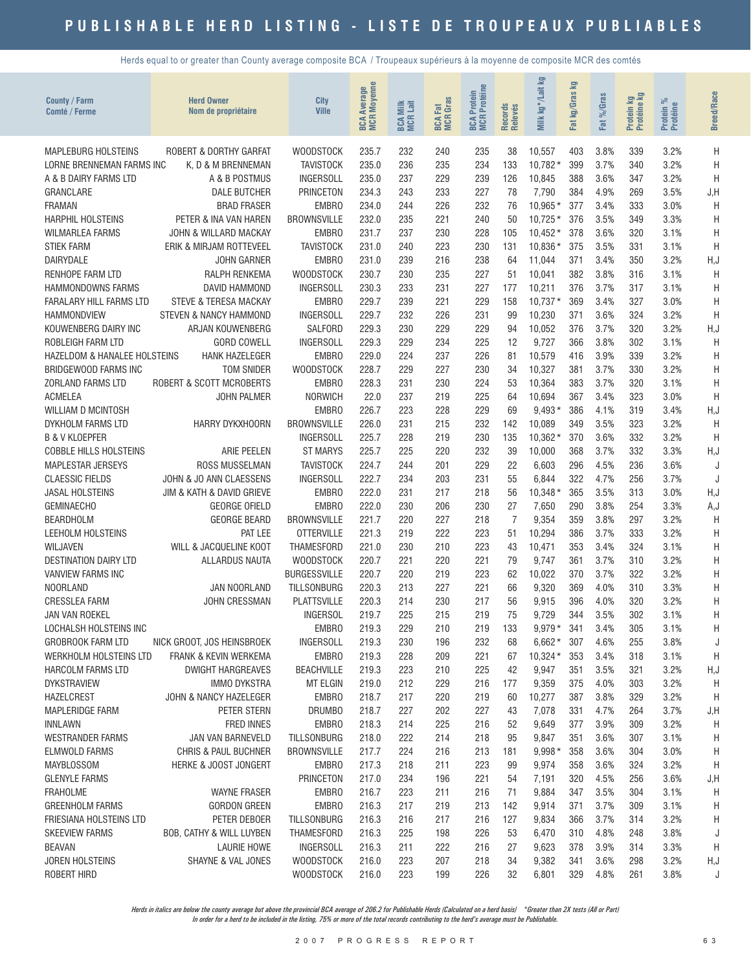Herds equal to or greater than County average composite BCA / Troupeaux supérieurs à la moyenne de composite MCR des comtés

| County / Farm<br>Comté / Ferme              | <b>Herd Owner</b><br>Nom de propriétaire          | <b>City</b><br><b>Ville</b>  | <b>Moyenne</b><br>Average<br><b>MCR</b><br>BCA | <b>BCA Milk</b><br>MCR Lait | <b>BCA Fat</b><br>MCR Gras | Protéine<br>Protein<br>BCA F<br>MCR I | Records<br>Relevés | ΣŅ<br>kg*/Lait<br>Milk | Ξ<br>kg/Gras<br>Fat | %Gras<br>Fat | Protein kg<br>Protéine kg | ಸ<br>Protein %<br>Protéine | <b>Breed/Race</b> |
|---------------------------------------------|---------------------------------------------------|------------------------------|------------------------------------------------|-----------------------------|----------------------------|---------------------------------------|--------------------|------------------------|---------------------|--------------|---------------------------|----------------------------|-------------------|
| <b>MAPLEBURG HOLSTEINS</b>                  | ROBERT & DORTHY GARFAT                            | <b>WOODSTOCK</b>             | 235.7                                          | 232                         | 240                        | 235                                   | 38                 | 10,557                 | 403                 | 3.8%         | 339                       | 3.2%                       | H                 |
| LORNE BRENNEMAN FARMS INC                   | K, D & M BRENNEMAN                                | <b>TAVISTOCK</b>             | 235.0                                          | 236                         | 235                        | 234                                   | 133                | $10,782*$              | 399                 | 3.7%         | 340                       | 3.2%                       | H                 |
| A & B DAIRY FARMS LTD                       | A & B POSTMUS                                     | <b>INGERSOLL</b>             | 235.0                                          | 237                         | 229                        | 239                                   | 126                | 10,845                 | 388                 | 3.6%         | 347                       | 3.2%                       | H                 |
| GRANCLARE                                   | <b>DALE BUTCHER</b>                               | <b>PRINCETON</b>             | 234.3                                          | 243                         | 233                        | 227                                   | 78                 | 7.790                  | 384                 | 4.9%         | 269                       | 3.5%                       | J,H               |
| <b>FRAMAN</b>                               | <b>BRAD FRASER</b>                                | <b>EMBRO</b>                 | 234.0                                          | 244                         | 226                        | 232                                   | 76                 | 10,965*                | 377                 | 3.4%         | 333                       | 3.0%                       | H                 |
| <b>HARPHIL HOLSTEINS</b>                    | PETER & INA VAN HAREN                             | <b>BROWNSVILLE</b>           | 232.0                                          | 235                         | 221                        | 240                                   | 50                 | $10.725*$              | 376                 | 3.5%         | 349                       | 3.3%                       | H                 |
| <b>WILMARLEA FARMS</b>                      | JOHN & WILLARD MACKAY                             | <b>EMBRO</b>                 | 231.7                                          | 237                         | 230                        | 228                                   | 105                | $10,452*$              | 378                 | 3.6%         | 320                       | 3.1%                       | H                 |
| <b>STIEK FARM</b>                           | ERIK & MIRJAM ROTTEVEEL                           | <b>TAVISTOCK</b>             | 231.0                                          | 240                         | 223                        | 230                                   | 131                | 10,836 *               | 375                 | 3.5%         | 331                       | 3.1%                       | H                 |
| <b>DAIRYDALE</b>                            | <b>JOHN GARNER</b>                                | <b>EMBRO</b>                 | 231.0                                          | 239                         | 216                        | 238                                   | 64                 | 11,044                 | 371                 | 3.4%         | 350                       | 3.2%                       | H, J              |
| RENHOPE FARM LTD                            | <b>RALPH RENKEMA</b>                              | <b>WOODSTOCK</b>             | 230.7                                          | 230                         | 235                        | 227                                   | 51                 | 10,041                 | 382                 | 3.8%         | 316                       | 3.1%                       | H                 |
| <b>HAMMONDOWNS FARMS</b>                    | DAVID HAMMOND                                     | <b>INGERSOLL</b>             | 230.3                                          | 233                         | 231                        | 227                                   | 177                | 10,211                 | 376                 | 3.7%         | 317                       | 3.1%                       | H                 |
| <b>FARALARY HILL FARMS LTD</b>              | <b>STEVE &amp; TERESA MACKAY</b>                  | <b>EMBRO</b>                 | 229.7                                          | 239                         | 221                        | 229                                   | 158                | $10,737*$              | 369                 | 3.4%         | 327                       | 3.0%                       | H                 |
| <b>HAMMONDVIEW</b>                          | <b>STEVEN &amp; NANCY HAMMOND</b>                 | <b>INGERSOLL</b>             | 229.7                                          | 232                         | 226                        | 231                                   | 99                 | 10,230                 | 371                 | 3.6%         | 324                       | 3.2%                       | H                 |
| KOUWENBERG DAIRY INC                        | ARJAN KOUWENBERG                                  | SALFORD                      | 229.3                                          | 230                         | 229                        | 229                                   | 94                 | 10,052                 | 376                 | 3.7%         | 320                       | 3.2%                       | H, J              |
| <b>ROBLEIGH FARM LTD</b>                    | <b>GORD COWELL</b>                                | <b>INGERSOLL</b>             | 229.3                                          | 229                         | 234                        | 225                                   | 12                 | 9,727                  | 366                 | 3.8%         | 302                       | 3.1%                       | H                 |
| <b>HAZELDOM &amp; HANALEE HOLSTEINS</b>     | <b>HANK HAZELEGER</b>                             | EMBRO                        | 229.0                                          | 224                         | 237                        | 226                                   | 81                 | 10,579                 | 416                 | 3.9%         | 339                       | 3.2%                       | H                 |
| <b>BRIDGEWOOD FARMS INC</b>                 | <b>TOM SNIDER</b>                                 | <b>WOODSTOCK</b>             | 228.7                                          | 229                         | 227                        | 230                                   | 34                 | 10,327                 | 381                 | 3.7%         | 330                       | 3.2%                       | H                 |
| <b>ZORLAND FARMS LTD</b>                    | <b>ROBERT &amp; SCOTT MCROBERTS</b>               | <b>EMBRO</b>                 | 228.3                                          | 231                         | 230                        | 224                                   | 53                 | 10,364                 | 383                 | 3.7%         | 320                       | 3.1%                       | H                 |
| <b>ACMELEA</b>                              | <b>JOHN PALMER</b>                                | <b>NORWICH</b>               | 22.0                                           | 237                         | 219                        | 225                                   | 64                 | 10,694                 | 367                 | 3.4%         | 323                       | 3.0%                       | H                 |
| <b>WILLIAM D MCINTOSH</b>                   |                                                   | <b>EMBRO</b>                 | 226.7                                          | 223                         | 228                        | 229                                   | 69                 | $9,493*$               | 386                 | 4.1%         | 319                       | 3.4%                       | H, J              |
| DYKHOLM FARMS LTD                           | HARRY DYKXHOORN                                   | <b>BROWNSVILLE</b>           | 226.0                                          | 231                         | 215                        | 232                                   | 142                | 10,089                 | 349                 | 3.5%         | 323                       | 3.2%                       | H                 |
| <b>B &amp; V KLOEPFER</b>                   |                                                   | <b>INGERSOLL</b>             | 225.7                                          | 228                         | 219                        | 230                                   | 135                | $10,362*$              | 370                 | 3.6%         | 332                       | 3.2%                       | H                 |
| <b>COBBLE HILLS HOLSTEINS</b>               | <b>ARIE PEELEN</b>                                | <b>ST MARYS</b>              | 225.7                                          | 225                         | 220                        | 232                                   | 39                 | 10,000                 | 368                 | 3.7%         | 332                       | 3.3%                       | H,J               |
| <b>MAPLESTAR JERSEYS</b>                    | <b>ROSS MUSSELMAN</b>                             | <b>TAVISTOCK</b>             | 224.7                                          | 244                         | 201                        | 229                                   | 22                 | 6,603                  | 296                 | 4.5%         | 236                       | 3.6%                       | J                 |
| <b>CLAESSIC FIELDS</b>                      | JOHN & JO ANN CLAESSENS                           | <b>INGERSOLL</b>             | 222.7                                          | 234                         | 203<br>217                 | 231                                   | 55                 | 6,844                  | 322                 | 4.7%         | 256                       | 3.7%                       | J                 |
| <b>JASAL HOLSTEINS</b><br><b>GEMINAECHO</b> | JIM & KATH & DAVID GRIEVE<br><b>GEORGE OFIELD</b> | <b>EMBRO</b><br><b>EMBRO</b> | 222.0<br>222.0                                 | 231<br>230                  | 206                        | 218<br>230                            | 56<br>27           | $10,348*$<br>7,650     | 365<br>290          | 3.5%<br>3.8% | 313<br>254                | 3.0%<br>3.3%               | H, J<br>A,J       |
| <b>BEARDHOLM</b>                            | <b>GEORGE BEARD</b>                               | <b>BROWNSVILLE</b>           | 221.7                                          | 220                         | 227                        | 218                                   | $\overline{7}$     | 9,354                  | 359                 | 3.8%         | 297                       | 3.2%                       | H                 |
| LEEHOLM HOLSTEINS                           | PAT LEE                                           | <b>OTTERVILLE</b>            | 221.3                                          | 219                         | 222                        | 223                                   | 51                 | 10,294                 | 386                 | 3.7%         | 333                       | 3.2%                       | H                 |
| WILJAVEN                                    | WILL & JACQUELINE KOOT                            | <b>THAMESFORD</b>            | 221.0                                          | 230                         | 210                        | 223                                   | 43                 | 10,471                 | 353                 | 3.4%         | 324                       | 3.1%                       | H                 |
| <b>DESTINATION DAIRY LTD</b>                | <b>ALLARDUS NAUTA</b>                             | <b>WOODSTOCK</b>             | 220.7                                          | 221                         | 220                        | 221                                   | 79                 | 9.747                  | 361                 | 3.7%         | 310                       | 3.2%                       | H                 |
| <b>VANVIEW FARMS INC</b>                    |                                                   | <b>BURGESSVILLE</b>          | 220.7                                          | 220                         | 219                        | 223                                   | 62                 | 10,022                 | 370                 | 3.7%         | 322                       | 3.2%                       | H                 |
| <b>NOORLAND</b>                             | JAN NOORLAND                                      | <b>TILLSONBURG</b>           | 220.3                                          | 213                         | 227                        | 221                                   | 66                 | 9,320                  | 369                 | 4.0%         | 310                       | 3.3%                       | H                 |
| <b>CRESSLEA FARM</b>                        | <b>JOHN CRESSMAN</b>                              | <b>PLATTSVILLE</b>           | 220.3                                          | 214                         | 230                        | 217                                   | 56                 | 9,915                  | 396                 | 4.0%         | 320                       | 3.2%                       | H                 |
| JAN VAN ROEKEL                              |                                                   | <b>INGERSOL</b>              | 219.7                                          | 225                         | 215                        | 219                                   | 75                 | 9.729                  | 344                 | 3.5%         | 302                       | 3.1%                       | H                 |
| LOCHALSH HOLSTEINS INC                      |                                                   | <b>EMBRO</b>                 | 219.3                                          | 229                         | 210                        | 219                                   | 133                | $9,979*$               | 341                 | 3.4%         | 305                       | 3.1%                       | H                 |
| <b>GROBROOK FARM LTD</b>                    | NICK GROOT, JOS HEINSBROEK                        | <b>INGERSOLL</b>             | 219.3                                          | 230                         | 196                        | 232                                   | 68                 | $6,662*$               | 307                 | 4.6%         | 255                       | 3.8%                       | J                 |
| WERKHOLM HOLSTEINS LTD                      | <b>FRANK &amp; KEVIN WERKEMA</b>                  | EMBR0                        | 219.3                                          | 228                         | 209                        | 221                                   | 67                 | $10,324*$              | 353                 | 3.4%         | 318                       | 3.1%                       | H                 |
| <b>HARCOLM FARMS LTD</b>                    | <b>DWIGHT HARGREAVES</b>                          | <b>BEACHVILLE</b>            | 219.3                                          | 223                         | 210                        | 225                                   | 42                 | 9,947                  | 351                 | 3.5%         | 321                       | 3.2%                       | H,J               |
| <b>DYKSTRAVIEW</b>                          | <b>IMMO DYKSTRA</b>                               | <b>MT ELGIN</b>              | 219.0                                          | 212                         | 229                        | 216                                   | 177                | 9,359                  | 375                 | 4.0%         | 303                       | 3.2%                       | H                 |
| <b>HAZELCREST</b>                           | JOHN & NANCY HAZELEGER                            | <b>EMBRO</b>                 | 218.7                                          | 217                         | 220                        | 219                                   | 60                 | 10,277                 | 387                 | 3.8%         | 329                       | 3.2%                       | H                 |
| <b>MAPLERIDGE FARM</b>                      | PETER STERN                                       | <b>DRUMBO</b>                | 218.7                                          | 227                         | 202                        | 227                                   | 43                 | 7,078                  | 331                 | 4.7%         | 264                       | 3.7%                       | J,H               |
| <b>INNLAWN</b>                              | <b>FRED INNES</b>                                 | <b>EMBRO</b>                 | 218.3                                          | 214                         | 225                        | 216                                   | 52                 | 9,649                  | 377                 | 3.9%         | 309                       | 3.2%                       | H                 |
| <b>WESTRANDER FARMS</b>                     | JAN VAN BARNEVELD                                 | <b>TILLSONBURG</b>           | 218.0                                          | 222                         | 214                        | 218                                   | 95                 | 9,847                  | 351                 | 3.6%         | 307                       | 3.1%                       | H                 |
| ELMWOLD FARMS                               | <b>CHRIS &amp; PAUL BUCHNER</b>                   | <b>BROWNSVILLE</b>           | 217.7                                          | 224                         | 216                        | 213                                   | 181                | $9,998*$               | 358                 | 3.6%         | 304                       | 3.0%                       | H                 |
| <b>MAYBLOSSOM</b>                           | <b>HERKE &amp; JOOST JONGERT</b>                  | <b>EMBRO</b>                 | 217.3                                          | 218                         | 211                        | 223                                   | 99                 | 9,974                  | 358                 | 3.6%         | 324                       | 3.2%                       | Η                 |
| <b>GLENYLE FARMS</b>                        |                                                   | PRINCETON                    | 217.0                                          | 234                         | 196                        | 221                                   | 54                 | 7,191                  | 320                 | 4.5%         | 256                       | 3.6%                       | J, H              |
| <b>FRAHOLME</b>                             | <b>WAYNE FRASER</b>                               | <b>EMBRO</b>                 | 216.7                                          | 223                         | 211                        | 216                                   | 71                 | 9,884                  | 347                 | 3.5%         | 304                       | 3.1%                       | H                 |
| <b>GREENHOLM FARMS</b>                      | <b>GORDON GREEN</b>                               | EMBR0                        | 216.3                                          | 217                         | 219                        | 213                                   | 142                | 9,914                  | 371                 | 3.7%         | 309                       | 3.1%                       | H                 |
| FRIESIANA HOLSTEINS LTD                     | PETER DEBOER                                      | <b>TILLSONBURG</b>           | 216.3                                          | 216                         | 217                        | 216                                   | 127                | 9,834                  | 366                 | 3.7%         | 314                       | 3.2%                       | H                 |
| <b>SKEEVIEW FARMS</b>                       | BOB, CATHY & WILL LUYBEN                          | THAMESFORD                   | 216.3                                          | 225                         | 198                        | 226                                   | 53                 | 6,470                  | 310                 | 4.8%         | 248                       | 3.8%                       | J                 |
| <b>BEAVAN</b>                               | <b>LAURIE HOWE</b>                                | <b>INGERSOLL</b>             | 216.3                                          | 211                         | 222                        | 216                                   | 27                 | 9,623                  | 378                 | 3.9%         | 314                       | 3.3%                       | H                 |
| <b>JOREN HOLSTEINS</b>                      | SHAYNE & VAL JONES                                | <b>WOODSTOCK</b>             | 216.0                                          | 223                         | 207                        | 218                                   | 34<br>32           | 9,382                  | 341                 | 3.6%         | 298                       | 3.2%                       | H, J              |
| <b>ROBERT HIRD</b>                          |                                                   | <b>WOODSTOCK</b>             | 216.0                                          | 223                         | 199                        | 226                                   |                    | 6,801                  | 329                 | 4.8%         | 261                       | 3.8%                       | J                 |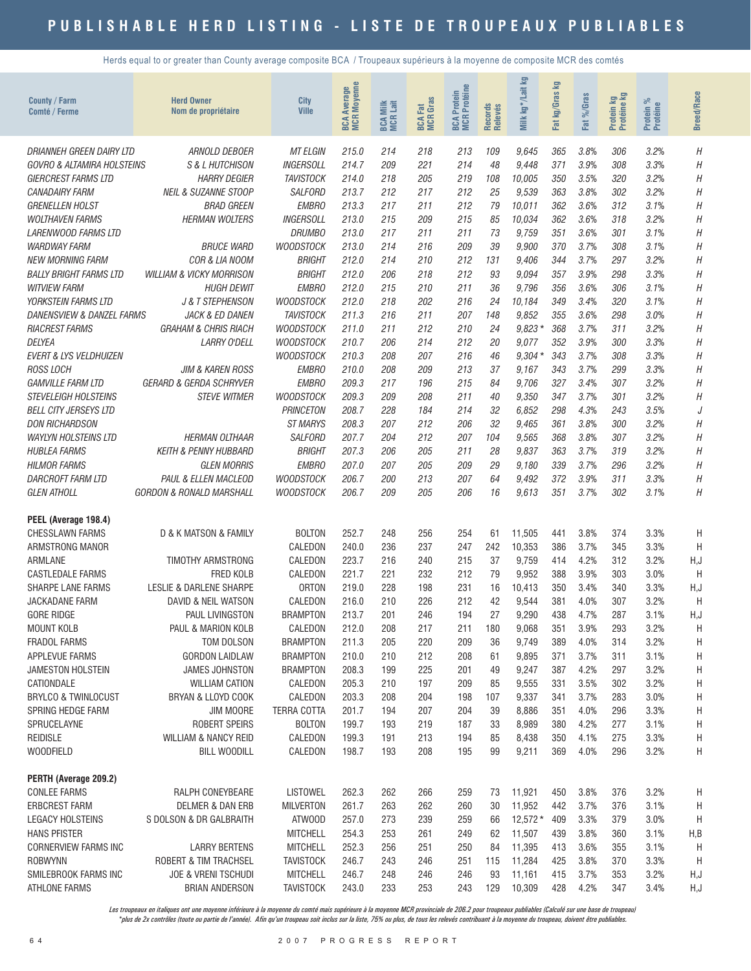Herds equal to or greater than County average composite BCA / Troupeaux supérieurs à la moyenne de composite MCR des comtés

| <b>County / Farm</b><br>Comté / Ferme                | <b>Herd Owner</b><br>Nom de propriétaire | City<br><b>Ville</b>                | <b>MCR Moyenne</b><br><b>Average</b><br>BCA. | <b>BCA Milk</b><br>MCR Lait | <b>MCR</b> Gras<br>Fat<br><b>BCA</b> | <b>MCR</b> Protéine<br>Protein<br><b>BCA</b> | Records<br>Relevés | <b>S</b><br>kg*/Lait<br>Milk | 空<br>kg/Gras<br>Fat | %Gras<br>Fat | Protein kg<br>Protéine kg | ಸಿ<br>Protein %<br>Protéine | <b>Breed/Race</b> |
|------------------------------------------------------|------------------------------------------|-------------------------------------|----------------------------------------------|-----------------------------|--------------------------------------|----------------------------------------------|--------------------|------------------------------|---------------------|--------------|---------------------------|-----------------------------|-------------------|
| DRIANNEH GREEN DAIRY LTD                             | ARNOLD DEBOER                            | <b>MT ELGIN</b>                     | 215.0                                        | 214                         | 218                                  | 213                                          | 109                | 9,645                        | 365                 | 3.8%         | 306                       | 3.2%                        | Η                 |
| GOVRO & ALTAMIRA HOLSTEINS                           | <b>S &amp; L HUTCHISON</b>               | <b>INGERSOLL</b>                    | 214.7                                        | 209                         | 221                                  | 214                                          | 48                 | 9,448                        | 371                 | 3.9%         | 308                       | 3.3%                        | Η                 |
| <b>GIERCREST FARMS LTD</b>                           | <b>HARRY DEGIER</b>                      | <b>TAVISTOCK</b>                    | 214.0                                        | 218                         | 205                                  | 219                                          | 108                | 10,005                       | 350                 | 3.5%         | 320                       | 3.2%                        | Н                 |
| <b>CANADAIRY FARM</b>                                | <b>NEIL &amp; SUZANNE STOOP</b>          | <b>SALFORD</b>                      | 213.7                                        | 212                         | 217                                  | 212                                          | 25                 | 9,539                        | 363                 | 3.8%         | 302                       | 3.2%                        | Η                 |
| <b>GRENELLEN HOLST</b>                               | <b>BRAD GREEN</b>                        | <b>EMBRO</b>                        | 213.3                                        | 217                         | 211                                  | 212                                          | 79                 | 10,011                       | 362                 | 3.6%         | 312                       | 3.1%                        | Η                 |
| <b>WOLTHAVEN FARMS</b>                               | <b>HERMAN WOLTERS</b>                    | <b>INGERSOLL</b>                    | 213.0                                        | 215                         | 209                                  | 215                                          | 85                 | 10,034                       | 362                 | 3.6%         | 318                       | 3.2%                        | Η                 |
| LARENWOOD FARMS LTD<br><b>WARDWAY FARM</b>           | <b>BRUCE WARD</b>                        | <b>DRUMBO</b><br><b>WOODSTOCK</b>   | 213.0<br>213.0                               | 217<br>214                  | 211<br>216                           | 211<br>209                                   | 73<br>39           | 9,759                        | 351<br>370          | 3.6%<br>3.7% | 301<br>308                | 3.1%<br>3.1%                | H<br>Η            |
| <b>NEW MORNING FARM</b>                              | COR & LIA NOOM                           | <b>BRIGHT</b>                       | 212.0                                        | 214                         | 210                                  | 212                                          | 131                | 9,900<br>9,406               | 344                 | 3.7%         | 297                       | 3.2%                        | Η                 |
| <b>BALLY BRIGHT FARMS LTD</b>                        | <b>WILLIAM &amp; VICKY MORRISON</b>      | <b>BRIGHT</b>                       | 212.0                                        | 206                         | 218                                  | 212                                          | 93                 | 9,094                        | 357                 | 3.9%         | 298                       | 3.3%                        | Η                 |
| <b>WITVIEW FARM</b>                                  | <b>HUGH DEWIT</b>                        | <b>EMBRO</b>                        | 212.0                                        | 215                         | 210                                  | 211                                          | 36                 | 9,796                        | 356                 | 3.6%         | 306                       | 3.1%                        | Η                 |
| <b>YORKSTEIN FARMS LTD</b>                           | J & T STEPHENSON                         | <b>WOODSTOCK</b>                    | 212.0                                        | 218                         | 202                                  | 216                                          | 24                 | 10,184                       | 349                 | 3.4%         | 320                       | 3.1%                        | Η                 |
| DANENSVIEW & DANZEL FARMS                            | <b>JACK &amp; ED DANEN</b>               | <b>TAVISTOCK</b>                    | 211.3                                        | 216                         | 211                                  | 207                                          | 148                | 9,852                        | 355                 | 3.6%         | 298                       | 3.0%                        | Η                 |
| <b>RIACREST FARMS</b>                                | <b>GRAHAM &amp; CHRIS RIACH</b>          | <b>WOODSTOCK</b>                    | 211.0                                        | 211                         | 212                                  | 210                                          | 24                 | $9.823*$                     | 368                 | 3.7%         | 311                       | 3.2%                        | H                 |
| <b>DELYEA</b>                                        | <b>LARRY O'DELL</b>                      | <b>WOODSTOCK</b>                    | 210.7                                        | 206                         | 214                                  | 212                                          | 20                 | 9,077                        | 352                 | 3.9%         | 300                       | 3.3%                        | Η                 |
| <b>EVERT &amp; LYS VELDHUIZEN</b>                    |                                          | <b>WOODSTOCK</b>                    | 210.3                                        | 208                         | 207                                  | 216                                          | 46                 | $9,304*$                     | 343                 | 3.7%         | 308                       | 3.3%                        | Η                 |
| <b>ROSS LOCH</b>                                     | <b>JIM &amp; KAREN ROSS</b>              | <b>EMBRO</b>                        | 210.0                                        | 208                         | 209                                  | 213                                          | 37                 | 9,167                        | 343                 | 3.7%         | 299                       | 3.3%                        | Н                 |
| <b>GAMVILLE FARM LTD</b>                             | <b>GERARD &amp; GERDA SCHRYVER</b>       | <b>EMBRO</b>                        | 209.3                                        | 217                         | 196                                  | 215                                          | 84                 | 9,706                        | 327                 | 3.4%         | 307                       | 3.2%                        | Η                 |
| <b>STEVELEIGH HOLSTEINS</b>                          | <b>STEVE WITMER</b>                      | <b>WOODSTOCK</b>                    | 209.3                                        | 209                         | 208                                  | 211                                          | 40                 | 9,350                        | 347                 | 3.7%         | 301                       | 3.2%                        | Η                 |
| <b>BELL CITY JERSEYS LTD</b>                         |                                          | <b>PRINCETON</b>                    | 208.7                                        | 228                         | 184                                  | 214                                          | 32                 | 6,852                        | 298                 | 4.3%         | 243                       | 3.5%                        | J                 |
| <b>DON RICHARDSON</b><br><b>WAYLYN HOLSTEINS LTD</b> | <b>HERMAN OLTHAAR</b>                    | <b>ST MARYS</b><br><b>SALFORD</b>   | 208.3<br>207.7                               | 207<br>204                  | 212<br>212                           | 206<br>207                                   | 32<br>104          | 9,465<br>9,565               | 361<br>368          | 3.8%<br>3.8% | 300<br>307                | 3.2%<br>3.2%                | Η<br>Η            |
| <b>HUBLEA FARMS</b>                                  | <b>KEITH &amp; PENNY HUBBARD</b>         | <b>BRIGHT</b>                       | 207.3                                        | 206                         | 205                                  | 211                                          | 28                 | 9.837                        | 363                 | 3.7%         | 319                       | 3.2%                        | Η                 |
| <b>HILMOR FARMS</b>                                  | <b>GLEN MORRIS</b>                       | <b>EMBRO</b>                        | 207.0                                        | 207                         | 205                                  | 209                                          | 29                 | 9,180                        | 339                 | 3.7%         | 296                       | 3.2%                        | Η                 |
| DARCROFT FARM LTD                                    | PAUL & ELLEN MACLEOD                     | <b>WOODSTOCK</b>                    | 206.7                                        | 200                         | 213                                  | 207                                          | 64                 | 9,492                        | 372                 | 3.9%         | 311                       | 3.3%                        | Η                 |
| <b>GLEN ATHOLL</b>                                   | GORDON & RONALD MARSHALL                 | <b>WOODSTOCK</b>                    | 206.7                                        | 209                         | 205                                  | 206                                          | 16                 | 9,613                        | 351                 | 3.7%         | 302                       | 3.1%                        | Η                 |
| PEEL (Average 198.4)                                 |                                          |                                     |                                              |                             |                                      |                                              |                    |                              |                     |              |                           |                             |                   |
| <b>CHESSLAWN FARMS</b>                               | D & K MATSON & FAMILY                    | <b>BOLTON</b>                       | 252.7                                        | 248                         | 256                                  | 254                                          | 61                 | 11,505                       | 441                 | 3.8%         | 374                       | 3.3%                        | Η                 |
| ARMSTRONG MANOR                                      |                                          | CALEDON                             | 240.0                                        | 236                         | 237                                  | 247                                          | 242                | 10,353                       | 386                 | 3.7%         | 345                       | 3.3%                        | H                 |
| ARMLANE                                              | TIMOTHY ARMSTRONG                        | CALEDON                             | 223.7                                        | 216                         | 240                                  | 215                                          | 37                 | 9,759                        | 414                 | 4.2%         | 312                       | 3.2%                        | H, J              |
| <b>CASTLEDALE FARMS</b>                              | <b>FRED KOLB</b>                         | CALEDON                             | 221.7                                        | 221                         | 232                                  | 212                                          | 79                 | 9,952                        | 388                 | 3.9%         | 303                       | 3.0%                        | H                 |
| <b>SHARPE LANE FARMS</b>                             | <b>LESLIE &amp; DARLENE SHARPE</b>       | <b>ORTON</b>                        | 219.0                                        | 228                         | 198                                  | 231                                          | 16                 | 10,413                       | 350                 | 3.4%         | 340                       | 3.3%                        | H,J               |
| <b>JACKADANE FARM</b>                                | DAVID & NEIL WATSON                      | CALEDON                             | 216.0                                        | 210                         | 226                                  | 212                                          | 42                 | 9,544                        | 381                 | 4.0%         | 307                       | 3.2%                        | Н                 |
| <b>GORE RIDGE</b>                                    | PAUL LIVINGSTON                          | <b>BRAMPTON</b>                     | 213.7                                        | 201                         | 246                                  | 194                                          | 27                 | 9,290                        | 438                 | 4.7%         | 287                       | 3.1%                        | H, J              |
| <b>MOUNT KOLB</b><br><b>FRADOL FARMS</b>             | PAUL & MARION KOLB<br>TOM DOLSON         | CALEDON<br><b>BRAMPTON</b>          | 212.0                                        | 208<br>205                  | 217                                  | 211                                          | 180<br>36          | 9,068                        | 351                 | 3.9%<br>4.0% | 293<br>314                | 3.2%<br>3.2%                | Η                 |
| APPLEVUE FARMS                                       | <b>GORDON LAIDLAW</b>                    | <b>BRAMPTON</b>                     | 211.3<br>210.0                               | 210                         | 220<br>212                           | 209<br>208                                   | 61                 | 9,749<br>9,895               | 389<br>371          | 3.7%         | 311                       | 3.1%                        | Н<br>Н            |
| JAMESTON HOLSTEIN                                    | <b>JAMES JOHNSTON</b>                    | <b>BRAMPTON</b>                     | 208.3                                        | 199                         | 225                                  | 201                                          | 49                 | 9,247                        | 387                 | 4.2%         | 297                       | 3.2%                        | Н                 |
| CATIONDALE                                           | <b>WILLIAM CATION</b>                    | CALEDON                             | 205.3                                        | 210                         | 197                                  | 209                                          | 85                 | 9,555                        | 331                 | 3.5%         | 302                       | 3.2%                        | Н                 |
| BRYLCO & TWINLOCUST                                  | BRYAN & LLOYD COOK                       | CALEDON                             | 203.3                                        | 208                         | 204                                  | 198                                          | 107                | 9,337                        | 341                 | 3.7%         | 283                       | 3.0%                        | Н                 |
| SPRING HEDGE FARM                                    | JIM MOORE                                | <b>TERRA COTTA</b>                  | 201.7                                        | 194                         | 207                                  | 204                                          | 39                 | 8,886                        | 351                 | 4.0%         | 296                       | 3.3%                        | Н                 |
| SPRUCELAYNE                                          | ROBERT SPEIRS                            | <b>BOLTON</b>                       | 199.7                                        | 193                         | 219                                  | 187                                          | 33                 | 8,989                        | 380                 | 4.2%         | 277                       | 3.1%                        | Н                 |
| <b>REIDISLE</b>                                      | <b>WILLIAM &amp; NANCY REID</b>          | CALEDON                             | 199.3                                        | 191                         | 213                                  | 194                                          | 85                 | 8,438                        | 350                 | 4.1%         | 275                       | 3.3%                        | Н                 |
| <b>WOODFIELD</b>                                     | <b>BILL WOODILL</b>                      | CALEDON                             | 198.7                                        | 193                         | 208                                  | 195                                          | 99                 | 9,211                        | 369                 | 4.0%         | 296                       | 3.2%                        | H                 |
| PERTH (Average 209.2)                                |                                          |                                     |                                              |                             |                                      |                                              |                    |                              |                     |              |                           |                             |                   |
| <b>CONLEE FARMS</b>                                  | RALPH CONEYBEARE                         | <b>LISTOWEL</b>                     | 262.3                                        | 262                         | 266                                  | 259                                          | 73                 | 11,921                       | 450                 | 3.8%         | 376                       | 3.2%                        | Н                 |
| <b>ERBCREST FARM</b>                                 | <b>DELMER &amp; DAN ERB</b>              | <b>MILVERTON</b>                    | 261.7                                        | 263                         | 262                                  | 260                                          | 30                 | 11,952                       | 442                 | 3.7%         | 376                       | 3.1%                        | Η                 |
| <b>LEGACY HOLSTEINS</b>                              | S DOLSON & DR GALBRAITH                  | ATWOOD                              | 257.0                                        | 273                         | 239                                  | 259                                          | 66                 | $12,572*$                    | 409                 | 3.3%         | 379                       | 3.0%                        | H                 |
| <b>HANS PFISTER</b>                                  | <b>LARRY BERTENS</b>                     | <b>MITCHELL</b>                     | 254.3                                        | 253                         | 261                                  | 249<br>250                                   | 62                 | 11,507                       | 439                 | 3.8%         | 360                       | 3.1%                        | H,B               |
| CORNERVIEW FARMS INC<br><b>ROBWYNN</b>               | ROBERT & TIM TRACHSEL                    | <b>MITCHELL</b><br><b>TAVISTOCK</b> | 252.3<br>246.7                               | 256<br>243                  | 251<br>246                           | 251                                          | 84<br>115          | 11,395<br>11,284             | 413<br>425          | 3.6%<br>3.8% | 355<br>370                | 3.1%<br>3.3%                | H<br>Η            |
| SMILEBROOK FARMS INC                                 | <b>JOE &amp; VRENI TSCHUDI</b>           | <b>MITCHELL</b>                     | 246.7                                        | 248                         | 246                                  | 246                                          | 93                 | 11,161                       | 415                 | 3.7%         | 353                       | 3.2%                        | H,J               |
| ATHLONE FARMS                                        | <b>BRIAN ANDERSON</b>                    | <b>TAVISTOCK</b>                    | 243.0                                        | 233                         | 253                                  | 243                                          | 129                | 10,309                       | 428                 | 4.2%         | 347                       | 3.4%                        | H, J              |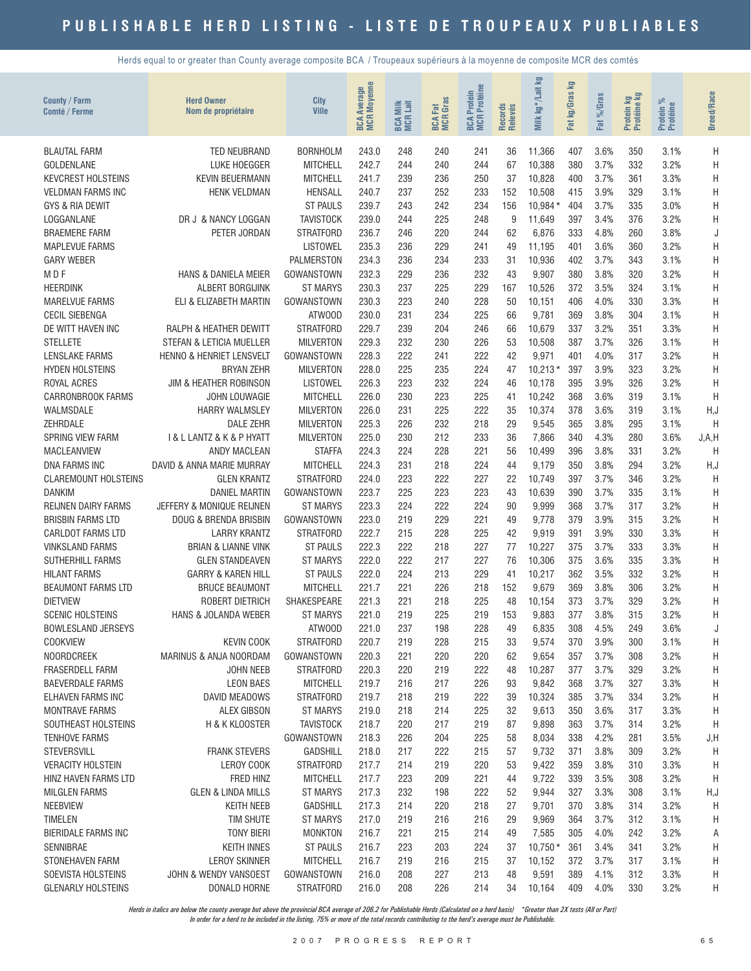Herds equal to or greater than County average composite BCA / Troupeaux supérieurs à la moyenne de composite MCR des comtés

| County / Farm<br>Comté / Ferme             | <b>Herd Owner</b><br>Nom de propriétaire                      | City<br><b>Ville</b>               | <b>Moyenne</b><br><b>Average</b><br><b>MCR</b><br>BCA | <b>BCA Milk</b><br>MCR Lait | <b>BCA Fat</b><br>MCR Gras | Protein<br>R Protéine<br><b>MCR</b><br>BCA | Records<br>Relevés | kg*/Lait kg<br>Milk | Σg<br>kg/Gras<br>Fat | %Gras<br><b>ZE</b> | <b>By</b><br>Protein ko | ಸಿ<br>Protein %<br>Protéine | <b>Breed/Race</b> |
|--------------------------------------------|---------------------------------------------------------------|------------------------------------|-------------------------------------------------------|-----------------------------|----------------------------|--------------------------------------------|--------------------|---------------------|----------------------|--------------------|-------------------------|-----------------------------|-------------------|
| <b>BLAUTAL FARM</b>                        | TED NEUBRAND                                                  | <b>BORNHOLM</b>                    | 243.0                                                 | 248                         | 240                        | 241                                        | 36                 | 11,366              | 407                  | 3.6%               | 350                     | 3.1%                        | Η                 |
| <b>GOLDENLANE</b>                          | LUKE HOEGGER                                                  | <b>MITCHELL</b>                    | 242.7                                                 | 244                         | 240                        | 244                                        | 67                 | 10,388              | 380                  | 3.7%               | 332                     | 3.2%                        | Η                 |
| <b>KEVCREST HOLSTEINS</b>                  | <b>KEVIN BEUERMANN</b>                                        | <b>MITCHELL</b>                    | 241.7                                                 | 239                         | 236                        | 250                                        | 37                 | 10,828              | 400                  | 3.7%               | 361                     | 3.3%                        | H                 |
| <b>VELDMAN FARMS INC</b>                   | <b>HENK VELDMAN</b>                                           | <b>HENSALL</b>                     | 240.7                                                 | 237                         | 252                        | 233                                        | 152                | 10,508              | 415                  | 3.9%               | 329                     | 3.1%                        | H                 |
| <b>GYS &amp; RIA DEWIT</b>                 |                                                               | <b>ST PAULS</b>                    | 239.7                                                 | 243                         | 242                        | 234                                        | 156                | 10,984*             | 404                  | 3.7%               | 335                     | 3.0%                        | H                 |
| LOGGANLANE                                 | DR J & NANCY LOGGAN                                           | <b>TAVISTOCK</b>                   | 239.0                                                 | 244                         | 225                        | 248                                        | 9                  | 11,649              | 397                  | 3.4%               | 376                     | 3.2%                        | H                 |
| <b>BRAEMERE FARM</b>                       | PETER JORDAN                                                  | <b>STRATFORD</b>                   | 236.7                                                 | 246                         | 220                        | 244                                        | 62                 | 6,876               | 333                  | 4.8%               | 260                     | 3.8%                        | J                 |
| <b>MAPLEVUE FARMS</b>                      |                                                               | <b>LISTOWEL</b>                    | 235.3                                                 | 236                         | 229                        | 241                                        | 49                 | 11,195              | 401                  | 3.6%               | 360                     | 3.2%                        | Η                 |
| <b>GARY WEBER</b>                          |                                                               | <b>PALMERSTON</b>                  | 234.3                                                 | 236                         | 234                        | 233                                        | 31                 | 10,936              | 402                  | 3.7%               | 343                     | 3.1%                        | Η                 |
| M D F                                      | <b>HANS &amp; DANIELA MEIER</b>                               | GOWANSTOWN                         | 232.3                                                 | 229                         | 236                        | 232                                        | 43                 | 9,907               | 380                  | 3.8%               | 320                     | 3.2%                        | Η                 |
| <b>HEERDINK</b>                            | ALBERT BORGIJINK                                              | <b>ST MARYS</b>                    | 230.3                                                 | 237                         | 225                        | 229                                        | 167                | 10,526              | 372                  | 3.5%               | 324                     | 3.1%                        | H                 |
| MARELVUE FARMS                             | ELI & ELIZABETH MARTIN                                        | <b>GOWANSTOWN</b>                  | 230.3                                                 | 223                         | 240                        | 228                                        | 50                 | 10,151              | 406                  | 4.0%               | 330                     | 3.3%                        | H                 |
| <b>CECIL SIEBENGA</b>                      |                                                               | ATWOOD<br><b>STRATFORD</b>         | 230.0                                                 | 231                         | 234                        | 225                                        | 66<br>66           | 9,781               | 369<br>337           | 3.8%<br>3.2%       | 304                     | 3.1%                        | H                 |
| DE WITT HAVEN INC<br><b>STELLETE</b>       | <b>RALPH &amp; HEATHER DEWITT</b><br>STEFAN & LETICIA MUELLER | <b>MILVERTON</b>                   | 229.7<br>229.3                                        | 239<br>232                  | 204<br>230                 | 246<br>226                                 | 53                 | 10,679<br>10,508    | 387                  | 3.7%               | 351<br>326              | 3.3%<br>3.1%                | H<br>Η            |
| <b>LENSLAKE FARMS</b>                      | <b>HENNO &amp; HENRIET LENSVELT</b>                           | <b>GOWANSTOWN</b>                  | 228.3                                                 | 222                         | 241                        | 222                                        | 42                 | 9,971               | 401                  | 4.0%               | 317                     | 3.2%                        | H                 |
| <b>HYDEN HOLSTEINS</b>                     | <b>BRYAN ZEHR</b>                                             | <b>MILVERTON</b>                   | 228.0                                                 | 225                         | 235                        | 224                                        | 47                 | $10,213*$           | 397                  | 3.9%               | 323                     | 3.2%                        | Η                 |
| ROYAL ACRES                                | JIM & HEATHER ROBINSON                                        | <b>LISTOWEL</b>                    | 226.3                                                 | 223                         | 232                        | 224                                        | 46                 | 10,178              | 395                  | 3.9%               | 326                     | 3.2%                        | H                 |
| <b>CARRONBROOK FARMS</b>                   | JOHN LOUWAGIE                                                 | <b>MITCHELL</b>                    | 226.0                                                 | 230                         | 223                        | 225                                        | 41                 | 10,242              | 368                  | 3.6%               | 319                     | 3.1%                        | Η                 |
| WALMSDALE                                  | <b>HARRY WALMSLEY</b>                                         | <b>MILVERTON</b>                   | 226.0                                                 | 231                         | 225                        | 222                                        | 35                 | 10,374              | 378                  | 3.6%               | 319                     | 3.1%                        | H, J              |
| ZEHRDALE                                   | <b>DALE ZEHR</b>                                              | <b>MILVERTON</b>                   | 225.3                                                 | 226                         | 232                        | 218                                        | 29                 | 9,545               | 365                  | 3.8%               | 295                     | 3.1%                        | H                 |
| <b>SPRING VIEW FARM</b>                    | I & L LANTZ & K & P HYATT                                     | <b>MILVERTON</b>                   | 225.0                                                 | 230                         | 212                        | 233                                        | 36                 | 7,866               | 340                  | 4.3%               | 280                     | 3.6%                        | J, A, H           |
| <b>MACLEANVIEW</b>                         | <b>ANDY MACLEAN</b>                                           | <b>STAFFA</b>                      | 224.3                                                 | 224                         | 228                        | 221                                        | 56                 | 10,499              | 396                  | 3.8%               | 331                     | 3.2%                        | H                 |
| DNA FARMS INC                              | DAVID & ANNA MARIE MURRAY                                     | <b>MITCHELL</b>                    | 224.3                                                 | 231                         | 218                        | 224                                        | 44                 | 9,179               | 350                  | 3.8%               | 294                     | 3.2%                        | H, J              |
| <b>CLAREMOUNT HOLSTEINS</b>                | <b>GLEN KRANTZ</b>                                            | <b>STRATFORD</b>                   | 224.0                                                 | 223                         | 222                        | 227                                        | 22                 | 10,749              | 397                  | 3.7%               | 346                     | 3.2%                        | H                 |
| <b>DANKIM</b>                              | <b>DANIEL MARTIN</b>                                          | <b>GOWANSTOWN</b>                  | 223.7                                                 | 225                         | 223                        | 223                                        | 43                 | 10,639              | 390                  | 3.7%               | 335                     | 3.1%                        | Η                 |
| <b>REIJNEN DAIRY FARMS</b>                 | JEFFERY & MONIQUE REIJNEN                                     | <b>ST MARYS</b>                    | 223.3                                                 | 224                         | 222                        | 224                                        | 90                 | 9,999               | 368                  | 3.7%               | 317                     | 3.2%                        | H                 |
| <b>BRISBIN FARMS LTD</b>                   | DOUG & BRENDA BRISBIN                                         | GOWANSTOWN                         | 223.0                                                 | 219                         | 229                        | 221                                        | 49                 | 9,778               | 379                  | 3.9%               | 315                     | 3.2%                        | Η                 |
| <b>CARLDOT FARMS LTD</b>                   | <b>LARRY KRANTZ</b>                                           | <b>STRATFORD</b>                   | 222.7                                                 | 215                         | 228                        | 225                                        | 42                 | 9,919               | 391                  | 3.9%               | 330                     | 3.3%                        | Η                 |
| <b>VINKSLAND FARMS</b><br>SUTHERHILL FARMS | <b>BRIAN &amp; LIANNE VINK</b><br><b>GLEN STANDEAVEN</b>      | <b>ST PAULS</b><br><b>ST MARYS</b> | 222.3<br>222.0                                        | 222<br>222                  | 218<br>217                 | 227<br>227                                 | 77<br>76           | 10,227<br>10,306    | 375<br>375           | 3.7%<br>3.6%       | 333<br>335              | 3.3%<br>3.3%                | Η<br>H            |
| <b>HILANT FARMS</b>                        | <b>GARRY &amp; KAREN HILL</b>                                 | <b>ST PAULS</b>                    | 222.0                                                 | 224                         | 213                        | 229                                        | 41                 | 10,217              | 362                  | 3.5%               | 332                     | 3.2%                        | H                 |
| <b>BEAUMONT FARMS LTD</b>                  | <b>BRUCE BEAUMONT</b>                                         | <b>MITCHELL</b>                    | 221.7                                                 | 221                         | 226                        | 218                                        | 152                | 9,679               | 369                  | 3.8%               | 306                     | 3.2%                        | Η                 |
| <b>DIETVIEW</b>                            | ROBERT DIETRICH                                               | SHAKESPEARE                        | 221.3                                                 | 221                         | 218                        | 225                                        | 48                 | 10,154              | 373                  | 3.7%               | 329                     | 3.2%                        | Η                 |
| <b>SCENIC HOLSTEINS</b>                    | HANS & JOLANDA WEBER                                          | <b>ST MARYS</b>                    | 221.0                                                 | 219                         | 225                        | 219                                        | 153                | 9,883               | 377                  | 3.8%               | 315                     | 3.2%                        | Η                 |
| <b>BOWLESLAND JERSEYS</b>                  |                                                               | ATWOOD                             | 221.0                                                 | 237                         | 198                        | 228                                        | 49                 | 6,835               | 308                  | 4.5%               | 249                     | 3.6%                        | J                 |
| <b>COOKVIEW</b>                            | <b>KEVIN COOK</b>                                             | <b>STRATFORD</b>                   | 220.7                                                 | 219                         | 228                        | 215                                        | 33                 | 9,574               | 370                  | 3.9%               | 300                     | 3.1%                        | Η                 |
| <b>NOORDCREEK</b>                          | MARINUS & ANJA NOORDAM                                        | GOWANSTOWN                         | 220.3                                                 | 221                         | 220                        | 220                                        | 62                 | 9,654               | 357                  | 3.7%               | 308                     | 3.2%                        | Η                 |
| <b>FRASERDELL FARM</b>                     | <b>JOHN NEEB</b>                                              | <b>STRATFORD</b>                   | 220.3                                                 | 220                         | 219                        | 222                                        | 48                 | 10,287              | 377                  | 3.7%               | 329                     | 3.2%                        | Η                 |
| <b>BAEVERDALE FARMS</b>                    | <b>LEON BAES</b>                                              | <b>MITCHELL</b>                    | 219.7                                                 | 216                         | 217                        | 226                                        | 93                 | 9,842               | 368                  | 3.7%               | 327                     | 3.3%                        | Η                 |
| ELHAVEN FARMS INC                          | <b>DAVID MEADOWS</b>                                          | <b>STRATFORD</b>                   | 219.7                                                 | 218                         | 219                        | 222                                        | 39                 | 10,324              | 385                  | 3.7%               | 334                     | 3.2%                        | Η                 |
| <b>MONTRAVE FARMS</b>                      | <b>ALEX GIBSON</b>                                            | <b>ST MARYS</b>                    | 219.0                                                 | 218                         | 214                        | 225                                        | 32                 | 9,613               | 350                  | 3.6%               | 317                     | 3.3%                        | H                 |
| SOUTHEAST HOLSTEINS                        | H & K KLOOSTER                                                | <b>TAVISTOCK</b>                   | 218.7                                                 | 220                         | 217                        | 219                                        | 87                 | 9,898               | 363                  | 3.7%               | 314                     | 3.2%                        | H                 |
| <b>TENHOVE FARMS</b>                       |                                                               | <b>GOWANSTOWN</b>                  | 218.3                                                 | 226                         | 204                        | 225<br>215                                 | 58                 | 8,034               | 338<br>371           | 4.2%<br>3.8%       | 281                     | 3.5%                        | J, H              |
| STEVERSVILL<br><b>VERACITY HOLSTEIN</b>    | <b>FRANK STEVERS</b><br>LEROY COOK                            | <b>GADSHILL</b><br>STRATFORD       | 218.0<br>217.7                                        | 217<br>214                  | 222<br>219                 | 220                                        | 57<br>53           | 9,732<br>9,422      | 359                  | 3.8%               | 309<br>310              | 3.2%<br>3.3%                | H<br>H            |
| HINZ HAVEN FARMS LTD                       | FRED HINZ                                                     | <b>MITCHELL</b>                    | 217.7                                                 | 223                         | 209                        | 221                                        | 44                 | 9,722               | 339                  | 3.5%               | 308                     | 3.2%                        | H                 |
| <b>MILGLEN FARMS</b>                       | <b>GLEN &amp; LINDA MILLS</b>                                 | <b>ST MARYS</b>                    | 217.3                                                 | 232                         | 198                        | 222                                        | 52                 | 9,944               | 327                  | 3.3%               | 308                     | 3.1%                        | H,J               |
| <b>NEEBVIEW</b>                            | <b>KEITH NEEB</b>                                             | <b>GADSHILL</b>                    | 217.3                                                 | 214                         | 220                        | 218                                        | 27                 | 9,701               | 370                  | 3.8%               | 314                     | 3.2%                        | H                 |
| <b>TIMELEN</b>                             | TIM SHUTE                                                     | <b>ST MARYS</b>                    | 217.0                                                 | 219                         | 216                        | 216                                        | 29                 | 9,969               | 364                  | 3.7%               | 312                     | 3.1%                        | Н                 |
| <b>BIERIDALE FARMS INC</b>                 | <b>TONY BIERI</b>                                             | <b>MONKTON</b>                     | 216.7                                                 | 221                         | 215                        | 214                                        | 49                 | 7,585               | 305                  | 4.0%               | 242                     | 3.2%                        | Α                 |
| SENNIBRAE                                  | <b>KEITH INNES</b>                                            | <b>ST PAULS</b>                    | 216.7                                                 | 223                         | 203                        | 224                                        | 37                 | $10,750*$           | 361                  | 3.4%               | 341                     | 3.2%                        | Η                 |
| STONEHAVEN FARM                            | <b>LEROY SKINNER</b>                                          | <b>MITCHELL</b>                    | 216.7                                                 | 219                         | 216                        | 215                                        | 37                 | 10,152              | 372                  | 3.7%               | 317                     | 3.1%                        | Η                 |
| SOEVISTA HOLSTEINS                         | JOHN & WENDY VANSOEST                                         | GOWANSTOWN                         | 216.0                                                 | 208                         | 227                        | 213                                        | 48                 | 9,591               | 389                  | 4.1%               | 312                     | 3.3%                        | Η                 |
| <b>GLENARLY HOLSTEINS</b>                  | DONALD HORNE                                                  | <b>STRATFORD</b>                   | 216.0                                                 | 208                         | 226                        | 214                                        | 34                 | 10,164              | 409                  | 4.0%               | 330                     | 3.2%                        | Н                 |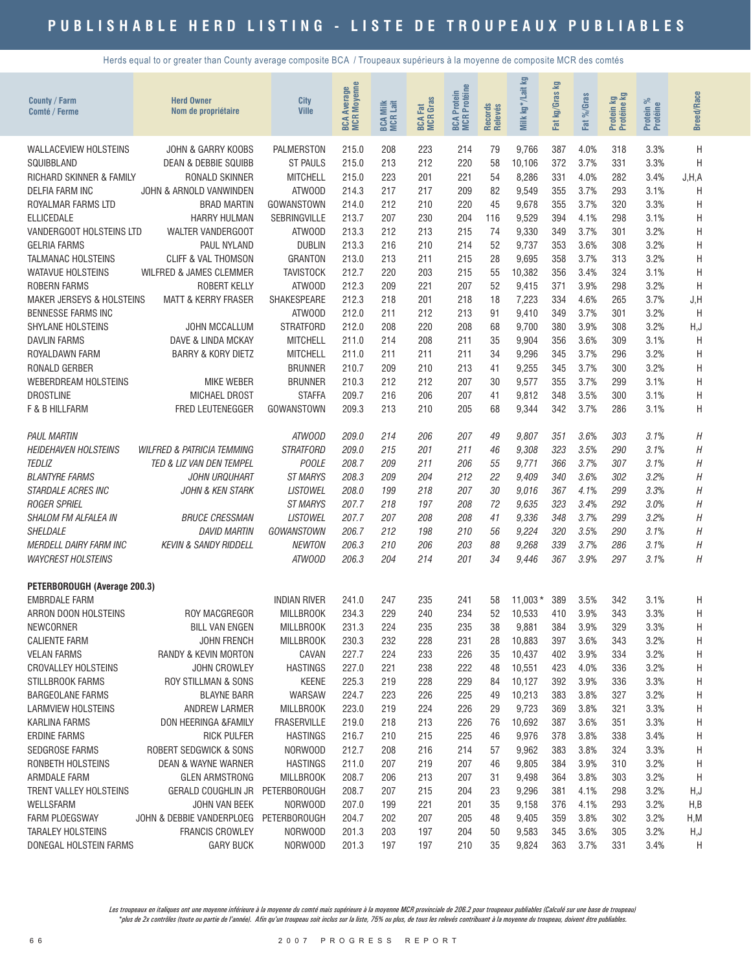Herds equal to or greater than County average composite BCA / Troupeaux supérieurs à la moyenne de composite MCR des comtés

| <b>County / Farm</b><br><b>Comté / Ferme</b>       | <b>Herd Owner</b><br>Nom de propriétaire   | City<br><b>Ville</b>            | <b>MCR Moyenne</b><br>Average<br><b>BCA</b> | <b>BCA Milk</b><br>MCR Lait | <b>MCR</b> Gras<br><b>BCA Fat</b> | <b>BCA Protein<br/>MCR Protéine</b> | Records<br>Relevés | 空<br>kg*/Lait<br>Milk | loy<br>kg/Gras<br>Fat | %Gras<br>Fat | Protein kg<br>Protéine kg | Protein %<br>Protéine | <b>Breed/Race</b> |
|----------------------------------------------------|--------------------------------------------|---------------------------------|---------------------------------------------|-----------------------------|-----------------------------------|-------------------------------------|--------------------|-----------------------|-----------------------|--------------|---------------------------|-----------------------|-------------------|
| <b>WALLACEVIEW HOLSTEINS</b>                       | JOHN & GARRY KOOBS                         | <b>PALMERSTON</b>               | 215.0                                       | 208                         | 223                               | 214                                 | 79                 | 9,766                 | 387                   | 4.0%         | 318                       | 3.3%                  | Η                 |
| SQUIBBLAND                                         | <b>DEAN &amp; DEBBIE SQUIBB</b>            | <b>ST PAULS</b>                 | 215.0                                       | 213                         | 212                               | 220                                 | 58                 | 10,106                | 372                   | 3.7%         | 331                       | 3.3%                  | H                 |
| RICHARD SKINNER & FAMILY                           | RONALD SKINNER                             | <b>MITCHELL</b>                 | 215.0                                       | 223                         | 201                               | 221                                 | 54                 | 8,286                 | 331                   | 4.0%         | 282                       | 3.4%                  | J.H.A             |
| DELFIA FARM INC                                    | JOHN & ARNOLD VANWINDEN                    | ATWOOD                          | 214.3                                       | 217                         | 217                               | 209                                 | 82                 | 9,549                 | 355                   | 3.7%         | 293                       | 3.1%                  | H                 |
| ROYALMAR FARMS LTD                                 | <b>BRAD MARTIN</b>                         | GOWANSTOWN                      | 214.0                                       | 212                         | 210                               | 220                                 | 45                 | 9,678                 | 355                   | 3.7%         | 320                       | 3.3%                  | H                 |
| <b>ELLICEDALE</b>                                  | <b>HARRY HULMAN</b>                        | <b>SEBRINGVILLE</b>             | 213.7                                       | 207                         | 230                               | 204                                 | 116                | 9,529                 | 394                   | 4.1%         | 298                       | 3.1%                  | H                 |
| VANDERGOOT HOLSTEINS LTD                           | WALTER VANDERGOOT                          | ATWOOD                          | 213.3                                       | 212                         | 213                               | 215                                 | 74                 | 9,330                 | 349                   | 3.7%         | 301                       | 3.2%                  | Η                 |
| <b>GELRIA FARMS</b>                                | PAUL NYLAND                                | <b>DUBLIN</b>                   | 213.3                                       | 216                         | 210                               | 214                                 | 52                 | 9,737                 | 353                   | 3.6%         | 308                       | 3.2%                  | Η                 |
| <b>TALMANAC HOLSTEINS</b>                          | <b>CLIFF &amp; VAL THOMSON</b>             | <b>GRANTON</b>                  | 213.0                                       | 213                         | 211                               | 215                                 | 28                 | 9,695                 | 358                   | 3.7%         | 313                       | 3.2%                  | Η                 |
| <b>WATAVUE HOLSTEINS</b>                           | WILFRED & JAMES CLEMMER                    | <b>TAVISTOCK</b>                | 212.7                                       | 220                         | 203                               | 215                                 | 55                 | 10,382                | 356                   | 3.4%         | 324                       | 3.1%                  | H                 |
| <b>ROBERN FARMS</b>                                | <b>ROBERT KELLY</b>                        | ATWOOD                          | 212.3                                       | 209                         | 221                               | 207                                 | 52                 | 9,415                 | 371                   | 3.9%         | 298                       | 3.2%                  | H                 |
| <b>MAKER JERSEYS &amp; HOLSTEINS</b>               | <b>MATT &amp; KERRY FRASER</b>             | SHAKESPEARE                     | 212.3                                       | 218                         | 201                               | 218                                 | 18                 | 7,223                 | 334                   | 4.6%         | 265                       | 3.7%                  | J,H               |
| <b>BENNESSE FARMS INC</b>                          |                                            | ATWOOD                          | 212.0                                       | 211                         | 212                               | 213                                 | 91                 | 9,410                 | 349                   | 3.7%         | 301                       | 3.2%                  | H                 |
| SHYLANE HOLSTEINS                                  | <b>JOHN MCCALLUM</b>                       | <b>STRATFORD</b>                | 212.0                                       | 208                         | 220                               | 208                                 | 68                 | 9,700                 | 380                   | 3.9%         | 308                       | 3.2%                  | H, J              |
| <b>DAVLIN FARMS</b>                                | DAVE & LINDA MCKAY                         | <b>MITCHELL</b>                 | 211.0                                       | 214                         | 208                               | 211                                 | 35                 | 9,904                 | 356                   | 3.6%         | 309                       | 3.1%                  | H                 |
| ROYALDAWN FARM                                     | <b>BARRY &amp; KORY DIETZ</b>              | <b>MITCHELL</b>                 | 211.0                                       | 211                         | 211                               | 211                                 | 34                 | 9,296                 | 345                   | 3.7%         | 296                       | 3.2%                  | H                 |
| RONALD GERBER                                      |                                            | <b>BRUNNER</b>                  | 210.7                                       | 209                         | 210                               | 213                                 | 41                 | 9,255                 | 345                   | 3.7%         | 300                       | 3.2%                  | Η                 |
| WEBERDREAM HOLSTEINS                               | <b>MIKE WEBER</b>                          | <b>BRUNNER</b>                  | 210.3                                       | 212                         | 212                               | 207                                 | 30                 | 9,577                 | 355                   | 3.7%         | 299                       | 3.1%                  | Η                 |
| <b>DROSTLINE</b>                                   | <b>MICHAEL DROST</b>                       | <b>STAFFA</b>                   | 209.7                                       | 216                         | 206                               | 207                                 | 41                 | 9,812                 | 348                   | 3.5%         | 300                       | 3.1%                  | H                 |
| <b>F &amp; B HILLFARM</b>                          | FRED LEUTENEGGER                           | GOWANSTOWN                      | 209.3                                       | 213                         | 210                               | 205                                 | 68                 | 9,344                 | 342                   | 3.7%         | 286                       | 3.1%                  | Η                 |
| <b>PAUL MARTIN</b>                                 |                                            | ATWOOD                          | 209.0                                       | 214                         | 206                               | 207                                 | 49                 | 9,807                 | 351                   | 3.6%         | 303                       | 3.1%                  | Η                 |
| <b>HEIDEHAVEN HOLSTEINS</b>                        | <i>WILFRED &amp; PATRICIA TEMMING</i>      | <b>STRATFORD</b>                | 209.0                                       | 215                         | 201                               | 211                                 | 46                 | 9,308                 | 323                   | 3.5%         | 290                       | 3.1%                  | Н                 |
| <b>TEDLIZ</b>                                      | TED & LIZ VAN DEN TEMPEL                   | <b>POOLE</b>                    | 208.7                                       | 209                         | 211                               | 206                                 | 55                 | 9,771                 | 366                   | 3.7%         | 307                       | 3.1%                  | H                 |
| <b>BLANTYRE FARMS</b>                              | JOHN URQUHART                              | <b>ST MARYS</b>                 | 208.3                                       | 209                         | 204                               | 212                                 | 22                 | 9,409                 | 340                   | 3.6%         | 302                       | 3.2%                  | $\boldsymbol{H}$  |
| <b>STARDALE ACRES INC</b>                          | <b>JOHN &amp; KEN STARK</b>                | <b>LISTOWEL</b>                 | 208.0                                       | 199                         | 218                               | 207                                 | 30                 | 9,016                 | 367                   | 4.1%         | 299                       | 3.3%                  | H                 |
| <b>ROGER SPRIEL</b>                                |                                            | ST MARYS                        | 207.7                                       | 218                         | 197                               | 208                                 | 72                 | 9.635                 | 323                   | 3.4%         | 292                       | 3.0%                  | Η                 |
| SHALOM FM ALFALEA IN                               | <b>BRUCE CRESSMAN</b>                      | <b>LISTOWEL</b>                 | 207.7                                       | 207                         | 208                               | 208                                 | 41                 | 9,336                 | 348                   | 3.7%         | 299                       | 3.2%                  | Η                 |
| <b>SHELDALE</b>                                    | <b>DAVID MARTIN</b>                        | GOWANSTOWN                      | 206.7                                       | 212                         | 198                               | 210                                 | 56                 | 9,224                 | 320                   | 3.5%         | 290                       | 3.1%                  | Η                 |
| <b>MERDELL DAIRY FARM INC</b>                      | <b>KEVIN &amp; SANDY RIDDELL</b>           | NEWTON                          | 206.3                                       | 210                         | 206                               | 203                                 | 88                 | 9,268                 | 339                   | 3.7%         | 286                       | 3.1%                  | Η                 |
| <b>WAYCREST HOLSTEINS</b>                          |                                            | ATWOOD                          | 206.3                                       | 204                         | 214                               | 201                                 | 34                 | 9,446                 | 367                   | 3.9%         | 297                       | 3.1%                  | $\boldsymbol{H}$  |
| PETERBOROUGH (Average 200.3)                       |                                            |                                 |                                             |                             |                                   |                                     |                    |                       |                       |              |                           |                       |                   |
| <b>EMBRDALE FARM</b>                               |                                            | <b>INDIAN RIVER</b>             | 241.0                                       | 247                         | 235                               | 241                                 | 58                 | $11,003*$             | 389                   | 3.5%         | 342                       | 3.1%                  | H                 |
| ARRON DOON HOLSTEINS                               | <b>ROY MACGREGOR</b>                       | <b>MILLBROOK</b>                | 234.3                                       | 229                         | 240                               | 234                                 | 52                 | 10,533                | 410                   | 3.9%         | 343                       | 3.3%                  | Η                 |
| NEWCORNER                                          | <b>BILL VAN ENGEN</b>                      | <b>MILLBROOK</b>                | 231.3                                       | 224                         | 235                               | 235                                 | 38                 | 9,881                 | 384                   | 3.9%         | 329                       | 3.3%                  | Η                 |
| <b>CALIENTE FARM</b>                               | <b>JOHN FRENCH</b><br>RANDY & KEVIN MORTON | <b>MILLBROOK</b>                | 230.3                                       | 232                         | 228                               | 231                                 | 28<br>35           | 10,883                | 397                   | 3.6%<br>3.9% | 343                       | 3.2%                  | H                 |
| <b>VELAN FARMS</b><br><b>CROVALLEY HOLSTEINS</b>   |                                            | CAVAN                           | 227.7                                       | 224<br>221                  | 233                               | 226<br>222                          | 48                 | 10,437                | 402                   | 4.0%         | 334<br>336                | 3.2%                  | Η                 |
|                                                    | <b>JOHN CROWLEY</b>                        | <b>HASTINGS</b><br><b>KEENE</b> | 227.0                                       | 219                         | 238<br>228                        | 229                                 | 84                 | 10,551<br>10,127      | 423<br>392            | 3.9%         | 336                       | 3.2%                  | Η                 |
| <b>STILLBROOK FARMS</b><br><b>BARGEOLANE FARMS</b> | ROY STILLMAN & SONS<br><b>BLAYNE BARR</b>  | WARSAW                          | 225.3<br>224.7                              | 223                         | 226                               | 225                                 | 49                 | 10,213                | 383                   | 3.8%         | 327                       | 3.3%<br>3.2%          | Н                 |
| <b>LARMVIEW HOLSTEINS</b>                          | <b>ANDREW LARMER</b>                       | <b>MILLBROOK</b>                | 223.0                                       | 219                         | 224                               | 226                                 | 29                 | 9,723                 | 369                   | 3.8%         | 321                       | 3.3%                  | Н                 |
| KARLINA FARMS                                      | DON HEERINGA &FAMILY                       | <b>FRASERVILLE</b>              | 219.0                                       | 218                         | 213                               | 226                                 | 76                 | 10,692                | 387                   | 3.6%         | 351                       | 3.3%                  | Н<br>Н            |
| <b>ERDINE FARMS</b>                                | <b>RICK PULFER</b>                         | <b>HASTINGS</b>                 | 216.7                                       | 210                         | 215                               | 225                                 | 46                 |                       | 378                   | 3.8%         | 338                       | 3.4%                  | H                 |
| <b>SEDGROSE FARMS</b>                              | ROBERT SEDGWICK & SONS                     | NORWOOD                         | 212.7                                       | 208                         | 216                               | 214                                 | 57                 | 9,976<br>9,962        | 383                   | 3.8%         | 324                       | 3.3%                  | Η                 |
| RONBETH HOLSTEINS                                  | <b>DEAN &amp; WAYNE WARNER</b>             | <b>HASTINGS</b>                 | 211.0                                       | 207                         | 219                               | 207                                 | 46                 | 9,805                 | 384                   | 3.9%         | 310                       | 3.2%                  | Η                 |
| ARMDALE FARM                                       | <b>GLEN ARMSTRONG</b>                      | <b>MILLBROOK</b>                | 208.7                                       | 206                         | 213                               | 207                                 | 31                 |                       | 364                   | 3.8%         | 303                       | 3.2%                  | H                 |
| TRENT VALLEY HOLSTEINS                             | GERALD COUGHLIN JR PETERBOROUGH            |                                 | 208.7                                       | 207                         | 215                               | 204                                 | 23                 | 9,498<br>9,296        | 381                   | 4.1%         | 298                       | 3.2%                  | H,J               |
| WELLSFARM                                          | JOHN VAN BEEK                              | NORWOOD                         | 207.0                                       | 199                         | 221                               | 201                                 | 35                 | 9,158                 | 376                   | 4.1%         | 293                       | 3.2%                  | H,B               |
| <b>FARM PLOEGSWAY</b>                              | JOHN & DEBBIE VANDERPLOEG PETERBOROUGH     |                                 | 204.7                                       | 202                         | 207                               | 205                                 | 48                 | 9,405                 | 359                   | 3.8%         | 302                       | 3.2%                  | H, M              |
| <b>TARALEY HOLSTEINS</b>                           | <b>FRANCIS CROWLEY</b>                     | NORWOOD                         | 201.3                                       | 203                         | 197                               | 204                                 | 50                 | 9,583                 | 345                   | 3.6%         | 305                       | 3.2%                  | H,J               |
| DONEGAL HOLSTEIN FARMS                             | <b>GARY BUCK</b>                           | NORWOOD                         | 201.3                                       | 197                         | 197                               | 210                                 | 35                 | 9,824                 | 363                   | 3.7%         | 331                       | 3.4%                  | H                 |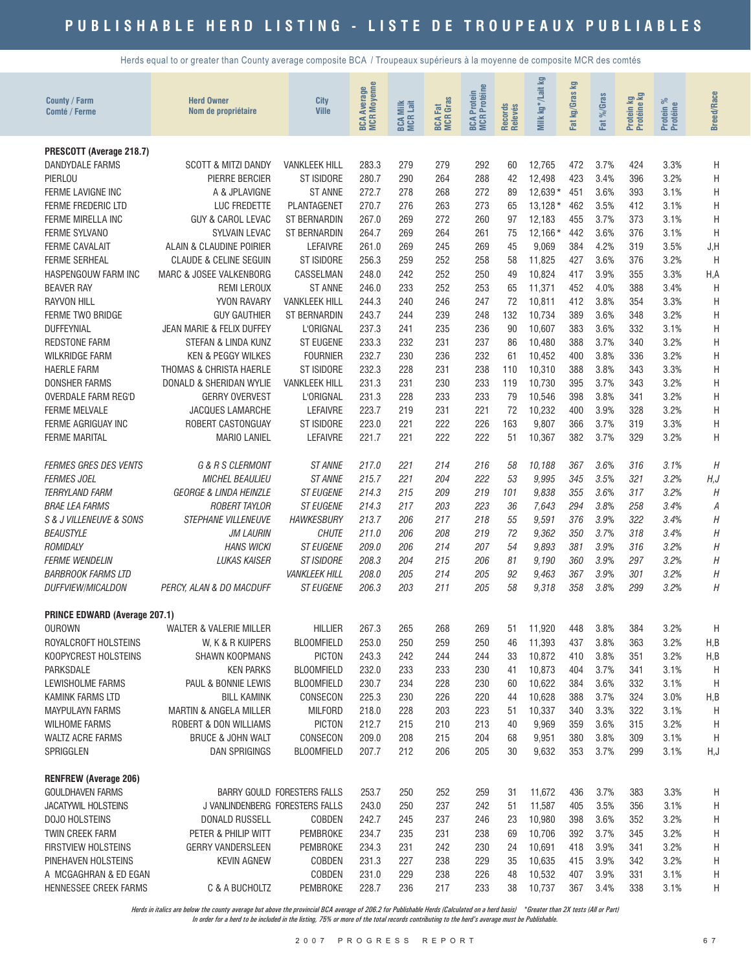Herds equal to or greater than County average composite BCA / Troupeaux supérieurs à la moyenne de composite MCR des comtés

| County / Farm<br>Comté / Ferme                                                                                                                                                                                                                                                             | <b>Herd Owner</b><br>Nom de propriétaire                                                                                                                                                                                                                                                            | <b>City</b><br><b>Ville</b>                                                                                                                                                                         | <b>BCA Average</b><br>MCR Moyenne                                                                        | <b>BCA Milk</b><br>MCR Lait                                                      | <b>BCA Fat</b><br>MCR Gras                                                       | Protéine<br>Protein<br><b>BCAF</b>                                               | Records<br>Relevés                                                       | kg*/Lait kg<br>Milk                                                                                                 | kg/Graskg<br>Fat                                                                 | %Gras<br><b>Fat</b>                                                                          | Protein kg<br>--**ine kg                                                         | Protein %<br>Protéine                                                                        | <b>Breed/Race</b>                                                                              |
|--------------------------------------------------------------------------------------------------------------------------------------------------------------------------------------------------------------------------------------------------------------------------------------------|-----------------------------------------------------------------------------------------------------------------------------------------------------------------------------------------------------------------------------------------------------------------------------------------------------|-----------------------------------------------------------------------------------------------------------------------------------------------------------------------------------------------------|----------------------------------------------------------------------------------------------------------|----------------------------------------------------------------------------------|----------------------------------------------------------------------------------|----------------------------------------------------------------------------------|--------------------------------------------------------------------------|---------------------------------------------------------------------------------------------------------------------|----------------------------------------------------------------------------------|----------------------------------------------------------------------------------------------|----------------------------------------------------------------------------------|----------------------------------------------------------------------------------------------|------------------------------------------------------------------------------------------------|
| PRESCOTT (Average 218.7)<br>DANDYDALE FARMS<br>PIERLOU<br>FERME LAVIGNE INC<br><b>FERME FREDERIC LTD</b><br>FERME MIRELLA INC<br><b>FERME SYLVANO</b><br><b>FERME CAVALAIT</b><br><b>FERME SERHEAL</b><br>HASPENGOUW FARM INC                                                              | <b>SCOTT &amp; MITZI DANDY</b><br>PIERRE BERCIER<br>A & JPLAVIGNE<br>LUC FREDETTE<br><b>GUY &amp; CAROL LEVAC</b><br>SYLVAIN LEVAC<br>ALAIN & CLAUDINE POIRIER<br><b>CLAUDE &amp; CELINE SEGUIN</b><br>MARC & JOSEE VALKENBORG                                                                      | <b>VANKLEEK HILL</b><br>ST ISIDORE<br><b>ST ANNE</b><br>PLANTAGENET<br>ST BERNARDIN<br>ST BERNARDIN<br>LEFAIVRE<br>ST ISIDORE<br>CASSELMAN                                                          | 283.3<br>280.7<br>272.7<br>270.7<br>267.0<br>264.7<br>261.0<br>256.3<br>248.0                            | 279<br>290<br>278<br>276<br>269<br>269<br>269<br>259<br>242                      | 279<br>264<br>268<br>263<br>272<br>264<br>245<br>252<br>252                      | 292<br>288<br>272<br>273<br>260<br>261<br>269<br>258<br>250                      | 60<br>42<br>89<br>65<br>97<br>75<br>45<br>58<br>49                       | 12,765<br>12,498<br>$12,639*$<br>$13,128*$<br>12,183<br>$12,166*$<br>9,069<br>11,825<br>10,824                      | 472<br>423<br>451<br>462<br>455<br>442<br>384<br>427<br>417                      | 3.7%<br>3.4%<br>3.6%<br>3.5%<br>3.7%<br>3.6%<br>4.2%<br>3.6%<br>3.9%                         | 424<br>396<br>393<br>412<br>373<br>376<br>319<br>376<br>355                      | 3.3%<br>3.2%<br>3.1%<br>3.1%<br>3.1%<br>3.1%<br>3.5%<br>3.2%<br>3.3%                         | Η<br>Η<br>Н<br>Н<br>Η<br>H<br>J, H<br>Η<br>H, A                                                |
| <b>BEAVER RAY</b><br><b>RAYVON HILL</b><br><b>FERME TWO BRIDGE</b><br><b>DUFFEYNIAL</b><br><b>REDSTONE FARM</b><br><b>WILKRIDGE FARM</b><br><b>HAERLE FARM</b><br><b>DONSHER FARMS</b><br><b>OVERDALE FARM REG'D</b><br><b>FERME MELVALE</b><br>FERME AGRIGUAY INC<br><b>FERME MARITAL</b> | <b>REMI LEROUX</b><br>YVON RAVARY<br><b>GUY GAUTHIER</b><br>JEAN MARIE & FELIX DUFFEY<br>STEFAN & LINDA KUNZ<br><b>KEN &amp; PEGGY WILKES</b><br>THOMAS & CHRISTA HAERLE<br>DONALD & SHERIDAN WYLIE<br><b>GERRY OVERVEST</b><br><b>JACQUES LAMARCHE</b><br>ROBERT CASTONGUAY<br><b>MARIO LANIEL</b> | <b>ST ANNE</b><br><b>VANKLEEK HILL</b><br>ST BERNARDIN<br>L'ORIGNAL<br><b>ST EUGENE</b><br><b>FOURNIER</b><br>ST ISIDORE<br><b>VANKLEEK HILL</b><br>L'ORIGNAL<br>LEFAIVRE<br>ST ISIDORE<br>LEFAIVRE | 246.0<br>244.3<br>243.7<br>237.3<br>233.3<br>232.7<br>232.3<br>231.3<br>231.3<br>223.7<br>223.0<br>221.7 | 233<br>240<br>244<br>241<br>232<br>230<br>228<br>231<br>228<br>219<br>221<br>221 | 252<br>246<br>239<br>235<br>231<br>236<br>231<br>230<br>233<br>231<br>222<br>222 | 253<br>247<br>248<br>236<br>237<br>232<br>238<br>233<br>233<br>221<br>226<br>222 | 65<br>72<br>132<br>90<br>86<br>61<br>110<br>119<br>79<br>72<br>163<br>51 | 11,371<br>10,811<br>10,734<br>10,607<br>10,480<br>10,452<br>10,310<br>10,730<br>10,546<br>10,232<br>9,807<br>10,367 | 452<br>412<br>389<br>383<br>388<br>400<br>388<br>395<br>398<br>400<br>366<br>382 | 4.0%<br>3.8%<br>3.6%<br>3.6%<br>3.7%<br>3.8%<br>3.8%<br>3.7%<br>3.8%<br>3.9%<br>3.7%<br>3.7% | 388<br>354<br>348<br>332<br>340<br>336<br>343<br>343<br>341<br>328<br>319<br>329 | 3.4%<br>3.3%<br>3.2%<br>3.1%<br>3.2%<br>3.2%<br>3.3%<br>3.2%<br>3.2%<br>3.2%<br>3.3%<br>3.2% | Η<br>Η<br>Η<br>Η<br>Η<br>Η<br>Η<br>Н<br>Η<br>Н<br>Η<br>Η                                       |
| <b>FERMES GRES DES VENTS</b><br><b>FERMES JOEL</b><br><b>TERRYLAND FARM</b><br><b>BRAE LEA FARMS</b><br>S & J VILLENEUVE & SONS<br><b>BEAUSTYLE</b><br>ROMIDALY<br><b>FERME WENDELIN</b><br><b>BARBROOK FARMS LTD</b><br>DUFFVIEW/MICALDON                                                 | G & R S CLERMONT<br>MICHEL BEAULIEU<br><b>GEORGE &amp; LINDA HEINZLE</b><br><b>ROBERT TAYLOR</b><br>STEPHANE VILLENEUVE<br><b>JM LAURIN</b><br><b>HANS WICKI</b><br><b>LUKAS KAISER</b><br>PERCY, ALAN & DO MACDUFF                                                                                 | <b>ST ANNE</b><br><b>ST ANNE</b><br><b>ST EUGENE</b><br><b>ST EUGENE</b><br><b>HAWKESBURY</b><br><b>CHUTE</b><br><b>ST EUGENE</b><br><b>ST ISIDORE</b><br><b>VANKLEEK HILL</b><br><b>ST EUGENE</b>  | 217.0<br>215.7<br>214.3<br>214.3<br>213.7<br>211.0<br>209.0<br>208.3<br>208.0<br>206.3                   | 221<br>221<br>215<br>217<br>206<br>206<br>206<br>204<br>205<br>203               | 214<br>204<br>209<br>203<br>217<br>208<br>214<br>215<br>214<br>211               | 216<br>222<br>219<br>223<br>218<br>219<br>207<br>206<br>205<br>205               | 58<br>53<br>101<br>36<br>55<br>72<br>54<br>81<br>92<br>58                | 10,188<br>9,995<br>9.838<br>7,643<br>9,591<br>9,362<br>9,893<br>9,190<br>9.463<br>9.318                             | 367<br>345<br>355<br>294<br>376<br>350<br>381<br>360<br>367<br>358               | 3.6%<br>3.5%<br>3.6%<br>3.8%<br>3.9%<br>3.7%<br>3.9%<br>3.9%<br>3.9%<br>3.8%                 | 316<br>321<br>317<br>258<br>322<br>318<br>316<br>297<br>301<br>299               | 3.1%<br>3.2%<br>3.2%<br>3.4%<br>3.4%<br>3.4%<br>3.2%<br>3.2%<br>3.2%<br>3.2%                 | H<br>H, J<br>$\boldsymbol{H}$<br>А<br>Η<br>$\boldsymbol{H}$<br>Η<br>Η<br>$\boldsymbol{H}$<br>Η |
| <b>PRINCE EDWARD (Average 207.1)</b><br><b>OUROWN</b><br>ROYALCROFT HOLSTEINS<br>KOOPYCREST HOLSTEINS<br>PARKSDALE<br>LEWISHOLME FARMS<br>KAMINK FARMS LTD<br><b>MAYPULAYN FARMS</b><br><b>WILHOME FARMS</b><br><b>WALTZ ACRE FARMS</b><br>SPRIGGLEN                                       | WALTER & VALERIE MILLER<br>W, K & R KUIPERS<br><b>SHAWN KOOPMANS</b><br><b>KEN PARKS</b><br>PAUL & BONNIE LEWIS<br><b>BILL KAMINK</b><br><b>MARTIN &amp; ANGELA MILLER</b><br>ROBERT & DON WILLIAMS<br>BRUCE & JOHN WALT<br>DAN SPRIGINGS                                                           | <b>HILLIER</b><br><b>BLOOMFIELD</b><br><b>PICTON</b><br><b>BLOOMFIELD</b><br><b>BLOOMFIELD</b><br>CONSECON<br><b>MILFORD</b><br><b>PICTON</b><br>CONSECON<br><b>BLOOMFIELD</b>                      | 267.3<br>253.0<br>243.3<br>232.0<br>230.7<br>225.3<br>218.0<br>212.7<br>209.0<br>207.7                   | 265<br>250<br>242<br>233<br>234<br>230<br>228<br>215<br>208<br>212               | 268<br>259<br>244<br>233<br>228<br>226<br>203<br>210<br>215<br>206               | 269<br>250<br>244<br>230<br>230<br>220<br>223<br>213<br>204<br>205               | 51<br>46<br>33<br>41<br>60<br>44<br>51<br>40<br>68<br>30                 | 11,920<br>11,393<br>10,872<br>10,873<br>10,622<br>10,628<br>10,337<br>9,969<br>9,951<br>9,632                       | 448<br>437<br>410<br>404<br>384<br>388<br>340<br>359<br>380<br>353               | 3.8%<br>3.8%<br>3.8%<br>3.7%<br>3.6%<br>3.7%<br>3.3%<br>3.6%<br>3.8%<br>3.7%                 | 384<br>363<br>351<br>341<br>332<br>324<br>322<br>315<br>309<br>299               | 3.2%<br>3.2%<br>3.2%<br>3.1%<br>3.1%<br>3.0%<br>3.1%<br>3.2%<br>3.1%<br>3.1%                 | H<br>H,B<br>H,B<br>H<br>Η<br>H,B<br>Н<br>Η<br>Η<br>H, J                                        |
| <b>RENFREW (Average 206)</b><br><b>GOULDHAVEN FARMS</b><br>JACATYWIL HOLSTEINS<br>DOJO HOLSTEINS<br>TWIN CREEK FARM<br><b>FIRSTVIEW HOLSTEINS</b><br>PINEHAVEN HOLSTEINS<br>A MCGAGHRAN & ED EGAN<br>HENNESSEE CREEK FARMS                                                                 | J VANLINDENBERG FORESTERS FALLS<br>DONALD RUSSELL<br>PETER & PHILIP WITT<br><b>GERRY VANDERSLEEN</b><br><b>KEVIN AGNEW</b><br>C & A BUCHOLTZ                                                                                                                                                        | BARRY GOULD FORESTERS FALLS<br><b>COBDEN</b><br>PEMBROKE<br>PEMBROKE<br>COBDEN<br>COBDEN<br>PEMBROKE                                                                                                | 253.7<br>243.0<br>242.7<br>234.7<br>234.3<br>231.3<br>231.0<br>228.7                                     | 250<br>250<br>245<br>235<br>231<br>227<br>229<br>236                             | 252<br>237<br>237<br>231<br>242<br>238<br>238<br>217                             | 259<br>242<br>246<br>238<br>230<br>229<br>226<br>233                             | 31<br>51<br>23<br>69<br>24<br>35<br>48<br>38                             | 11,672<br>11,587<br>10,980<br>10,706<br>10,691<br>10,635<br>10,532<br>10,737                                        | 436<br>405<br>398<br>392<br>418<br>415<br>407<br>367                             | 3.7%<br>3.5%<br>3.6%<br>3.7%<br>3.9%<br>3.9%<br>3.9%<br>3.4%                                 | 383<br>356<br>352<br>345<br>341<br>342<br>331<br>338                             | 3.3%<br>3.1%<br>3.2%<br>3.2%<br>3.2%<br>3.2%<br>3.1%<br>3.1%                                 | Н<br>Н<br>Н<br>Н<br>Н<br>Н<br>Н<br>Н                                                           |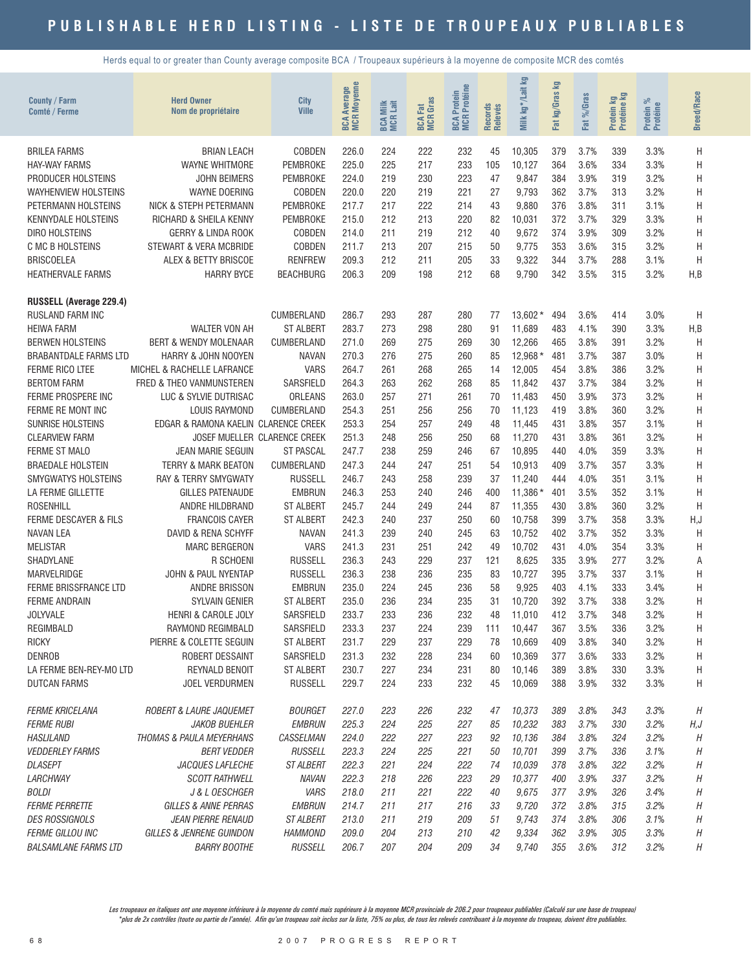Herds equal to or greater than County average composite BCA / Troupeaux supérieurs à la moyenne de composite MCR des comtés

| County / Farm<br>Comté / Ferme      | <b>Herd Owner</b><br>Nom de propriétaire         | <b>City</b><br><b>Ville</b>       | <b>BCA Average</b><br>MCR Moyenne | <b>BCA Milk</b><br>MCR Lait | <b>BCA Fat</b><br>MCR Gras | <b>MCR</b> Protéine<br>Protein<br><b>BCA</b> | Records<br>Relevés | <b>S</b><br>kg*/Lait<br>Milk | <u>ទ</u><br>kg/Gras<br>Fat | Fat %/Gras   | Protein kg<br>Protéine kg | ಸಿ<br>Protein %<br>Protéine | <b>Breed/Race</b> |
|-------------------------------------|--------------------------------------------------|-----------------------------------|-----------------------------------|-----------------------------|----------------------------|----------------------------------------------|--------------------|------------------------------|----------------------------|--------------|---------------------------|-----------------------------|-------------------|
| <b>BRILEA FARMS</b>                 | <b>BRIAN LEACH</b>                               | <b>COBDEN</b>                     | 226.0                             | 224                         | 222                        | 232                                          | 45                 | 10,305                       | 379                        | 3.7%         | 339                       | 3.3%                        | Η                 |
| <b>HAY-WAY FARMS</b>                | <b>WAYNE WHITMORE</b>                            | <b>PEMBROKE</b>                   | 225.0                             | 225                         | 217                        | 233                                          | 105                | 10,127                       | 364                        | 3.6%         | 334                       | 3.3%                        | Н                 |
| PRODUCER HOLSTEINS                  | <b>JOHN BEIMERS</b>                              | <b>PEMBROKE</b>                   | 224.0                             | 219                         | 230                        | 223                                          | 47                 | 9,847                        | 384                        | 3.9%         | 319                       | 3.2%                        | Η                 |
| <b>WAYHENVIEW HOLSTEINS</b>         | WAYNE DOERING                                    | <b>COBDEN</b>                     | 220.0                             | 220                         | 219                        | 221                                          | 27                 | 9,793                        | 362                        | 3.7%         | 313                       | 3.2%                        | Η                 |
| PETERMANN HOLSTEINS                 | NICK & STEPH PETERMANN                           | <b>PEMBROKE</b>                   | 217.7                             | 217                         | 222                        | 214                                          | 43                 | 9,880                        | 376                        | 3.8%         | 311                       | 3.1%                        | H                 |
| <b>KENNYDALE HOLSTEINS</b>          | RICHARD & SHEILA KENNY                           | <b>PEMBROKE</b>                   | 215.0                             | 212                         | 213                        | 220                                          | 82                 | 10,031                       | 372                        | 3.7%         | 329                       | 3.3%                        | H                 |
| <b>DIRO HOLSTEINS</b>               | <b>GERRY &amp; LINDA ROOK</b>                    | <b>COBDEN</b>                     | 214.0                             | 211                         | 219                        | 212                                          | 40                 | 9,672                        | 374                        | 3.9%         | 309                       | 3.2%                        | H                 |
| C MC B HOLSTEINS                    | STEWART & VERA MCBRIDE                           | <b>COBDEN</b>                     | 211.7                             | 213                         | 207                        | 215                                          | 50                 | 9,775                        | 353                        | 3.6%         | 315                       | 3.2%                        | H                 |
| <b>BRISCOELEA</b>                   | ALEX & BETTY BRISCOE                             | <b>RENFREW</b>                    | 209.3                             | 212                         | 211                        | 205                                          | 33                 | 9,322                        | 344                        | 3.7%         | 288                       | 3.1%                        | H                 |
| <b>HEATHERVALE FARMS</b>            | <b>HARRY BYCE</b>                                | <b>BEACHBURG</b>                  | 206.3                             | 209                         | 198                        | 212                                          | 68                 | 9,790                        | 342                        | 3.5%         | 315                       | 3.2%                        | H,B               |
| RUSSELL (Average 229.4)             |                                                  |                                   |                                   |                             |                            |                                              |                    |                              |                            |              |                           |                             |                   |
| RUSLAND FARM INC                    |                                                  | CUMBERLAND                        | 286.7                             | 293                         | 287                        | 280                                          | 77                 | 13,602*                      | 494                        | 3.6%         | 414                       | 3.0%                        | H                 |
| <b>HEIWA FARM</b>                   | <b>WALTER VON AH</b>                             | <b>ST ALBERT</b>                  | 283.7                             | 273                         | 298                        | 280                                          | 91                 | 11,689                       | 483                        | 4.1%         | 390                       | 3.3%                        | H,B               |
| <b>BERWEN HOLSTEINS</b>             | <b>BERT &amp; WENDY MOLENAAR</b>                 | CUMBERLAND                        | 271.0                             | 269                         | 275                        | 269                                          | 30                 | 12,266                       | 465                        | 3.8%         | 391                       | 3.2%                        | H                 |
| <b>BRABANTDALE FARMS LTD</b>        | HARRY & JOHN NOOYEN                              | <b>NAVAN</b>                      | 270.3                             | 276                         | 275                        | 260                                          | 85                 | 12,968*                      | 481                        | 3.7%         | 387                       | 3.0%                        | Н                 |
| <b>FERME RICO LTEE</b>              | MICHEL & RACHELLE LAFRANCE                       | <b>VARS</b>                       | 264.7                             | 261                         | 268                        | 265                                          | 14                 | 12,005                       | 454                        | 3.8%         | 386                       | 3.2%                        | Η                 |
| <b>BERTOM FARM</b>                  | FRED & THEO VANMUNSTEREN                         | SARSFIELD                         | 264.3                             | 263                         | 262                        | 268                                          | 85                 | 11,842                       | 437                        | 3.7%         | 384                       | 3.2%                        | Η                 |
| FERME PROSPERE INC                  | LUC & SYLVIE DUTRISAC                            | ORLEANS                           | 263.0                             | 257                         | 271                        | 261                                          | 70                 | 11,483                       | 450                        | 3.9%         | 373                       | 3.2%                        | H                 |
| FERME RE MONT INC                   | <b>LOUIS RAYMOND</b>                             | CUMBERLAND                        | 254.3                             | 251                         | 256                        | 256                                          | 70                 | 11.123                       | 419                        | 3.8%         | 360                       | 3.2%                        | H                 |
| <b>SUNRISE HOLSTEINS</b>            | EDGAR & RAMONA KAELIN CLARENCE CREEK             |                                   | 253.3                             | 254                         | 257                        | 249                                          | 48                 | 11,445                       | 431                        | 3.8%         | 357                       | 3.1%                        | H                 |
| <b>CLEARVIEW FARM</b>               |                                                  | JOSEF MUELLER CLARENCE CREEK      | 251.3                             | 248                         | 256                        | 250                                          | 68                 | 11,270                       | 431                        | 3.8%         | 361                       | 3.2%                        | H                 |
| <b>FERME ST MALO</b>                | <b>JEAN MARIE SEGUIN</b>                         | <b>ST PASCAL</b>                  | 247.7                             | 238                         | 259                        | 246                                          | 67                 | 10,895                       | 440                        | 4.0%         | 359                       | 3.3%                        | H                 |
| <b>BRAEDALE HOLSTEIN</b>            | <b>TERRY &amp; MARK BEATON</b>                   | CUMBERLAND                        | 247.3                             | 244                         | 247                        | 251                                          | 54                 | 10,913                       | 409                        | 3.7%         | 357                       | 3.3%                        | Η                 |
| <b>SMYGWATYS HOLSTEINS</b>          | RAY & TERRY SMYGWATY                             | <b>RUSSELL</b>                    | 246.7                             | 243                         | 258                        | 239                                          | 37                 | 11,240                       | 444                        | 4.0%         | 351                       | 3.1%                        | H                 |
| LA FERME GILLETTE                   | <b>GILLES PATENAUDE</b>                          | <b>EMBRUN</b>                     | 246.3                             | 253                         | 240                        | 246                                          | 400                | 11,386*                      | 401                        | 3.5%         | 352                       | 3.1%                        | H                 |
| <b>ROSENHILL</b>                    | ANDRE HILDBRAND                                  | <b>ST ALBERT</b>                  | 245.7                             | 244                         | 249                        | 244                                          | 87                 | 11,355                       | 430                        | 3.8%         | 360                       | 3.2%                        | H                 |
| <b>FERME DESCAYER &amp; FILS</b>    | <b>FRANCOIS CAYER</b>                            | <b>ST ALBERT</b>                  | 242.3                             | 240                         | 237                        | 250                                          | 60                 | 10,758                       | 399                        | 3.7%         | 358                       | 3.3%                        | H, J              |
| <b>NAVAN LEA</b>                    | DAVID & RENA SCHYFF                              | <b>NAVAN</b>                      | 241.3                             | 239                         | 240                        | 245                                          | 63                 | 10,752                       | 402                        | 3.7%         | 352                       | 3.3%                        | H                 |
| <b>MELISTAR</b>                     | <b>MARC BERGERON</b>                             | <b>VARS</b>                       | 241.3                             | 231                         | 251                        | 242                                          | 49                 | 10,702                       | 431                        | 4.0%         | 354                       | 3.3%                        | Η                 |
| SHADYLANE                           | R SCHOENI                                        | <b>RUSSELL</b>                    | 236.3                             | 243                         | 229                        | 237                                          | 121                | 8,625                        | 335                        | 3.9%         | 277                       | 3.2%                        | Α                 |
| MARVELRIDGE                         | <b>JOHN &amp; PAUL NYENTAP</b>                   | <b>RUSSELL</b>                    | 236.3                             | 238                         | 236                        | 235                                          | 83                 | 10,727                       | 395                        | 3.7%         | 337                       | 3.1%                        | H                 |
| <b>FERME BRISSFRANCE LTD</b>        | <b>ANDRE BRISSON</b>                             | <b>EMBRUN</b><br><b>ST ALBERT</b> | 235.0                             | 224                         | 245                        | 236                                          | 58                 | 9,925                        | 403                        | 4.1%<br>3.7% | 333                       | 3.4%                        | H                 |
| <b>FERME ANDRAIN</b>                | SYLVAIN GENIER<br><b>HENRI &amp; CAROLE JOLY</b> | SARSFIELD                         | 235.0<br>233.7                    | 236<br>233                  | 234<br>236                 | 235<br>232                                   | 31                 | 10,720                       | 392<br>412                 | 3.7%         | 338<br>348                | 3.2%<br>3.2%                | H<br>H            |
| <b>JOLYVALE</b><br><b>REGIMBALD</b> | RAYMOND REGIMBALD                                | SARSFIELD                         | 233.3                             | 237                         | 224                        | 239                                          | 48<br>111          | 11,010<br>10,447             | 367                        | 3.5%         | 336                       | 3.2%                        | Н                 |
| <b>RICKY</b>                        | PIERRE & COLETTE SEGUIN                          | <b>ST ALBERT</b>                  | 231.7                             | 229                         | 237                        | 229                                          | 78                 | 10,669                       | 409                        | 3.8%         | 340                       | 3.2%                        | Н                 |
| <b>DENROB</b>                       | ROBERT DESSAINT                                  | SARSFIELD                         | 231.3                             | 232                         | 228                        | 234                                          | 60                 | 10,369                       | 377                        | 3.6%         | 333                       | 3.2%                        | Н                 |
| LA FERME BEN-REY-MO LTD             | REYNALD BENOIT                                   | ST ALBERT                         | 230.7                             | 227                         | 234                        | 231                                          | 80                 | 10,146                       | 389                        | 3.8%         | 330                       | 3.3%                        | Η                 |
| <b>DUTCAN FARMS</b>                 | JOEL VERDURMEN                                   | <b>RUSSELL</b>                    | 229.7                             | 224                         | 233                        | 232                                          | 45                 | 10,069                       | 388                        | 3.9%         | 332                       | 3.3%                        | Н                 |
| <b>FERME KRICELANA</b>              | ROBERT & LAURE JAQUEMET                          | <b>BOURGET</b>                    | 227.0                             | 223                         | 226                        | 232                                          | 47                 | 10,373                       | 389                        | 3.8%         | 343                       | 3.3%                        | $\boldsymbol{H}$  |
| <b>FERME RUBI</b>                   | <b>JAKOB BUEHLER</b>                             | <b>EMBRUN</b>                     | 225.3                             | 224                         | 225                        | 227                                          | 85                 | 10,232                       | 383                        | 3.7%         | 330                       | 3.2%                        | H,J               |
| <b>HASLILAND</b>                    | THOMAS & PAULA MEYERHANS                         | CASSELMAN                         | 224.0                             | 222                         | 227                        | 223                                          | 92                 | 10,136                       | 384                        | 3.8%         | 324                       | 3.2%                        | H                 |
| <b>VEDDERLEY FARMS</b>              | <b>BERT VEDDER</b>                               | <b>RUSSELL</b>                    | 223.3                             | 224                         | 225                        | 221                                          | 50                 | 10,701                       | 399                        | 3.7%         | 336                       | 3.1%                        | Η                 |
| <b>DLASEPT</b>                      | JACQUES LAFLECHE                                 | ST ALBERT                         | 222.3                             | 221                         | 224                        | 222                                          | 74                 | 10,039                       | 378                        | 3.8%         | 322                       | 3.2%                        | Η                 |
| LARCHWAY                            | <b>SCOTT RATHWELL</b>                            | NAVAN                             | 222.3                             | 218                         | 226                        | 223                                          | 29                 | 10,377                       | 400                        | 3.9%         | 337                       | 3.2%                        | Η                 |
| <b>BOLDI</b>                        | J & L OESCHGER                                   | VARS                              | 218.0                             | 211                         | 221                        | 222                                          | $40\,$             | 9,675                        | 377                        | 3.9%         | 326                       | 3.4%                        | Η                 |
| <b>FERME PERRETTE</b>               | <b>GILLES &amp; ANNE PERRAS</b>                  | <b>EMBRUN</b>                     | 214.7                             | 211                         | 217                        | 216                                          | 33                 | 9,720                        | 372                        | 3.8%         | 315                       | 3.2%                        | Η                 |
| <b>DES ROSSIGNOLS</b>               | JEAN PIERRE RENAUD                               | <b>ST ALBERT</b>                  | 213.0                             | 211                         | 219                        | 209                                          | 51                 | 9,743                        | 374                        | 3.8%         | 306                       | 3.1%                        | Η                 |
| <b>FERME GILLOU INC</b>             | GILLES & JENRENE GUINDON                         | <b>HAMMOND</b>                    | 209.0                             | 204                         | 213                        | 210                                          | 42                 | 9,334                        | 362                        | 3.9%         | 305                       | 3.3%                        | Η                 |
| <b>BALSAMLANE FARMS LTD</b>         | <b>BARRY BOOTHE</b>                              | <b>RUSSELL</b>                    | 206.7                             | 207                         | 204                        | 209                                          | 34                 | 9,740                        | 355                        | 3.6%         | 312                       | 3.2%                        | Η                 |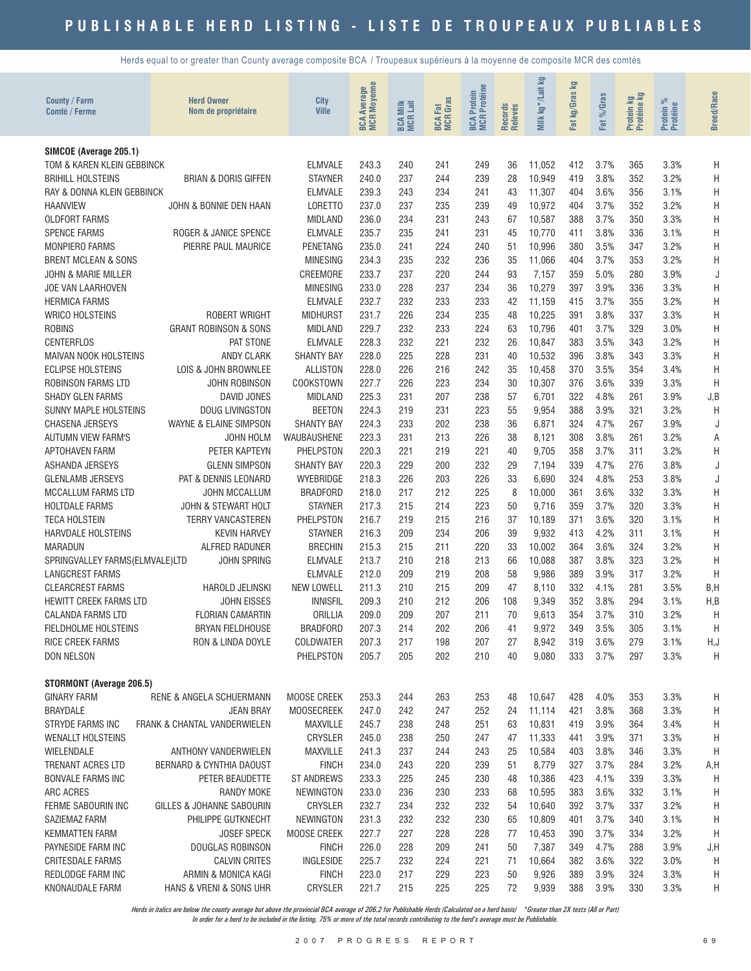Herds equal to or greater than County average composite BCA / Troupeaux supérieurs à la moyenne de composite MCR des comtés

| <b>County / Farm</b><br>Comté / Ferme                 | <b>Herd Owner</b><br>Nom de propriétaire       | City<br><b>Ville</b>                | <b>BCA Average</b><br>MCR Moyenne | Milk<br>Lait<br>BCA I | <b>BCA Fat</b><br>MCR Gras | <b>BCA Protein<br/>MCR Protéine</b> | Records<br>Relevés | Milk kg*/Lait kg | g<br>Fat kg/Gras | %Gras<br><b>Fat</b> | Protein kg<br>Protéine kg | ಸ<br>Protein %<br>Protéine | <b>Breed/Race</b> |
|-------------------------------------------------------|------------------------------------------------|-------------------------------------|-----------------------------------|-----------------------|----------------------------|-------------------------------------|--------------------|------------------|------------------|---------------------|---------------------------|----------------------------|-------------------|
| SIMCOE (Average 205.1)                                |                                                |                                     |                                   |                       |                            |                                     |                    |                  |                  |                     |                           |                            |                   |
| TOM & KAREN KLEIN GEBBINCK                            |                                                | <b>ELMVALE</b>                      | 243.3                             | 240                   | 241                        | 249                                 | 36                 | 11,052           | 412              | 3.7%                | 365                       | 3.3%                       | H                 |
| <b>BRIHILL HOLSTEINS</b>                              | <b>BRIAN &amp; DORIS GIFFEN</b>                | <b>STAYNER</b>                      | 240.0                             | 237                   | 244                        | 239                                 | 28                 | 10,949           | 419              | 3.8%                | 352                       | 3.2%                       | H                 |
| RAY & DONNA KLEIN GEBBINCK                            |                                                | <b>ELMVALE</b>                      | 239.3                             | 243                   | 234                        | 241                                 | 43                 | 11,307           | 404              | 3.6%                | 356                       | 3.1%                       | H                 |
| <b>HAANVIEW</b>                                       | JOHN & BONNIE DEN HAAN                         | LORETTO                             | 237.0                             | 237                   | 235                        | 239                                 | 49                 | 10,972           | 404              | 3.7%                | 352                       | 3.2%                       | Η                 |
| <b>OLDFORT FARMS</b>                                  |                                                | <b>MIDLAND</b>                      | 236.0                             | 234                   | 231                        | 243                                 | 67                 | 10,587           | 388              | 3.7%                | 350                       | 3.3%                       | H                 |
| <b>SPENCE FARMS</b>                                   | <b>ROGER &amp; JANICE SPENCE</b>               | <b>ELMVALE</b>                      | 235.7                             | 235                   | 241                        | 231                                 | 45                 | 10,770           | 411              | 3.8%                | 336                       | 3.1%                       | H                 |
| <b>MONPIERO FARMS</b>                                 | PIERRE PAUL MAURICE                            | PENETANG<br><b>MINESING</b>         | 235.0<br>234.3                    | 241<br>235            | 224<br>232                 | 240<br>236                          | 51<br>35           | 10,996<br>11,066 | 380<br>404       | 3.5%<br>3.7%        | 347<br>353                | 3.2%<br>3.2%               | H<br>H            |
| <b>BRENT MCLEAN &amp; SONS</b><br>JOHN & MARIE MILLER |                                                | CREEMORE                            | 233.7                             | 237                   | 220                        | 244                                 | 93                 | 7,157            | 359              | 5.0%                | 280                       | 3.9%                       | J                 |
| <b>JOE VAN LAARHOVEN</b>                              |                                                | <b>MINESING</b>                     | 233.0                             | 228                   | 237                        | 234                                 | 36                 | 10,279           | 397              | 3.9%                | 336                       | 3.3%                       | Η                 |
| <b>HERMICA FARMS</b>                                  |                                                | <b>ELMVALE</b>                      | 232.7                             | 232                   | 233                        | 233                                 | 42                 | 11,159           | 415              | 3.7%                | 355                       | 3.2%                       | Η                 |
| <b>WRICO HOLSTEINS</b>                                | <b>ROBERT WRIGHT</b>                           | <b>MIDHURST</b>                     | 231.7                             | 226                   | 234                        | 235                                 | 48                 | 10,225           | 391              | 3.8%                | 337                       | 3.3%                       | Η                 |
| <b>ROBINS</b>                                         | <b>GRANT ROBINSON &amp; SONS</b>               | <b>MIDLAND</b>                      | 229.7                             | 232                   | 233                        | 224                                 | 63                 | 10,796           | 401              | 3.7%                | 329                       | 3.0%                       | H                 |
| <b>CENTERFLOS</b>                                     | PAT STONE                                      | <b>ELMVALE</b>                      | 228.3                             | 232                   | 221                        | 232                                 | 26                 | 10,847           | 383              | 3.5%                | 343                       | 3.2%                       | H                 |
| MAIVAN NOOK HOLSTEINS                                 | ANDY CLARK                                     | <b>SHANTY BAY</b>                   | 228.0                             | 225                   | 228                        | 231                                 | 40                 | 10,532           | 396              | 3.8%                | 343                       | 3.3%                       | H                 |
| <b>ECLIPSE HOLSTEINS</b>                              | LOIS & JOHN BROWNLEE                           | <b>ALLISTON</b>                     | 228.0                             | 226                   | 216                        | 242                                 | 35                 | 10,458           | 370              | 3.5%                | 354                       | 3.4%                       | H                 |
| ROBINSON FARMS LTD                                    | JOHN ROBINSON                                  | <b>COOKSTOWN</b>                    | 227.7                             | 226                   | 223                        | 234                                 | 30                 | 10,307           | 376              | 3.6%                | 339                       | 3.3%                       | H                 |
| <b>SHADY GLEN FARMS</b>                               | <b>DAVID JONES</b>                             | <b>MIDLAND</b>                      | 225.3                             | 231                   | 207                        | 238                                 | 57                 | 6,701            | 322              | 4.8%                | 261                       | 3.9%                       | J, B              |
| <b>SUNNY MAPLE HOLSTEINS</b><br>CHASENA JERSEYS       | <b>DOUG LIVINGSTON</b>                         | <b>BEETON</b><br><b>SHANTY BAY</b>  | 224.3<br>224.3                    | 219                   | 231<br>202                 | 223                                 | 55<br>36           | 9,954            | 388<br>324       | 3.9%<br>4.7%        | 321<br>267                | 3.2%                       | H                 |
| <b>AUTUMN VIEW FARM'S</b>                             | WAYNE & ELAINE SIMPSON<br>JOHN HOLM            | WAUBAUSHENE                         | 223.3                             | 233<br>231            | 213                        | 238<br>226                          | 38                 | 6,871<br>8,121   | 308              | 3.8%                | 261                       | 3.9%<br>3.2%               | J<br>Α            |
| APTOHAVEN FARM                                        | PETER KAPTEYN                                  | PHELPSTON                           | 220.3                             | 221                   | 219                        | 221                                 | 40                 | 9,705            | 358              | 3.7%                | 311                       | 3.2%                       | H                 |
| ASHANDA JERSEYS                                       | <b>GLENN SIMPSON</b>                           | <b>SHANTY BAY</b>                   | 220.3                             | 229                   | 200                        | 232                                 | 29                 | 7,194            | 339              | 4.7%                | 276                       | 3.8%                       | J                 |
| <b>GLENLAMB JERSEYS</b>                               | PAT & DENNIS LEONARD                           | WYEBRIDGE                           | 218.3                             | 226                   | 203                        | 226                                 | 33                 | 6,690            | 324              | 4.8%                | 253                       | 3.8%                       | J                 |
| MCCALLUM FARMS LTD                                    | <b>JOHN MCCALLUM</b>                           | <b>BRADFORD</b>                     | 218.0                             | 217                   | 212                        | 225                                 | 8                  | 10,000           | 361              | 3.6%                | 332                       | 3.3%                       | H                 |
| <b>HOLTDALE FARMS</b>                                 | JOHN & STEWART HOLT                            | <b>STAYNER</b>                      | 217.3                             | 215                   | 214                        | 223                                 | 50                 | 9,716            | 359              | 3.7%                | 320                       | 3.3%                       | H                 |
| <b>TECA HOLSTEIN</b>                                  | <b>TERRY VANCASTEREN</b>                       | PHELPSTON                           | 216.7                             | 219                   | 215                        | 216                                 | 37                 | 10,189           | 371              | 3.6%                | 320                       | 3.1%                       | H                 |
| <b>HARVDALE HOLSTEINS</b>                             | <b>KEVIN HARVEY</b>                            | <b>STAYNER</b>                      | 216.3                             | 209                   | 234                        | 206                                 | 39                 | 9,932            | 413              | 4.2%                | 311                       | 3.1%                       | H                 |
| <b>MARADUN</b>                                        | ALFRED RADUNER                                 | <b>BRECHIN</b>                      | 215.3                             | 215                   | 211                        | 220                                 | 33                 | 10,002           | 364              | 3.6%                | 324                       | 3.2%                       | H                 |
| SPRINGVALLEY FARMS (ELMVALE) LTD                      | <b>JOHN SPRING</b>                             | <b>ELMVALE</b>                      | 213.7                             | 210                   | 218                        | 213                                 | 66                 | 10,088           | 387              | 3.8%                | 323                       | 3.2%                       | H                 |
| <b>LANGCREST FARMS</b><br><b>CLEARCREST FARMS</b>     | HAROLD JELINSKI                                | <b>ELMVALE</b><br><b>NEW LOWELL</b> | 212.0<br>211.3                    | 209                   | 219<br>215                 | 208<br>209                          | 58                 | 9,986            | 389<br>332       | 3.9%<br>4.1%        | 317                       | 3.2%<br>3.5%               | H                 |
| HEWITT CREEK FARMS LTD                                | <b>JOHN EISSES</b>                             | <b>INNISFIL</b>                     | 209.3                             | 210<br>210            | 212                        | 206                                 | 47<br>108          | 8,110<br>9,349   | 352              | 3.8%                | 281<br>294                | 3.1%                       | B,H<br>H, B       |
| CALANDA FARMS LTD                                     | <b>FLORIAN CAMARTIN</b>                        | ORILLIA                             | 209.0                             | 209                   | 207                        | 211                                 | 70                 | 9,613            | 354              | 3.7%                | 310                       | 3.2%                       | H                 |
| FIELDHOLME HOLSTEINS                                  | <b>BRYAN FIELDHOUSE</b>                        | <b>BRADFORD</b>                     | 207.3                             | 214                   | 202                        | 206                                 | 41                 | 9,972            | 349              | 3.5%                | 305                       | 3.1%                       | H                 |
| RICE CREEK FARMS                                      | RON & LINDA DOYLE                              | COLDWATER                           | 207.3                             | 217                   | 198                        | 207                                 | 27                 | 8,942            | 319              | 3.6%                | 279                       | 3.1%                       | H,J               |
| <b>DON NELSON</b>                                     |                                                | PHELPSTON                           | 205.7                             | 205                   | 202                        | 210                                 | 40                 | 9,080            | 333              | 3.7%                | 297                       | 3.3%                       | H                 |
| STORMONT (Average 206.5)                              |                                                |                                     |                                   |                       |                            |                                     |                    |                  |                  |                     |                           |                            |                   |
| <b>GINARY FARM</b>                                    | RENE & ANGELA SCHUERMANN                       | <b>MOOSE CREEK</b>                  | 253.3                             | 244                   | 263                        | 253                                 | 48                 | 10,647           | 428              | 4.0%                | 353                       | 3.3%                       | H                 |
| <b>BRAYDALE</b>                                       | <b>JEAN BRAY</b>                               | <b>MOOSECREEK</b>                   | 247.0                             | 242                   | 247                        | 252                                 | 24                 | 11,114           | 421              | 3.8%                | 368                       | 3.3%                       | Η                 |
| STRYDE FARMS INC                                      | FRANK & CHANTAL VANDERWIELEN                   | <b>MAXVILLE</b>                     | 245.7                             | 238                   | 248                        | 251                                 | 63                 | 10,831           | 419              | 3.9%                | 364                       | 3.4%                       | Η                 |
| <b>WENALLT HOLSTEINS</b>                              |                                                | <b>CRYSLER</b>                      | 245.0                             | 238                   | 250                        | 247                                 | 47                 | 11,333           | 441              | 3.9%                | 371                       | 3.3%                       | H                 |
| WIELENDALE                                            | ANTHONY VANDERWIELEN                           | <b>MAXVILLE</b>                     | 241.3                             | 237                   | 244                        | 243                                 | 25                 | 10,584           | 403              | 3.8%                | 346                       | 3.3%                       | H                 |
| TRENANT ACRES LTD                                     | <b>BERNARD &amp; CYNTHIA DAOUST</b>            | <b>FINCH</b>                        | 234.0                             | 243                   | 220                        | 239                                 | 51                 | 8,779            | 327              | 3.7%                | 284                       | 3.2%                       | A,H               |
| <b>BONVALE FARMS INC</b>                              | PETER BEAUDETTE                                | <b>ST ANDREWS</b>                   | 233.3                             | 225                   | 245                        | 230                                 | 48                 | 10,386           | 423              | 4.1%                | 339                       | 3.3%                       | H                 |
| ARC ACRES<br>FERME SABOURIN INC                       | <b>RANDY MOKE</b><br>GILLES & JOHANNE SABOURIN | <b>NEWINGTON</b><br><b>CRYSLER</b>  | 233.0<br>232.7                    | 236<br>234            | 230<br>232                 | 233<br>232                          | 68<br>54           | 10,595<br>10,640 | 383<br>392       | 3.6%<br>3.7%        | 332<br>337                | 3.1%<br>3.2%               | Η<br>Η            |
| SAZIEMAZ FARM                                         | PHILIPPE GUTKNECHT                             | <b>NEWINGTON</b>                    | 231.3                             | 232                   | 232                        | 230                                 | 65                 | 10,809           | 401              | 3.7%                | 340                       | 3.1%                       | Η                 |
| <b>KEMMATTEN FARM</b>                                 | <b>JOSEF SPECK</b>                             | MOOSE CREEK                         | 227.7                             | 227                   | 228                        | 228                                 | 77                 | 10,453           | 390              | 3.7%                | 334                       | 3.2%                       | H                 |
| PAYNESIDE FARM INC                                    | DOUGLAS ROBINSON                               | <b>FINCH</b>                        | 226.0                             | 228                   | 209                        | 241                                 | 50                 | 7,387            | 349              | 4.7%                | 288                       | 3.9%                       | J,H               |
| <b>CRITESDALE FARMS</b>                               | <b>CALVIN CRITES</b>                           | INGLESIDE                           | 225.7                             | 232                   | 224                        | 221                                 | 71                 | 10,664           | 382              | 3.6%                | 322                       | 3.0%                       | H                 |
| REDLODGE FARM INC                                     | ARMIN & MONICA KAGI                            | <b>FINCH</b>                        | 223.0                             | 217                   | 229                        | 223                                 | 50                 | 9,926            | 389              | 3.9%                | 324                       | 3.3%                       | H                 |
| KNONAUDALE FARM                                       | HANS & VRENI & SONS UHR                        | CRYSLER                             | 221.7                             | 215                   | 225                        | 225                                 | 72                 | 9,939            | 388              | 3.9%                | 330                       | 3.3%                       | Н                 |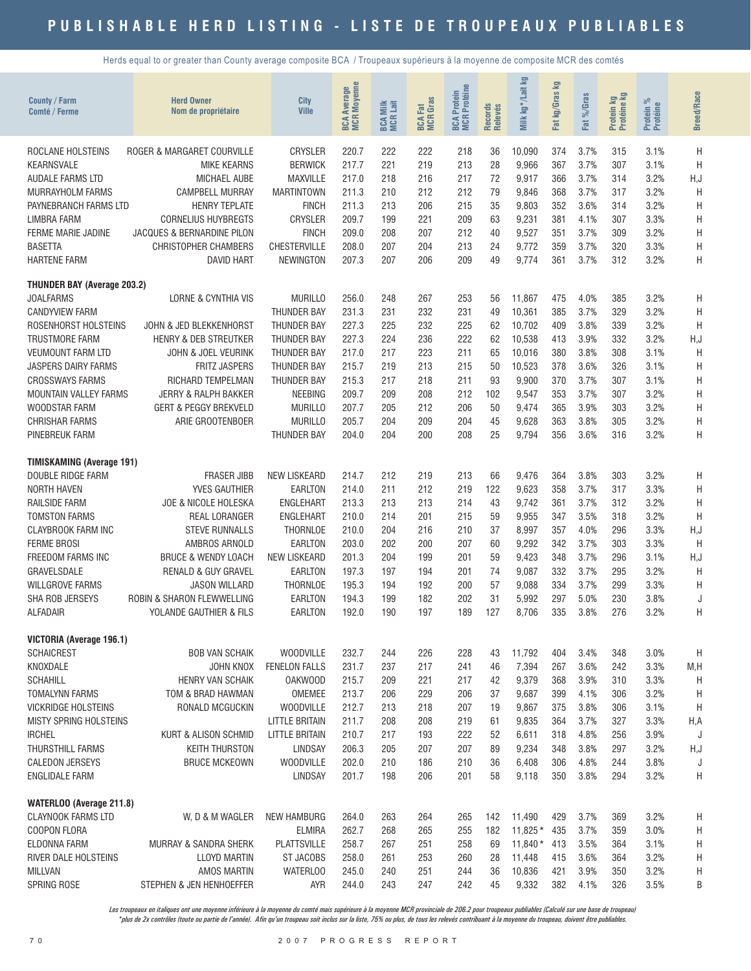Herds equal to or greater than County average composite BCA / Troupeaux supérieurs à la moyenne de composite MCR des comtés

| County / Farm<br>Comté / Ferme     | <b>Herd Owner</b><br>Nom de propriétaire | City<br><b>Ville</b>  | <b>BCA Average</b><br>MCR Moyenne | <b>BCA Milk</b><br>MCR Lait | <b>BCA Fat</b><br>MCR Gras | <b>MCR</b> Protéine<br>Protein<br><b>BCA</b> | Records<br>Relevés | <b>S</b><br>kg*/Lait<br>Milk | 空<br>Fat kg/Gras | %Gras<br>Fat | Protein kg<br>Protéine kg | Protein %<br>Protéine | <b>Breed/Race</b> |
|------------------------------------|------------------------------------------|-----------------------|-----------------------------------|-----------------------------|----------------------------|----------------------------------------------|--------------------|------------------------------|------------------|--------------|---------------------------|-----------------------|-------------------|
| ROCLANE HOLSTEINS                  | ROGER & MARGARET COURVILLE               | CRYSLER               | 220.7                             | 222                         | 222                        | 218                                          | 36                 | 10,090                       | 374              | 3.7%         | 315                       | 3.1%                  | H                 |
| <b>KEARNSVALE</b>                  | <b>MIKE KEARNS</b>                       | <b>BERWICK</b>        | 217.7                             | 221                         | 219                        | 213                                          | 28                 | 9,966                        | 367              | 3.7%         | 307                       | 3.1%                  | H                 |
| AUDALE FARMS LTD                   | <b>MICHAEL AUBE</b>                      | <b>MAXVILLE</b>       | 217.0                             | 218                         | 216                        | 217                                          | 72                 | 9,917                        | 366              | 3.7%         | 314                       | 3.2%                  | H, J              |
| MURRAYHOLM FARMS                   | <b>CAMPBELL MURRAY</b>                   | MARTINTOWN            | 211.3                             | 210                         | 212                        | 212                                          | 79                 | 9,846                        | 368              | 3.7%         | 317                       | 3.2%                  | H                 |
| PAYNEBRANCH FARMS LTD              | <b>HENRY TEPLATE</b>                     | <b>FINCH</b>          | 211.3                             | 213                         | 206                        | 215                                          | 35                 | 9,803                        | 352              | 3.6%         | 314                       | 3.2%                  | H                 |
| LIMBRA FARM                        | <b>CORNELIUS HUYBREGTS</b>               | CRYSLER               | 209.7                             | 199                         | 221                        | 209                                          | 63                 | 9,231                        | 381              | 4.1%         | 307                       | 3.3%                  | H                 |
| FERME MARIE JADINE                 | JACQUES & BERNARDINE PILON               | <b>FINCH</b>          | 209.0                             | 208                         | 207                        | 212                                          | 40                 | 9,527                        | 351              | 3.7%         | 309                       | 3.2%                  | H                 |
| <b>BASETTA</b>                     | <b>CHRISTOPHER CHAMBERS</b>              | <b>CHESTERVILLE</b>   | 208.0                             | 207                         | 204                        | 213                                          | 24                 | 9,772                        | 359              | 3.7%         | 320                       | 3.3%                  | H                 |
| <b>HARTENE FARM</b>                | <b>DAVID HART</b>                        | <b>NEWINGTON</b>      | 207.3                             | 207                         | 206                        | 209                                          | 49                 | 9,774                        | 361              | 3.7%         | 312                       | 3.2%                  | Η                 |
| <b>THUNDER BAY (Average 203.2)</b> |                                          |                       |                                   |                             |                            |                                              |                    |                              |                  |              |                           |                       |                   |
| <b>JOALFARMS</b>                   | <b>LORNE &amp; CYNTHIA VIS</b>           | <b>MURILLO</b>        | 256.0                             | 248                         | 267                        | 253                                          | 56                 | 11,867                       | 475              | 4.0%         | 385                       | 3.2%                  | H                 |
| <b>CANDYVIEW FARM</b>              |                                          | <b>THUNDER BAY</b>    | 231.3                             | 231                         | 232                        | 231                                          | 49                 | 10,361                       | 385              | 3.7%         | 329                       | 3.2%                  | H                 |
| ROSENHORST HOLSTEINS               | JOHN & JED BLEKKENHORST                  | <b>THUNDER BAY</b>    | 227.3                             | 225                         | 232                        | 225                                          | 62                 | 10,702                       | 409              | 3.8%         | 339                       | 3.2%                  | H                 |
| <b>TRUSTMORE FARM</b>              | <b>HENRY &amp; DEB STREUTKER</b>         | <b>THUNDER BAY</b>    | 227.3                             | 224                         | 236                        | 222                                          | 62                 | 10,538                       | 413              | 3.9%         | 332                       | 3.2%                  | H, J              |
| <b>VEUMOUNT FARM LTD</b>           | JOHN & JOEL VEURINK                      | THUNDER BAY           | 217.0                             | 217                         | 223                        | 211                                          | 65                 | 10,016                       | 380              | 3.8%         | 308                       | 3.1%                  | H                 |
| JASPERS DAIRY FARMS                | FRITZ JASPERS                            | <b>THUNDER BAY</b>    | 215.7                             | 219                         | 213                        | 215                                          | 50                 | 10,523                       | 378              | 3.6%         | 326                       | 3.1%                  | H                 |
| <b>CROSSWAYS FARMS</b>             | RICHARD TEMPELMAN                        | <b>THUNDER BAY</b>    | 215.3                             | 217                         | 218                        | 211                                          | 93                 | 9,900                        | 370              | 3.7%         | 307                       | 3.1%                  | H                 |
| <b>MOUNTAIN VALLEY FARMS</b>       | <b>JERRY &amp; RALPH BAKKER</b>          | <b>NEEBING</b>        | 209.7                             | 209                         | 208                        | 212                                          | 102                | 9,547                        | 353              | 3.7%         | 307                       | 3.2%                  | $\mathsf{H}$      |
| WOODSTAR FARM                      | <b>GERT &amp; PEGGY BREKVELD</b>         | <b>MURILLO</b>        | 207.7                             | 205                         | 212                        | 206                                          | 50                 | 9,474                        | 365              | 3.9%         | 303                       | 3.2%                  | Η                 |
| <b>CHRISHAR FARMS</b>              | ARIE GROOTENBOER                         | <b>MURILLO</b>        | 205.7                             | 204                         | 209                        | 204                                          | 45                 | 9,628                        | 363              | 3.8%         | 305                       | 3.2%                  | H                 |
| PINEBREUK FARM                     |                                          | <b>THUNDER BAY</b>    | 204.0                             | 204                         | 200                        | 208                                          | 25                 | 9,794                        | 356              | 3.6%         | 316                       | 3.2%                  | Η                 |
| <b>TIMISKAMING (Average 191)</b>   |                                          |                       |                                   |                             |                            |                                              |                    |                              |                  |              |                           |                       |                   |
| DOUBLE RIDGE FARM                  | <b>FRASER JIBB</b>                       | <b>NEW LISKEARD</b>   | 214.7                             | 212                         | 219                        | 213                                          | 66                 | 9,476                        | 364              | 3.8%         | 303                       | 3.2%                  | H                 |
| <b>NORTH HAVEN</b>                 | YVES GAUTHIER                            | <b>EARLTON</b>        | 214.0                             | 211                         | 212                        | 219                                          | 122                | 9,623                        | 358              | 3.7%         | 317                       | 3.3%                  | H                 |
| <b>RAILSIDE FARM</b>               | JOE & NICOLE HOLESKA                     | <b>ENGLEHART</b>      | 213.3                             | 213                         | 213                        | 214                                          | 43                 | 9,742                        | 361              | 3.7%         | 312                       | 3.2%                  | H                 |
| <b>TOMSTON FARMS</b>               | <b>REAL LORANGER</b>                     | <b>ENGLEHART</b>      | 210.0                             | 214                         | 201                        | 215                                          | 59                 | 9,955                        | 347              | 3.5%         | 318                       | 3.2%                  | H                 |
| <b>CLAYBROOK FARM INC</b>          | <b>STEVE RUNNALLS</b>                    | THORNLOE              | 210.0                             | 204                         | 216                        | 210                                          | 37                 | 8,997                        | 357              | 4.0%         | 296                       | 3.3%                  | H,J               |
| <b>FERME BROSI</b>                 | AMBROS ARNOLD                            | EARLTON               | 203.0                             | 202                         | 200                        | 207                                          | 60                 | 9,292                        | 342              | 3.7%         | 303                       | 3.3%                  | H                 |
| FREEDOM FARMS INC                  | <b>BRUCE &amp; WENDY LOACH</b>           | <b>NEW LISKEARD</b>   | 201.3                             | 204                         | 199                        | 201                                          | 59                 | 9,423                        | 348              | 3.7%         | 296                       | 3.1%                  | H, J              |
| GRAVELSDALE                        | <b>RENALD &amp; GUY GRAVEL</b>           | <b>EARLTON</b>        | 197.3                             | 197                         | 194                        | 201                                          | 74                 | 9,087                        | 332              | 3.7%         | 295                       | 3.2%                  | H                 |
| <b>WILLGROVE FARMS</b>             | <b>JASON WILLARD</b>                     | <b>THORNLOE</b>       | 195.3                             | 194                         | 192                        | 200                                          | 57                 | 9,088                        | 334              | 3.7%         | 299                       | 3.3%                  | H                 |
| SHA ROB JERSEYS                    | ROBIN & SHARON FLEWWELLING               | <b>EARLTON</b>        | 194.3                             | 199                         | 182                        | 202                                          | 31                 | 5,992                        | 297              | 5.0%         | 230                       | 3.8%                  | J                 |
| <b>ALFADAIR</b>                    | YOLANDE GAUTHIER & FILS                  | <b>EARLTON</b>        | 192.0                             | 190                         | 197                        | 189                                          | 127                | 8,706                        | 335              | 3.8%         | 276                       | 3.2%                  | Η                 |
| VICTORIA (Average 196.1)           |                                          |                       |                                   |                             |                            |                                              |                    |                              |                  |              |                           |                       |                   |
| <b>SCHAICREST</b>                  | <b>BOB VAN SCHAIK</b>                    | <b>WOODVILLE</b>      | 232.7                             | 244                         | 226                        | 228                                          | 43                 | 11,792                       | 404              | 3.4%         | 348                       | 3.0%                  | H                 |
| KNOXDALE                           | JOHN KNOX                                | <b>FENELON FALLS</b>  | 231.7                             | 237                         | 217                        | 241                                          | 46                 | 7,394                        | 267              | 3.6%         | 242                       | 3.3%                  | M, H              |
| <b>SCHAHILL</b>                    | HENRY VAN SCHAIK                         | OAKWOOD               | 215.7                             | 209                         | 221                        | 217                                          | 42                 | 9,379                        | 368              | 3.9%         | 310                       | 3.3%                  | H                 |
| <b>TOMALYNN FARMS</b>              | TOM & BRAD HAWMAN                        | OMEMEE                | 213.7                             | 206                         | 229                        | 206                                          | 37                 | 9,687                        | 399              | 4.1%         | 306                       | 3.2%                  | H                 |
| <b>VICKRIDGE HOLSTEINS</b>         | RONALD MCGUCKIN                          | <b>WOODVILLE</b>      | 212.7                             | 213                         | 218                        | 207                                          | 19                 | 9,867                        | 375              | 3.8%         | 306                       | 3.1%                  | H                 |
| MISTY SPRING HOLSTEINS             |                                          | <b>LITTLE BRITAIN</b> | 211.7                             | 208                         | 208                        | 219                                          | 61                 | 9,835                        | 364              | 3.7%         | 327                       | 3.3%                  | H,A               |
| <b>IRCHEL</b>                      | KURT & ALISON SCHMID                     | <b>LITTLE BRITAIN</b> | 210.7                             | 217                         | 193                        | 222                                          | 52                 | 6,611                        | 318              | 4.8%         | 256                       | 3.9%                  | J                 |
| THURSTHILL FARMS                   | <b>KEITH THURSTON</b>                    | LINDSAY               | 206.3                             | 205                         | 207                        | 207                                          | 89                 | 9,234                        | 348              | 3.8%         | 297                       | 3.2%                  | H,J               |
| <b>CALEDON JERSEYS</b>             | <b>BRUCE MCKEOWN</b>                     | <b>WOODVILLE</b>      | 202.0                             | 210                         | 186                        | 210                                          | 36                 | 6,408                        | 306              | 4.8%         | 244                       | 3.8%                  | J                 |
| ENGLIDALE FARM                     |                                          | <b>LINDSAY</b>        | 201.7                             | 198                         | 206                        | 201                                          | 58                 | 9,118                        | 350              | 3.8%         | 294                       | 3.2%                  | Н                 |
| WATERLOO (Average 211.8)           |                                          |                       |                                   |                             |                            |                                              |                    |                              |                  |              |                           |                       |                   |
| <b>CLAYNOOK FARMS LTD</b>          | W, D & M WAGLER                          | <b>NEW HAMBURG</b>    | 264.0                             | 263                         | 264                        | 265                                          | 142                | 11,490                       | 429              | 3.7%         | 369                       | 3.2%                  | Η                 |
| COOPON FLORA                       |                                          | <b>ELMIRA</b>         | 262.7                             | 268                         | 265                        | 255                                          | 182                | $11,825*$                    | 435              | 3.7%         | 359                       | 3.0%                  | Η                 |
| ELDONNA FARM                       | MURRAY & SANDRA SHERK                    | <b>PLATTSVILLE</b>    | 258.7                             | 267                         | 251                        | 258                                          | 69                 | $11,840*$                    | 413              | 3.5%         | 364                       | 3.1%                  | Η                 |
| RIVER DALE HOLSTEINS               | <b>LLOYD MARTIN</b>                      | <b>ST JACOBS</b>      | 258.0                             | 261                         | 253                        | 260                                          | 28                 | 11,448                       | 415              | 3.6%         | 364                       | 3.2%                  | Η                 |
| MILLVAN                            | AMOS MARTIN                              | <b>WATERLOO</b>       | 245.0                             | 240                         | 251                        | 244                                          | 36                 | 10,836                       | 421              | 3.9%         | 350                       | 3.2%                  | Η                 |
| SPRING ROSE                        | STEPHEN & JEN HENHOEFFER                 | <b>AYR</b>            | 244.0                             | 243                         | 247                        | 242                                          | 45                 | 9,332                        | 382              | 4.1%         | 326                       | 3.5%                  | B                 |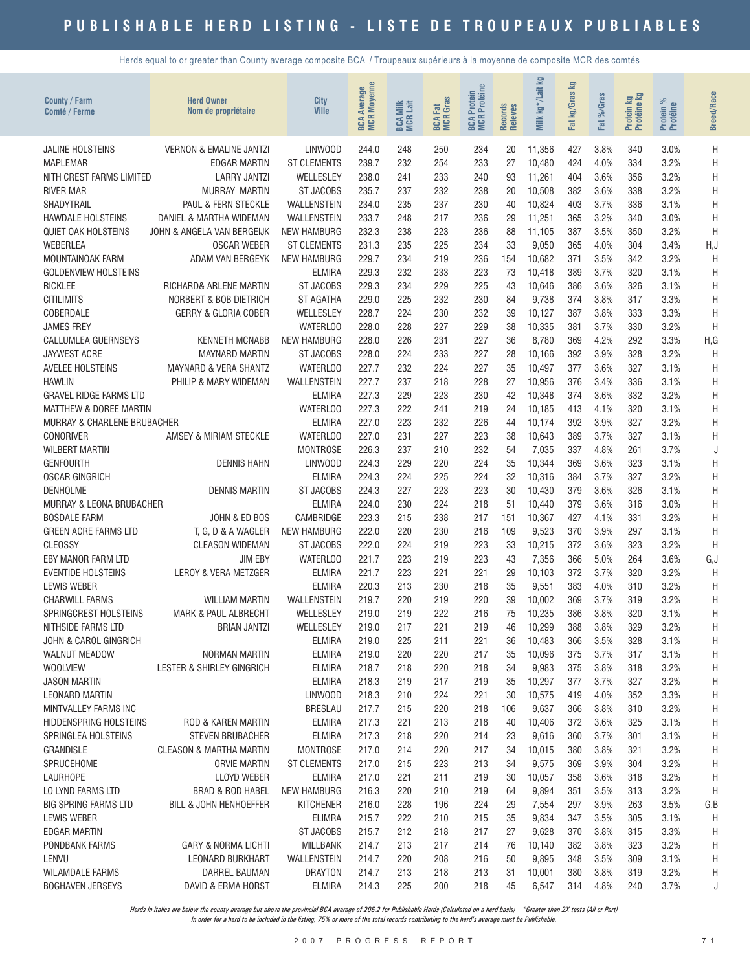Herds equal to or greater than County average composite BCA / Troupeaux supérieurs à la moyenne de composite MCR des comtés

| County / Farm<br>Comté / Ferme              | <b>Herd Owner</b><br>Nom de propriétaire | City<br><b>Ville</b>                | <b>Moyenne</b><br><b>Average</b><br><b>BCA</b> | <b>BCA Milk</b><br>MCR Lait | <b>MCR</b> Gras<br>討<br>BCA | Protéine<br>Protein<br><b>MCR</b><br><b>BCA</b> | Records<br>Relevés | kg*/Lait kg<br>Milk | ₽<br>kg/Gras<br>Fat | %Gras<br><b>Fat</b> | <b>By</b><br>Protein ko<br>Protéine | ಸಿ<br>Protein %<br>Protéine | <b>Breed/Race</b> |
|---------------------------------------------|------------------------------------------|-------------------------------------|------------------------------------------------|-----------------------------|-----------------------------|-------------------------------------------------|--------------------|---------------------|---------------------|---------------------|-------------------------------------|-----------------------------|-------------------|
| <b>JALINE HOLSTEINS</b>                     | <b>VERNON &amp; EMALINE JANTZI</b>       | LINWOOD                             | 244.0                                          | 248                         | 250                         | 234                                             | 20                 | 11,356              | 427                 | 3.8%                | 340                                 | 3.0%                        | Η                 |
| <b>MAPLEMAR</b>                             | EDGAR MARTIN                             | <b>ST CLEMENTS</b>                  | 239.7                                          | 232                         | 254                         | 233                                             | 27                 | 10,480              | 424                 | 4.0%                | 334                                 | 3.2%                        | H                 |
| NITH CREST FARMS LIMITED                    | <b>LARRY JANTZI</b>                      | WELLESLEY                           | 238.0                                          | 241                         | 233                         | 240                                             | 93                 | 11,261              | 404                 | 3.6%                | 356                                 | 3.2%                        | H                 |
| <b>RIVER MAR</b>                            | MURRAY MARTIN                            | <b>ST JACOBS</b>                    | 235.7                                          | 237                         | 232                         | 238                                             | 20                 | 10,508              | 382                 | 3.6%                | 338                                 | 3.2%                        | H                 |
| SHADYTRAIL                                  | PAUL & FERN STECKLE                      | WALLENSTEIN                         | 234.0                                          | 235                         | 237                         | 230                                             | 40                 | 10.824              | 403                 | 3.7%                | 336                                 | 3.1%                        | H                 |
| <b>HAWDALE HOLSTEINS</b>                    | DANIEL & MARTHA WIDEMAN                  | WALLENSTEIN                         | 233.7                                          | 248                         | 217                         | 236                                             | 29                 | 11,251              | 365                 | 3.2%                | 340                                 | 3.0%                        | H                 |
| <b>QUIET OAK HOLSTEINS</b>                  | JOHN & ANGELA VAN BERGEIJK               | NEW HAMBURG                         | 232.3                                          | 238                         | 223                         | 236                                             | 88                 | 11,105              | 387                 | 3.5%                | 350                                 | 3.2%                        | H                 |
| <b>WEBERLEA</b>                             | <b>OSCAR WEBER</b>                       | <b>ST CLEMENTS</b>                  | 231.3                                          | 235                         | 225                         | 234                                             | 33                 | 9,050               | 365                 | 4.0%                | 304                                 | 3.4%                        | H,J               |
| MOUNTAINOAK FARM                            | ADAM VAN BERGEYK                         | <b>NEW HAMBURG</b>                  | 229.7                                          | 234                         | 219                         | 236                                             | 154                | 10,682              | 371                 | 3.5%                | 342                                 | 3.2%                        | H                 |
| <b>GOLDENVIEW HOLSTEINS</b>                 |                                          | <b>ELMIRA</b>                       | 229.3                                          | 232                         | 233                         | 223                                             | 73                 | 10,418              | 389                 | 3.7%                | 320                                 | 3.1%                        | H                 |
| <b>RICKLEE</b>                              | RICHARD& ARLENE MARTIN                   | <b>ST JACOBS</b>                    | 229.3                                          | 234                         | 229                         | 225                                             | 43                 | 10,646              | 386                 | 3.6%                | 326                                 | 3.1%                        | H                 |
| <b>CITILIMITS</b>                           | NORBERT & BOB DIETRICH                   | <b>ST AGATHA</b>                    | 229.0                                          | 225                         | 232                         | 230                                             | 84                 | 9.738               | 374                 | 3.8%                | 317                                 | 3.3%                        | H                 |
| COBERDALE<br><b>JAMES FREY</b>              | <b>GERRY &amp; GLORIA COBER</b>          | WELLESLEY<br><b>WATERLOO</b>        | 228.7<br>228.0                                 | 224<br>228                  | 230<br>227                  | 232<br>229                                      | 39<br>38           | 10,127              | 387<br>381          | 3.8%<br>3.7%        | 333<br>330                          | 3.3%<br>3.2%                | H                 |
| <b>CALLUMLEA GUERNSEYS</b>                  | <b>KENNETH MCNABB</b>                    | <b>NEW HAMBURG</b>                  | 228.0                                          | 226                         | 231                         | 227                                             | 36                 | 10,335<br>8,780     | 369                 | 4.2%                | 292                                 | 3.3%                        | H<br>H,G          |
| <b>JAYWEST ACRE</b>                         | <b>MAYNARD MARTIN</b>                    | ST JACOBS                           | 228.0                                          | 224                         | 233                         | 227                                             | 28                 | 10,166              | 392                 | 3.9%                | 328                                 | 3.2%                        | H                 |
| <b>AVELEE HOLSTEINS</b>                     | <b>MAYNARD &amp; VERA SHANTZ</b>         | WATERLOO                            | 227.7                                          | 232                         | 224                         | 227                                             | 35                 | 10,497              | 377                 | 3.6%                | 327                                 | 3.1%                        | H                 |
| <b>HAWLIN</b>                               | PHILIP & MARY WIDEMAN                    | WALLENSTEIN                         | 227.7                                          | 237                         | 218                         | 228                                             | 27                 | 10,956              | 376                 | 3.4%                | 336                                 | 3.1%                        | H                 |
| <b>GRAVEL RIDGE FARMS LTD</b>               |                                          | <b>ELMIRA</b>                       | 227.3                                          | 229                         | 223                         | 230                                             | 42                 | 10,348              | 374                 | 3.6%                | 332                                 | 3.2%                        | H                 |
| <b>MATTHEW &amp; DOREE MARTIN</b>           |                                          | <b>WATERLOO</b>                     | 227.3                                          | 222                         | 241                         | 219                                             | 24                 | 10,185              | 413                 | 4.1%                | 320                                 | 3.1%                        | H                 |
| <b>MURRAY &amp; CHARLENE BRUBACHER</b>      |                                          | <b>ELMIRA</b>                       | 227.0                                          | 223                         | 232                         | 226                                             | 44                 | 10,174              | 392                 | 3.9%                | 327                                 | 3.2%                        | Η                 |
| <b>CONORIVER</b>                            | AMSEY & MIRIAM STECKLE                   | <b>WATERLOO</b>                     | 227.0                                          | 231                         | 227                         | 223                                             | 38                 | 10,643              | 389                 | 3.7%                | 327                                 | 3.1%                        | Η                 |
| <b>WILBERT MARTIN</b>                       |                                          | <b>MONTROSE</b>                     | 226.3                                          | 237                         | 210                         | 232                                             | 54                 | 7,035               | 337                 | 4.8%                | 261                                 | 3.7%                        | J                 |
| <b>GENFOURTH</b>                            | <b>DENNIS HAHN</b>                       | LINWOOD                             | 224.3                                          | 229                         | 220                         | 224                                             | 35                 | 10,344              | 369                 | 3.6%                | 323                                 | 3.1%                        | H                 |
| <b>OSCAR GINGRICH</b>                       |                                          | <b>ELMIRA</b>                       | 224.3                                          | 224                         | 225                         | 224                                             | 32                 | 10,316              | 384                 | 3.7%                | 327                                 | 3.2%                        | H                 |
| <b>DENHOLME</b>                             | <b>DENNIS MARTIN</b>                     | <b>ST JACOBS</b>                    | 224.3                                          | 227                         | 223                         | 223                                             | 30                 | 10,430              | 379                 | 3.6%                | 326                                 | 3.1%                        | H                 |
| <b>MURRAY &amp; LEONA BRUBACHER</b>         |                                          | <b>ELMIRA</b>                       | 224.0                                          | 230                         | 224                         | 218                                             | 51                 | 10,440              | 379                 | 3.6%                | 316                                 | 3.0%                        | H                 |
| <b>BOSDALE FARM</b>                         | JOHN & ED BOS                            | CAMBRIDGE                           | 223.3                                          | 215                         | 238                         | 217                                             | 151                | 10,367              | 427                 | 4.1%                | 331                                 | 3.2%                        | H                 |
| <b>GREEN ACRE FARMS LTD</b>                 | T, G, D & A WAGLER                       | <b>NEW HAMBURG</b>                  | 222.0                                          | 220                         | 230                         | 216                                             | 109                | 9,523               | 370                 | 3.9%                | 297                                 | 3.1%                        | H                 |
| CLEOSSY                                     | <b>CLEASON WIDEMAN</b>                   | <b>ST JACOBS</b>                    | 222.0                                          | 224                         | 219                         | 223                                             | 33                 | 10,215              | 372                 | 3.6%                | 323                                 | 3.2%                        | H                 |
| EBY MANOR FARM LTD                          | <b>JIM EBY</b>                           | WATERLOO                            | 221.7                                          | 223                         | 219                         | 223                                             | 43                 | 7,356               | 366                 | 5.0%                | 264                                 | 3.6%                        | G,J               |
| <b>EVENTIDE HOLSTEINS</b>                   | LEROY & VERA METZGER                     | <b>ELMIRA</b>                       | 221.7                                          | 223                         | 221                         | 221                                             | 29                 | 10,103              | 372                 | 3.7%                | 320                                 | 3.2%                        | H                 |
| <b>LEWIS WEBER</b><br><b>CHARWILL FARMS</b> | <b>WILLIAM MARTIN</b>                    | <b>ELMIRA</b><br><b>WALLENSTEIN</b> | 220.3<br>219.7                                 | 213<br>220                  | 230<br>219                  | 218<br>220                                      | 35<br>39           | 9,551               | 383<br>369          | 4.0%<br>3.7%        | 310<br>319                          | 3.2%<br>3.2%                | H                 |
| SPRINGCREST HOLSTEINS                       | <b>MARK &amp; PAUL ALBRECHT</b>          | WELLESLEY                           | 219.0                                          | 219                         | 222                         | 216                                             | 75                 | 10.002<br>10,235    | 386                 | 3.8%                | 320                                 | 3.1%                        | H<br>Η            |
| NITHSIDE FARMS LTD                          | BRIAN JANTZI                             | WELLESLEY                           | 219.0                                          | 217                         | 221                         | 219                                             | 46                 | 10,299              | 388                 | 3.8%                | 329                                 | 3.2%                        | H                 |
| JOHN & CAROL GINGRICH                       |                                          | <b>ELMIRA</b>                       | 219.0                                          | 225                         | 211                         | 221                                             | 36                 | 10,483              | 366                 | 3.5%                | 328                                 | 3.1%                        | Η                 |
| <b>WALNUT MEADOW</b>                        | NORMAN MARTIN                            | <b>ELMIRA</b>                       | 219.0                                          | 220                         | 220                         | 217                                             | 35                 | 10,096              | 375                 | 3.7%                | 317                                 | 3.1%                        | Η                 |
| <b>WOOLVIEW</b>                             | LESTER & SHIRLEY GINGRICH                | <b>ELMIRA</b>                       | 218.7                                          | 218                         | 220                         | 218                                             | 34                 | 9,983               | 375                 | 3.8%                | 318                                 | 3.2%                        | Η                 |
| <b>JASON MARTIN</b>                         |                                          | <b>ELMIRA</b>                       | 218.3                                          | 219                         | 217                         | 219                                             | 35                 | 10,297              | 377                 | 3.7%                | 327                                 | 3.2%                        | H                 |
| <b>LEONARD MARTIN</b>                       |                                          | LINWOOD                             | 218.3                                          | 210                         | 224                         | 221                                             | 30                 | 10,575              | 419                 | 4.0%                | 352                                 | 3.3%                        | H                 |
| MINTVALLEY FARMS INC                        |                                          | <b>BRESLAU</b>                      | 217.7                                          | 215                         | 220                         | 218                                             | 106                | 9,637               | 366                 | 3.8%                | 310                                 | 3.2%                        | Η                 |
| <b>HIDDENSPRING HOLSTEINS</b>               | ROD & KAREN MARTIN                       | <b>ELMIRA</b>                       | 217.3                                          | 221                         | 213                         | 218                                             | 40                 | 10,406              | 372                 | 3.6%                | 325                                 | 3.1%                        | Η                 |
| SPRINGLEA HOLSTEINS                         | <b>STEVEN BRUBACHER</b>                  | <b>ELMIRA</b>                       | 217.3                                          | 218                         | 220                         | 214                                             | 23                 | 9,616               | 360                 | 3.7%                | 301                                 | 3.1%                        | Η                 |
| GRANDISLE                                   | <b>CLEASON &amp; MARTHA MARTIN</b>       | <b>MONTROSE</b>                     | 217.0                                          | 214                         | 220                         | 217                                             | 34                 | 10,015              | 380                 | 3.8%                | 321                                 | 3.2%                        | Η                 |
| SPRUCEHOME                                  | <b>ORVIE MARTIN</b>                      | <b>ST CLEMENTS</b>                  | 217.0                                          | 215                         | 223                         | 213                                             | 34                 | 9,575               | 369                 | 3.9%                | 304                                 | 3.2%                        | Η                 |
| <b>LAURHOPE</b>                             | <b>LLOYD WEBER</b>                       | <b>ELMIRA</b>                       | 217.0                                          | 221                         | 211                         | 219                                             | 30                 | 10,057              | 358                 | 3.6%                | 318                                 | 3.2%                        | Н                 |
| LO LYND FARMS LTD                           | BRAD & ROD HABEL                         | <b>NEW HAMBURG</b>                  | 216.3                                          | 220                         | 210                         | 219                                             | 64                 | 9,894               | 351                 | 3.5%                | 313                                 | 3.2%                        | H                 |
| <b>BIG SPRING FARMS LTD</b>                 | BILL & JOHN HENHOEFFER                   | <b>KITCHENER</b>                    | 216.0                                          | 228                         | 196                         | 224                                             | 29                 | 7,554               | 297                 | 3.9%                | 263                                 | 3.5%                        | G, B              |
| LEWIS WEBER                                 |                                          | <b>ELIMRA</b>                       | 215.7                                          | 222<br>212                  | 210                         | 215                                             | 35<br>27           | 9,834               | 347<br>370          | 3.5%<br>3.8%        | 305                                 | 3.1%                        | Η                 |
| EDGAR MARTIN<br>PONDBANK FARMS              | <b>GARY &amp; NORMA LICHTI</b>           | ST JACOBS<br><b>MILLBANK</b>        | 215.7<br>214.7                                 | 213                         | 218<br>217                  | 217<br>214                                      | 76                 | 9,628<br>10,140     | 382                 | 3.8%                | 315<br>323                          | 3.3%<br>3.2%                | Η<br>Η            |
| LENVU                                       | LEONARD BURKHART                         | WALLENSTEIN                         | 214.7                                          | 220                         | 208                         | 216                                             | 50                 | 9,895               | 348                 | 3.5%                | 309                                 | 3.1%                        | Η                 |
| <b>WILAMDALE FARMS</b>                      | DARREL BAUMAN                            | <b>DRAYTON</b>                      | 214.7                                          | 213                         | 218                         | 213                                             | 31                 | 10,001              | 380                 | 3.8%                | 319                                 | 3.2%                        | H                 |
| <b>BOGHAVEN JERSEYS</b>                     | DAVID & ERMA HORST                       | <b>ELMIRA</b>                       | 214.3                                          | 225                         | 200                         | 218                                             | 45                 | 6,547               | 314                 | 4.8%                | 240                                 | 3.7%                        | J                 |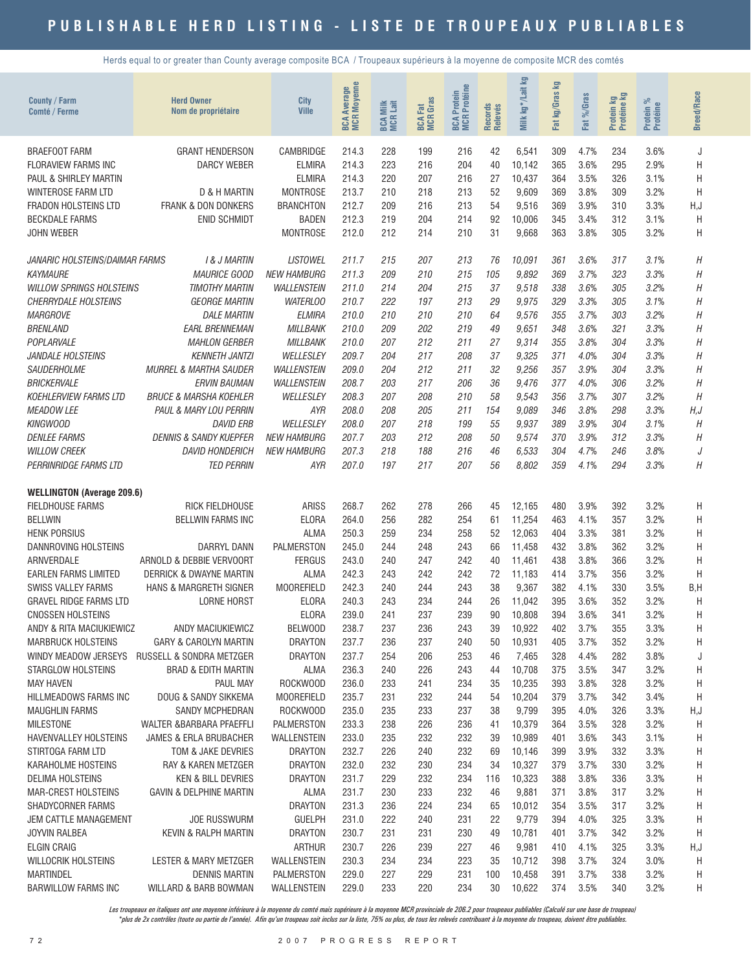Herds equal to or greater than County average composite BCA / Troupeaux supérieurs à la moyenne de composite MCR des comtés

| <b>County / Farm</b><br>Comté / Ferme  | <b>Herd Owner</b><br>Nom de propriétaire      | City<br><b>Ville</b>              | <b>MCR Moyenne</b><br>Average<br>BCA | <b>BCA Milk</b><br>MCR Lait | <b>BCA Fat</b><br>MCR Gras | <b>MCR</b> Protéine<br>Protein<br><b>BCA</b> | Records<br>Relevés | <b>S</b><br>kg*/Lait l<br>Milk | Σg<br>kg/Gras<br>Fat | Fat %/Gras   | Protein kg<br>Protéine kg | $\%$<br>Protein %<br>Protéine | <b>Breed/Race</b> |
|----------------------------------------|-----------------------------------------------|-----------------------------------|--------------------------------------|-----------------------------|----------------------------|----------------------------------------------|--------------------|--------------------------------|----------------------|--------------|---------------------------|-------------------------------|-------------------|
| <b>BRAEFOOT FARM</b>                   | <b>GRANT HENDERSON</b>                        | CAMBRIDGE                         | 214.3                                | 228                         | 199                        | 216                                          | 42                 | 6,541                          | 309                  | 4.7%         | 234                       | 3.6%                          | J                 |
| <b>FLORAVIEW FARMS INC</b>             | <b>DARCY WEBER</b>                            | <b>ELMIRA</b>                     | 214.3                                | 223                         | 216                        | 204                                          | 40                 | 10,142                         | 365                  | 3.6%         | 295                       | 2.9%                          | Н                 |
| PAUL & SHIRLEY MARTIN                  |                                               | <b>ELMIRA</b>                     | 214.3                                | 220                         | 207                        | 216                                          | 27                 | 10,437                         | 364                  | 3.5%         | 326                       | 3.1%                          | H                 |
| WINTEROSE FARM LTD                     | D & H MARTIN                                  | <b>MONTROSE</b>                   | 213.7                                | 210                         | 218                        | 213                                          | 52                 | 9,609                          | 369                  | 3.8%         | 309                       | 3.2%                          | H                 |
| <b>FRADON HOLSTEINS LTD</b>            | FRANK & DON DONKERS                           | <b>BRANCHTON</b>                  | 212.7                                | 209                         | 216                        | 213                                          | 54                 | 9,516                          | 369                  | 3.9%         | 310                       | 3.3%                          | H, J              |
| <b>BECKDALE FARMS</b>                  | <b>ENID SCHMIDT</b>                           | <b>BADEN</b>                      | 212.3                                | 219                         | 204                        | 214                                          | 92                 | 10,006                         | 345                  | 3.4%         | 312                       | 3.1%                          | H                 |
| <b>JOHN WEBER</b>                      |                                               | <b>MONTROSE</b>                   | 212.0                                | 212                         | 214                        | 210                                          | 31                 | 9,668                          | 363                  | 3.8%         | 305                       | 3.2%                          | H                 |
| JANARIC HOLSTEINS/DAIMAR FARMS         | <b>1&amp; J MARTIN</b>                        | <b>LISTOWEL</b>                   | 211.7                                | 215                         | 207                        | 213                                          | 76                 | 10,091                         | 361                  | 3.6%         | 317                       | 3.1%                          | Η                 |
| <b>KAYMAURE</b>                        | <b>MAURICE GOOD</b>                           | <b>NEW HAMBURG</b>                | 211.3                                | 209                         | 210                        | 215                                          | 105                | 9,892                          | 369                  | 3.7%         | 323                       | 3.3%                          | Η                 |
| <b>WILLOW SPRINGS HOLSTEINS</b>        | TIMOTHY MARTIN                                | <b>WALLENSTEIN</b>                | 211.0                                | 214                         | 204                        | 215                                          | 37                 | 9,518                          | 338                  | 3.6%         | 305                       | 3.2%                          | Η                 |
| <b>CHERRYDALE HOLSTEINS</b>            | <b>GEORGE MARTIN</b>                          | <b>WATERLOO</b>                   | 210.7                                | 222                         | 197                        | 213                                          | 29                 | 9,975                          | 329                  | 3.3%         | 305                       | 3.1%                          | Η                 |
| <b>MARGROVE</b>                        | <b>DALE MARTIN</b>                            | <b>ELMIRA</b>                     | 210.0                                | 210                         | 210                        | 210                                          | 64                 | 9,576                          | 355                  | 3.7%         | 303                       | 3.2%                          | Η                 |
| <b>BRENLAND</b>                        | <b>EARL BRENNEMAN</b>                         | <b>MILLBANK</b>                   | 210.0                                | 209                         | 202                        | 219                                          | 49                 | 9.651                          | 348                  | 3.6%         | 321                       | 3.3%                          | Η                 |
| POPLARVALE                             | <b>MAHLON GERBER</b>                          | <b>MILLBANK</b>                   | 210.0                                | 207                         | 212                        | 211                                          | 27                 | 9,314                          | 355                  | 3.8%         | 304                       | 3.3%                          | Η                 |
| <b>JANDALE HOLSTEINS</b>               | <b>KENNETH JANTZI</b>                         | WELLESLEY                         | 209.7                                | 204                         | 217                        | 208                                          | 37                 | 9,325                          | 371                  | 4.0%         | 304                       | 3.3%                          | Η                 |
| SAUDERHOLME<br><b>BRICKERVALE</b>      | MURREL & MARTHA SAUDER<br><i>ERVIN BAUMAN</i> | <b>WALLENSTEIN</b><br>WALLENSTEIN | 209.0<br>208.7                       | 204<br>203                  | 212<br>217                 | 211<br>206                                   | 32<br>36           | 9,256<br>9,476                 | 357<br>377           | 3.9%<br>4.0% | 304<br>306                | 3.3%<br>3.2%                  | Η<br>H            |
| <b>KOEHLERVIEW FARMS LTD</b>           | <b>BRUCE &amp; MARSHA KOEHLER</b>             | WELLESLEY                         | 208.3                                | 207                         | 208                        | 210                                          | 58                 | 9,543                          | 356                  | 3.7%         | 307                       | 3.2%                          | H                 |
| <b>MEADOW LEE</b>                      | PAUL & MARY LOU PERRIN                        | AYR                               | 208.0                                | 208                         | 205                        | 211                                          | 154                | 9.089                          | 346                  | 3.8%         | 298                       | 3.3%                          | H, J              |
| <b>KINGWOOD</b>                        | <b>DAVID ERB</b>                              | WELLESLEY                         | 208.0                                | 207                         | 218                        | 199                                          | 55                 | 9.937                          | 389                  | 3.9%         | 304                       | 3.1%                          | H                 |
| <b>DENLEE FARMS</b>                    | <b>DENNIS &amp; SANDY KUEPFER</b>             | <b>NEW HAMBURG</b>                | 207.7                                | 203                         | 212                        | 208                                          | 50                 | 9,574                          | 370                  | 3.9%         | 312                       | 3.3%                          | Н                 |
| <b>WILLOW CREEK</b>                    | <b>DAVID HONDERICH</b>                        | <i>NEW HAMBURG</i>                | 207.3                                | 218                         | 188                        | 216                                          | 46                 | 6.533                          | 304                  | 4.7%         | 246                       | 3.8%                          | J                 |
| PERRINRIDGE FARMS LTD                  | <b>TED PERRIN</b>                             | AYR                               | 207.0                                | 197                         | 217                        | 207                                          | 56                 | 8,802                          | 359                  | 4.1%         | 294                       | 3.3%                          | Η                 |
| <b>WELLINGTON (Average 209.6)</b>      |                                               |                                   |                                      |                             |                            |                                              |                    |                                |                      |              |                           |                               |                   |
| <b>FIELDHOUSE FARMS</b>                | RICK FIELDHOUSE                               | <b>ARISS</b>                      | 268.7                                | 262                         | 278                        | 266                                          | 45                 | 12,165                         | 480                  | 3.9%         | 392                       | 3.2%                          | H                 |
| <b>BELLWIN</b>                         | <b>BELLWIN FARMS INC</b>                      | <b>ELORA</b>                      | 264.0                                | 256                         | 282                        | 254                                          | 61                 | 11,254                         | 463                  | 4.1%         | 357                       | 3.2%                          | Η                 |
| <b>HENK PORSIUS</b>                    |                                               | <b>ALMA</b>                       | 250.3                                | 259                         | 234                        | 258                                          | 52                 | 12,063                         | 404                  | 3.3%         | 381                       | 3.2%                          | H                 |
| DANNROVING HOLSTEINS                   | <b>DARRYL DANN</b>                            | <b>PALMERSTON</b>                 | 245.0                                | 244                         | 248                        | 243                                          | 66                 | 11,458                         | 432                  | 3.8%         | 362                       | 3.2%                          | H                 |
| ARNVERDALE                             | ARNOLD & DEBBIE VERVOORT                      | <b>FERGUS</b>                     | 243.0                                | 240                         | 247                        | 242                                          | 40                 | 11,461                         | 438                  | 3.8%         | 366                       | 3.2%                          | H                 |
| <b>EARLEN FARMS LIMITED</b>            | DERRICK & DWAYNE MARTIN                       | <b>ALMA</b>                       | 242.3                                | 243                         | 242                        | 242                                          | 72                 | 11,183                         | 414                  | 3.7%         | 356                       | 3.2%                          | H                 |
| <b>SWISS VALLEY FARMS</b>              | HANS & MARGRETH SIGNER                        | <b>MOOREFIELD</b>                 | 242.3                                | 240                         | 244                        | 243                                          | 38                 | 9,367                          | 382                  | 4.1%         | 330                       | 3.5%                          | B,H               |
| <b>GRAVEL RIDGE FARMS LTD</b>          | <b>LORNE HORST</b>                            | <b>ELORA</b>                      | 240.3                                | 243                         | 234                        | 244                                          | 26                 | 11,042                         | 395                  | 3.6%         | 352                       | 3.2%                          | H                 |
| <b>CNOSSEN HOLSTEINS</b>               |                                               | <b>ELORA</b>                      | 239.0                                | 241                         | 237                        | 239                                          | 90                 | 10,808                         | 394                  | 3.6%         | 341                       | 3.2%                          | H                 |
| ANDY & RITA MACIUKIEWICZ               | ANDY MACIUKIEWICZ                             | BELWOOD                           | 238.7                                | 237                         | 236                        | 243                                          | 39                 | 10,922                         | 402                  | 3.7%         | 355                       | 3.3%                          | Н                 |
| <b>MARBRUCK HOLSTEINS</b>              | <b>GARY &amp; CAROLYN MARTIN</b>              | <b>DRAYTON</b>                    | 237.7                                | 236                         | 237                        | 240                                          | 50                 | 10,931                         | 405                  | 3.7%         | 352                       | 3.2%                          | Н                 |
|                                        | WINDY MEADOW JERSEYS RUSSELL & SONDRA METZGER | <b>DRAYTON</b>                    | 237.7                                | 254                         | 206                        | 253                                          | 46                 | 7,465                          | 328                  | 4.4%<br>3.5% | 282<br>347                | 3.8%                          | J                 |
| STARGLOW HOLSTEINS<br><b>MAY HAVEN</b> | <b>BRAD &amp; EDITH MARTIN</b><br>PAUL MAY    | ALMA<br>ROCKWOOD                  | 236.3<br>236.0                       | 240<br>233                  | 226<br>241                 | 243<br>234                                   | 44<br>35           | 10,708<br>10,235               | 375<br>393           | 3.8%         | 328                       | 3.2%<br>3.2%                  | Η<br>Η            |
| HILLMEADOWS FARMS INC                  | DOUG & SANDY SIKKEMA                          | <b>MOOREFIELD</b>                 | 235.7                                | 231                         | 232                        | 244                                          | 54                 | 10,204                         | 379                  | 3.7%         | 342                       | 3.4%                          | Η                 |
| <b>MAUGHLIN FARMS</b>                  | <b>SANDY MCPHEDRAN</b>                        | ROCKWOOD                          | 235.0                                | 235                         | 233                        | 237                                          | 38                 | 9,799                          | 395                  | 4.0%         | 326                       | 3.3%                          | H,J               |
| <b>MILESTONE</b>                       | WALTER &BARBARA PFAEFFLI                      | PALMERSTON                        | 233.3                                | 238                         | 226                        | 236                                          | 41                 | 10,379                         | 364                  | 3.5%         | 328                       | 3.2%                          | Н                 |
| <b>HAVENVALLEY HOLSTEINS</b>           | <b>JAMES &amp; ERLA BRUBACHER</b>             | <b>WALLENSTEIN</b>                | 233.0                                | 235                         | 232                        | 232                                          | 39                 | 10,989                         | 401                  | 3.6%         | 343                       | 3.1%                          | Н                 |
| STIRTOGA FARM LTD                      | TOM & JAKE DEVRIES                            | <b>DRAYTON</b>                    | 232.7                                | 226                         | 240                        | 232                                          | 69                 | 10,146                         | 399                  | 3.9%         | 332                       | 3.3%                          | Н                 |
| KARAHOLME HOSTEINS                     | RAY & KAREN METZGER                           | <b>DRAYTON</b>                    | 232.0                                | 232                         | 230                        | 234                                          | 34                 | 10,327                         | 379                  | 3.7%         | 330                       | 3.2%                          | Н                 |
| DELIMA HOLSTEINS                       | <b>KEN &amp; BILL DEVRIES</b>                 | <b>DRAYTON</b>                    | 231.7                                | 229                         | 232                        | 234                                          | 116                | 10,323                         | 388                  | 3.8%         | 336                       | 3.3%                          | Н                 |
| MAR-CREST HOLSTEINS                    | <b>GAVIN &amp; DELPHINE MARTIN</b>            | <b>ALMA</b>                       | 231.7                                | 230                         | 233                        | 232                                          | 46                 | 9,881                          | 371                  | 3.8%         | 317                       | 3.2%                          | Н                 |
| SHADYCORNER FARMS                      |                                               | <b>DRAYTON</b>                    | 231.3                                | 236                         | 224                        | 234                                          | 65                 | 10,012                         | 354                  | 3.5%         | 317                       | 3.2%                          | Н                 |
| JEM CATTLE MANAGEMENT                  | <b>JOE RUSSWURM</b>                           | <b>GUELPH</b>                     | 231.0                                | 222                         | 240                        | 231                                          | 22                 | 9,779                          | 394                  | 4.0%         | 325                       | 3.3%                          | Н                 |
| <b>JOYVIN RALBEA</b>                   | <b>KEVIN &amp; RALPH MARTIN</b>               | <b>DRAYTON</b>                    | 230.7                                | 231                         | 231                        | 230                                          | 49                 | 10,781                         | 401                  | 3.7%         | 342                       | 3.2%                          | Н                 |
| <b>ELGIN CRAIG</b>                     |                                               | <b>ARTHUR</b>                     | 230.7                                | 226                         | 239                        | 227                                          | 46                 | 9,981                          | 410                  | 4.1%         | 325                       | 3.3%                          | H,J               |
| WILLOCRIK HOLSTEINS                    | LESTER & MARY METZGER                         | WALLENSTEIN                       | 230.3                                | 234                         | 234                        | 223                                          | 35                 | 10,712                         | 398                  | 3.7%         | 324                       | 3.0%                          | Η                 |
| <b>MARTINDEL</b>                       | <b>DENNIS MARTIN</b>                          | PALMERSTON                        | 229.0                                | 227                         | 229                        | 231                                          | 100                | 10,458                         | 391                  | 3.7%         | 338                       | 3.2%                          | Η                 |
| <b>BARWILLOW FARMS INC</b>             | WILLARD & BARB BOWMAN                         | WALLENSTEIN                       | 229.0                                | 233                         | 220                        | 234                                          | 30                 | 10,622                         | 374                  | 3.5%         | 340                       | 3.2%                          | Н                 |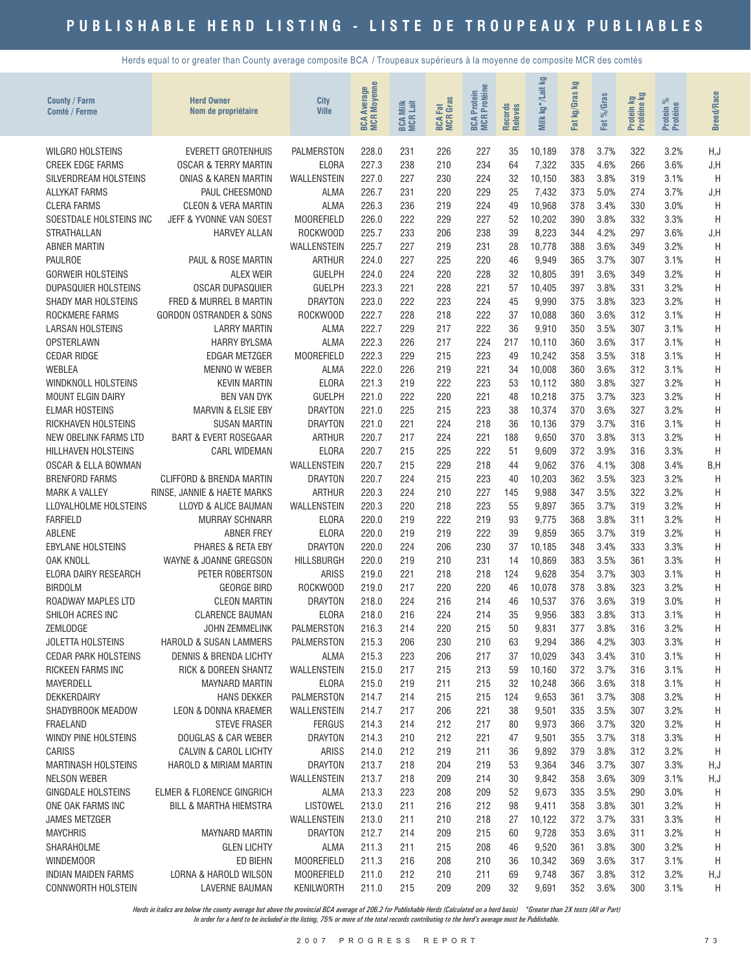Herds equal to or greater than County average composite BCA / Troupeaux supérieurs à la moyenne de composite MCR des comtés

| <b>County / Farm</b><br>Comté / Ferme               | <b>Herd Owner</b><br>Nom de propriétaire                | City<br><b>Ville</b>                | <b>BCA Average</b><br>MCR Moyenne | <b>BCA Milk</b><br>MCR Lait | <b>BCA Fat</b><br>MCR Gras | <b>BCA Protein<br/>MCR Protéine</b> | Records<br>Relevés | Σg<br>kg*/Lait<br>Milk | 豆<br>kg/Gras<br><b>Fat</b> | $%$ Caras<br><b>ZE</b> | Protein kg<br>Protéine kg | ಸಿ<br>Protein %<br>Protéine | <b>Breed/Race</b> |
|-----------------------------------------------------|---------------------------------------------------------|-------------------------------------|-----------------------------------|-----------------------------|----------------------------|-------------------------------------|--------------------|------------------------|----------------------------|------------------------|---------------------------|-----------------------------|-------------------|
| <b>WILGRO HOLSTEINS</b>                             | <b>EVERETT GROTENHUIS</b>                               | <b>PALMERSTON</b>                   | 228.0                             | 231                         | 226                        | 227                                 | 35                 | 10,189                 | 378                        | 3.7%                   | 322                       | 3.2%                        | H, J              |
| <b>CREEK EDGE FARMS</b>                             | <b>OSCAR &amp; TERRY MARTIN</b>                         | <b>ELORA</b>                        | 227.3                             | 238                         | 210                        | 234                                 | 64                 | 7,322                  | 335                        | 4.6%                   | 266                       | 3.6%                        | J, H              |
| SILVERDREAM HOLSTEINS                               | <b>ONIAS &amp; KAREN MARTIN</b>                         | <b>WALLENSTEIN</b>                  | 227.0                             | 227                         | 230                        | 224                                 | 32                 | 10,150                 | 383                        | 3.8%                   | 319                       | 3.1%                        | H                 |
| <b>ALLYKAT FARMS</b>                                | PAUL CHEESMOND                                          | ALMA                                | 226.7                             | 231                         | 220                        | 229                                 | 25                 | 7,432                  | 373                        | 5.0%                   | 274                       | 3.7%                        | J, H              |
| <b>CLERA FARMS</b>                                  | <b>CLEON &amp; VERA MARTIN</b>                          | <b>ALMA</b>                         | 226.3                             | 236                         | 219                        | 224                                 | 49                 | 10,968                 | 378                        | 3.4%                   | 330                       | 3.0%                        | H                 |
| SOESTDALE HOLSTEINS INC                             | JEFF & YVONNE VAN SOEST                                 | <b>MOOREFIELD</b>                   | 226.0                             | 222                         | 229                        | 227                                 | 52                 | 10,202                 | 390                        | 3.8%                   | 332                       | 3.3%                        | H                 |
| <b>STRATHALLAN</b>                                  | <b>HARVEY ALLAN</b>                                     | ROCKWOOD                            | 225.7                             | 233                         | 206                        | 238                                 | 39                 | 8,223                  | 344                        | 4.2%                   | 297                       | 3.6%                        | J,H               |
| <b>ABNER MARTIN</b><br><b>PAULROE</b>               | PAUL & ROSE MARTIN                                      | <b>WALLENSTEIN</b><br><b>ARTHUR</b> | 225.7<br>224.0                    | 227<br>227                  | 219<br>225                 | 231<br>220                          | 28<br>46           | 10,778<br>9,949        | 388<br>365                 | 3.6%<br>3.7%           | 349<br>307                | 3.2%<br>3.1%                | H<br>H            |
| <b>GORWEIR HOLSTEINS</b>                            | <b>ALEX WEIR</b>                                        | <b>GUELPH</b>                       | 224.0                             | 224                         | 220                        | 228                                 | 32                 | 10,805                 | 391                        | 3.6%                   | 349                       | 3.2%                        | Η                 |
| DUPASQUIER HOLSTEINS                                | <b>OSCAR DUPASQUIER</b>                                 | <b>GUELPH</b>                       | 223.3                             | 221                         | 228                        | 221                                 | 57                 | 10,405                 | 397                        | 3.8%                   | 331                       | 3.2%                        | Η                 |
| SHADY MAR HOLSTEINS                                 | FRED & MURREL B MARTIN                                  | <b>DRAYTON</b>                      | 223.0                             | 222                         | 223                        | 224                                 | 45                 | 9,990                  | 375                        | 3.8%                   | 323                       | 3.2%                        | H                 |
| ROCKMERE FARMS                                      | <b>GORDON OSTRANDER &amp; SONS</b>                      | ROCKWOOD                            | 222.7                             | 228                         | 218                        | 222                                 | 37                 | 10,088                 | 360                        | 3.6%                   | 312                       | 3.1%                        | H                 |
| <b>LARSAN HOLSTEINS</b>                             | <b>LARRY MARTIN</b>                                     | <b>ALMA</b>                         | 222.7                             | 229                         | 217                        | 222                                 | 36                 | 9,910                  | 350                        | 3.5%                   | 307                       | 3.1%                        | Η                 |
| <b>OPSTERLAWN</b>                                   | <b>HARRY BYLSMA</b>                                     | <b>ALMA</b>                         | 222.3                             | 226                         | 217                        | 224                                 | 217                | 10,110                 | 360                        | 3.6%                   | 317                       | 3.1%                        | H                 |
| <b>CEDAR RIDGE</b>                                  | <b>EDGAR METZGER</b>                                    | <b>MOOREFIELD</b>                   | 222.3                             | 229                         | 215                        | 223                                 | 49                 | 10,242                 | 358                        | 3.5%                   | 318                       | 3.1%                        | Η                 |
| <b>WEBLEA</b>                                       | <b>MENNO W WEBER</b>                                    | <b>ALMA</b>                         | 222.0                             | 226                         | 219                        | 221                                 | 34                 | 10,008                 | 360                        | 3.6%                   | 312                       | 3.1%                        | Η                 |
| <b>WINDKNOLL HOLSTEINS</b>                          | <b>KEVIN MARTIN</b>                                     | <b>ELORA</b>                        | 221.3                             | 219                         | 222                        | 223                                 | 53                 | 10.112                 | 380                        | 3.8%                   | 327                       | 3.2%                        | H                 |
| <b>MOUNT ELGIN DAIRY</b>                            | <b>BEN VAN DYK</b>                                      | <b>GUELPH</b>                       | 221.0                             | 222                         | 220                        | 221                                 | 48                 | 10,218                 | 375                        | 3.7%                   | 323                       | 3.2%                        | H                 |
| <b>ELMAR HOSTEINS</b>                               | <b>MARVIN &amp; ELSIE EBY</b>                           | <b>DRAYTON</b>                      | 221.0                             | 225                         | 215                        | 223                                 | 38                 | 10,374                 | 370                        | 3.6%                   | 327                       | 3.2%                        | H                 |
| RICKHAVEN HOLSTEINS                                 | <b>SUSAN MARTIN</b>                                     | <b>DRAYTON</b>                      | 221.0                             | 221                         | 224                        | 218                                 | 36                 | 10,136                 | 379                        | 3.7%                   | 316                       | 3.1%                        | H                 |
| NEW OBELINK FARMS LTD<br><b>HILLHAVEN HOLSTEINS</b> | <b>BART &amp; EVERT ROSEGAAR</b><br><b>CARL WIDEMAN</b> | <b>ARTHUR</b><br>ELORA              | 220.7<br>220.7                    | 217<br>215                  | 224<br>225                 | 221<br>222                          | 188<br>51          | 9,650<br>9,609         | 370<br>372                 | 3.8%<br>3.9%           | 313<br>316                | 3.2%<br>3.3%                | H<br>H            |
| <b>OSCAR &amp; ELLA BOWMAN</b>                      |                                                         | <b>WALLENSTEIN</b>                  | 220.7                             | 215                         | 229                        | 218                                 | 44                 | 9,062                  | 376                        | 4.1%                   | 308                       | 3.4%                        | B, H              |
| <b>BRENFORD FARMS</b>                               | <b>CLIFFORD &amp; BRENDA MARTIN</b>                     | <b>DRAYTON</b>                      | 220.7                             | 224                         | 215                        | 223                                 | 40                 | 10,203                 | 362                        | 3.5%                   | 323                       | 3.2%                        | H                 |
| <b>MARK A VALLEY</b>                                | RINSE, JANNIE & HAETE MARKS                             | <b>ARTHUR</b>                       | 220.3                             | 224                         | 210                        | 227                                 | 145                | 9,988                  | 347                        | 3.5%                   | 322                       | 3.2%                        | H                 |
| LLOYALHOLME HOLSTEINS                               | LLOYD & ALICE BAUMAN                                    | WALLENSTEIN                         | 220.3                             | 220                         | 218                        | 223                                 | 55                 | 9,897                  | 365                        | 3.7%                   | 319                       | 3.2%                        | H                 |
| <b>FARFIELD</b>                                     | <b>MURRAY SCHNARR</b>                                   | <b>ELORA</b>                        | 220.0                             | 219                         | 222                        | 219                                 | 93                 | 9,775                  | 368                        | 3.8%                   | 311                       | 3.2%                        | H                 |
| <b>ABLENE</b>                                       | <b>ABNER FREY</b>                                       | <b>ELORA</b>                        | 220.0                             | 219                         | 219                        | 222                                 | 39                 | 9,859                  | 365                        | 3.7%                   | 319                       | 3.2%                        | H                 |
| <b>EBYLANE HOLSTEINS</b>                            | PHARES & RETA EBY                                       | <b>DRAYTON</b>                      | 220.0                             | 224                         | 206                        | 230                                 | 37                 | 10,185                 | 348                        | 3.4%                   | 333                       | 3.3%                        | H                 |
| <b>OAK KNOLL</b>                                    | WAYNE & JOANNE GREGSON                                  | <b>HILLSBURGH</b>                   | 220.0                             | 219                         | 210                        | 231                                 | 14                 | 10,869                 | 383                        | 3.5%                   | 361                       | 3.3%                        | Η                 |
| ELORA DAIRY RESEARCH                                | PETER ROBERTSON                                         | <b>ARISS</b>                        | 219.0                             | 221                         | 218                        | 218                                 | 124                | 9,628                  | 354                        | 3.7%                   | 303                       | 3.1%                        | H                 |
| <b>BIRDOLM</b>                                      | <b>GEORGE BIRD</b>                                      | ROCKWOOD                            | 219.0                             | 217                         | 220                        | 220                                 | 46                 | 10,078                 | 378                        | 3.8%                   | 323                       | 3.2%                        | H                 |
| ROADWAY MAPLES LTD                                  | <b>CLEON MARTIN</b><br><b>CLARENCE BAUMAN</b>           | <b>DRAYTON</b><br>ELORA             | 218.0                             | 224                         | 216                        | 214                                 | 46<br>35           | 10,537                 | 376<br>383                 | 3.6%                   | 319                       | 3.0%                        | Η                 |
| SHILOH ACRES INC<br>ZEMLODGE                        | <b>JOHN ZEMMELINK</b>                                   | <b>PALMERSTON</b>                   | 218.0<br>216.3                    | 216<br>214                  | 224<br>220                 | 214<br>215                          | 50                 | 9,956<br>9,831         | 377                        | 3.8%<br>3.8%           | 313<br>316                | 3.1%<br>3.2%                | Η<br>H            |
| <b>JOLETTA HOLSTEINS</b>                            | HAROLD & SUSAN LAMMERS                                  | <b>PALMERSTON</b>                   | 215.3                             | 206                         | 230                        | 210                                 | 63                 | 9,294                  | 386                        | 4.2%                   | 303                       | 3.3%                        | H                 |
| <b>CEDAR PARK HOLSTEINS</b>                         | DENNIS & BRENDA LICHTY                                  | ALMA                                | 215.3                             | 223                         | 206                        | 217                                 | 37                 | 10,029                 | 343                        | 3.4%                   | 310                       | 3.1%                        | H                 |
| RICKEEN FARMS INC                                   | RICK & DOREEN SHANTZ                                    | WALLENSTEIN                         | 215.0                             | 217                         | 215                        | 213                                 | 59                 | 10,160                 | 372                        | 3.7%                   | 316                       | 3.1%                        | H                 |
| <b>MAYERDELL</b>                                    | <b>MAYNARD MARTIN</b>                                   | ELORA                               | 215.0                             | 219                         | 211                        | 215                                 | 32                 | 10,248                 | 366                        | 3.6%                   | 318                       | 3.1%                        | Η                 |
| DEKKERDAIRY                                         | <b>HANS DEKKER</b>                                      | PALMERSTON                          | 214.7                             | 214                         | 215                        | 215                                 | 124                | 9,653                  | 361                        | 3.7%                   | 308                       | 3.2%                        | Η                 |
| SHADYBROOK MEADOW                                   | LEON & DONNA KRAEMER                                    | WALLENSTEIN                         | 214.7                             | 217                         | 206                        | 221                                 | 38                 | 9,501                  | 335                        | 3.5%                   | 307                       | 3.2%                        | H                 |
| FRAELAND                                            | <b>STEVE FRASER</b>                                     | <b>FERGUS</b>                       | 214.3                             | 214                         | 212                        | 217                                 | 80                 | 9,973                  | 366                        | 3.7%                   | 320                       | 3.2%                        | H                 |
| WINDY PINE HOLSTEINS                                | <b>DOUGLAS &amp; CAR WEBER</b>                          | <b>DRAYTON</b>                      | 214.3                             | 210                         | 212                        | 221                                 | 47                 | 9,501                  | 355                        | 3.7%                   | 318                       | 3.3%                        | H                 |
| <b>CARISS</b>                                       | <b>CALVIN &amp; CAROL LICHTY</b>                        | ARISS                               | 214.0                             | 212                         | 219                        | 211                                 | 36                 | 9,892                  | 379                        | 3.8%                   | 312                       | 3.2%                        | H                 |
| <b>MARTINASH HOLSTEINS</b>                          | HAROLD & MIRIAM MARTIN                                  | <b>DRAYTON</b>                      | 213.7                             | 218                         | 204                        | 219                                 | 53                 | 9,364                  | 346                        | 3.7%                   | 307                       | 3.3%                        | H, J              |
| <b>NELSON WEBER</b><br>GINGDALE HOLSTEINS           | ELMER & FLORENCE GINGRICH                               | WALLENSTEIN<br>ALMA                 | 213.7<br>213.3                    | 218<br>223                  | 209<br>208                 | 214<br>209                          | 30<br>52           | 9,842<br>9,673         | 358<br>335                 | 3.6%<br>3.5%           | 309<br>290                | 3.1%<br>3.0%                | H, J              |
| ONE OAK FARMS INC                                   | <b>BILL &amp; MARTHA HIEMSTRA</b>                       | LISTOWEL                            | 213.0                             | 211                         | 216                        | 212                                 | 98                 | 9,411                  | 358                        | 3.8%                   | 301                       | 3.2%                        | H<br>H            |
| <b>JAMES METZGER</b>                                |                                                         | WALLENSTEIN                         | 213.0                             | 211                         | 210                        | 218                                 | 27                 | 10,122                 | 372                        | 3.7%                   | 331                       | 3.3%                        | H                 |
| <b>MAYCHRIS</b>                                     | <b>MAYNARD MARTIN</b>                                   | <b>DRAYTON</b>                      | 212.7                             | 214                         | 209                        | 215                                 | 60                 | 9,728                  | 353                        | 3.6%                   | 311                       | 3.2%                        | H                 |
| SHARAHOLME                                          | <b>GLEN LICHTY</b>                                      | <b>ALMA</b>                         | 211.3                             | 211                         | 215                        | 208                                 | 46                 | 9,520                  | 361                        | 3.8%                   | 300                       | 3.2%                        | Η                 |
| <b>WINDEMOOR</b>                                    | ED BIEHN                                                | <b>MOOREFIELD</b>                   | 211.3                             | 216                         | 208                        | 210                                 | 36                 | 10,342                 | 369                        | 3.6%                   | 317                       | 3.1%                        | H                 |
| <b>INDIAN MAIDEN FARMS</b>                          | LORNA & HAROLD WILSON                                   | <b>MOOREFIELD</b>                   | 211.0                             | 212                         | 210                        | 211                                 | 69                 | 9,748                  | 367                        | 3.8%                   | 312                       | 3.2%                        | H,J               |
| CONNWORTH HOLSTEIN                                  | <b>LAVERNE BAUMAN</b>                                   | KENILWORTH                          | 211.0                             | 215                         | 209                        | 209                                 | 32                 | 9,691                  | 352                        | 3.6%                   | 300                       | 3.1%                        | H                 |